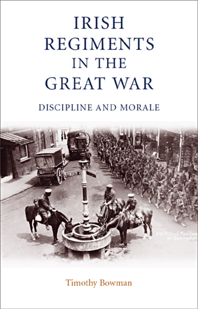# **IRISH REGIMENTS** IN THE **GREAT WAR**

DISCIPLINE AND MORALE



**Timothy Bowman**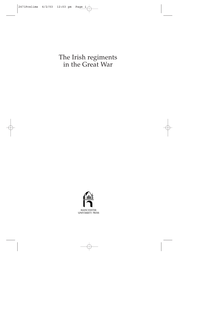### The Irish regiments in the Great War

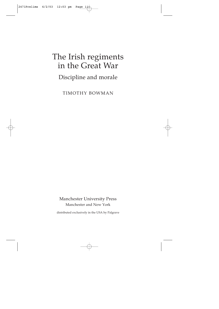# The Irish regiments in the Great War

### Discipline and morale

TIMOTHY BOWMAN

Manchester University Press Manchester and New York

distributed exclusively in the USA by Palgrave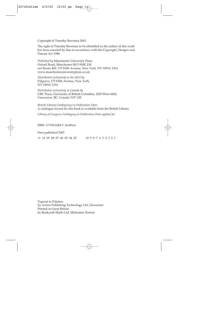Copyright © Timothy Bowman 2003

The right of Timothy Bowman to be identified as the author of this work has been asserted by him in accordance with the Copyright, Designs and Patents Act 1988.

*Published by* Manchester University Press Oxford Road, Manchester M13 9NR, UK *and* Room 400, 175 Fifth Avenue, New York, NY 10010, USA www.manchesteruniversitypress.co.uk

*Distributed exclusively in the USA by* Palgrave, 175 Fifth Avenue, New York, NY 10010, USA

*Distributed exclusively in Canada by* UBC Press, University of British Columbia, 2029 West Mall, Vancouver, BC, Canada V6T 1Z2

*British Library Cataloguing-in-Publication Data* A catalogue record for this book is available from the British Library

*Library of Congress Cataloging-in-Publication Data applied for*

ISBN 0 7190 6284 5 *hardback*

First published 2003

11 10 09 08 07 06 05 04 03 10 9 8 7 6 5 4 3 2 1

Typeset in Palatino by Action Publishing Technology Ltd, Gloucester Printed in Great Britain by Bookcraft (Bath) Ltd, Midsomer Norton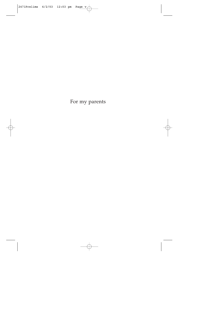For my parents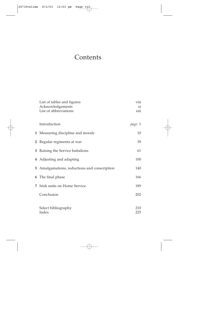# **Contents**

|   | List of tables and figures<br>Acknowledgements<br>List of abbreviations | viii<br>хi<br>xiii |
|---|-------------------------------------------------------------------------|--------------------|
|   | Introduction                                                            | page 1             |
|   | 1 Measuring discipline and morale                                       | 10                 |
|   | 2 Regular regiments at war                                              | 39                 |
|   | 3 Raising the Service battalions                                        | 61                 |
|   | 4 Adjusting and adapting                                                | 100                |
|   | 5 Amalgamations, reductions and conscription                            | 140                |
|   | <b>6</b> The final phase                                                | 166                |
| 7 | Irish units on Home Service                                             | 189                |
|   | Conclusion                                                              | 202                |
|   | Select bibliography<br>Index                                            | 210<br>225         |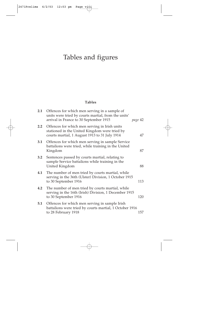# Tables and figures

#### **Tables**

| 2.1           | Offences for which men serving in a sample of<br>units were tried by courts martial, from the units'<br>arrival in France to 30 September 1915  | page 42 |
|---------------|-------------------------------------------------------------------------------------------------------------------------------------------------|---------|
| $2.2^{\circ}$ | Offences for which men serving in Irish units<br>stationed in the United Kingdom were tried by<br>courts martial, 1 August 1913 to 31 July 1914 | 47      |
| 3.1           | Offences for which men serving in sample Service<br>battalions were tried, while training in the United<br>Kingdom                              | 87      |
| 3.2           | Sentences passed by courts martial, relating to<br>sample Service battalions while training in the<br>United Kingdom                            | 88      |
| 4.1           | The number of men tried by courts martial, while<br>serving in the 36th (Ulster) Division, 1 October 1915<br>to 30 September 1916               | 113     |
| 4.2           | The number of men tried by courts martial, while<br>serving in the 16th (Irish) Division, 1 December 1915<br>to 30 September 1916               | 120     |
| 5.1           | Offences for which men serving in sample Irish<br>battalions were tried by courts martial, 1 October 1916<br>to 28 February 1918                | 157     |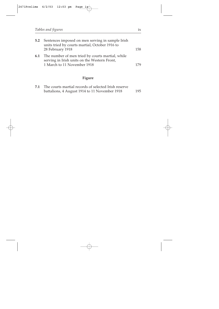| 5.2 Sentences imposed on men serving in sample Irish<br>units tried by courts martial, October 1916 to<br>28 February 1918                 | 158 |
|--------------------------------------------------------------------------------------------------------------------------------------------|-----|
| <b>6.1</b> The number of men tried by courts martial, while<br>serving in Irish units on the Western Front,<br>1 March to 11 November 1918 | 179 |

#### **Figure**

| 7.1 | The courts martial records of selected Irish reserve |     |
|-----|------------------------------------------------------|-----|
|     | battalions, 4 August 1914 to 11 November 1918        | 195 |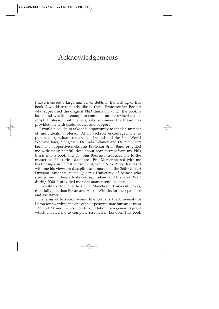### Acknowledgements

I have incurred a large number of debts in the writing of this book. I would particularly like to thank Professor Ian Beckett who supervised the original PhD thesis on which the book is based and was kind enough to comment on the revised manuscript. Professor Keith Jeffery, who examined the thesis, has provided me with useful advice and support.

I would also like to take this opportunity to thank a number of individuals. Professor Alvin Jackson encouraged me to pursue postgraduate research on Ireland and the First World War and later, along with Dr Enda Delaney and Dr Peter Hart became a supportive colleague. Professor Brian Bond provided me with many helpful ideas about how to transform my PhD thesis into a book and Dr John Bourne introduced me to the mysteries of historical databases. Eric Mercer shared with me his findings on Belfast recruitment, while Nick Perry discussed with me his views on discipline and morale in the 36th (Ulster) Division. Students at the Queen's University of Belfast who studied my undergraduate course, 'Ireland and the Great War' during 2000–1 provided me with many useful insights.

I would like to thank the staff at Manchester University Press, especially Jonathan Bevan and Alison Whittle, for their patience and assistance.

In terms of finance, I would like to thank the University of Luton for awarding me one of their postgraduate bursaries from 1995 to 1998 and the Scouloudi Foundation for a generous grant which enabled me to complete research in London. This book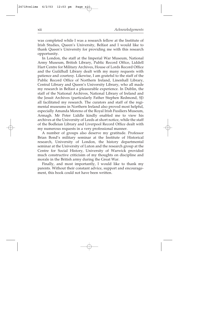was completed while I was a research fellow at the Institute of Irish Studies, Queen's University, Belfast and I would like to thank Queen's University for providing me with this research opportunity.

In London, the staff at the Imperial War Museum, National Army Museum, British Library, Public Record Office, Liddell Hart Centre for Military Archives, House of Lords Record Office and the Guildhall Library dealt with my many requests with patience and courtesy. Likewise, I am grateful to the staff of the Public Record Office of Northern Ireland, Linenhall Library, Central Library and Queen's University Library, who all made my research in Belfast a pleasurable experience. In Dublin, the staff of the National Archives, National Library of Ireland and the Jesuit Archives (particularly Father Stephen Redmond, SJ) all facilitated my research. The curators and staff of the regimental museums in Northern Ireland also proved most helpful, especially Amanda Moreno of the Royal Irish Fusiliers Museum, Armagh. Mr Peter Liddle kindly enabled me to view his archives at the University of Leeds at short notice, while the staff of the Bodleian Library and Liverpool Record Office dealt with my numerous requests in a very professional manner.

A number of groups also deserve my gratitude. Professor Brian Bond's military seminar at the Institute of Historical research, University of London, the history departmental seminar at the University of Luton and the research group at the Centre for Social History, University of Warwick provided much constructive criticisim of my thoughts on discipline and morale in the British army during the Great War.

Finally, and most importantly, I would like to thank my parents. Without their constant advice, support and encouragement, this book could not have been written.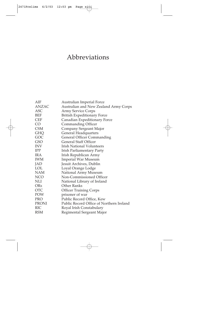## Abbreviations

| AIF          | <b>Australian Imperial Force</b>         |
|--------------|------------------------------------------|
| <b>ANZAC</b> | Australian and New Zealand Army Corps    |
| ASC          | <b>Army Service Corps</b>                |
| BEF          | <b>British Expeditionary Force</b>       |
| <b>CEF</b>   | Canadian Expeditionary Force             |
| CO           | <b>Commanding Officer</b>                |
| <b>CSM</b>   | Company Sergeant Major                   |
| <b>GHQ</b>   | General Headquarters                     |
| GOC          | <b>General Officer Commanding</b>        |
| GSO          | <b>General Staff Officer</b>             |
| <b>INV</b>   | <b>Irish National Volunteers</b>         |
| <b>IPP</b>   | Irish Parliamentary Party                |
| IR A         | Irish Republican Army                    |
| <b>IWM</b>   | <b>Imperial War Museum</b>               |
| JAD          | Jesuit Archives, Dublin                  |
| <b>LOL</b>   | Loyal Orange Lodge                       |
| <b>NAM</b>   | National Army Museum                     |
| <b>NCO</b>   | Non-Commissioned Officer                 |
| NLI          | National Library of Ireland              |
| <b>ORs</b>   | Other Ranks                              |
| <b>OTC</b>   | <b>Officer Training Corps</b>            |
| POW          | prisoner of war                          |
| <b>PRO</b>   | Public Record Office, Kew                |
| PRONI        | Public Record Office of Northern Ireland |
| <b>RIC</b>   | Royal Irish Constabulary                 |
| <b>RSM</b>   | Regimental Sergeant Major                |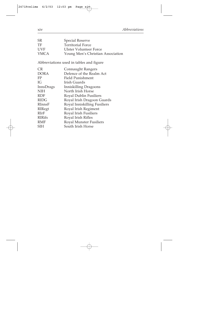| SR.           | Special Reserve                         |
|---------------|-----------------------------------------|
| TF            | <b>Territorial Force</b>                |
| <b>UVF</b>    | Ulster Volunteer Force                  |
| <b>YMCA</b>   | Young Men's Christian Association       |
|               | Abbreviations used in tables and figure |
| CR.           | Connaught Rangers                       |
| <b>DORA</b>   | Defence of the Realm Act                |
| FP            | <b>Field Punishment</b>                 |
| IG            | Irish Guards                            |
| InnsDrags     | Inniskilling Dragoons                   |
| <b>NIH</b>    | North Irish Horse                       |
| RDF           | Royal Dublin Fusiliers                  |
| <b>RIDG</b>   | Royal Irish Dragoon Guards              |
| RInnsF        | Royal Inniskilling Fusiliers            |
| RIRegt        | Royal Irish Regiment                    |
| RIrF          | Royal Irish Fusiliers                   |
| <b>RIRifs</b> | Royal Irish Rifles                      |
| RMF           | Royal Munster Fusiliers                 |
| SIH           | South Irish Horse                       |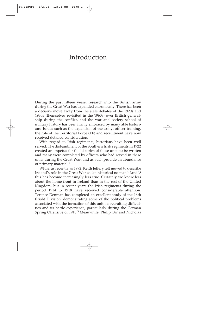### Introduction

During the past fifteen years, research into the British army during the Great War has expanded enormously. There has been a decisive move away from the stale debates of the 1920s and 1930s (themselves revisited in the 1960s) over British generalship during the conflict, and the war and society school of military history has been firmly embraced by many able historians. Issues such as the expansion of the army, officer training, the role of the Territorial Force (TF) and recruitment have now received detailed consideration.

With regard to Irish regiments, historians have been well served. The disbandment of the Southern Irish regiments in 1922 created an impetus for the histories of these units to be written and many were completed by officers who had served in these units during the Great War, and as such provide an abundance of primary material.<sup>1</sup>

While, as recently as 1992, Keith Jeffery felt moved to describe Ireland's role in the Great War as 'an historical no man's land',<sup>2</sup> this has become increasingly less true. Certainly we know less about the home front in Ireland than in the rest of the United Kingdom, but in recent years the Irish regiments during the period 1914 to 1918 have received considerable attention. Terence Denman has completed an excellent study of the 16th (Irish) Division, demonstrating some of the political problems associated with the formation of this unit, its recruiting difficulties and its battle experience, particularly during the German Spring Offensive of 1918.<sup>3</sup> Meanwhile, Philip Orr and Nicholas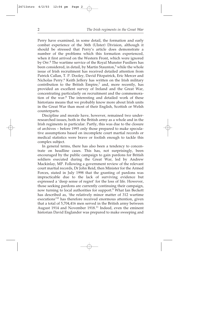Perry have examined, in some detail, the formation and early combat experience of the 36th (Ulster) Division, although it should be stressed that Perry's article does demonstrate a number of the problems which this formation experienced, when it first arrived on the Western Front, which were ignored by Orr.<sup>4</sup> The wartime service of the Royal Munster Fusiliers has been considered, in detail, by Martin Staunton,<sup>5</sup> while the whole issue of Irish recruitment has received detailed attention from Patrick Callan, T. P. Dooley, David Fitzpatrick, Eric Mercer and Nicholas Perry.<sup>6</sup> Keith Jeffery has written on the Irish military contribution to the British Empire,<sup>7</sup> and, more recently, has provided an excellent survey of Ireland and the Great War, concentrating particularly on recruitment and the commemoration of the war.<sup>8</sup> The interesting and detailed work of these historians means that we probably know more about Irish units in the Great War than most of their English, Scottish or Welsh counterparts.

Discipline and morale have, however, remained two underresearched issues, both in the British army as a whole and in the Irish regiments in particular. Partly, this was due to the closure of archives – before 1995 only those prepared to make speculative assumptions based on incomplete court martial records or medical statistics were brave or foolish enough to tackle this complex subject.

In general terms, there has also been a tendency to concentrate on headline cases. This has, not surprisingly, been encouraged by the public campaign to gain pardons for British soldiers executed during the Great War, led by Andrew Mackinlay, MP. Following a government review of the relevant court martial records, Dr John Reid, then Minister for the Armed Forces, stated in July 1998 that the granting of pardons was impracticable due to the lack of surviving evidence but expressed a 'deep sense of regret' for the loss of life. However, those seeking pardons are currently continuing their campaign, now turning to local authorities for support.<sup>9</sup> What Ian Beckett has described as, 'the relatively minor matter of 312 wartime executions'<sup>10</sup> has therefore received enormous attention, given that a total of 5,704,416 men served in the British army between August 1914 and November 1918.<sup>11</sup> Indeed, even the eminent historian David Englander was prepared to make sweeping and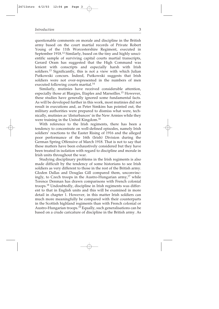questionable comments on morale and discipline in the British army based on the court martial records of Private Robert Young of the 11th Worcestershire Regiment, executed in September 1918.<sup>12</sup> Similarly, based on the tiny and highly unscientific sample of surviving capital courts martial transcripts, Gerard Oram has suggested that the High Command was lenient with conscripts and especially harsh with Irish soldiers.<sup>13</sup> Significantly, this is not a view with which Julian Putkowski concurs. Indeed, Putkowski suggests that Irish soldiers were not over-represented in the numbers of men executed following courts martial.<sup>14</sup>

Similarly, mutinies have received considerable attention, especially those at Blargies, Etaples and Marseilles.<sup>15</sup> However, these studies have generally ignored some fundamental facts. As will be developed further in this work, most mutinies did not result in executions and, as Peter Simkins has pointed out, the military authorities were prepared to dismiss what were, technically, mutinies as 'disturbances' in the New Armies while they were training in the United Kingdom.<sup>16</sup>

With reference to the Irish regiments, there has been a tendency to concentrate on well-defined episodes, namely Irish soldiers' reactions to the Easter Rising of 1916 and the alleged poor performance of the 16th (Irish) Division during the German Spring Offensive of March 1918. That is not to say that these matters have been exhaustively considered but they have been treated in isolation with regard to discipline and morale in Irish units throughout the war.

Studying disciplinary problems in the Irish regiments is also made difficult by the tendency of some historians to see Irish soldiers as very different to those in the rest of the British army. Gloden Dallas and Douglas Gill compared them, unconvincingly, to Czech troops in the Austro-Hungarian army, $^{17}$  while Terence Denman has drawn comparisons with French colonial troops.<sup>18</sup> Undoubtedly, discipline in Irish regiments was different to that in English units and this will be examined in more detail in chapter 1. However, in this matter Irish soldiers can much more meaningfully be compared with their counterparts in the Scottish highland regiments than with French colonial or Austro-Hungarian troops.<sup>19</sup> Equally, such generalisations can be based on a crude caricature of discipline in the British army. As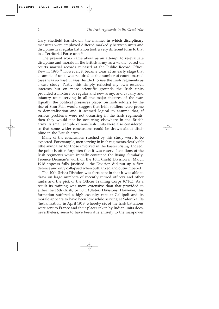Gary Sheffield has shown, the manner in which disciplinary measures were employed differed markedly between units and discipline in a regular battalion took a very different form to that in a Territorial Force unit.<sup>20</sup>

The present work came about as an attempt to re-evaluate discipline and morale in the British army as a whole, based on courts martial records released at the Public Record Office, Kew in 1995.<sup>21</sup> However, it became clear at an early stage that a sample of units was required as the number of courts martial cases was so vast. It was decided to use the Irish regiments as a case study. Partly, this simply reflected my own research interests but on more scientific grounds the Irish units provided a mixture of regular and new army, and cavalry and infantry units serving in all the major theatres of the war. Equally, the political pressures placed on Irish soldiers by the rise of Sinn Fein would suggest that Irish soldiers were prone to demoralisation and it seemed logical to assume that, if serious problems were not occurring in the Irish regiments, then they would not be occurring elsewhere in the British army. A small sample of non-Irish units were also considered, so that some wider conclusions could be drawn about discipline in the British army.

Many of the conclusions reached by this study were to be expected. For example, men serving in Irish regiments clearly felt little sympathy for those involved in the Easter Rising. Indeed, the point is often forgotten that it was reserve battalions of the Irish regiments which initially contained the Rising. Similarly, Terence Denman's work on the 16th (Irish) Division in March 1918 appears fully justified – the Division did put up a firm defence and only collapsed when outflanked and outnumbered.

The 10th (Irish) Division was fortunate in that it was able to draw on large numbers of recently retired officers and other ranks and the pick of the Officer Training Corps (OTC). As a result its training was more extensive than that provided to either the 16th (Irish) or 36th (Ulster) Divisions. However, this formation suffered a high casualty rate at Gallipoli and its morale appears to have been low while serving at Salonika. Its 'Indianisation' in April 1918, whereby six of the Irish battalions were sent to France and their places taken by Indian units does, nevertheless, seem to have been due entirely to the manpower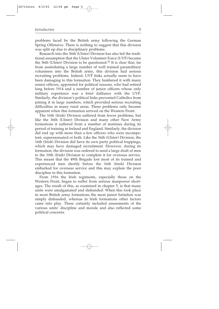problems faced by the British army following the German Spring Offensive. There is nothing to suggest that this division was split up due to disciplinary problems.

Research into the 36th (Ulster) Division has also led the traditional assumption that the Ulster Volunteer Force (UVF) became the 36th (Ulster) Division to be questioned.<sup>22</sup> It is clear that, far from assimilating a large number of well trained paramilitary volunteers into the British army, this division had serious recruiting problems. Indeed, UVF links actually seem to have been damaging to this formation. They lumbered it with many senior officers, appointed for political reasons, who had retired long before 1914 and a number of junior officers whose only military experience was a brief dalliance with the UVF. Similarly, the division's political links prevented Catholics from joining it in large numbers, which provided serious recruiting difficulties in many rural areas. These problems only became apparent when this formation arrived on the Western Front.

The 16th (Irish) Division suffered from fewer problems, but like the 36th (Ulster) Division and many other New Army formations it suffered from a number of mutinies during its period of training in Ireland and England. Similarly, the division did end up with more than a few officers who were incompetent, superannuated or both. Like the 36th (Ulster) Division, the 16th (Irish) Division did have its own party political trappings, which may have damaged recruitment. However, during its formation, the division was ordered to send a large draft of men to the 10th (Irish) Division to complete it for overseas service. This meant that the 49th Brigade lost most of its trained and experienced men shortly before the 16th (Irish) Division embarked for overseas service and this may explain the poor discipline in this formation.

From 1916 the Irish regiments, especially those on the Western Front, began to suffer from serious manpower shortages. The result of this, as examined in chapter 5, is that many units were amalgamated and disbanded. When this took place in most British army formations the most junior battalion was simply disbanded, whereas in Irish formations other factors came into play. These certainly included assessments of the various units' discipline and morale and also reflected some political concerns.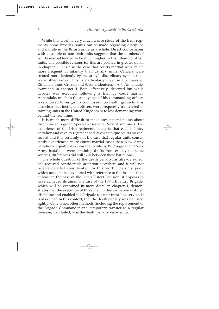While this work is very much a case study of the Irish regiments, some broader points can be made regarding discipline and morale in the British army as a whole. Direct comparisons with a sample of non-Irish units suggests that the numbers of courts martial tended to be much higher in Irish than non-Irish units. The possible reasons for this are posited in greater detail in chapter 1. It is also the case that courts martial were much more frequent in infantry than cavalry units. Officers were treated more leniently by the army's disciplinary system than were other ranks. This is particularly clear in the cases of Rifleman James Crozier and Second Lieutenant A. J. Annandale, examined in chapter 4. Both, effectively, deserted but while Crozier was executed following a trial by court martial, Annandale, much to the annoyance of his commanding officer, was allowed to resign his commission on health grounds. It is also clear that inefficient officers were frequently transferred to training units in the United Kingdom or to less demanding work behind the front line.

It is much more difficult to make any general points about discipline in regular, Special Reserve or New Army units. The experience of the Irish regiments suggests that each infantry battalion and cavalry regiment had its own unique courts martial record and it is certainly not the case that regular units consistently experienced more courts martial cases than New Army battalions. Equally, it is clear that while by 1917 regular and New Army battalions were obtaining drafts from exactly the same sources, differences did still exist between these battalions.

The whole question of the death penalty, as already noted, has received considerable attention elsewhere and it will not receive detailed consideration in this work. The only point which needs to be developed with reference to this issue is that, at least in the case of the 36th (Ulster) Division, it appears to have achieved its aims. The case of the 107th Infantry Brigade, which will be examined in more detail in chapter 4, demonstrates that the execution of three men in this formation instilled discipline and enabled this brigade to enter front-line service. It is also clear, in this context, that the death penalty was not used lightly. Only when other methods (including the replacement of the Brigade Commander and temporary transfer to a regular division) had failed, was the death penalty resorted to.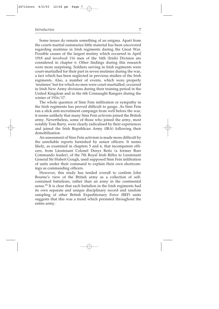Some issues do remain something of an enigma. Apart from the courts martial summaries little material has been uncovered regarding mutinies in Irish regiments during the Great War. Possible causes of the largest mutiny which occurred in April 1918 and involved 116 men of the 16th (Irish) Division are considered in chapter 6. Other findings during this research were more surprising. Soldiers serving in Irish regiments were court-martialled for their part in seven mutinies during the war, a fact which has been neglected in previous studies of the Irish regiments. Also, a number of events, which were properly 'mutinies' but for which no men were court-martialled, occurred in Irish New Army divisions during their training period in the United Kingdom and in the 6th Connaught Rangers during the winter of 1916/17.

The whole question of Sinn Fein infiltration or sympathy in the Irish regiments has proved difficult to gauge. As Sinn Fein ran a slick anti-recruitment campaign from well before the war, it seems unlikely that many Sinn Fein activists joined the British army. Nevertheless, some of those who joined the army, most notably Tom Barry, were clearly radicalised by their experiences and joined the Irish Republican Army (IRA) following their demobilisation.

An assessment of Sinn Fein activism is made more difficult by the unreliable reports furnished by senior officers. It seems likely, as examined in chapters 5 and 6, that incompetent officers, from Lieutenant Colonel Denys Reitz (a former Boer Commando leader), of the 7th Royal Irish Rifles to Lieutenant General Sir Hubert Gough, used supposed Sinn Fein infiltration of units under their command to explain their own shortcomings as commanding officers.

However, this study has tended overall to confirm John Bourne's view of the British army as a collection of selfcontained battalions, rather than an army in the continental sense.<sup>23</sup> It is clear that each battalion in the Irish regiments had its own separate and unique disciplinary record and random sampling of other British Expeditionary Force (BEF) units suggests that this was a trend which persisted throughout the entire army.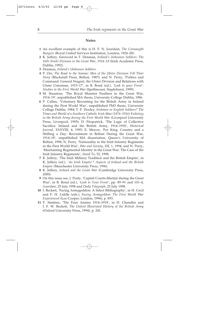#### **Notes**

- **1** An excellent example of this is H. F. N. Jourdain, *The Connaught Rangers* (Royal United Services Institution, London, 1924–28).
- **2** K. Jeffery, foreword in T. Denman, *Ireland's Unknown Soldiers: The 16th (Irish) Division in the Great War, 1914–18* (Irish Academic Press, Dublin, 1992).
- **3** Denman, *Ireland's Unknown Soldiers*.
- **4** P. Orr, *The Road to the Somme: Men of the Ulster Division Tell Their Story* (Blackstaff Press, Belfast, 1987); and N. Perry, 'Politics and Command: General Nugent, the Ulster Division and Relations with Ulster Unionism, 1915–17', in B. Bond (ed.), *'Look to your Front': Studies in the First World War* (Spellmount, Staplehurst, 1999).
- **5** M. Staunton, 'The Royal Munster Fusiliers in the Great War, 1914–19', unpublished MA thesis, University College Dublin, 1986.
- **6** P. Callan, 'Voluntary Recruiting for the British Army in Ireland during the First World War', unpublished PhD thesis, University College Dublin, 1984; T. P. Dooley, *Irishmen or English Soldiers? The Times and World of a Southern Catholic Irish Man (1876–1916) Enlisting in the British Army during the First World War* (Liverpool University Press, Liverpool, 1995); D. Fitzpatrick, 'The Logic of Collective Sacrifice: Ireland and the British Army, 1914–1918', *Historical Journal*, XXXVIII, 4, 1995; E. Mercer, 'For King, Country and a Shilling a Day: Recruitment in Belfast During the Great War, 1914–18', unpublished MA dissertation, Queen's University of Belfast, 1998; N. Perry, 'Nationality in the Irish Infantry Regiments in the First World War', *War and Society*, XII, 1, 1994; and N. Perry, 'Maintaining Regimental Identity in the Great War: The Case of the Irish Infantry Regiments', *Stand To*, 52, 1998.
- **7** K. Jeffery, 'The Irish Military Tradition and the British Empire', in K. Jeffery (ed.), *'An Irish Empire'? Aspects of Ireland and the British Empire* (Manchester University Press, 1996).
- **8** K. Jeffery, *Ireland and the Great War* (Cambridge University Press, 2000).
- **9** On this issue see, J. Peaty, 'Capital Courts-Martial during the Great War', in B. Bond (ed.), '*Look to Your Front'*, pp. 89–91 and 101–4, *Guardian*, 25 July 1998 and *Daily Telegraph*, 25 July 1998.
- **10** I. Beckett, 'Facing Armageddon: A Select Bibliography', in H. Cecil and P. H. Liddle (eds.), *Facing Armageddon: The First World War Experienced* (Leo Cooper, London, 1996), p. 893.
- **11** P. Simkins, 'The Four Armies 1914–1918', in D. Chandler and I. F. W. Beckett, *The Oxford Illustrated History of the British Army* (Oxford University Press, 1994), p. 241.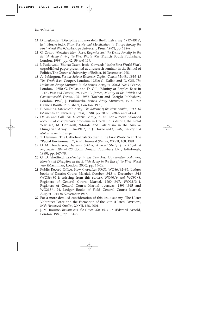- **12** D. Englander, 'Discipline and morale in the British army, 1917–1918', in J. Horne (ed.), *State, Society and Mobilization in Europe during the First World War* (Cambridge University Press, 1997), pp. 128–9.
- **13** G. Oram, *Worthless Men: Race, Eugenics and the Death Penalty in the British Army during the First World War* (Francis Boutle Publishers, London, 1998), pp. 42, 59 and 119.
- **14** J. Putkowski, 'Shot at Dawn: Irish "Cowards" in the First World War', unpublished paper presented at a research seminar in the School of Politics, The Queen's University of Belfast, 10 December 1998.
- **15** A. Babington, *For the Sake of Example: Capital Courts Martial 1914–18 The Truth* (Leo Cooper, London, 1983); G. Dallas and D. Gill, *The Unknown Army: Mutinies in the British Army in World War I (Verso,* London, 1985); G. Dallas and D. Gill, 'Mutiny at Etaples Base in 1917', *Past and Present*, 69, 1975; L. James, *Mutiny in the British and Commonwealth Forces, 1791–1956* (Buchan and Enright Publishers, London, 1987); J. Putkowski, *British Army Mutineers*, 1914–1922 (Francis Boutle Publishers, London, 1998) .
- **16** P. Simkins, *Kitchener's Army: The Raising of the New Armies, 1914–16* (Manchester University Press, 1998), pp. 200–1, 238–9 and 243–4.
- **17** Dallas and Gill, *The Unknown Army*, p. 47. For a more balanced account of disciplinary problems in Czech units during the Great War see, M. Cornwall, 'Morale and Patriotism in the Austro-Hungarian Army, 1914–1918', in J. Horne (ed.), *State, Society and Mobilization in Europe*.
- **18** T. Denman, 'The Catholic–Irish Soldier in the First World War: The "Racial Environment"', *Irish Historical Studies*, XXVII, 108, 1991.
- **19** D. M. Henderson, *Highland Soldier, A Social Study of the Highland Regiments, 1820–1920* (John Donald Publishers Ltd., Edinburgh, 1989), pp. 267–78.
- **20** G. D. Sheffield, *Leadership in the Trenches, Officer–Man Relations, Morale and Discipline in the British Army in the Era of the First World War* (Macmillan, London, 2000), pp. 13–28.
- **21** Public Record Office, Kew (hereafter PRO), WO86/62–85, Ledger books of District Courts Martial, October 1913 to December 1918 (WO86/80 is missing from this series), WO90/6 and WO90/8, Registers of General Courts Martial, 1900–1947, WO92/3–4, Registers of General Courts Martial overseas, 1899–1945 and WO213/1–24, Ledger Books of Field General Courts Martial, August 1914 to November 1918.
- **22** For a more detailed consideration of this issue see my 'The Ulster Volunteer Force and the Formation of the 36th (Ulster) Division', *Irish Historical Studies*, XXXII, 128, 2001.
- **23** J. M. Bourne, *Britain and the Great War 1914–18* (Edward Arnold, London, 1989), pp. 154–5.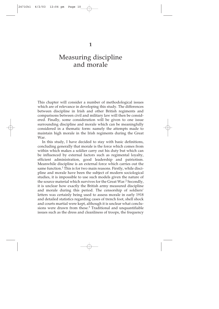### Measuring discipline and morale

This chapter will consider a number of methodological issues which are of relevance in developing this study. The differences between discipline in Irish and other British regiments and comparisons between civil and military law will then be considered. Finally, some consideration will be given to one issue surrounding discipline and morale which can be meaningfully considered in a thematic form: namely the attempts made to maintain high morale in the Irish regiments during the Great War.

In this study, I have decided to stay with basic definitions, concluding generally that morale is the force which comes from within which makes a soldier carry out his duty but which can be influenced by external factors such as regimental loyalty, efficient administration, good leadership and patriotism. Meanwhile discipline is an external force which carries out the same function.<sup>1</sup> This is for two main reasons. Firstly, while discipline and morale have been the subject of modern sociological studies, it is impossible to use such models given the nature of the source material which survives for the Great War.<sup>2</sup> Secondly, it is unclear how exactly the British army measured discipline and morale during this period. The censorship of soldiers' letters was certainly being used to assess morale in early 1918 and detailed statistics regarding cases of trench foot, shell shock and courts martial were kept, although it is unclear what conclusions were drawn from these.<sup>3</sup> Traditional and unquantifiable issues such as the dress and cleanliness of troops, the frequency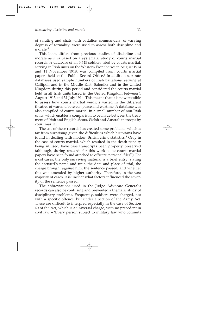of saluting and chats with battalion commanders, of varying degress of formality, were used to assess both discipline and morale.<sup>4</sup>

This book differs from previous studies of discipline and morale as it is based on a systematic study of courts martial records. A database of all 5,645 soldiers tried by courts martial, serving in Irish units on the Western Front between August 1914 and 11 November 1918, was compiled from courts martial papers held at the Public Record Office.<sup>5</sup> In addition separate databases used sample numbers of Irish battalions, serving at Gallipoli and in the Middle East, Salonika and in the United Kingdom during this period and considered the courts martial held in all Irish units based in the United Kingdom between 1 August 1913 and 31 July 1914. This means that it is now possible to assess how courts martial verdicts varied in the different theatres of war and between peace and wartime. A database was also compiled of courts martial in a small number of non-Irish units, which enables a comparison to be made between the treatment of Irish and English, Scots, Welsh and Australian troops by court martial.

The use of these records has created some problems, which is far from surprising given the difficulties which historians have found in dealing with modern British crime statistics.<sup>6</sup> Only in the case of courts martial, which resulted in the death penalty being utilised, have case transcripts been properly preserved (although, during research for this work some courts martial papers have been found attached to officers' personal files<sup>7</sup>). For most cases, the only surviving material is a brief entry, stating the accused's name and unit, the date and place of trial, the charge brought against him, the sentence passed, and whether this was amended by higher authority. Therefore, in the vast majority of cases, it is unclear what factors influenced the severity of the sentence passed.

The abbreviations used in the Judge Advocate General's records can also be confusing and prevented a thematic study of disciplinary problems. Frequently, soldiers were charged, not with a specific offence, but under a section of the Army Act. These are difficult to interpret, especially in the case of Section 40 of the Act, which is a universal charge, with no precedent in civil law – 'Every person subject to military law who commits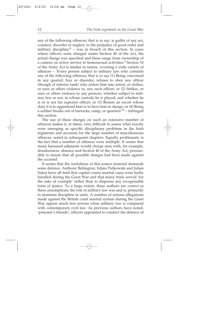any of the following offences; that is to say, is guilty of any act, conduct, disorder or neglect, to the prejudice of good order and military discipline'<sup>8</sup> – was in breach of this section. In cases where officers were charged under Section 40 of the Act, the actual charge was specified and these range from ownership of a camera on active service to homosexual activities.<sup>9</sup> Section 10 of the Army Act is similar in nature, covering a wide variety of offences – 'Every person subject to military law who commits any of the following offences; that is to say (1) Being concerned in any quarrel, fray or disorder, refuses to obey any officer (though of inferior rank) who orders him into arrest, or strikes, or uses or offers violence to, any such officer; or (2) Strikes, or uses or offers violence to any persons, whether subject to military law or not, in whose custody he is placed, and whether he is or is not his superior officer; or (3) Resists an escort whose duty it is to apprehend him or to have him in charge; or (4) Being a soldier breaks out of barracks, camp, or quarters'<sup>10</sup> – infringed this section.

The use of these charges on such an extensive number of offences makes it, at times, very difficult to assess what exactly were emerging as specific disciplinary problems in the Irish regiments and accounts for the large number of miscellaneous offences, noted in subsequent chapters. Equally problematic is the fact that a number of offences were multiple. It seems that many harassed adjutants would charge men with, for example, drunkenness, absence and Section 40 of the Army Act, presumably to insure that all possible charges had been made against the accused.

It seems that the usefulness of this source material demands some defence. Anthony Babington, Julian Putkowski and Julian Sykes have all held that capital courts martial cases were badly handled during the Great War and that many trials served 'for the sake of example' rather than to dispense any recognisable form of justice. To a large extent, these authors are correct in these assumptions; the role of military law was and is, primarily to maintain discipline in units. A number of serious allegations made against the British court martial system during the Great War appear much less serious when military law is compared with contemporary civil law. As previous authors have noted, 'prisoner's friends', officers appointed to conduct the defence of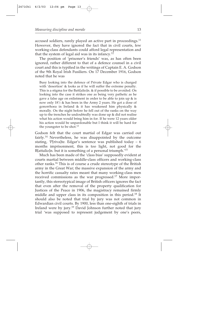accused soldiers, rarely played an active part in proceedings.<sup>11</sup> However, they have ignored the fact that in civil courts, few working-class defendants could afford legal representation and that the system of legal aid was in its infancy.<sup>12</sup>

The position of 'prisoner's friends' was, as has often been ignored, rather different to that of a defence counsel in a civil court and this is typified in the writings of Captain E. A. Godson of the 9th Royal Irish Fusiliers. On 17 December 1916, Godson noted that he was

Busy looking into the defence of Private Edgar who is charged with 'desertion' & looks as if he will suffer the extreme penalty. This is a stigma for the Batt[alio]n. & if possible to be avoided. On looking into the case it strikes one as being very pathetic as he gave a false age on enlistment in order to be able to join up & is now only 181 /2 & has been in the Army 2 years. He got a dose of gonorrhoea in Ireland & it has weakened him physically & morally. On the night before he fell out of the ranks on the way up to the trenches he undoubtedly was done up & did not realise what his action would bring him in for. If he were 12 years older his action would be unpardonable but I think it will be hard for the youngster to be shot.<sup>13</sup>

Godson felt that the court martial of Edgar was carried out fairly.<sup>14</sup> Nevertheless, he was disappointed by the outcome stating, 'P[riva]te. Edgar's sentence was published today  $-6$ months imprisonment, this is too light, not good for the B[attalio]n. but it is something of a personal triumph.'<sup>15</sup>

Much has been made of the 'class bias' supposedly evident at courts martial between middle-class officers and working-class other ranks.<sup>16</sup> This is of course a crude stereotype of the British army in the Great War; the massive expansion of the army and the horrific casualty rates meant that many working-class men received commissions as the war progressed.<sup>17</sup> More importantly, this stereotypical image of British officers ignores the fact that even after the removal of the property qualification for Justices of the Peace in 1906, the magistracy remained firmly middle and upper class in its composition in this period.<sup>18</sup> It should also be noted that trial by jury was not common in Edwardian civil courts. By 1900, less than one-eighth of trials in Ireland were by jury.<sup>19</sup> David Johnson further noted that jury trial 'was supposed to represent judgement by one's peers,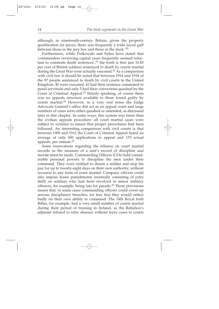although, in nineteenth-century Britain, given the property qualification for jurors, there was frequently a wide social gulf between those in the jury box and those in the dock.<sup>'20</sup>

Furthermore, while Putkowski and Sykes have stated that 'commanders reviewing capital cases frequently seemed reluctant to commute death sentences', $21$  the truth is that just 10.82 per cent of British soldiers sentenced to death by courts martial during the Great War were actually executed.<sup>22</sup> As a comparison with civil law it should be noted that between 1914 and 1918 of the 97 people sentenced to death by civil courts in the United Kingdom, 40 were executed, 43 had their sentence commuted to penal servitude and only 3 had their convictions quashed by the Court of Criminal Appeal.<sup>23</sup> Strictly speaking, of course there was no appeals structure available to those found guilty by courts martial.<sup>24</sup> However, in a very real sense the Judge Advocate General's office did act as an appeal court and large numbers of cases were either quashed or amended, as discussed later in this chapter. In some ways, this system was fairer than the civilian appeals procedure; all court martial cases were subject to scrutiny to insure that proper procedures had been followed. An interesting comparison with civil courts is that between 1909 and 1912 the Court of Criminal Appeal heard an average of only 450 applications to appeal and 170 actual appeals, per annum.<sup>25</sup>

Some reservations regarding the reliance on court martial records as the measure of a unit's record of discipline and morale must be made. Commanding Officers (COs) held considerable personal powers to discipline the men under their command. They were entitled to detain a soldier and stop his pay for up to twenty-eight days on their own authority, without recourse to any form of court martial. Company officers could also impose lesser punishments (normally consisting of extra drill) on soldiers who had been involved in minor military offences, for example, being late for parade.<sup>26</sup> These provisions meant that, in some cases commanding officers could cover up serious disciplinary breaches, for fear that they would reflect badly on their own ability to command. The 14th Royal Irish Rifles, for example, had a very small number of courts martial during their period of training in Ireland, as the Battalion's adjutant refused to refer absence without leave cases to courts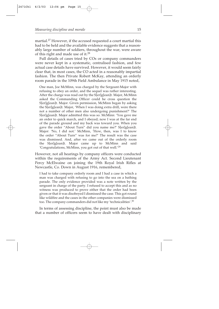martial.<sup>27</sup> However, if the accused requested a court martial this had to be held and the available evidence suggests that a reasonably large number of soldiers, throughout the war, were aware of this right and made use of it.<sup>28</sup>

Full details of cases tried by COs or company commanders were never kept in a systematic, centralised fashion, and few actual case details have survived. However, it would seem fairly clear that, in most cases, the CO acted in a reasonably impartial fashion. The then Private Robert McKay, attending an orderly room parade in the 109th Field Ambulance in May 1915 noted,

One man, Joe McMinn, was charged by the Sergeant-Major with refusing to obey an order, and the sequel was rather interesting. After the charge was read out by the S[er]g[ean]t. Major, McMinn asked the Commanding Officer could he cross question the S[er]g[ean]t. Major. Given permission, McMinn began by asking the S[er]g[ean]t. Major, 'When I was doing extra drill, were there not a number of other men also undergoing punishment?' The S[er]g[ean]t. Major admitted this was so. McMinn: 'You gave me an order to quick march, and I obeyed; now I was at the far end of the parade ground and my back was toward you. When you gave the order "About Turn" did you name me?' S[er]g[ean]t. Major: 'No, I did not.' McMinn, 'How, then, was I to know the order "About Turn" was for me?' The result was the case was dismissed. And, after we came out of the orderly room the S[er]g[ean]t. Major came up to McMinn and said 'Congratulations, McMinn, you got out of that well.'<sup>29</sup>

However, not all hearings by company officers were conducted within the requirements of the Army Act. Second Lieutenant Percy McElwaine on joining the 19th Royal Irish Rifles at Newcastle, Co. Down in August 1916, remembered,

I had to take company orderly room and I had a case in which a man was charged with refusing to go into the sea on a bathing parade. The only evidence provided was a note written by the sergeant in charge of the party. I refused to accept this and as no witness was produced to prove either that the order had been given or that it was disobeyed I dismissed the case. This got round like wildfire and the cases in the other companies were dismissed too. The company commanders did not like my 'technicalities'.<sup>30</sup>

In terms of assessing discipline, the point must also be made that a number of officers seem to have dealt with disciplinary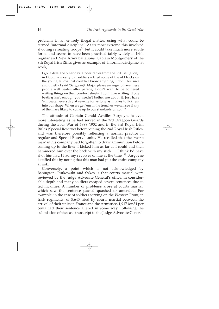problems in an entirely illegal matter, using what could be termed 'informal discipline'. At its most extreme this involved shooting retreating troops $31$  but it could take much more subtle forms and seems to have been practised fairly widely in Irish regular and New Army battalions. Captain Montgomery of the 9th Royal Irish Rifles gives an example of 'informal discipline' at work,

I got a draft the other day. Undesirables from the 3rd. Batt[alion]. in Dublin – mostly old soldiers – tried some of the old tricks on the young fellow that couldn't know anything, I don't but nice and quietly I said 'Serg[ean]t. Major please arrange to have these people well beaten after parade, I don't want to be bothered writing things on their conduct sheets. I don't like writing. If one beating isn't enough you needn't bother me about it. Just have 'em beaten everyday at reveille for as long as it takes to lick 'em into our shape. When we get 'em in the trenches we can see if any of them are likely to come up to our standards or not.'<sup>32</sup>

The attitude of Captain Gerald Achilles Burgoyne is even more interesting as he had served in the 3rd Dragoon Guards during the Boer War of 1899–1902 and in the 3rd Royal Irish Rifles (Special Reserve) before joining the 2nd Royal Irish Rifles, and was therefore possibly reflecting a normal practice in regular and Special Reserve units. He recalled that the 'worst man' in his company had forgotten to draw ammunition before coming up to the line: 'I kicked him as far as I could and then hammered him over the back with my stick ... I think I'd have shot him had I had my revolver on me at the time.<sup>'33</sup> Burgoyne justified this by noting that this man had put the entire company at risk.

Conversely, a point which is not acknowledged by Babington, Putkowski and Sykes is that courts martial were reviewed by the Judge Advocate General's office, in considerable depth and many soldiers escaped severe sentences due to technicalities. A number of problems arose at courts martial, which saw the sentence passed quashed or amended. For example, in the case of soldiers serving on the Western Front, in Irish regiments, of 5,645 tried by courts martial between the arrival of their units in France and the Armistice, 1,917 (or 34 per cent) had their sentence altered in some way, following the submission of the case transcript to the Judge Advocate General.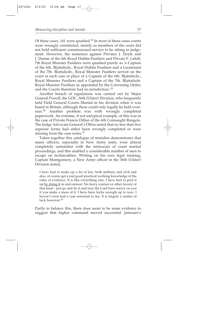Of these cases,  $161$  were quashed.<sup>34</sup> In most of these cases courts were wrongly constituted, mainly as members of the court did not hold sufficient commissioned service to be sitting in judgement. However, the sentences against Privates J. Doyle and J. Dunne of the 6th Royal Dublin Fusiliers and Private F. Lahiff, 7th Royal Munster Fusiliers were quashed purely as 'a Captain of the 6th. B[attalio]n., Royal Dublin Fusiliers and a Lieutenant of the 7th. B[attalio]n., Royal Munster Fusiliers served on the court in each case in place of a Captain of the 6th. B[attalio]n., Royal Munster Fusiliers and a Captain of the 7th. B[attalio]n. Royal Munster Fusiliers as appointed by the Convening Order; and the Courts therefore had no jurisdiction.'<sup>35</sup>

Another breach of regulations was carried out by Major General Powell, the GOC, 36th (Ulster) Division, who frequently held Field General Courts Martial in his division when it was based in Britain, although these could only legally be held overseas.<sup>36</sup> Another problem was with wrongly completed paperwork. An extreme, if not untypical example, of this was in the case of Private Francis Dillon of the 6th Connaught Rangers. The Judge Advocate General's Office noted that no less than five seperate forms had either been wrongly completed or were missing from the case notes.<sup>37</sup>

Taken together this catalogue of mistakes demonstrates that many officers, especially in New Army units, were almost completely unfamiliar with the intricacies of court martial proceedings, and this enabled a considerable number of men to escape on technicalities. Writing on his own legal training, Captain Montgomery, a New Army officer in the 36th (Ulster) Division noted,

I have had to make up a lot of law, both military and civil and also, of course get a real good practical working knowledge of the rules of evidence. It is like everything else, I have had to pick it up by doing it in real earnest. No fancy courses or other luxury of that kind – just go and do it and may the Lord have mercy on you if you make a mess of it. I have been lucky enough up to now. I haven't even had a case returned to me. It is largely a matter of luck however.<sup>38</sup>

Partly to balance this, there does seem to be some evidence to suggest that higher command moved successful 'prisoner's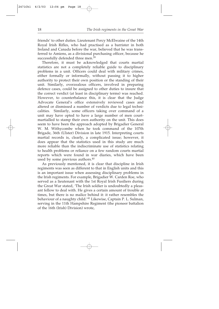friends' to other duties. Lieutenant Percy McElwaine of the 14th Royal Irish Rifles, who had practised as a barrister in both Ireland and Canada before the war, believed that he was transferred to Amiens, as a divisional purchasing officer, because he successfully defended three men.<sup>39</sup>

Therefore, it must be acknowledged that courts martial statistics are not a completely reliable guide to disciplinary problems in a unit. Officers could deal with military crimes, either formally or informally, without passing it to higher authority to protect their own position or the standing of their unit. Similarly, overzealous officers, involved in preparing defence cases, could be assigned to other duties to insure that the correct verdict (at least in disciplinary terms) was reached. However, to counterbalance this, it is clear that the Judge Advocate General's office extensively reviewed cases and altered or dismissed a number of verdicts due to legal technicalities. Similarly, some officers taking over command of a unit may have opted to have a large number of men courtmartialled to stamp their own authority on the unit. This does seem to have been the approach adopted by Brigadier General W. M. Withycombe when he took command of the 107th Brigade, 36th (Ulster) Division in late 1915. Interpreting courts martial records is, clearly, a complicated issue; however, it does appear that the statistics used in this study are much more reliable than the indiscriminate use of statistics relating to health problems or reliance on a few random courts martial reports which were found in war diaries, which have been used by some previous authors.<sup>40</sup>

As previously mentioned, it is clear that discipline in Irish regiments was seen as different to that in English units and this is an important issue when assessing disciplinary problems in the Irish regiments. For example, Brigadier W. Carden Roe, who served as a lieutenant with the 1st Royal Irish Fusiliers during the Great War stated, 'The Irish soldier is undoubtedly a pleasant fellow to deal with. He gives a certain amount of trouble at times, but there is no malice behind it: it rather resembles the behaviour of a naughty child.'<sup>41</sup> Likewise, Captain P. L. Sulman, serving in the 11th Hampshire Regiment (the pioneer battalion of the 16th (Irish) Division) wrote,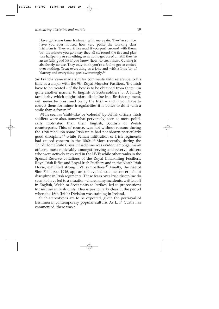Have got some tame Irishmen with me again. They're so nice; have you ever noticed how very polite the working class Irishman is. They work like mad if you push around with them, but the minute you go away they all sit round the fire and play toss halfpenny or something so as not to get bored . . . Still they're an awfully good lot if you know [how] to treat them. Cursing is absolutely no use. They only think you're a fool to get so excited over nothing. Treat everything as a joke and with a little bit of blarney and everything goes swimmingly.<sup>42</sup>

Sir Francis Vane made similar comments with reference to his time as a major with the 9th Royal Munster Fusiliers, 'the Irish have to be treated – if the best is to be obtained from them – in quite another manner to English or Scots soldiers . . . A kindly familiarity which might injure discipline in a British regiment, will never be presumed on by the Irish – and if you have to correct them for minor irregularities it is better to do it with a smile than a frown.'<sup>43</sup>

While seen as 'child-like' or 'colonial' by British officers, Irish soldiers were also, somewhat perversely, seen as more politically motivated than their English, Scottish or Welsh counterparts. This, of course, was not without reason: during the 1798 rebellion some Irish units had not shown particularly good discipline,<sup>44</sup> while Fenian infiltration of Irish regiments had caused concern in the 1860s.<sup>45</sup> More recently, during the Third Home Rule Crisis indiscipline was evident amongst many officers, most noticeably amongst serving and reserve officers who were actively involved in the UVF; while other ranks in the Special Reserve battalions of the Royal Inniskilling Fusiliers, Royal Irish Rifles and Royal Irish Fusiliers and in the North Irish Horse, exhibited strong UVF sympathies.<sup>46</sup> Finally, the rise of Sinn Fein, post 1916, appears to have led to some concern about discipline in Irish regiments. These fears over Irish discipline do seem to have led to a situation where many incidents, written off in English, Welsh or Scots units as 'strikes' led to prosecutions for mutiny in Irish units. This is particularly clear in the period when the 16th (Irish) Division was training in Ireland.

Such stereotypes are to be expected, given the portrayal of Irishmen in contemporary popular culture. As L. P. Curtis has commented, there was a,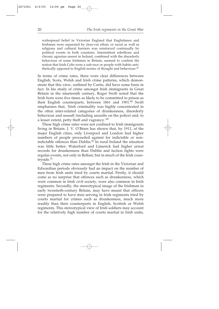widespread belief in Victorian England that Englishmen and Irishmen were separated by clear-cut ethnic or racial as well as religious and cultural barriers was reinforced continually by political events in both countries. Intermittent rebellions and chronic agrarian unrest in Ireland, combined with the disorderly behaviour of some Irishmen in Britain, seemed to confirm the notion that Irish Celts were a sub-race or people with habits antithetically opposed to English norms of thought and behaviour.<sup>47</sup>

In terms of crime rates, there were clear differences between English, Scots, Welsh and Irish crime patterns, which demonstrate that this view, outlined by Curtis, did have some basis in fact. In his study of crime amongst Irish immigrants in Great Britain in the nineteenth century, Roger Swift noted that the Irish born were five times as likely to be committed to prison as their English counterparts, between 1861 and 1901.<sup>48</sup> Swift emphasises that, 'Irish criminality was highly concentrated in the often inter-related categories of drunkenness, disorderly behaviour and assault (including assaults on the police) and, to a lesser extent, petty theft and vagrancy.'<sup>49</sup>

These high crime rates were not confined to Irish immigrants living in Britain. J. V. O'Brien has shown that, by 1911, of the major English cities, only Liverpool and London had higher numbers of people proceeded against for indictable or nonindictable offences than Dublin.<sup>50</sup> In rural Ireland the situation was little better; Waterford and Limerick had higher arrest records for drunkenness than Dublin and faction fights were regular events, not only in Belfast, but in much of the Irish countryside. $51$ 

These high crime rates amongst the Irish in the Victorian and Edwardian periods obviously had an impact on the number of men from Irish units tried by courts martial. Firstly, it should come as no surprise that offences such as drunkenness, which were common in Irish civil society, were also common in Irish regiments. Secondly, the stereotypical image of the Irishman in early twentieth-century Britain, may have meant that officers were prepared to have men serving in Irish regiments tried by courts martial for crimes such as drunkenness, much more readily than their counterparts in English, Scottish or Welsh regiments. This stereotypical view of Irish soldiers may account for the relatively high number of courts martial in Irish units,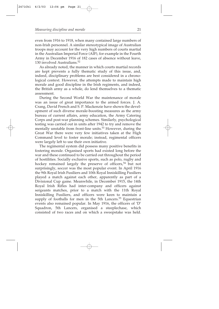even from 1916 to 1918, when many contained large numbers of non-Irish personnel. A similar stereotypical image of Australian troops may account for the very high numbers of courts martial in the Australian Imperial Force (AIF), for example in the Fourth Army in December 1916 of 182 cases of absence without leave, 130 involved Australians.<sup>52</sup>

As already noted, the manner in which courts martial records are kept prevents a fully thematic study of this issue, and, indeed, disciplinary problems are best considered in a chronological context. However, the attempts made to maintain high morale and good discipline in the Irish regiments, and indeed, the British army as a whole, do lend themselves to a thematic assessment.

During the Second World War the maintenance of morale was an issue of great importance to the armed forces. J. A. Crang, David French and S. P. Mackenzie have shown the development of such diverse morale-boosting measures as the army bureau of current affairs, army education, the Army Catering Corps and post-war planning schemes. Similarly, psychological testing was carried out in units after 1942 to try and remove the mentally unstable from front-line units.<sup>53</sup> However, during the Great War there were very few initiatives taken at the High Command level to foster morale; instead, regimental officers were largely left to use their own initiative.

The regimental system did possess many positive benefits in fostering morale. Organised sports had existed long before the war and these continued to be carried out throughout the period of hostilities. Socially exclusive sports, such as polo, rugby and hockey remained largely the preserve of officers,<sup>54</sup> but not surprisingly, soccer was the most popular event. In April 1916 the 9th Royal Irish Fusiliers and 10th Royal Inniskilling Fusiliers played a match against each other, apparently as part of a Divisional Cup game. Meanwhile, in December 1915, the 14th Royal Irish Rifles had inter-company and officers against sergeants matches, prior to a match with the 11th Royal Inniskilling Fusiliers, and officers were keen to maintain a supply of footballs for men in the 5th Lancers.<sup>55</sup> Equestrian events also remained popular. In May 1916, the officers of 'D' Squadron, 5th Lancers, organised a steeplechase, which consisted of two races and on which a sweepstake was held.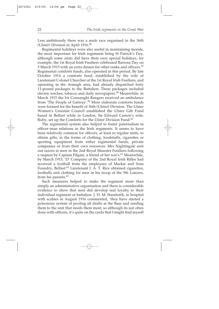Less ambitiously there was a mule race organised in the 36th (Ulster) Division in April 1916.<sup>56</sup>

Regimental holidays were also useful in maintaining morale, the most important for Irish regiments being St Patrick's Day, although some units did have their own special holidays, for example, the 1st Royal Irish Fusiliers celebrated Barrosa Day on 5 March 1915 with an extra dinner for other ranks and officers.<sup>57</sup> Regimental comforts funds, also operated in this period. By late October 1914 a comforts fund, established by the wife of Lieutenant Colonel Churcher of the 1st Royal Irish Fusiliers, and operating in the Armagh area, had already dispatched forty 11-pound packages to the Battalion. These packages included electric torches, tobacco and daily newspapers.<sup>58</sup> Meanwhile, in March 1915 the 1st Connaught Rangers received an ambulance from 'The People of Galway'.<sup>59</sup> More elaborate comforts funds were formed for the benefit of 36th (Ulster) Division. The Ulster Women's Unionist Council established the Ulster Gift Fund based in Belfast while in London, Sir Edward Carson's wife, Ruby, set up the Comforts for the Ulster Division Fund.<sup>60</sup>

The regimental system also helped to foster paternalism in officer–man relations in the Irish regiments. It seems to have been relatively common for officers, at least in regular units, to obtain gifts, in the forms of clothing, foodstuffs, cigarettes or sporting equipment from either regimental funds, private companies or from their own resources. Mrs Nightingale sent out razors to men in the 2nd Royal Munster Fusiliers following a request by Captain Filgate, a friend of her son's.<sup>61</sup> Meanwhile, by March 1915, 'D' Company of the 2nd Royal Irish Rifles had received a football from the employees of Mackie and Sons Foundry, Belfast.<sup>62</sup> Lieutenant J. A. T. Rice obtained cigarettes, footballs and clothing for men in his troop of the 5th Lancers, from his parents.<sup>63</sup>

Such measures helped to make the regiment more than simply an administrative organisation and there is considerable evidence to show that men did develop real loyalty to their individual regiment or battalion. J. H. M. Staniforth, in hospital with scabies in August 1916 commented, 'they have started a poisonous system of pooling all drafts at the Base and sending them to the unit that needs them most; so although its not often done with officers, it's quite on the cards that I might find myself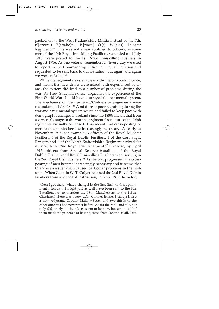packed off to the West Rutlandshire Militia instead of the 7th. (S[ervice]) B[attalio]n., P.[rince] O.[f] W.[ales] Leinster Regiment.'<sup>64</sup> This was not a fear confined to officers, as some men of the 10th Royal Inniskilling Fusiliers, wounded on 1 July 1916, were posted to the 1st Royal Inniskilling Fusiliers in August 1916. As one veteran remembered, 'Every day we used to report to the Commanding Officer of the 1st Battalion and requested to be sent back to our Battalion, but again and again we were refused.'<sup>65</sup>

While the regimental system clearly did help to build morale, and meant that new drafts were mixed with experienced veterans, the system did lead to a number of problems during the war. As Hew Strachan notes, 'Logically, the experience of the First World War should have destroyed the regimental system. The mechanics of the Cardwell/Childers arrangements were redundant in 1914–18.'<sup>66</sup> A mixture of poor recruiting during the war and a regimental system which had failed to keep pace with demographic changes in Ireland since the 1880s meant that from a very early stage in the war the regimental structure of the Irish regiments virtually collapsed. This meant that cross-posting of men to other units became increasingly necessary. As early as November 1914, for example, 3 officers of the Royal Munster Fusiliers, 5 of the Royal Dublin Fusiliers, 1 of the Connaught Rangers and 1 of the North Staffordshire Regiment arrived for duty with the 2nd Royal Irish Regiment.<sup>67</sup> Likewise, by April 1915, officers from Special Reserve battalions of the Royal Dublin Fusiliers and Royal Inniskilling Fusiliers were serving in the 2nd Royal Irish Fusiliers.<sup>68</sup> As the war progressed, the crossposting of men became increasingly necessary and it seems that this was an issue which caused particular problems in the Irish units. When Captain W. T. Colyer rejoined the 2nd Royal Dublin Fusiliers from a school of instruction, in April 1917, he noted,

when I got there, what a change! In the first flush of disappointment I felt as if I might just as well have been sent to the 8th. Battalion, not to mention the 18th. Manchesters or the 118th. Cheshires! There was a new C.O., Colonel Jeffries [Jeffreys], also a new Adjutant, Captain Mallory-Scott, and two-thirds of the other officers I had never met before. As for the rank-and-file, not only did nearly all their faces seem to be new, but about half of them made no pretence of having come from Ireland at all. Two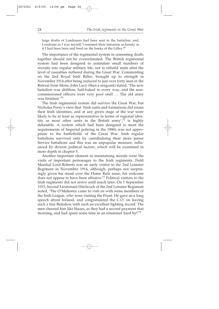large drafts of Londoners had been sent to the battalion; and, Londoner as I was myself, I resented their intrusion as keenly as if I had been born and bred on the banks of the Liffey. $69$ 

The importance of the regimental system in cementing drafts together should not be overestimated. The British regimental system had been designed to assimilate small numbers of recruits into regular military life, not to rebuild units after the level of casualties suffered during the Great War. Commenting on the 2nd Royal Irish Rifles, brought up to strength in November 1914 after being reduced to just over forty men in the Retreat from Mons, John Lucy (then a sergeant) stated, 'The new battalion was shiftless, half-baked in every way, and the noncommissioned officers were very poor stuff ... The old army was finished.'<sup>70</sup>

The Irish regimental system did survive the Great War, but Nicholas Perry's view that 'Irish units and formations did retain their Irish identities, and at any given stage of the war were likely to be at least as representative in terms of regional identity as most other units in the British army',<sup>71</sup> is highly debatable. A system which had been designed to meet the requirements of Imperial policing in the 1880s was not appropriate to the battlefields of the Great War. Irish regular battalions survived only by cannibalising their more junior Service battalions and this was an unpopular measure, influenced by diverse political factors, which will be examined in more depth in chapter 5.

Another important element in maintaining morale were the visits of important personages to the Irish regiments. Field Marshal Lord Roberts was an early visitor to the 2nd Leinster Regiment in November 1914, although, perhaps not surprisingly given his stand over the Home Rule issue, his welcome does not appear to have been effusive.<sup>72</sup> Political visitors to the Irish regiments did not arrive until much later. On 1 September 1915, Second Lieutenant Hitchcock of the 2nd Leinster Regiment noted, 'The O'Mahoney came to visit us with some members of the Irish League, who were visiting the Front. He gave us a long speech about Ireland, and congratulated the C.O. on having such a fine Battalion with such an excellent fighting record. The men cheered him like blazes, as they had a second payment that morning, and had spent some time in an estaminet hard by!'<sup>73</sup>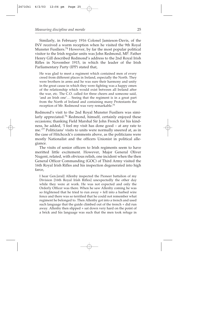Similarly, in February 1916 Colonel Jamieson-Davis, of the INV received a warm reception when he visited the 9th Royal Munster Fusiliers.<sup>74</sup> However, by far the most popular political visitor to the Irish regular units was John Redmond, MP. Father Henry Gill described Redmond's address to the 2nd Royal Irish Rifles in November 1915, in which the leader of the Irish Parliamentary Party (IPP) stated that,

He was glad to meet a regiment which contained men of every creed from different places in Ireland, especially the North. They were brothers in arms and he was sure their harmony and unity in the great cause in which they were fighting was a happy omen of the relationship which would exist between all Ireland after the war, etc. The C.O. called for three cheers and someone said, 'and an Irish one'... Seeing that the regiment is in a great part from the North of Ireland and containing many Protestants the reception of Mr. Redmond was very remarkable.<sup>75</sup>

Redmond's visit to the 2nd Royal Munster Fusiliers was similarly appreciated.<sup>76</sup> Redmond, himself, certainly enjoyed these occasions; thanking Field Marshal Sir John French for his kindness, he added, 'I feel my visit has done good – at any rate to me.'<sup>77</sup> Politicians' visits to units were normally sneered at, as in the case of Hitchcock's comments above, as the politicians were mostly Nationalist and the officers Unionist in political allegiance.

The visits of senior officers to Irish regiments seem to have meritted little excitement. However, Major General Oliver Nugent, related, with obvious relish, one incident when the then General Officer Commanding (GOC) of Third Army visited the 16th Royal Irish Rifles and his inspection degenerated into high farce,

I hear Gen.[eral] Allenby inspected the Pioneer battalion of my Division [16th Royal Irish Rifles] unexpectedly the other day while they were at work. He was not expected and only the Orderly Officer was there. When he saw Allenby coming he was so frightened that he tried to run away + fell into a barbed wire fence and there was so terrified that he could not remember what regiment he belonged to. Then Allenby got into a trench and used such language that the guide climbed out of the trench + did run away. Allenby then slipped + sat down very hard on the point of a brick and his language was such that the men took refuge in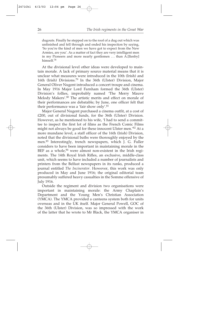dugouts. Finally he stepped on to the roof of a dug out which was unfinished and fell through and ended his inspection by saying, 'So you're the kind of men we have got to expect from the New Armies, are you'. As a matter of fact they are very intelligent men in my Pioneers and more nearly gentlemen ... than A.[llenby] himself<sup>78</sup>

At the divisional level other ideas were developed to maintain morale. A lack of primary source material means that it is unclear what measures were introduced in the 10th (Irish) and 16th (Irish) Divisions.<sup>79</sup> In the 36th (Ulster) Division, Major General Oliver Nugent introduced a concert troupe and cinema. In May 1916 Major Lord Farnham formed the 36th (Ulster) Division's follies, improbably named 'The Merry Mauve Melody Makers'.<sup>80</sup> The artistic merits and effect on morale of their performances are debatable; by June, one officer felt that their performance was a 'fair show only'.<sup>81</sup>

Major General Nugent purchased a cinema outfit, at a cost of £200, out of divisional funds, for the 36th (Ulster) Division. However, as he mentioned to his wife, 'I had to send a committee to inspect the first lot of films as the French Comic Films might not always be good for these innocent Ulster men.'<sup>82</sup> At a more mundane level, a staff officer of the 16th (Irish) Division, noted that the divisional baths were thoroughly enjoyed by the men.<sup>83</sup> Interestingly, trench newspapers, which J. G. Fuller considers to have been important in maintaining morale in the BEF as a whole, $84$  were almost non-existent in the Irish regiments. The 14th Royal Irish Rifles, an exclusive, middle-class unit, which seems to have included a number of journalists and printers from the Belfast newspapers in its ranks, produced a journal entitled *The Incinerator*. However, this work was only produced in May and June 1916; the original editorial team presumably suffered heavy casualties in the Somme offensive of July 1916.

Outside the regiment and division two organisations were important in maintaining morale: the Army Chaplain's Department and the Young Men's Christian Association (YMCA). The YMCA provided a canteens system both for units overseas and in the UK itself. Major General Powell, GOC of the 36th (Ulster) Division, was so impressed with the work of the latter that he wrote to Mr Black, the YMCA organiser in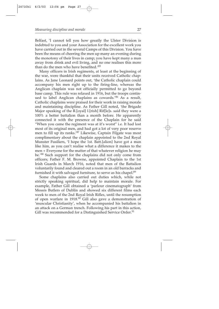Belfast, 'I cannot tell you how greatly the Ulster Division is indebted to you and your Association for the excellent work you have carried out in the several Camps of this Division. You have been the means of cheering the men up many an evening during the monotony of their lives in camp; you have kept many a man away from drink and evil living, and no one realises this more than do the men who have benefited.'<sup>85</sup>

Many officers in Irish regiments, at least at the beginning of the war, were thankful that their units received Catholic chaplains. As Jane Leonard points out, 'the Catholic chaplain could accompany his men right up to the firing-line, whereas the Anglican chaplain was not officially permitted to go beyond base camp. This rule was relaxed in 1916, but the troops continued to label Anglican chaplains as cowards.'<sup>86</sup> As a result, Catholic chaplains were praised for their work in raising morale and maintaining discipline. As Father Gill noted, 'the Brigade Major speaking of the R.[oyal] I.[rish] Rif[le]s. said they were a 100% a better battalion than a month before. He apparently connected it with the presence of the Chaplain for he said "When you came the regiment was at it's worst" i.e. It had lost most of its original men, and had got a lot of very poor reserve men to fill up its ranks.'<sup>87</sup> Likewise, Captain Filgate was most complimentary about the chaplain appointed to the 2nd Royal Munster Fusiliers, 'I hope the 1st. Batt.[alion] have got a man like him, as you can't realise what a difference it makes to the men + Everyone for the matter of that whatever religion he may be.'<sup>88</sup> Such support for the chaplains did not only come from officers; Father F. M. Browne, appointed Chaplain to the 1st Irish Guards in March 1916, noted that men of the Battalion voluntarily found and cleared out a room in an old barracks and furnished it with salvaged furniture, to serve as his chapel.<sup>89</sup>

Some chaplains also carried out duties which, while not strictly speaking spiritual, did help to maintain morale. For example, Father Gill obtained a 'parlour cinematograph' from Messrs Butlers of Dublin and showed six different films each week to men of the 2nd Royal Irish Rifles, until the resumption of open warfare in  $1918^{90}$  Gill also gave a demonstration of 'muscular Christianity', when he accompanied his battalion in an attack on a German trench. Following his part in this action, Gill was recommended for a Distinguished Service Order.<sup>91</sup>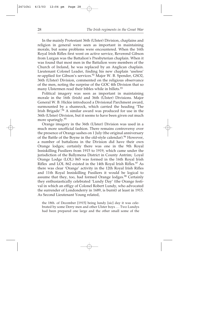In the mainly Protestant 36th (Ulster) Division, chaplains and religion in general were seen as important in maintaining morale, but some problems were encountered. When the 16th Royal Irish Rifles first went on active service, Reverend Gibson from Lurgan was the Battalion's Presbyterian chaplain. When it was found that most men in the Battalion were members of the Church of Ireland, he was replaced by an Anglican chaplain. Lieutenant Colonel Leader, finding his new chaplain 'useless' re-applied for Gibson's services.<sup>92</sup> Major W. B. Spender, GSO2, 36th (Ulster) Division, commented on the religious observance of the men, noting the surprise of the GOC 4th Division that so many Ulstermen read their bibles while in billets.<sup>93</sup>

Political imagery was seen as important in maintaining morale in the 16th (Irish) and 36th (Ulster) Divisions. Major General W. B. Hickie introduced a Divisional Parchment award, surmounted by a shamrock, which carried the heading 'The Irish Brigade'. $94$  A similar award was produced for use in the 36th (Ulster) Division, but it seems to have been given out much more sparingly.<sup>95</sup>

Orange imagery in the 36th (Ulster) Division was used in a much more unofficial fashion. There remains controversy over the presence of Orange sashes on 1 July (the original anniversary of the Battle of the Boyne in the old-style calendar).<sup>96</sup> However, a number of battalions in the Division did have their own Orange lodges; certainly there was one in the 9th Royal Inniskilling Fusiliers from 1915 to 1919, which came under the jurisdiction of the Ballymena District in County Antrim; Loyal Orange Lodge (LOL) 865 was formed in the 16th Royal Irish Rifles and LOL 862 existed in the 14th Royal Irish Rifles.<sup>97</sup> As there was clear 'Orange' activity in the 12th Royal Irish Rifles and 11th Royal Inniskilling Fusiliers it would be logical to assume that they, too, had formed Orange lodges.<sup>98</sup> Certainly they enthusiastically celebrated 'Lundy Day' (the Orange festival in which an effigy of Colonel Robert Lundy, who advocated the surrender of Londonderry in 1689, is burnt) at least in 1915. As Second Lieutenant Young related,

the 18th. of December [1915] being lundy [sic] day it was celebrated by some Derry men and other Ulster boys . . . Two Lundys had been prepared one large and the other small some of the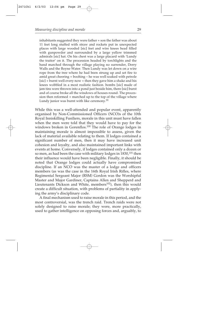inhabitants suggested they were father + son the father was about 11 feet long stuffed with straw and rockets put in unexpected places with large wooded [sic] feet and wire knees head filled with gunpowder and surrounded by a large yellow trimmed admirals [sic] hat. On his chest was a large placard with 'Lundy the traitor' on it. The procession headed by torchlights and the band marched through the village playing no surrender, Derry Walls and the Boyne Water. Then Lundy was let down on a wire rope from the tree where he had been strung up and set fire to amid great cheering + boohing – he was well soaked with petrole [sic] + burnt well every now + then they gave him a shake and his knees wobbled in a most realistic fashion. bombs [sic] made of jam tins were thrown into a pond just beside him, there [sic] burst and of course broke all the windows of houses round. The procession then reformed + marched up to the top of the village where Lundy junior was burnt with like ceremony.<sup>99</sup>

While this was a well-attended and popular event, apparently organised by Non-Commissioned Officers (NCO)s of the 10th Royal Inniskilling Fusiliers, morale in this unit must have fallen when the men were told that they would have to pay for the windows broken in Gorenflos.<sup>100</sup> The role of Orange lodges in maintaining morale is almost impossible to assess, given the lack of material available relating to them. If lodges contained a significant number of men, then it may have increased unit cohesion and loyalty, and also maintained important links with events at home. Conversely, if lodges contained only a dozen or so men, as had been the case with military lodges in  $1830$ ,<sup>101</sup> then their influence would have been negligible. Finally, it should be noted that Orange lodges could actually have compromised discipline. If an NCO was the master of a lodge and officers members (as was the case in the 16th Royal Irish Rifles, where Regimental Sergeant Major (RSM) Gordon was the Worshipful Master and Major Gardiner, Captains Allen and Shepperd and Lieutenants Dickson and White, members $102$ ), then this would create a difficult situation, with problems of partiality in applying the army's disciplinary code.

A final mechanism used to raise morale in this period, and the most controversial, was the trench raid. Trench raids were not solely designed to raise morale; they were, more practically, used to gather intelligence on opposing forces and, arguably, to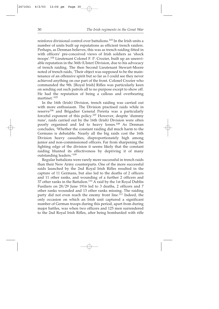reinforce divisional control over battalions.<sup>103</sup> In the Irish units a number of units built up reputations as efficient trench raiders. Perhaps, as Denman believes, this was as trench raiding fitted in with officers' pre-conceived views of Irish soldiers as 'shock troops'.<sup>104</sup> Lieutenant Colonel F. P. Crozier, built up an unenviable reputation in the 36th (Ulster) Division, due to his advocacy of trench raiding. The then Second Lieutenant Stewart-Moore noted of trench raids, 'Their object was supposed to be the maintenance of an offensive spirit but so far as I could see they never achieved anything on our part of the front. Colonel Crozier who commanded the 9th. [Royal Irish] Rifles was particularly keen on sending out such patrols all to no purpose except to show off. He had the reputation of being a callous and overbearing martinet.'<sup>105</sup>

In the 16th (Irish) Division, trench raiding was carried out with more enthusiasm. The Division practised raids while in reserve<sup>106</sup> and Brigadier General Pereria was a particularly forceful exponent of this policy.<sup>107</sup> However, despite 'dummy runs', raids carried out by the 16th (Irish) Division were often poorly organised and led to heavy losses.<sup>108</sup> As Denman concludes, 'Whether the constant raiding did much harm to the Germans is debatable. Nearly all the big raids cost the 16th Division heavy casualties, disproportionately high among junior and non-commissioned officers. Far from sharpening the fighting edge of the division it seems likely that the constant raiding blunted its effectiveness by depriving it of many outstanding leaders.'<sup>109</sup>

Regular battalions were rarely more successful in trench raids than their New Army counterparts. One of the more successful raids launched by the 2nd Royal Irish Rifles resulted in the capture of 11 Germans, but also led to the deaths of 2 officers and 11 other ranks, and wounding of a further 2 officers and 37 other ranks in the Battalion.<sup>110</sup> A raid by the 1st Royal Dublin Fusiliers on 28/29 June 1916 led to 3 deaths, 2 officers and 7 other ranks wounded and 13 other ranks missing. The raiding party did not even reach the enemy front line.<sup>111</sup> Indeed, the only occasion on which an Irish unit captured a significant number of German troops during this period, apart from during major battles, was when two officers and 125 men surrendered to the 2nd Royal Irish Rifles, after being bombarded with rifle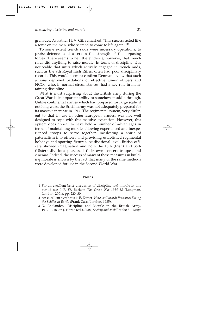grenades. As Father H. V. Gill remarked, 'This success acted like a tonic on the men, who seemed to come to life again.'<sup>112</sup>

To some extent trench raids were necessary operations, to probe defences and ascertain the strength of the opposing forces. There seems to be little evidence, however, that trench raids did anything to raise morale. In terms of discipline, it is noticeable that units which actively engaged in trench raids, such as the 9th Royal Irish Rifles, often had poor disciplinary records. This would seem to confirm Denman's view that such actions deprived battalions of effective junior officers and NCOs, who, in normal circumstances, had a key role in maintaining discipline.

What is most surprising about the British army during the Great War is its apparent ability to somehow muddle through. Unlike continental armies which had prepared for large scale, if not long wars, the British army was not adequately prepared for its massive increase in 1914. The regimental system, very different to that in use in other European armies, was not well designed to cope with this massive expansion. However, this system does appear to have held a number of advantages in terms of maintaining morale: allowing experienced and inexperienced troops to serve together, inculcating a spirit of paternalism into officers and providing established regimental holidays and sporting fixtures. At divisional level, British officers showed imagination and both the 16th (Irish) and 36th (Ulster) divisions possessed their own concert troupes and cinemas. Indeed, the success of many of these measures in building morale is shown by the fact that many of the same methods were developed for use in the Second World War.

## **Notes**

- **1** For an excellent brief discussion of discipline and morale in this period see I. F. W. Beckett, *The Great War 1914–18* (Longman, London, 2001), pp. 220–30.
- **2** An excellent synthesis is E. Dinter, *Hero or Coward: Pressures Facing the Soldier in Battle* (Frank Cass, London, 1985).
- **3** D. Englander, 'Discipline and Morale in the British Army, 1917–1918', in J. Horne (ed.), *State, Society and Mobilization in Europe*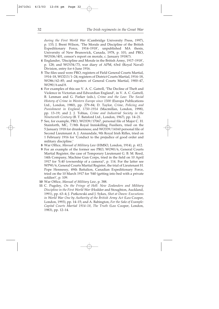*during the First World War* (Cambridge University Press, 1997), p. 133; J. Brent Wilson, 'The Morale and Discipline of the British Expeditionary Force, 1914–1918', unpublished MA thesis, University of New Brunswick, Canada, 1978, p. 101; and PRO, WO106/401, censor's report on morale, c. January 1918(?).

- **4** Englander, 'Discipline and Morale in the British Army, 1917–1918', p. 128; and WO154/73, war diary of APM, 63rd (Royal Naval) Division, entry for 6 June 1916.
- **5** The files used were PRO, registers of Field General Courts Martial, 1914–18, WO213/1–24; registers of District Courts Martial, 1914–18, WO86/62–85; and registers of General Courts Martial, 1900–47, WO90/6 and 8.
- **6** For examples of this see V. A. C. Gatrell, 'The Decline of Theft and Violence in Victorian and Edwardian England', in V. A. C. Gatrell, B. Lenman and G. Parker (eds.), *Crime and the Law: The Social History of Crime in Western Europe since 1500* (Europa Publications Ltd., London, 1980), pp. 279–84; D. Taylor, *Crime, Policing and Punishment in England, 1750–1914* (Macmillan, London, 1998), pp. 13–19; and J. J. Tobias, *Crime and Industrial Society in the Nineteenth Century* (B. T. Batsford Ltd., London, 1967), pp. 14–21.
- **7** See, for example, PRO, WO339/17067, personal file of Major C. H. Stainforth, MC, 7/8th Royal Inniskilling Fusiliers, tried on the 5 January 1918 for drunkenness; and WO339/14160 personal file of Second Lieutenant A. J. Annandale, 9th Royal Irish Rifles, tried on 1 February 1916 for 'Conduct to the prejudice of good order and military discipline.'
- **8** War Office, *Manual of Military Law* (HMSO, London, 1914), p. 412.
- **9** For an example of the former see PRO, WO90/6, General Courts Martial Register, the case of Temporary Lieutenant G. B. M. Reed, 14th Company, Machine Gun Corps, tried in the field on 10 April 1917 for 'S.40 (ownership of a camera)', p. 114. For the latter see WP90/6, General Courts Martial Register, the trial of Lieutenant H. Pope Hennessy, 49th Battalion, Canadian Expeditionary Force, tried on the 10 March 1917 for 'S40 (getting into bed with a private soldier)', p. 109.
- **10** War Office, *Manual of Military Law*, p. 388.
- **11** C. Pugsley, *On the Fringe of Hell: New Zealanders and Military Discipline in the First World War* (Hodder and Stoughton, Auckland, 1991), pp. 63–4; J. Putkowski and J. Sykes, *Shot at Dawn: Executions in World War One by Authority of the British Army Act* (Leo Cooper, London, 1993), pp. 14–15; and A. Babington, *For the Sake of Example: Capital Courts Martial 1914–18*, *The Truth* (Leo Cooper, London, 1983), pp. 12–14.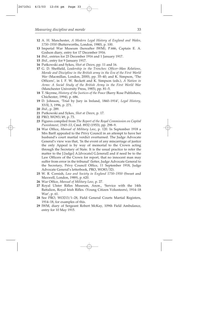- **12** A. H. Manchester, *A Modern Legal History of England and Wales, 1750–1950* (Butterworths, London, 1980), p. 100.
- **13** Imperial War Museum (hereafter IWM), P.446, Captain E. A. Godson diary, entry for 17 December 1916.
- **14** *Ibid*., entries for 23 December 1916 and 1 January 1917.
- **15** *Ibid*., entry for 9 January 1917.
- **16** Putkowski and Sykes, *Shot at Dawn*, pp. 11 and 16.
- **17** G. D. Sheffield, *Leadership in the Trenches: Officer–Man Relations, Morale and Discipline in the British army in the Era of the First World War* (Macmillan, London, 2000), pp. 35–40; and K. Simpson, 'The Officers', in I. F. W. Beckett and K. Simpson (eds.), *A Nation in Arms: A Social Study of the British Army in the First World War* (Manchester University Press, 1985), pp. 81–5.
- **18** T. Skyrme, *History of the Justices of the Peace* (Barry Rose Publishers, Chichester, 1994), p. 686.
- **19** D. Johnson, 'Trial by Jury in Ireland, 1860–1914', *Legal History*, XVII, 3, 1996, p. 271.
- **20** *Ibid*., p. 289.
- **21** Putkowski and Sykes, *Shot at Dawn*, p. 17.
- **22** PRO, WO93/49, p. 73.
- **23** Figures compiled from *The Report of the Royal Commission on Capital Punishment, 1949–53*, Cmd. 8932 (1953), pp. 298–9.
- **24** War Office, *Manual of Military Law*, p. 120. In September 1918 a Mrs Barff appealed to the Privy Council in an attempt to have her husband's court martial verdict overturned. The Judge Advocate General's view was that, 'In the event of any miscarriage of justice the only Appeal is by way of memorial to the Crown acting through the Secretary of State. It is the usual practice to refer the matter to the J.[udge] A.[dvocate] G.[eneral] and if need be to the Law Officers of the Crown for report, that no innocent man may suffer from error in the tribunal' (letter, Judge Advocate General to the Secretary, Privy Council Office, 11 September 1918, Judge Advocate General's letterbook, PRO, WO83/32).
- **25** W. R. Cornish, *Law and Society in England 1750–1950* (Sweet and Maxwell, London, 1989), p. 620.
- **26** War Office, *Manual of Military Law*, p. 27.
- **27** Royal Ulster Rifles Museum, Anon., 'Service with the 14th Battalion, Royal Irish Rifles. (Young Citizen Volunteers), 1914–18 War', p. 61.
- **28** See PRO, WO213/1–28, Field General Courts Martial Registers, 1914–18, for examples of this.
- **29** IWM, diary of Sergeant Robert McKay, 109th Field Ambulance, entry for 10 May 1915.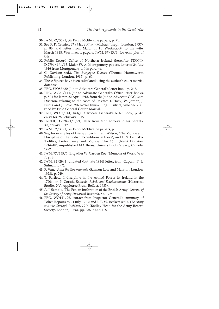- **30** IWM, 92/35/1, Sir Percy McElwaine papers, p. 71.
- **31** See F. P. Crozier, *The Men I Killed* (Michael Joseph, London, 1937), p. 86; and letter from Major T. H. Westmacott to his wife, March 1918, Westmacott papers, IWM, 87/13/1, for examples of this.
- **32** Public Record Office of Northern Ireland (hereafter PRONI), D.2794/1/1/13, Major W. A. Montgomery papers, letter of 24 July 1916 from Montgomery to his parents.
- **33** C. Davison (ed.), *The Burgoyne Diaries* (Thomas Harmsworth Publishing, London, 1985), p. 60.
- **34** These figures have been calculated using the author's court martial database.
- **35** PRO, WO83/20, Judge Advocate General's letter book, p. 246.
- **36** PRO, WO81/144, Judge Advocate General's Office letter books, p. 504 for letter, 22 April 1915, from the Judge Advocate GOC, 36th Division, relating to the cases of Privates J. Hoey, W. Jordan, J. Burns and J. Love, 9th Royal Inniskilling Fusiliers, who were all tried by Field General Courts Martial.
- **37** PRO, WO81/144, Judge Advocate General's letter book, p. 47, entry for 26 February 1915.
- **38** PRONI, D.2794/1/1/21, letter from Montgomery to his parents, 30 January 1917.
- **39** IWM, 92/35/1, Sir Percy McElwaine papers, p. 81.
- **40** See, for examples of this approach, Brent Wilson, 'The Morale and Discipline of the British Expeditionary Force'; and L. S. Lemisko, 'Politics, Performance and Morale: The 16th (Irish) Division, 1914–18', unpublished MA thesis, University of Calgary, Canada, 1992.
- **41** IWM, 77/165/1, Brigadier W. Carden Roe, 'Memoirs of World War I', p. 8.
- **42** IWM, 82/29/1, undated (but late 1914) letter, from Captain P. L. Sulman to (?).
- **43** F. Vane, *Agin the Governments* (Samson Low and Marston, London, 1928), p. 249.
- **44** T. Bartlett, 'Indiscipline in the Armed Forces in Ireland in the 1790s', in P. Corish, *Radicals, Rebels and Establishments* (Historical Studies XV, Appletree Press, Belfast, 1985).
- **45** A. J. Semple, 'The Fenian Infiltration of the British Army', *Journal of the Society of Army Historical Research*, 52, 1974.
- **46** PRO, WO141/26, extract from Inspector General's summary of Police Reports to 24 July 1913; and I. F. W. Beckett (ed.), *The Army and the Curragh Incident, 1914* (Bodley Head for the Army Record Society, London, 1986), pp. 336–7 and 418.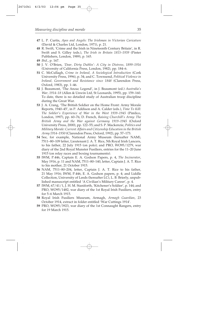- **47** L. P. Curtis, *Apes and Angels: The Irishman in Victorian Caricature* (David & Charles Ltd, London, 1971), p. 21.
- **48** R. Swift, 'Crime and the Irish in Nineteenth Century Britain', in R. Swift and S. Gilley (eds.), *The Irish in Britain 1815–1939* (Pinter Publishers, London, 1989), p. 165.
- **49** *Ibid.*, p. 167.
- **50** J. V. O'Brien, *'Dear, Dirty Dublin': A City in Distress, 1899–1916* (University of California Press, London, 1982), pp. 184–6.
- **51** C. McCullagh, *Crime in Ireland, A Sociological Introduction* (Cork University Press, 1996), p. 34; and C. Townsend, *Political Violence in Ireland, Government and Resistance since 1848* (Clarendon Press, Oxford, 1983), pp. 1–46.
- **52** J. Beaumont, 'The Anzac Legend', in J. Beaumont (ed.) *Australia's War, 1914–18* (Allen & Unwin Ltd, St Leonards, 1995), pp. 159–160. To date, there is no detailed study of Australian troop discipline during the Great War.
- **53** J. A. Crang, 'The British Soldier on the Home Front: Army Morale Reports, 1940–45', in P. Addison and A. Calder (eds.), *Time To Kill: The Soldier's Experience of War in the West 1939–1945* (Pimlico, London, 1997), pp. 60–76; D. French, *Raising Churchill's Army: The British Army and the War against Germany 1919–1945* (Oxford University Press, 2000), pp. 122–55; and S. P. Mackenzie, *Politics and Military Morale: Current Affairs and Citizenship Education in the British Army 1914–1950* (Clarendon Press, Oxford, 1992), pp. 57–173.
- **54** See, for example, National Army Museum (hereafter NAM), 7511–80–109 letter, Lieutenant J. A. T. Rice, 5th Royal Irish Lancers, to his father, 22 July 1915 (on polo); and PRO, WO95/1279, war diary of the 2nd Royal Munster Fusiliers, entries for the 11–20 June 1915 (on relay races and boxing tournaments).
- **55** IWM, P.446, Captain E. A. Godson Papers, p. 4, *The Incinerator*, May 1916, p. 11 and NAM, 7511–80–140, letter, Captain J. A. T. Rice to his mother, 21 October 1915.
- **56** NAM, 7511–80–204, letter, Captain J. A. T. Rice to his father, 21 May 1916; IWM, P.446, E. A. Godson papers, p. 4; and Liddle Collection, University of Leeds (hereafter LC), L. B. Brierly, unpublished manuscript entitled 'A Civilian's Military Career', p. 4.
- **57** IWM, 67/41/1, J. H. M. Staniforth, 'Kitchener's Soldier', p. 144; and PRO, WO95/1482, war diary of the 1st Royal Irish Fusiliers, entry for 5–6 March 1915.
- **58** Royal Irish Fusiliers Museum, Armagh, *Armagh Guardian*, 23 October 1914, extract in folder entitled 'War Cuttings 1914'.
- **59** PRO, WO95/3923, war diary of the 1st Connaught Rangers, entry for 19 March 1915.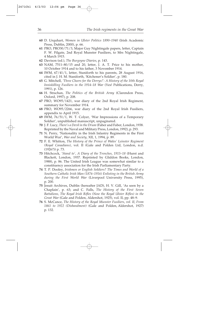- **60** D. Urquhart, *Women in Ulster Politics 1890–1940* (Irish Academic Press, Dublin, 2000), p. 66.
- **61** PRO, PRO30/71/3, Major Guy Nightingale papers, letter, Captain F. W. Filgate, 2nd Royal Munster Fusiliers, to Mrs Nightingale, 4 March 1915.
- **62** Davison (ed.), *The Burgoyne Diaries*, p. 143.
- **63** NAM, 7511–80/15 and 20, letter, J. A. T. Price to his mother, 10 October 1914 and to his father, 3 November 1914.
- **64** IWM, 67/41/1, letter, Staniforth to his parents, 28 August 1916, cited in J. H. M. Staniforth, 'Kitchener's Soldier', p. 180.
- **65** G. Mitchell, *'Three Cheers for the Derrys!': A History of the 10th Royal Inniskilling Fusiliers in the 1914–18 War* (Yes! Publications, Derry, 1991), p. 126.
- **66** H. Strachan, *The Politics of the British Army* (Clarendon Press, Oxford, 1997), p. 208.
- **67** PRO, WO95/1421, war diary of the 2nd Royal Irish Regiment, summary for November 1914.
- **68** PRO, WO95/2266, war diary of the 2nd Royal Irish Fusiliers, appendix to April 1915.
- **69** IWM, 76/51/1, W. T. Colyer, 'War Impressions of a Temporary Soldier', unpublished manuscript, unpaginated.
- **70** J. F. Lucy, *There's a Devil in the Drum* (Faber and Faber, London, 1938. Reprinted by the Naval and Military Press, London, 1992), p. 293.
- **71** N. Perry, 'Nationality in the Irish Infantry Regiments in the First World War', *War and Society*, XII, 1, 1994, p. 89.
- **72** F. E. Whitton, *The History of the Prince of Wales' Leinster Regiment (Royal Canadians)*, vol. II (Gale and Polden Ltd, London, n.d. (1926?)) p. 73.
- **73** Hitchcock, *'Stand to', A Diary of the Trenches*, *1915–18* (Hurst and Blackett, London, 1937. Reprinted by Gliddon Books, London, 1988), p. 86. The United Irish League was somewhat similar to a constituency association for the Irish Parliamentary Party.
- **74** T. P. Dooley, *Irishmen or English Soldiers? The Times and World of a Southern Catholic Irish Man (1876–1916) Enlisting in the British Army during the First World War* (Liverpool University Press, 1995), p. 200.
- **75** Jesuit Archives, Dublin (hereafter JAD), H. V. Gill, 'As seen by a Chaplain', p. 63; and C. Falls, *The History of the First Seven Battalions, The Royal Irish Rifles (Now the Royal Ulster Rifles) in the Great War* (Gale and Polden, Aldershot, 1925), vol. II, pp. 48–9.
- **76** S. McCance, *The History of the Royal Munster Fusiliers*, *vol. II*, *From 1861 to 1922 (Disbandment)* (Gale and Polden, Aldershot, 1927) p. 132.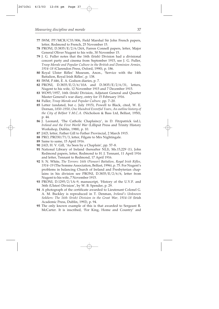- **77** IWM, PP/MCR/C33/806, Field Marshal Sir John French papers, letter, Redmond to French, 25 November 15.
- **78** PRONI, D.3835/E/2/6/24A, Farren Connell papers, letter, Major General Oliver Nugent to his wife, 30 November 15.
- **79** J. G. Fuller notes that the 16th (Irish) Division had a divisional concert party and cinema from September 1915, see J. G. Fuller, *Troop Morale and Popular Culture in the British and Dominion Armies, 1914–18* (Clarendon Press, Oxford, 1990), p. 186.
- **80** Royal Ulster Rifles' Museum, Anon., 'Service with the 14th Battalion, Royal Irish Rifles', p. 138.
- **81** IWM, P.446, E. A. Godson diaries, p. 7.
- **82** PRONI, D.3835/E/2/6/10A and D.3835/E/2/6/31, letters, Nugent to his wife, 12 November 1915 and 7 December 1915.
- **83** WO95/1957, 16th (Irish) Division, Adjutant General and Quarter Master General's war diary, entry for 15 February 1916.
- **84** Fuller, *Troop Morale and Popular Culture,* pp. 7–20.
- **85** Letter (undated, but c. July 1915), Powell to Black, cited, W. E. Dornan, *1850–1950, One Hundred Eventful Years, An outline history of the City of Belfast Y.M.C.A*. (Nicholson & Bass Ltd, Belfast, 1950), p. 44.
- **86** J. Leonard, 'The Catholic Chaplaincy', in D. Fitzpatrick (ed.), *Ireland and the First World War* (Lilliput Press and Trinity History Workshop, Dublin, 1988), p. 10.
- **87** JAD, letter, Father Gill to Father Provincial, 2 March 1915.
- **88** PRO, PRO30/71/3, letter, Filgate to Mrs Nightingale.
- **89** Same to same, 15 April 1916.
- **90** JAD, H. V. Gill, 'As Seen by a Chaplain', pp. 57–8.
- **91** National Library of Ireland (hereafter NLI), Ms.15,229 (1), John Redmond papers, letter, Redmond to H. J. Tennant, 11 April 1916 and letter, Tennant to Redmond, 17 April 1916.
- **92** S. N. White, *The Terrors: 16th (Pioneer) Battalion, Royal Irish Rifles, 1914–19* (The Somme Association, Belfast, 1996), p. 75. For Nugent's problems in balancing Church of Ireland and Presbyterian chaplains in his division see PRONI, D.3835/E/2/6/6, letter from Nugent to his wife, 7 November 1915.
- **93** PRONI, D.1295/2/1A–9, manuscript, 'History of the U.V.F. and 36th (Ulster) Division', by W. B. Spender, p. 29.
- **94** A photograph of the certificate awarded to Lieutenant Colonel G. A. M. Buckley is reproduced in T. Denman, *Ireland's Unknown Soldiers: The 16th (Irish) Division in the Great War, 1914–18* (Irish Academic Press, Dublin, 1992), p. 94.
- **95** The only known example of this is that awarded to Sergeant R. McCarter. It is inscribed, 'For King, Home and Country' and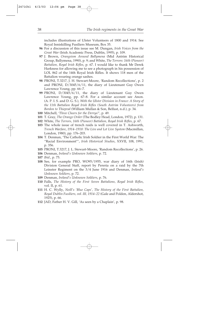includes illustrations of Ulster Volunteers of 1800 and 1914. See Royal Inniskilling Fusiliers Museum, Box 35.

- **96** For a discussion of this issue see M. Dungan, *Irish Voices from the Great War* (Irish Academic Press, Dublin, 1995), p. 109.
- **97** J. Brown, *Orangeism Around Ballymena* (Mid Antrim Historical Group, Ballymena, 1990), p. 9; and White, *The Terrors: 16th (Pioneer) Battalion, Royal Irish Rifles*, p. 67. I would like to thank Mr Derek Harkness for allowing me to see a photograph in his possession of LOL 862 of the 14th Royal Irish Rifles. It shows 118 men of the Battalion wearing orange sashes.
- **98** PRONI, T.3217, J. H. Stewart-Moore, 'Random Recollections', p. 2 and PRONI, D/3045/6/11, the diary of Lieutenant Guy Owen Lawrence Young, pp. 66–7.
- **99** PRONI, D/3045/6/11, the diary of Lieutenant Guy Owen Lawrence Young, pp. 67–8. For a similar account see Anon. (A. P. I. S. and D. G. S.), *With the Ulster Division in France: A Story of the 11th Battalion Royal Irish Rifles (South Antrim Volunteers) from Bordon to Thiepval* (William Mullan & Son, Belfast, n.d.), p. 34.
- **100** Mitchell, '*Three Cheers for the Derrys!*', p. 49.
- **101** T. Gray, *The Orange Order* (The Bodley Head, London, 1972), p. 131.
- **102** White, *The Terrors, 16th (Pioneer) Battalion, Royal Irish Rifles*, p. 67.
- **103** The whole issue of trench raids is well covered in T. Ashworth, *Trench Warfare*, *1914–1918: The Live and Let Live System* (Macmillan, London, 1980), pp. 176–203.
- **104** T. Denman, 'The Catholic Irish Soldier in the First World War: The "Racial Environment"', *Irish Historical Studies*, XXVII, 108, 1991, p. 356.
- **105** PRONI, T.3217, J. L. Stewart-Moore, 'Random Recollections', p. 26.
- **106** Denman, *Ireland's Unknown Soldiers*, p. 72.
- **107** *Ibid*., p. 75.
- **108** See, for example PRO, WO95/1955, war diary of 16th (Irish) Division General Staff, report by Pereria on a raid by the 7th Leinster Regiment on the 3/4 June 1916 and Denman, *Ireland's Unknown Soldiers*, p. 72.
- **109** Denman, *Ireland's Unknown Soldiers*, p. 76.
- **110** Falls, *The History of the First Seven Battalions, Royal Irish Rifles*, vol. II, p. 61.
- **111** H. C. Wylly, *Neill's 'Blue Caps', The History of the First Battalion, Royal Dublin Fusiliers, vol. III, 1914–22* (Gale and Polden, Aldershot, 1925), p. 66.
- **112** JAD, Father H. V. Gill, 'As seen by a Chaplain', p. 98.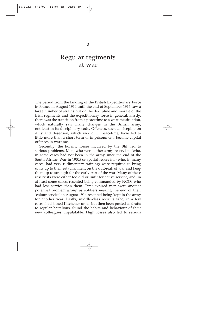## Regular regiments at war

The period from the landing of the British Expeditionary Force in France in August 1914 until the end of September 1915 saw a large number of strains put on the discipline and morale of the Irish regiments and the expeditionary force in general. Firstly, there was the transition from a peacetime to a wartime situation, which naturally saw many changes in the British army, not least in its disciplinary code. Offences, such as sleeping on duty and desertion, which would, in peacetime, have led to little more than a short term of imprisonment, became capital offences in wartime.

Secondly, the horrific losses incurred by the BEF led to serious problems. Men, who were either army reservists (who, in some cases had not been in the army since the end of the South African War in 1902) or special reservists (who, in many cases, had very rudimentary training) were required to bring units up to their establishment on the outbreak of war and keep them up to strength for the early part of the war. Many of these reservists were either too old or unfit for active service, and, in at least some cases, resented being commanded by NCOs who had less service than them. Time-expired men were another potential problem group as soldiers nearing the end of their 'colour service' in August 1914 resented being kept in the army for another year. Lastly, middle-class recruits who, in a few cases, had joined Kitchener units, but then been posted as drafts to regular battalions, found the habits and behaviour of their new colleagues unpalatable. High losses also led to serious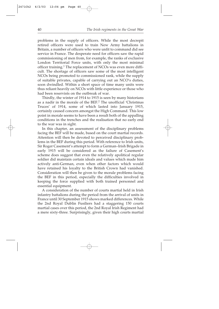problems in the supply of officers. While the most decrepit retired officers were used to train New Army battalions in Britain, a number of officers who were unfit to command did see service in France. The desperate need for officers saw the rapid commissioning of men from, for example, the ranks of exclusive London Territorial Force units, with only the most minimal officer training.<sup>1</sup> The replacement of NCOs was even more difficult. The shortage of officers saw some of the most intelligent NCOs being promoted to commissioned rank, while the supply of suitable privates, capable of carrying out an NCO's duties, soon dwindled. Within a short space of time many units were thus reliant heavily on NCOs with little experience or those who had been reservists on the outbreak of war.

Thirdly, the winter of 1914 to 1915 is seen by many historians as a nadir in the morale of the BEF.<sup>2</sup> The unofficial 'Christmas Truces' of 1914, some of which lasted into January 1915, certainly caused concern amongst the High Command. This low point in morale seems to have been a result both of the appalling conditions in the trenches and the realisation that no early end to the war was in sight.

In this chapter, an assessment of the disciplinary problems facing the BEF will be made, based on the court martial records. Attention will then be devoted to perceived disciplinary problems in the BEF during this period. With reference to Irish units, Sir Roger Casement's attempt to form a German–Irish Brigade in early 1915 will be considered as the failure of Casement's scheme does suggest that even the relatively apolitical regular soldier did maintain certain ideals and values which made him actively anti-German, even when other factors which would have retained his loyalty to the British Crown had vanished. Consideration will then be given to the morale problems facing the BEF in this period, especially the difficulties involved in keeping the force supplied with both trained personnel and essential equipment.

A consideration of the number of courts martial held in Irish infantry battalions during the period from the arrival of units in France until 30 September 1915 shows marked differences. While the 2nd Royal Dublin Fusiliers had a staggering 150 courts martial cases over this period, the 2nd Royal Irish Regiment had a mere sixty-three. Surprisingly, given their high courts martial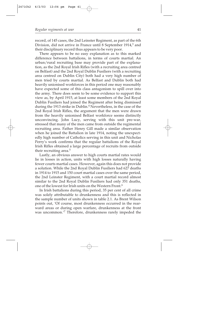record, of 145 cases, the 2nd Leinster Regiment, as part of the 6th Division, did not arrive in France until 8 September  $1914<sup>3</sup>$  and their disciplinary record thus appears to be very poor.

There appears to be no easy explanation as to this marked difference between battalions, in terms of courts martial. An urban/rural recruiting base may provide part of the explanation, as the 2nd Royal Irish Rifles (with a recruiting area centred on Belfast) and the 2nd Royal Dublin Fusiliers (with a recruiting area centred on Dublin City) both had a very high number of men tried by courts martial. As Belfast and Dublin both had heavily unionised workforces in this period one may reasonably have expected some of this class antagonism to spill over into the army. There does seem to be some evidence to support this view as, by April 1915, at least some members of the 2nd Royal Dublin Fusiliers had joined the Regiment after being dismissed during the 1913 strike in Dublin.<sup>4</sup> Nevertheless, in the case of the 2nd Royal Irish Rifles, the argument that the men were drawn from the heavily unionised Belfast workforce seems distinctly unconvincing. John Lucy, serving with this unit pre-war, stressed that many of the men came from outside the regimental recruiting area. Father Henry Gill made a similar observation when he joined the Battalion in late 1914, noting the unexpectedly high number of Catholics serving in this unit and Nicholas Perry's work confirms that the regular battalions of the Royal Irish Rifles obtained a large percentage of recruits from outside their recruiting area.<sup>5</sup>

Lastly, an obvious answer to high courts martial rates would lie in losses in action, units with high losses naturally having fewer courts martial cases. However, again this does not provide a solution. While the 2nd Royal Dublin Fusiliers had 627 deaths in 1914 to 1915 and 150 court martial cases over the same period, the 2nd Leinster Regiment, with a court martial record almost similar to the 2nd Royal Dublin Fusiliers had only 351 deaths, one of the lowest for Irish units on the Western Front.<sup>6</sup>

In Irish battalions during this period, 35 per cent of all crime was solely attributable to drunkenness and this is reflected in the sample number of units shown in table 2.1. As Brent Wilson points out, 'Of course, most drunkenness occurred in the rearward areas or during open warfare, drunkenness at the front was uncommon.'<sup>7</sup> Therefore, drunkenness rarely impeded the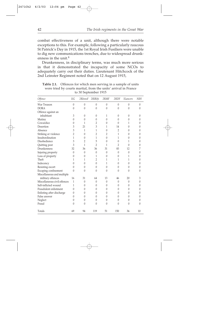combat effectiveness of a unit, although there were notable exceptions to this. For example, following a particularly raucous St Patrick's Day in 1915, the 1st Royal Irish Fusiliers were unable to dig new communications trenches, due to widespread drunkenness in the unit. $8$ 

Drunkenness, in disciplinary terms, was much more serious in that it demonstrated the incapacity of some NCOs to adequately carry out their duties. Lieutenant Hitchcock of the 2nd Leinster Regiment noted that on 12 August 1915,

| Offence                      | 1IG      | 2RInnsF  | 2RIRifs        | 2RMF             | 2RDF           | 5Lancers       | <b>NIH</b> |
|------------------------------|----------|----------|----------------|------------------|----------------|----------------|------------|
| War Treason                  | $\theta$ | $\theta$ | $\theta$       | $\theta$         | $\mathbf{0}$   | $\theta$       | $\theta$   |
| <b>DORA</b>                  | $\theta$ | $\theta$ | $\theta$       | $\theta$         | $\overline{0}$ | $\overline{0}$ | 0          |
| Offence against an           |          |          |                |                  |                |                |            |
| inhabitant                   | 3        | $\theta$ | $\theta$       | 1                | $\theta$       | $\theta$       | $\theta$   |
| Mutiny                       | 0        | $\theta$ | 0              | 0                | 0              | $\theta$       | 0          |
| Cowardice                    | 0        | 1        | 2              | 0                | 0              | 1              | 0          |
| Desertion                    | 3        | 21       | 3              | 1                | 14             | $\mathbf{0}$   | 0          |
| Absence                      | 3        | 1        | 1              | $\left( \right)$ | 2              | $\theta$       | 0          |
| Striking or violence         | 2        | $\theta$ | 2              | 2                | 1              | $\Omega$       | 0          |
| Insubordination              | 1        | $\theta$ | 1              | $\Omega$         | 1              | $\Omega$       | 0          |
| Disobedience                 | 3        | 2        | 5              | $\theta$         | $\theta$       | 1              | 0          |
| Quitting post                | 3        | 1        | $\mathfrak{D}$ | 1                | $\overline{2}$ | $\Omega$       | 0          |
| Drunkenness                  | 32       | 36       | 36             | 31               | 83             | 12             |            |
| Injuring property            | $\theta$ | $\theta$ | $\theta$       | $\theta$         | $\theta$       | $\overline{0}$ | 0          |
| Loss of property             | 0        | 0        | 1              | $\theta$         | 0              | 1              | 0          |
| Theft                        | 1        | 1        | $\overline{2}$ | 1                | 1              | 1              | 0          |
| Indecency                    | 0        | $\theta$ | $\theta$       | 1                | $\theta$       | $\Omega$       | 0          |
| Resisting escort             | 0        | 0        | $\Omega$       | 0                | 0              | $\theta$       | 0          |
| Escaping confinement         | $\Omega$ | 0        | 0              | $\theta$         | 0              | $\mathbf{0}$   | 0          |
| Miscellaneous and multiple   |          |          |                |                  |                |                |            |
| military offences            | 16       | 31       | 64             | 13               | 46             | 20             | 3          |
| Miscellaneous civil offences | 1        | $\theta$ | $\theta$       | $\theta$         | $\theta$       | $\theta$       | 0          |
| Self-inflicted wound         | 1        | $\theta$ | $\theta$       | $\theta$         | $\theta$       | $\theta$       | 0          |
| Fraudulent enlistment        | $\Omega$ | 0        | 0              | 0                | $^{(1)}$       | $\theta$       | 0          |
| Enlisting after discharge    | 0        | $\theta$ | $\theta$       | $\theta$         | $\theta$       | $\overline{0}$ | 0          |
| False answer                 | 0        | 0        | 0              | 0                | 0              | $\overline{0}$ | 0          |
| Neglect                      | $\theta$ | $\theta$ | $\theta$       | $\theta$         | $\theta$       | $\Omega$       | 0          |
| Fraud                        | $\theta$ | $\theta$ | $\theta$       | $\theta$         | $\theta$       | $\Omega$       | U          |
| Totals                       | 69       | 94       | 119            | 51               | 150            | 36             | 10         |

**Table 2.1.** Offences for which men serving in a sample of units were tried by courts martial, from the units' arrival in France to 30 September 1915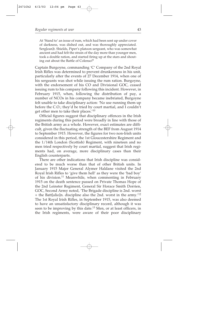At 'Stand to' an issue of rum, which had been sent up under cover of darkness, was dished out, and was thoroughly appreciated. Serg[ean]t. Shields, Piper's platoon sergeant, who was somewhat ancient and had felt the strain of the day more than younger men, took a double ration, and started firing up at the stars and shouting out about the Battle of Colenso!<sup>9</sup>

Captain Burgoyne, commanding 'C' Company of the 2nd Royal Irish Rifles was determined to prevent drunkenness in his unit, particularly after the events of 27 December 1914, when one of his sergeants was shot while issuing the rum ration. Burgoyne, with the endorsement of his CO and Divisional GOC, ceased issuing rum to his company following this incident. However, in February 1915, when, following the distribution of pay, a number of NCOs in his company became inebriated, Burgoyne felt unable to take disciplinary action: 'No use running them up before the C.O.; they'd be tried by court martial, and I couldn't get other men to take their places.'<sup>10</sup>

Official figures suggest that disciplinary offences in the Irish regiments during this period were broadly in line with those of the British army as a whole. However, exact estimates are difficult, given the fluctuating strength of the BEF from August 1914 to September 1915. However, the figures for two non-Irish units considered in this period, the 1st Gloucestershire Regiment and the 1/14th London (Scottish) Regiment, with nineteen and no men tried respectively by court martial, suggest that Irish regiments had, on average, more disciplinary cases than their English counterparts.

There are other indications that Irish discipline was considered to be much worse than that of other British units. In January 1915 Major General Alymer Haldane visited the 2nd Royal Irish Rifles to 'give them hell' as they were the 'bad boy' of his division.<sup>11</sup> Meanwhile, when commenting in February 1915 on the death sentence passed on Private Thomas Hope of the 2nd Leinster Regiment, General Sir Horace Smith Dorrien, GOC, Second Army noted, 'The Brigade discipline is 2nd. worst + the Batt[alio]n. discipline also the 2nd. worst in the army.'<sup>12</sup> The 1st Royal Irish Rifles, in September 1915, was also deemed to have an unsatisfactory disciplinary record, although it was seen to be improving by this date.<sup>13</sup> Men, or at least officers, in the Irish regiments, were aware of their poor disciplinary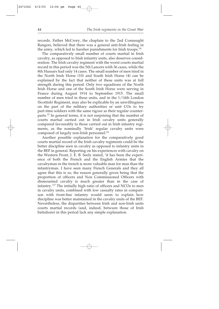records. Father McCrory, the chaplain to the 2nd Connaught Rangers, believed that there was a general anti-Irish feeling in the army, which led to harsher punishments for Irish troops.<sup>14</sup>

The comparatively small number of courts martial in Irish cavalry, as opposed to Irish infantry units, also deserves consideration. The Irish cavalry regiment with the worst courts martial record in this period was the 5th Lancers with 36 cases, while the 8th Hussars had only 14 cases. The small number of men tried in the North Irish Horse (10) and South Irish Horse (4) can be explained by the fact that neither of these units was at full strength during this period. Only two squadrons of the North Irish Horse and one of the South Irish Horse were serving in France during August 1914 to September 1915. The small number of men tried in these units, and in the 1/14th London (Scottish) Regiment, may also be explicable by an unwillingness on the part of the military authorities or unit COs to try part-time soldiers with the same rigour as their regular counterparts.<sup>15</sup> In general terms, it is not surprising that the number of courts martial carried out in Irish cavalry units generally compared favourably to those carried out in Irish infantry regiments, as the nominally 'Irish' regular cavalry units were composed of largely non-Irish personnel.<sup>16</sup>

Another possible explanation for the comparatively good courts martial record of the Irish cavalry regiments could be the better discipline seen in cavalry as opposed to infantry units in the BEF in general. Reporting on his experiences with cavalry on the Western Front, J. E. B. Seely stated, 'it has been the experience of both the French and the English Armies that the cavalryman in the trench is more valuable man for man than the infantryman. I have seen many French Generals and they all agree that this is so, the reason generally given being that the proportion of officers and Non Commissioned Officers with dismounted cavalry is much greater than in the case of infantry.'<sup>17</sup> The initially high ratio of officers and NCOs to men in cavalry units, combined with low casualty rates in comparison with front-line infantry would seem to explain how discipline was better maintained in the cavalry units of the BEF. Nevertheless, the disparities between Irish and non-Irish units courts martial records (and, indeed, between those of Irish battalions) in this period lack any simple explanation.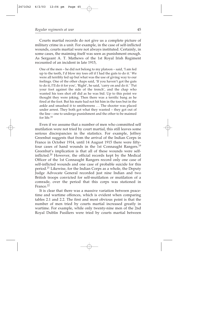Courts martial records do not give us a complete picture of military crime in a unit. For example, in the case of self-inflicted wounds, courts martial were not always instituted. Certainly, in some cases, the maiming itself was seen as punishment enough. As Sergeant A. T. Mathews of the 1st Royal Irish Regiment recounted of an incident in late 1915,

One of the men – he did not belong to my platoon – said, 'I am fed up to the teeth, I'd blow my toes off if I had the guts to do it.' We were all terribly fed up but what was the use of giving way to our feelings. One of the other chaps said, 'If you haven't got the guts to do it, I'll do it for you', 'Right', he said, 'carry on and do it.' 'Put your foot against the side of the trench', and the chap who wanted his toes shot off did as he was bid. Up to this point we thought they were joking. Then there was a terrific bang as he fired at the foot. But his mate had not hit him in the toes but in the ankle and smashed it to smithereens . . . The shooter was placed under arrest. They both got what they wanted – they got out of the line – one to undergo punishment and the other to be maimed for life.<sup>18</sup>

Even if we assume that a number of men who committed self mutilation were not tried by court martial, this still leaves some serious discrepancies in the statistics. For example, Jeffrey Greenhut suggests that from the arrival of the Indian Corps in France in October 1914, until 14 August 1915 there were fiftyfour cases of hand wounds in the 1st Connaught Rangers.<sup>19</sup> Greenhut's implication is that all of these wounds were selfinflicted.<sup>20</sup> However, the official records kept by the Medical Officer of the 1st Connaught Rangers record only one case of self-inflicted wounds and one case of probable suicide for this period.<sup>21</sup> Likewise, for the Indian Corps as a whole, the Deputy Judge Advocate General recorded just nine Indian and two British troops convicted for self-mutilation or mutilation of a comrade, over the period that this corps was stationed in France<sup>22</sup>

It is clear that there was a massive variation between peacetime and wartime offences, which is evident when comparing tables 2.1 and 2.2. The first and most obvious point is that the number of men tried by courts martial increased greatly in wartime. For example, while only twenty-nine men of the 2nd Royal Dublin Fusiliers were tried by courts martial between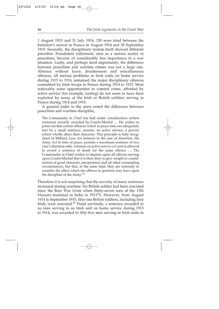1 August 1913 and 31 July 1914, 150 were tried between the battalion's arrival in France in August 1914 and 30 September 1915. Secondly, the disciplinary system itself showed different priorities. Fraudulent enlistment, seen as a serious matter in peacetime, became of considerably less importance in a war situation. Lastly, and perhaps most importantly, the difference between peacetime and wartime crimes was not a large one. Absence without leave, drunkenness and miscellaneous offences, all serious problems in Irish units on home service during 1913 to 1914, remained the major disciplinary offences committed by Irish troops in France during 1914 to 1915. Most noticeably some opportunities to commit crime, afforded by active service (for example, looting) do not seem to have been exploited by many of the Irish or British soldiers serving in France during 1914 and 1915.

A general order to the army noted the difference between peacetime and wartime discipline,

The Commander in Chief has had under consideration certain sentences recently awarded by Courts-Martial ... He wishes to point out that certain offences which in peace time are adequately met by a small sentence, assume, on active service, a gravity which wholly alters their character. This principle is fully recognised in Military Law; for instance in the case of desertion, the Army Act in time of peace, permits a maximum sentence of two year's duration only, whereas on active service a Court is allowed to award a sentence of death for the same offence ... The Commander in Chief wishes to impress upon all officers serving upon Courts-Martial that it is their duty to give weight to consideration of good character, inexperience and all other extenuating circumstances, but that, at the same time, they are seriously to consider the effect which the offence in question may have upon the discipline of the Army.<sup>23</sup>

Therefore it is not surprising that the severity of many sentences increased during wartime. No British soldier had been executed since the Boer War (even when thirty-seven men of the 13th Hussars mutinied in India in 191124). However, from August 1914 to September 1915, fifty-one British soldiers, including four Irish, were executed.<sup>25</sup> Penal servitude, a sentence awarded to no man serving in an Irish unit on home service during 1913 to 1914, was awarded to fifty-five men serving in Irish units in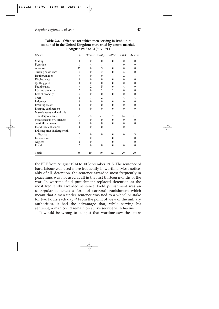| Offence                        | 1IG      | 2RInnsF  | 2RIRifs  | 2RMF     | 2RDF     | 5Lancers         |
|--------------------------------|----------|----------|----------|----------|----------|------------------|
| Mutiny                         | $\theta$ | $\theta$ | $\theta$ | $\theta$ | $\theta$ | $\theta$         |
| Desertion                      | 1        | 4        | 1        | 1        | 0        | 0                |
| Absence                        | 12       | $\theta$ | 5        | 0        | 0        | 0                |
| Striking or violence           | 4        | 0        | 2        | 0        | 3        | 0                |
| Insubordination                | 4        | $\theta$ | $\theta$ | 1        | 2        | Ί                |
| Disobedience                   | 0        | 0        | 0        | 0        | 0        | 0                |
| Quitting post                  | 0        | 0        | 0        | 0        | 0        | 0                |
| Drunkenness                    |          | 2        | 5        | 0        | 4        | 0                |
| Injuring property              | 2        | $\theta$ | 1        | 1        | 0        | 0                |
| Loss of property               | 2        | $\theta$ | 0        | 0        | 0        | 0                |
| Theft                          | 0        | 1        | 2        | 1        | 4        | 4                |
| Indecency                      | 0        | $\Omega$ | $\theta$ | 0        | 0        | 0                |
| Resisting escort               |          | $\theta$ | $\theta$ | $\theta$ | 0        | 0                |
| Escaping confinement           | 0        | $\theta$ | $\theta$ | $\theta$ | 0        | $\mathbf{0}$     |
| Miscellaneous and multiple     |          |          |          |          |          |                  |
| military offences              | 25       | 3        | 21       | 7        | 14       | 11               |
| Miscellaneous civil offences   | 1        | $\theta$ | $\theta$ | $\theta$ | 0        | 0                |
| Self-inflicted wound           | $^{(1)}$ | 0        | 0        | 0        | 0        | $\left( \right)$ |
| Fraudulent enlistment          | 0        | $\Omega$ | $\theta$ | 1        | 0        | 1                |
| Enlisting after discharge with |          |          |          |          |          |                  |
| disgrace                       | 2        | $\theta$ | $\theta$ | $\theta$ | $\theta$ | 3                |
| False answer                   | 1        | 0        | 1        | 0        | 1        | 0                |
| Neglect                        | 0        | 0        | 1        | 0        | 1        | 0                |
| Fraud                          | 1        | $\theta$ | 0        | 0        | 0        | 0                |
| Totals                         | 59       | 10       | 39       | 12       | 29       | 20               |

**Table 2.2.** Offences for which men serving in Irish units stationed in the United Kingdom were tried by courts martial, 1 August 1913 to 31 July 1914

the BEF from August 1914 to 30 September 1915. The sentence of hard labour was used more frequently in wartime. Most noticeably of all, detention, the sentence awarded most frequently in peacetime, was not used at all in the first thirteen months of the war. In wartime field punishment replaced detention as the most frequently awarded sentence. Field punishment was an unpopular sentence: a form of corporal punishment which meant that a man under sentence was tied to a wheel or stake for two hours each day.<sup>26</sup> From the point of view of the military authorities, it had the advantage that, while serving his sentence, a man could remain on active service with his unit.

It would be wrong to suggest that wartime saw the entire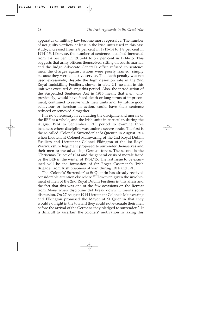apparatus of military law become more repressive. The number of not guilty verdicts, at least in the Irish units used in this case study, increased from 2.8 per cent in 1913–14 to 4.8 per cent in 1914–15. Likewise, the number of sentences quashed increased from 1.4 per cent in 1913–14 to 5.2 per cent in 1914–15. This suggests that army officers themselves, sitting on courts martial, and the Judge Advocate General's office refused to sentence men, the charges against whom were poorly framed, simply because they were on active service. The death penalty was not used excessively; despite the high desertion rate in the 2nd Royal Inniskilling Fusiliers, shown in table 2.1, no man in this unit was executed during this period. Also, the introduction of the Suspended Sentences Act in 1915 meant that men who, previously, would have faced death or long terms of imprisonment, continued to serve with their units and, by future good behaviour or heroism in action, could have their sentence reduced or removed altogether.

It is now necessary in evaluating the discipline and morale of the BEF as a whole, and the Irish units in particular, during the August 1914 to September 1915 period to examine three instances where discipline was under a severe strain. The first is the so-called 'Colonels' Surrender' at St Quentin in August 1914 when Lieutenant Colonel Mainwaring of the 2nd Royal Dublin Fusiliers and Lieutenant Colonel Elkington of the 1st Royal Warwickshire Regiment proposed to surrender themselves and their men to the advancing German forces. The second is the 'Christmas Truce' of 1914 and the general crisis of morale faced by the BEF in the winter of 1914/15. The last issue to be examined will be the formation of Sir Roger Casement's 'Irish Brigade' from Irish prisoners of war, during 1914 and 1915.

The 'Colonels' Surrender' at St Quentin has already received considerable attention elsewhere.<sup>27</sup> However, given the involvement of men of the 2nd Royal Dublin Fusiliers in this affair and the fact that this was one of the few occasions on the Retreat from Mons when discipline did break down, it merits some discussion. On 27 August 1914 Lieutenant Colonels Mainwaring and Elkington promised the Mayor of St Quentin that they would not fight in the town. If they could not evacuate their men before the arrival of the Germans they pledged to surrender.<sup>28</sup> It is difficult to ascertain the colonels' motivation in taking this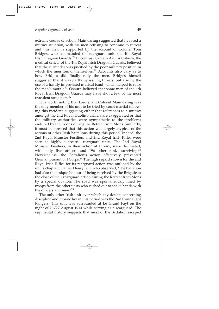extreme course of action. Mainwaring suggested that he faced a mutiny situation, with his men refusing to continue to retreat and this view is supported by the account of Colonel Tom Bridges, who commanded the rearguard unit, the 4th Royal Irish Dragoon Guards.<sup>29</sup> In contrast Captain Arthur Osburn, the medical officer of the 4th Royal Irish Dragoon Guards, believed that the surrender was justified by the poor military position in which the men found themselves.<sup>30</sup> Accounts also vary as to how Bridges did finally rally the men. Bridges himself suggested that it was partly by issuing threats, but also by the use of a hastily improvised musical band, which helped to raise the men's morale.<sup>31</sup> Osburn believed that some men of the 4th Royal Irish Dragoon Guards may have shot a few of the most truculent stragglers.<sup>32</sup>

It is worth noting that Lieutenant Colonel Mainwaring was the only member of his unit to be tried by court martial following this incident, suggesting either that references to a mutiny amongst the 2nd Royal Dublin Fusiliers are exaggerated or that the military authorities were sympathetic to the problems endured by the troops during the Retreat from Mons. Similarly, it must be stressed that this action was largely atypical of the actions of other Irish battalions during this period. Indeed, the 2nd Royal Munster Fusiliers and 2nd Royal Irish Rifles were seen as highly successful rearguard units. The 2nd Royal Munster Fusiliers, in their action at Etreux, were decimated, with only five officers and 196 other ranks surviving.<sup>33</sup> Nevertheless, the Battalion's action effectively prevented German pursuit of I Corps.<sup>34</sup> The high regard shown for the 2nd Royal Irish Rifles for its rearguard action was outlined by the unit's chaplain, Father Henry Gill, who observed, 'The Battalion had also the unique honour of being received by the Brigade at the close of their rearguard action during the Retreat from Mons by a special ovation. The road was spontaneously lined by troops from the other units who rushed out to shake hands with the officers and men.'<sup>35</sup>

The only other Irish unit over which any doubts concerning discipline and morale lay in this period was the 2nd Connaught Rangers. This unit was surrounded at Le Grand Fayt on the night of 26/27 August 1914 while serving as a rearguard. The regimental history suggests that most of the Battalion escaped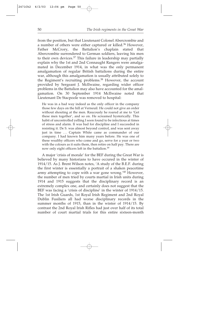from the position, but that Lieutenant Colonel Abercrombie and a number of others were either captured or killed.<sup>36</sup> However, Father McCrory, the Battalion's chaplain stated that Abercrombie surrendered to German soldiers, leaving his men to their own devices.<sup>37</sup> This failure in leadership may partially explain why the 1st and 2nd Connaught Rangers were amalgamated in December 1914, in what was the only permanent amalgamation of regular British battalions during the entire war, although this amalgamation is usually attributed solely to the Regiment's recruiting problems.<sup>38</sup> However, the account provided by Sergeant J. McIlwaine, regarding wider officer problems in the Battalion may also have accounted for the amalgamation. On 30 September 1914 McIlwaine noted that Lieutenant De Stacpoole was removed to hospital:

He was in a bad way indeed as the only officer in the company those few days on the hill at Verneuil. He could not give an order without shouting at the men. Raucously he roared at me to 'Get these men together', and so on. He screamed hysterically. This habit of uncontrolled yelling I soon found to be infectious at times of stress and alarm. It was bad for discipline and I succeeded in resisting it. De S. was almost beyond control, and was sent away just in time ... Captain White came as commander of our company. I had known him many years before. He was one of these wealthy officers who come and go, serve for a year or two with the colours as it suits them, then retire on half pay. There are now only eight officers left in the battalion.<sup>39</sup>

A major 'crisis of morale' for the BEF during the Great War is believed by many historians to have occured in the winter of 1914/15. As J. Brent Wilson notes, 'A study of the B.E.F. during the first winter is essentially a portrait of a shaken peacetime army attempting to cope with a war gone wrong.<sup> $40$ </sup> However, the number of men tried by courts martial in Irish units during 1914 and 1915 suggests that the disciplinary record is an extremely complex one, and certainly does not suggest that the BEF was facing a 'crisis of discipline' in the winter of 1914/15. The 1st Irish Guards, 1st Royal Irish Regiment and 2nd Royal Dublin Fusiliers all had worse disciplinary records in the summer months of 1915, than in the winter of 1914/15. By contrast the 2nd Royal Irish Rifles had just over half of its total number of court martial trials for this entire sixteen-month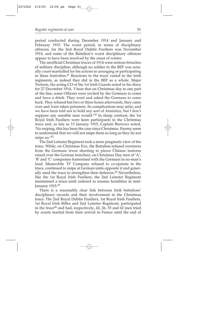period conducted during December 1914 and January and February 1915. The worst period, in terms of disciplinary offences, for the 2nd Royal Dublin Fusiliers was November 1914, and some of the Battalion's worst disciplinary offences appear to have been resolved by the onset of winter.

The unofficial Christmas truces of 1914 were serious breaches of military discipline, although no soldier in the BEF was actually court-martialled for his actions in arranging or participating in these festivities.<sup>41</sup> Reactions to the truce varied in the Irish regiments, as indeed they did in the BEF as a whole. Major Trefusis, the acting CO of the 1st Irish Guards noted in his diary for 27 December 1914, 'I hear that on Christmas day in one part of the line, some Officers were invited by the Germans to come and have a drink. They went and asked the Germans to come back. They refused but two or three hours afterwards, they came over and were taken prisoners. So complications may arise, and we have been told not to hold any sort of Armistice, but I don't suppose any sensible man would.<sup>'42</sup> In sharp contrast, the 1st Royal Irish Fusiliers were keen participants in the Christmas truce and, as late as 13 January 1915, Captain Burrows noted, 'No sniping, this has been the case since Christmas. Enemy seem to understand that we will not snipe them so long as they do not snipe us.'<sup>43</sup>

The 2nd Leinster Regiment took a more pragmatic view of the truce. While, on Christmas Eve, the Battalion refused overtures from the Germans (even shooting to pieces Chinese lanterns raised over the German trenches), on Christmas Day men of 'A', 'B' and 'C' companies fraternised with the Germans in no-man's land. Meanwhile 'D' Company refused to co-operate in the truce, continued to snipe at German units opposite it and generally used the truce to strengthen their defences.<sup>44</sup> Nevertheless, like the 1st Royal Irish Fusiliers, the 2nd Leinster Regiment maintained a truce until ordered to resume hostilities in mid-January 1915.<sup>45</sup>

There is a reasonably clear link between Irish battalions' disciplinary records and their involvement in the Christmas truce. The 2nd Royal Dublin Fusiliers, 1st Royal Irish Fusiliers, 1st Royal Irish Rifles and 2nd Leinster Regiment, participated in the truce<sup>46</sup> and had, respectively, 62, 26, 35 and 62 men tried by courts martial from their arrival in France until the end of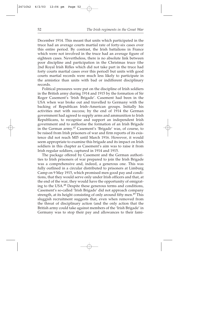December 1914. This meant that units which participated in the truce had an average courts martial rate of forty-six cases over this entire period. By contrast, the Irish battalions in France which were not involved in the truce had an average figure of eighteen cases. Nevertheless, there is no absolute link between poor discipline and participation in the Christmas truce (the 2nd Royal Irish Rifles which did not take part in the truce had forty courts martial cases over this period) but units with good courts martial records were much less likely to participate in the armistice than units with bad or indifferent disciplinary records.

Political pressures were put on the discipline of Irish soldiers in the British army during 1914 and 1915 by the formation of Sir Roger Casement's 'Irish Brigade'. Casement had been in the USA when war broke out and travelled to Germany with the backing of Republican Irish–American groups. Initially his activities met with success; by the end of 1914 the German government had agreed to supply arms and ammunition to Irish Republicans, to recognise and support an independent Irish government and to authorise the formation of an Irish Brigade in the German army.<sup>47</sup> Casement's 'Brigade' was, of course, to be raised from Irish prisoners of war and firm reports of its existence did not reach MI5 until March 1916. However, it would seem appropriate to examine this brigade and its impact on Irish soldiers in this chapter as Casement's aim was to raise it from Irish regular soldiers, captured in 1914 and 1915.

The package offered by Casement and the German authorities to Irish prisoners of war prepared to join the Irish Brigade was a comprehensive and, indeed, a generous one. This was fully outlined in a circular distributed to prisoners at Limburg Camp on 9 May 1915, which promised men good pay and conditions, that they would serve only under Irish officers and that, at the end of the war, they would have the opportunity of emigrating to the USA.<sup>48</sup> Despite these generous terms and conditions, Casement's so-called 'Irish Brigade' did not approach company strength, at its height consisting of only around fifty men.<sup>49</sup> This sluggish recruitment suggests that, even when removed from the threat of disciplinary action (and the only action that the British army could take against members of the 'Irish Brigade' in Germany was to stop their pay and allowances to their fami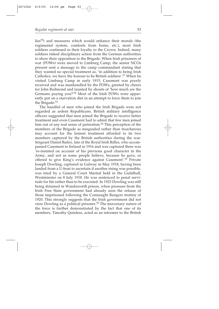lies<sup>50</sup>) and measures which would enhance their morale (the regimental system, comforts from home, etc.), most Irish soldiers continued in their loyalty to the Crown. Indeed, many soldiers risked disciplinary action from the German authorities to show their opposition to the Brigade. When Irish prisoners of war (POWs) were moved to Limburg Camp, the senior NCOs present sent a message to the camp commandant stating that they wanted no special treatment as, 'in addition to being Irish Catholics, we have the honour to be British soldiers'.<sup>51</sup> When he visited Limburg Camp in early 1915, Casement was poorly received and was manhandled by the POWs, greeted by cheers for John Redmond and taunted by shouts of 'how much are the Germans paying you?'<sup>52</sup> Most of the Irish POWs were apparently put on a starvation diet in an attempt to force them to join the Brigade.<sup>53</sup>

The handful of men who joined the Irish Brigade were not regarded as ardent Republicans. British military intelligence officers suggested that men joined the Brigade to receive better treatment and even Casement had to admit that few men joined him out of any real sense of patriotism.<sup>54</sup> This perception of the members of the Brigade as misguided rather than treacherous may account for the lenient treatment afforded to its two members captured by the British authorities during the war. Sergeant Daniel Bailey, late of the Royal Irish Rifles, who accompanied Casement to Ireland in 1916 and was captured there was 're-instated on account of his previous good character in the Army, and not as some people believe, because he gave, or offered to give King's evidence against Casement'.<sup>55</sup> Private Joseph Dowling, captured in Galway in May 1918, having been landed from a U-boat to ascertain if another rising was possible, was tried by a General Court Martial held in the Guildhall, Westminster on 8 July 1918. He was sentenced to penal servitude for life rather than to be executed. In 1923 Dowling was still being detained in Wandsworth prison, when pressure from the Irish Free State government had already seen the release of those imprisoned following the Connaught Rangers mutiny of 1920. This strongly suggests that the Irish government did not view Dowling as a political prisoner.<sup>56</sup> The mercenary nature of the force is further demonstrated by the fact that one of its members, Timothy Quinless, acted as an informer to the British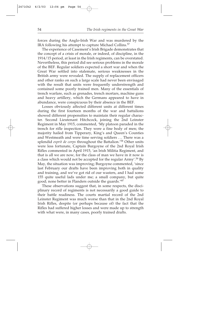forces during the Anglo-Irish War and was murdered by the IRA following his attempt to capture Michael Collins.<sup>57</sup>

The experience of Casement's Irish Brigade demonstrates that the concept of a crisis of morale, or indeed, of discipline, in the 1914/15 period, at least in the Irish regiments, can be overstated. Nevertheless, this period did see serious problems in the morale of the BEF. Regular soldiers expected a short war and when the Great War settled into stalemate, serious weaknesses in the British army were revealed. The supply of replacement officers and other ranks on such a large scale had never been envisaged with the result that units were frequently understrength and contained some poorly trained men. Many of the essentials of trench warfare, such as grenades, trench mortars, machine guns and heavy artillery, which the Germans appeared to have in abundance, were conspicuous by their absence in the BEF.

Losses obviously affected different units at different times during the first fourteen months of the war and battalions showed different propensities to maintain their regular character. Second Lieutenant Hitchcock, joining the 2nd Leinster Regiment in May 1915, commented, 'My platoon paraded in the trench for rifle inspection. They were a fine body of men; the majority hailed from Tipperary, King's and Queen's Counties and Westmeath and were time serving soldiers ... There was a splendid *esprit de corps* throughout the Battalion.'<sup>58</sup> Other units were less fortunate, Captain Burgoyne of the 2nd Royal Irish Rifles commented in April 1915, 'an Irish Militia Regiment, and that is all we are now, for the class of man we have in it now is a class which would not be accepted for the regular Army'.<sup>59</sup> By May, the situation was improving; Burgoyne commented, 'since last February our drafts have been improving both in quality and training, and we've got rid of our wasters, and I had some 155 quite useful lads under me; a small company, but quite good; none better in Flanders outside the guards.'<sup>60</sup>

These observations suggest that, in some respects, the disciplinary record of regiments is not necessarily a good guide to their battle readiness. The courts martial record of the 2nd Leinster Regiment was much worse than that in the 2nd Royal Irish Rifles, despite (or perhaps because of) the fact that the Rifles had suffered higher losses and were made up to strength with what were, in many cases, poorly trained drafts.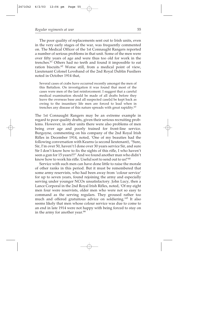The poor quality of replacements sent out to Irish units, even in the very early stages of the war, was frequently commented on. The Medical Officer of the 1st Connaught Rangers reported a number of serious problems in that unit. Some of the men were over fifty years of age and were thus too old for work in the trenches.<sup>61</sup> Others had no teeth and found it impossible to eat ration biscuits.<sup>62</sup> Worse still, from a medical point of view, Lieutenant Colonel Loveband of the 2nd Royal Dublin Fusiliers noted in October 1914 that,

Several cases of crabs have occurred recently amongst the men of this Battalion. On investigation it was found that most of the cases were men of the last reinforcement. I suggest that a careful medical examination should be made of all drafts before they leave the overseas base and all suspected case[s] be kept back as owing to the insanitary life men are forced to lead when in trenches any disease of this nature spreads with great rapidity.<sup>63</sup>

The 1st Connaught Rangers may be an extreme example in regard to poor quality drafts, given their serious recruiting problems. However, in other units there were also problems of men being over age and poorly trained for front-line service. Burgoyne, commenting on his company of the 2nd Royal Irish Rifles in December 1914, noted, 'One of my beauties had the following conversation with Kearns (a second lieutenant), "Sure, Sir, I'm over 50, haven't I done over 30 years service Sir, and sure Sir I don't know how to fix the sights of this rifle, I who haven't seen a gun for 15 years!!!" And we found another man who didn't know how to work his rifle. Useful sort to send out to us!'<sup>64</sup>

Service with such men can have done little to raise the morale of other ranks in this period. But it must be remembered that some army reservists, who had been away from 'colour service' for up to seven years, found rejoining the army and especially serving under younger NCOs unsatisfactory. John Lucy, then a Lance Corporal in the 2nd Royal Irish Rifles, noted, 'Of my eight men four were reservists, older men who were not so easy to command as the serving regulars. They groused rather too much and offered gratuitous advice on soldiering.'<sup>65</sup> It also seems likely that men whose colour service was due to come to an end in late 1914 were not happy with being forced to stay on in the army for another year.<sup>66</sup>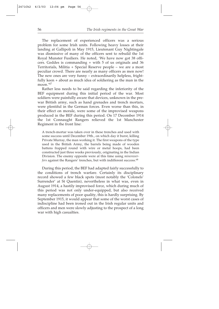The replacement of experienced officers was a serious problem for some Irish units. Following heavy losses at their landing at Gallipoli in May 1915, Lieutenant Guy Nightingale was dismissive of many of the officers sent to rebuild the 1st Royal Munster Fusiliers. He noted, 'We have now got 38 officers. Geddes is commanding + with 5 of us originals and 36 Territorials, Militia + Special Reserve people – we are a most peculiar crowd. There are nearly as many officers as men now! The new ones are very funny – extraordinarily helpless, frightfully keen + about as much idea of soldiering as the man in the moon.'<sup>67</sup>

Rather less needs to be said regarding the inferiority of the BEF equipment during this initial period of the war. Most soldiers were painfully aware that devices, unknown in the prewar British army, such as hand grenades and trench mortars, were plentiful in the German forces. Even worse than this, in their effect on morale, were some of the improvised weapons produced in the BEF during this period. On 17 December 1914 the 1st Connaught Rangers relieved the 1st Manchester Regiment in the front line:

A trench-mortar was taken over in these trenches and used with some success until December 19th., on which day it burst, killing Private Murray, the man working it. The first weapons of the type used in the British Army, the barrels being made of wooden battens frapped round with wire or metal hoops, had been constructed just three weeks previously, originating in the Indian Division. The enemy opposite were at this time using *minenwerfers* against the Rangers' trenches, but with indifferent success.<sup>68</sup>

During this period, the BEF had adapted fairly successfully to the conditions of trench warfare. Certainly its disciplinary record showed a few black spots (most notably the 'Colonels' Surrender' at St Quentin), nevertheless in what was, even in August 1914, a hastily improvised force, which during much of this period was not only under-equipped, but also received many replacements of poor quality, this is hardly surprising. By September 1915, it would appear that some of the worst cases of indiscipline had been ironed out in the Irish regular units and officers and men were slowly adjusting to the prospect of a long war with high casualties.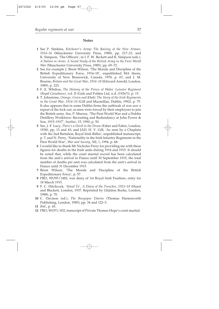## **Notes**

- **1** See P. Simkins, *Kitchener's Army: The Raising of the New Armies, 1914–16* (Manchester University Press, 1988), pp. 217–21; and K. Simpson, 'The Officers', in I. F. W. Beckett and K. Simpson (eds.), *A Nation in Arms: A Social Study of the British Army in the First World War* (Manchester University Press, 1985), pp. 69–72.
- **2** See for example J. Brent Wilson, 'The Morale and Discipline of the British Expeditionary Force, 1914–18', unpublished MA thesis, University of New Brunswick, Canada, 1978, p. 67; and J. M. Bourne, *Britain and the Great War, 1914–18* (Edward Arnold, London, 1989), p. 223.
- **3** F. E. Whitton, *The History of the Prince of Wales' Leinster Regiment (Royal Canadians)*, vol. II (Gale and Polden Ltd, n.d. (1926?)), p. 15.
- **4** T. Johnstone, *Orange, Green and Khaki: The Story of the Irish Regiments in the Great War, 1914–18* (Gill and Macmillan, Dublin, 1992), p. 75. It also appears that in some Dublin firms the outbreak of war saw a repeat of the lock out, as men were forced by their employers to join the British army. See, P. Murray, 'The First World War and a Dublin Distillery Workforce: Recruiting and Redundancy at John Power & Son, 1915–1917', *Saothar*, 15, 1990, p. 50.
- **5** See, J. F. Lucy, *There's a Devil in the Drum* (Faber and Faber, London, 1938), pp. 13 and 43; and JAD, H. V. Gill, 'As seen by a Chaplain with the 2nd Battalion, Royal Irish Rifles', unpublished manuscript, p. 7; and N. Perry, 'Nationality in the Irish Infantry Regiments in the First World War', *War and Society*, XII, 1, 1994, p. 68.
- **6** I would like to thank Mr Nicholas Perry for providing me with these figures for deaths in the Irish units during 1914 and 1915. It should be noted that, while the court martial record has been calculated from the unit's arrival in France until 30 September 1915, the total number of deaths per unit was calculated from the unit's arrival in France until 31 December 1915.
- **7** Brent Wilson, 'The Morale and Discipline of the British Expeditionary Force', p. 57.
- **8** PRO, WO95/1482, war diary of 1st Royal Irish Fusiliers, entry for 18 March 1915.
- **9** F. C. Hitchcock, *'Stand To', A Diary of the Trenches, 1915–18* (Hurst and Blackett, London, 1937. Reprinted by Gliddon Books, London, 1988), p. 70.
- **10** C. Davison (ed.), *The Burgoyne Diaries* (Thomas Harmsworth Publishing, London, 1985), pp. 34 and 122–3.

**12** PRO, WO71/432, transcript of Private Thomas Hope's court martial.

**<sup>11</sup>** *Ibid.*, p. 43.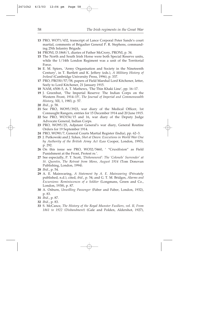- **13** PRO, WO71/432, transcript of Lance Corporal Peter Sands's court martial, comments of Brigadier General P. R. Stephens, commanding 25th Infantry Brigade.
- **14** PRONI, D.1868/1, diaries of Father McCrory, PRONI, p. 34.
- **15** The North and South Irish Horse were both Special Reserve units, while the 1/14th London Regiment was a unit of the Territorial Force.
- **16** E. M. Spiers, 'Army Organisation and Society in the Nineteenth Century', in T. Bartlett and K. Jeffery (eds.), *A Military History of Ireland* (Cambridge University Press, 1996), p. 337.
- **17** PRO, PRO30/57/58, papers of Field Marshal Lord Kitchener, letter, Seely to Lord Kitchener, 21 January 1915.
- **18** NAM, 6508–5, A. T. Mathews, 'The Thin Khaki Line', pp. 16–17.
- **19** J. Greenhut, 'The Imperial Reserve: The Indian Corps on the Western Front, 1914–15', *The Journal of Imperial and Commonwealth History*, XII, 1, 1983, p. 57.
- **20** *Ibid.*, p. 58.
- **21** See PRO, WO95/3923, war diary of the Medical Officer, 1st Connaught Rangers, entries for 15 December 1914 and 20 June 1915.
- **22** See PRO, WO154/15 and 16, war diary of the Deputy Judge Advocate General, Indian Corps.
- **23** PRO, WO95/25, Adjutant General's war diary, General Routine Orders for 19 September 1914.
- **24** PRO, WO90/7, General Courts Martial Register (India), pp. 62–3.
- **25** J. Putkowski and J. Sykes*, Shot at Dawn: Executions in World War One by Authority of the British Army Act* (Leo Cooper, London, 1993), p. 292.
- **26** On this issue see PRO, WO32/5460, ' "Cruxifixion" as Field Punishment at the Front, Protest re.'.
- **27** See especially, P. T. Scott, *'Dishonoured': The 'Colonels' Surrender' at St. Quentin, The Retreat from Mons, August 1914* (Tom Donovan Publishing, London, 1994).
- **28** *Ibid.*, p. 54.
- **29** A. E. Mainwaring, *A Statement by A. E. Mainwaring* (Privately published, n.d.), cited, *ibid.*, p. 54; and G. T. M. Bridges, *Alarms and Excursions: Reminiscences of a Soldier* (Longmans, Green and Co., London, 1938), p. 87.
- **30** A. Osburn, *Unwilling Passenger* (Faber and Faber, London, 1932), p. 83.
- **31** *Ibid.*, p. 87.
- **32** *Ibid.*, p. 83.
- **33** S. McCance, *The History of the Royal Munster Fusiliers, vol. II, From 1861 to 1922 (Disbandment*) (Gale and Polden, Aldershot, 1927),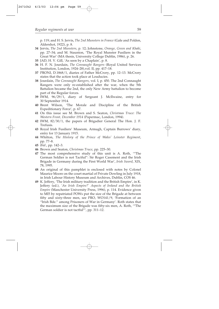p. 119; and H. S. Jervis, *The 2nd Munsters in France* (Gale and Polden, Aldershot, 1922), p. 8.

- **34** Jervis, *The 2nd Munsters*, p. 12; Johnstone, *Orange, Green and Khaki*, pp. 27–34; and M. Staunton, 'The Royal Munster Fusiliers in the Great War' (MA thesis, University College Dublin, 1986), p. 26.
- **35** JAD, H. V. Gill, 'As seen by a Chaplain', p. 8.
- **36** H. F. N. Jourdain, *The Connaught Rangers* (Royal United Services Institution, London, 1924–28),vol. II, pp. 417–18.
- **37** PRONI, D.1868/1, diaries of Father McCrory, pp. 12–13. McCrory states that the action took place at Louducies.
- **38** Jourdain, *The Connaught Rangers*, vol. I, p. 450. The 2nd Connaught Rangers were only re-established after the war, when the 5th Battalion became the 2nd, the only New Army battalion to become part of the Regular forces.
- **39** IWM, 96/29/1, diary of Sergeant J. McIlwaine, entry for 30 September 1914.
- **40** Brent Wilson, 'The Morale and Discipline of the British Expeditionary Force', p. 67.
- **41** On this issue see M. Brown and S. Seaton, *Christmas Truce: The Western Front, December 1914* (Papermac, London, 1994).
- **42** IWM, 82/30/1, the papers of Brigadier General The Hon. J. F. Trefusis.
- **43** Royal Irish Fusiliers' Museum, Armagh, Captain Burrows' diary, entry for 13 January 1915.
- **44** Whitton, *The History of the Prince of Wales' Leinster Regiment*, pp. 77–8.
- **45** *Ibid.*, pp. 142–3.
- **46** Brown and Seaton, *Christmas Truce*, pp. 225–30.
- **47** The most comprehensive study of this unit is A. Roth, '"The German Soldier is not Tactful": Sir Roger Casement and the Irish Brigade in Germany during the First World War', *Irish Sword*, XIX, 78, 1995.
- **48** An original of this pamphlet is enclosed with notes by Colonel Maurice Moore on the court martial of Private Dowling in July 1918, in Irish Labour History Museum and Archives, Dublin, COS 46.
- **49** K. Jeffery, 'The Irish military tradition and the British Empire', in K. Jeffery (ed.), *'An Irish Empire?' Aspects of Ireland and the British Empire* (Manchester University Press, 1996), p. 114. Evidence given to MI5 by repatriated POWs put the size of the Brigade at between fifty and sixty-three men, see PRO, WO141/9, 'Formation of an "Irish Bde." among Prisoners of War in Germany'. Roth states that the maximum size of the Brigade was fifty-six men, A. Roth, '"The German soldier is not tactful"', pp. 311–12.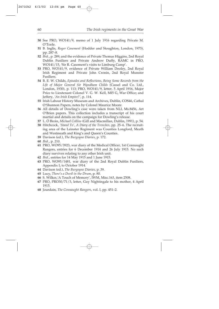- **50** See PRO, WO141/9, memo of 1 July 1916 regarding Private M. O'Toole.
- **51** B. Inglis, *Roger Casement* (Hodder and Stoughton, London, 1973), pp. 287–8.
- **52** *Ibid.*, p. 289; and the evidence of Private Thomas Higgins, 2nd Royal Dublin Fusiliers and Private Andrew Duffy, RAMC in PRO, WO141/15, 'Sir R. Casement's visits to Limburg Camp'.
- **53** PRO, WO141/9, evidence of Private William Dooley, 2nd Royal Irish Regiment and Private John Cronin, 2nd Royal Munster Fusiliers.
- **54** B. E. W. Childs, *Episodes and Reflections, Being Some Records from the Life of Major General Sir Wyndham Childs* (Cassel and Co. Ltd., London, 1930), p. 113; PRO, WO141/9, letter, 5 April 1916, Major Price to Lieutenant Colonel V. G. W. Kell, MI5 G, War Office; and Jeffery, *'An Irish Empire?'*, p. 114.
- **55** Irish Labour History Museum and Archives, Dublin, COS46, Cathal O'Shannon Papers, notes by Colonel Maurice Moore.
- **56** All details of Dowling's case were taken from NLI, Ms.8456, Art O'Brien papers. This collection includes a transcript of his court martial and details on the campaign for Dowling's release.
- **57** L. Ó Broin, *Michael Collins* (Gill and Macmillan, Dublin, 1991), p. 54.
- **58** Hitchcock, *'Stand To', A Diary of the Trenches,* pp. 25–6. The recruiting area of the Leinster Regiment was Counties Longford, Meath and Westmeath and King's and Queen's Counties.
- **59** Davison (ed.), *The Burgoyne Diaries*, p. 172.
- **60** *Ibid.*, p. 210.
- **61** PRO, WO95/3923, war diary of the Medical Officer, 1st Connaught Rangers, entries for 6 December 1914 and 26 July 1915. No such diary survives relating to any other Irish unit.
- **62** *Ibid.*, entries for 14 May 1915 and 1 June 1915.
- **63** PRO, WO95/1481, war diary of the 2nd Royal Dublin Fusiliers, Appendix I, to October 1914.
- **64** Davison (ed.), *The Burgoyne Diaries*, p. 39.
- **65** Lucy, *There's a Devil in the Drum*, p. 80.
- **66** S. Wilkes,'A Touch of Memory', IWM, Misc.163, item 2508.
- **67** PRO, PRO30/71/3, letter, Guy Nightingale to his mother, 4 April 1915.
- **68** Jourdain, *The Connaught Rangers*, vol. I, pp. 451–2.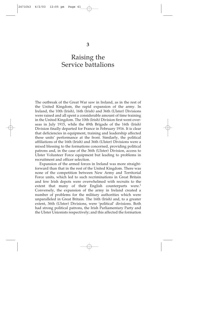## Raising the Service battalions

The outbreak of the Great War saw in Ireland, as in the rest of the United Kingdom, the rapid expansion of the army. In Ireland, the 10th (Irish), 16th (Irish) and 36th (Ulster) Divisions were raised and all spent a considerable amount of time training in the United Kingdom. The 10th (Irish) Division first went overseas in July 1915, while the 49th Brigade of the 16th (Irish) Division finally departed for France in February 1916. It is clear that deficiencies in equipment, training and leadership affected these units' performance at the front. Similarly, the political affiliations of the 16th (Irish) and 36th (Ulster) Divisions were a mixed blessing to the formations concerned, providing political patrons and, in the case of the 36th (Ulster) Division, access to Ulster Volunteer Force equipment but leading to problems in recruitment and officer selection.

Expansion of the armed forces in Ireland was more straightforward than that in the rest of the United Kingdom. There was none of the competition between New Army and Territorial Force units, which led to such recriminations in Great Britain and few Irish depots were overwhelmed with recruits to the extent that many of their English counterparts were.<sup>1</sup> Conversely, the expansion of the army in Ireland created a number of problems for the military authorities which were unparalleled in Great Britain. The 16th (Irish) and, to a greater extent, 36th (Ulster) Divisions, were 'political' divisions. Both had strong political patrons, the Irish Parliamentary Party and the Ulster Unionists respectively; and this affected the formation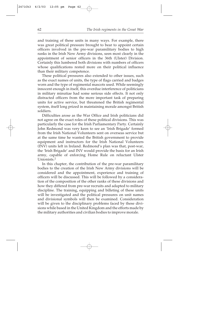and training of these units in many ways. For example, there was great political pressure brought to bear to appoint certain officers involved in the pre-war paramilitary bodies to high ranks in the Irish New Army divisions, seen most clearly in the appointment of senior officers in the 36th (Ulster) Division. Certainly this lumbered both divisions with numbers of officers whose qualifications rested more on their political influence than their military competence.

These political pressures also extended to other issues, such as the exact names of units, the type of flags carried and badges worn and the type of regimental mascots used. While seemingly innocent enough in itself, this overdue interference of politicians in military minutiae had some serious side effects. It not only distracted officers from the more important task of preparing units for active service, but threatened the British regimental system, itself long prized in maintaining morale amongst British soldiers.

Difficulties arose as the War Office and Irish politicians did not agree on the exact roles of these political divisions. This was particularly the case for the Irish Parliamentary Party. Certainly John Redmond was very keen to see an 'Irish Brigade' formed from the Irish National Volunteers sent on overseas service but at the same time he wanted the British government to provide equipment and instructors for the Irish National Volunteers (INV) units left in Ireland. Redmond's plan was that, post-war, the 'Irish Brigade' and INV would provide the basis for an Irish army, capable of enforcing Home Rule on reluctant Ulster Unionists.<sup>2</sup>

In this chapter, the contribution of the pre-war paramilitary bodies to the creation of the Irish New Army divisions will be considered and the appointment, experience and training of officers will be discussed. This will be followed by a consideration of the composition of the other ranks of these divisions and how they differed from pre-war recruits and adapted to military discipline. The training, equipping and billeting of these units will be investigated and the political pressures on unit names and divisional symbols will then be examined. Consideration will be given to the disciplinary problems faced by these divisions while based in the United Kingdom and the efforts made by the military authorities and civilian bodies to improve morale.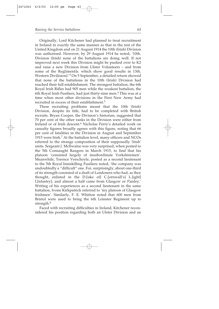Originally, Lord Kitchener had planned to treat recruitment in Ireland in exactly the same manner as that in the rest of the United Kingdom and on 21 August 1914 the 10th (Irish) Division was authorised. However, by 29 August 1914 he noted, '10th. Division (Irish) none of the battalions are doing well. If not improved next week this Division might be pushed over to K2 and raise a new Division from Ulster Volunteers – and from some of the Reg[iment]s. which show good results in 13th. Western Divi[ision].'<sup>3</sup> On 5 September, a detailed return showed that none of the battalions in the 10th (Irish) Division had reached their full establishment. The strongest battalion, the 6th Royal Irish Rifles had 905 men while the weakest battalion, the 6th Royal Irish Fusiliers, had just thirty-nine men.<sup>4</sup> This was at a time when most other divisions in the First New Army had recruited in excess of their establishment.<sup>5</sup>

These recruiting problems meant that the 10th (Irish) Division, despite its title, had to be completed with British recruits. Bryan Cooper, the Division's historian, suggested that 70 per cent of the other ranks in the Division were either from Ireland or of Irish descent.<sup>6</sup> Nicholas Perry's detailed work on casualty figures broadly agrees with this figure, noting that 66 per cent of fatalities in the Division in August and September 1915 were Irish.<sup>7</sup> At the battalion level, many officers and NCOs referred to the strange composition of their supposedly 'Irish' units. Sergeant J. McIlwaine was very surprised, when posted to the 5th Connaught Rangers in March 1915, to find that his platoon 'consisted largely of insubordinate Yorkshiremen'. Meanwhile, Terence Verschoyle, posted as a second lieutenant to the 5th Royal Inniskilling Fusiliers noted, 'the company was undoubtedly a "difficult" one. For, surprisingly, about one-third of its strength consisted of a draft of Londoners who had, as they thought, enlisted in the D.[uke of] C.[ornwall's] L.[ight] I.[nfantry], and almost a half came from Glasgow or Paisley.' Writing of his experiences as a second lieutenant in the same battalion, Ivone Kirkpatrick referred to 'my platoon of Glasgow Irishmen'. Similarly, F. E. Whitton noted that 600 men from Bristol were used to bring the 6th Leinster Regiment up to strength.<sup>8</sup>

Faced with recruiting difficulties in Ireland, Kitchener reconsidered his position regarding both an Ulster Division and an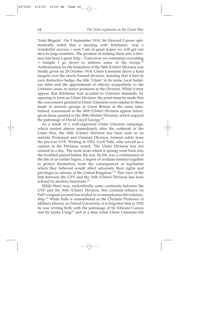'Irish Brigade'. On 3 September 1914, Sir Edward Carson optimistically noted that a meeting with Kitchener, 'was a wonderful success + now I am in great hopes we will get our men in large numbers. The promise of making them into a division has been a great help – Tomorrow we commence recruiting  $+$  tonight I go down to address some of the troops.<sup> $\overline{9}$ </sup> Authorisation for the formation of the 36th (Ulster) Division was finally given on 28 October 1914. Ulster Unionists drove a hard bargain over the newly formed division, insisting that it had its own distinctive badge, the title 'Ulster' in its name, local battalion titles and the appointment of officers sympathetic to the Unionist cause, to senior positions in the Division. While it may appear that Kitchener had acceded to Unionist demands, by agreeing to form an Ulster Division, the point must be made that the concessions granted to Ulster Unionists were similar to those made to interest groups in Great Britain at the same time. Indeed, concessions to the 36th (Ulster) Division appear minor, given those granted to the 38th (Welsh) Division, which enjoyed the patronage of David Lloyd George.<sup>10</sup>

As a result of a well-organised Ulster Unionist campaign, which started almost immediately after the outbreak of the Great War, the 36th (Ulster) Division has been seen as an entirely Protestant and Unionist Division, formed solely from the pre-war UVF. Writing in 1922, Cyril Falls, who served as a captain in the Division, noted, 'The Ulster Division was not created in a day. The roots from which it sprang went back into the troubled period before the war. Its life was a continuance of the life of an earlier legion, a legion of civilians banded together to protect themselves from the consequences of legislation which they believed would affect adversely their rights and privileges as citizens of the United Kingdom.'<sup>11</sup> This view of the link between the UVF and the 36th (Ulster) Division has been echoed by modern historians.<sup>12</sup>

While there was, undoubtedly some continuity between the UVF and the 36th (Ulster) Division, this constant reliance on Fall's original account has tended to overemphasise this relationship.<sup>13</sup> While Falls is remembered as the Chichele Professor of Military History at Oxford University, it is forgotten that in 1922 he was writing both with the patronage of Sir Edward Carson and Sir James Craig<sup>14</sup> and at a time when Ulster Unionists felt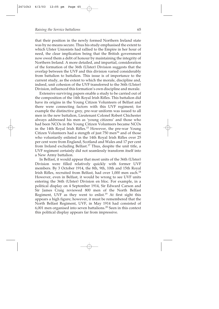that their position in the newly formed Northern Ireland state was by no means secure. Thus his study emphasised the extent to which Ulster Unionists had rallied to the Empire in her hour of need, the clear implication being that the British government now owed them a debt of honour by maintaining the integrity of Northern Ireland. A more detailed, and impartial, consideration of the formation of the 36th (Ulster) Division suggests that the overlap between the UVF and this division varied considerably from battalion to battalion. This issue is of importance to the current study, as the extent to which the morale, discipline and, indeed, unit cohesion of the UVF transferred to the 36th (Ulster) Division, influenced this formation's own discipline and morale.

Extensive surviving papers enable a study to be carried out of the composition of the 14th Royal Irish Rifles. This battalion did have its origins in the Young Citizen Volunteers of Belfast and there were connecting factors with this UVF regiment; for example the distinctive grey, pre-war uniform was issued to all men in the new battalion, Lieutenant Colonel Robert Chichester always addressed his men as 'young citizens' and those who had been NCOs in the Young Citizen Volunteers became NCOs in the 14th Royal Irish Rifles.<sup>15</sup> However, the pre-war Young Citizen Volunteers had a stength of just  $750$  men<sup>16</sup> and of those who voluntarily enlisted in the 14th Royal Irish Rifles over 25 per cent were from England, Scotland and Wales and 17 per cent from Ireland excluding Belfast.<sup>17</sup> Thus, despite the unit title, a UVF regiment certainly did not seamlessly transform itself into a New Army battalion.

In Belfast, it would appear that most units of the 36th (Ulster) Division were filled relatively quickly with former UVF members. By 3 October 1914, the 8th, 9th, 10th and 15th Royal Irish Rifles, recruited from Belfast, had over 1,000 men each.<sup>18</sup> However, even in Belfast, it would be wrong to see UVF units entering the 36th (Ulster) Division en bloc. For example, in a political display on 4 September 1914, Sir Edward Carson and Sir James Craig reviewed 800 men of the North Belfast Regiment, UVF as they went to enlist.<sup>19</sup> At first sight this appears a high figure; however, it must be remembered that the North Belfast Regiment, UVF, in May 1914 had consisted of  $6,001$  men organised into seven battalions.<sup>20</sup> Seen in this context this political display appears far from impressive.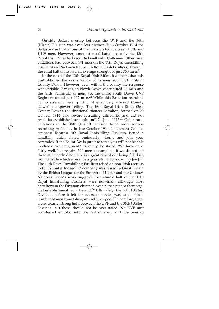Outside Belfast overlap between the UVF and the 36th (Ulster) Division was even less distinct. By 3 October 1914 the Belfast-raised battalions of the Division had between 1,038 and 1,119 men. However, amongst rural battalions only the 13th Royal Irish Rifles had recruited well with 1,246 men. Other rural battalions had between 471 men (in the 11th Royal Inniskilling Fusiliers) and 940 men (in the 9th Royal Irish Fusiliers). Overall, the rural battalions had an average strength of just  $768$  men.<sup>21</sup>

In the case of the 13th Royal Irish Rifles, it appears that this unit obtained the vast majority of its men from UVF units in County Down. However, even within the county the response was variable. Bangor, in North Down contributed 97 men and the Ards Peninsula 85 men, yet the entire South Down UVF Regiment found just 102 men.<sup>22</sup> While this Battalion recruited up to strength very quickly, it effectively marked County Down's manpower ceiling. The 16th Royal Irish Rifles (2nd County Down), the divisional pioneer battalion, formed on 20 October 1914, had severe recruiting difficulties and did not reach its established strength until 24 June 1915.<sup>23</sup> Other rural battalions in the 36th (Ulster) Division faced more serious recruiting problems. In late October 1914, Lieutenant Colonel Ambrose Ricardo, 9th Royal Inniskilling Fusiliers, issued a handbill, which stated ominously, 'Come and join your comrades. If the Ballot Act is put into force you will not be able to choose your regiment.' Privately, he stated, 'We have done fairly well, but require 300 men to complete, if we do not get these at an early date there is a great risk of our being filled up from outside which would be a great slur on our country [sic].'<sup>24</sup> The 11th Royal Inniskilling Fusiliers relied on non-Irish recruits to fill its ranks. Indeed 'C' company was raised in Great Britain by the British League for the Support of Ulster and the Union.<sup>25</sup> Nicholas Perry's work suggests that almost half of the 11th Royal Inniskilling Fusiliers were non-Irish, although most battalions in the Division obtained over 90 per cent of their original establishment from Ireland.<sup>26</sup> Ultimately, the 36th (Ulster) Division, before it left for overseas service was to contain a number of men from Glasgow and Liverpool.<sup>27</sup> Therefore, there were, clearly, strong links between the UVF and the 36th (Ulster) Division, but these should not be over-stated. No UVF unit transferred en bloc into the British army and the overlap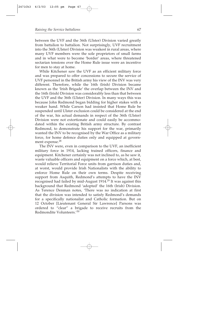between the UVF and the 36th (Ulster) Division varied greatly from battalion to battalion. Not surprisingly, UVF recruitment into the 36th (Ulster) Division was weakest in rural areas, where many UVF members were the sole proprietors of small farms and in what were to become 'border' areas, where threatened sectarian tensions over the Home Rule issue were an incentive for men to stay at home.

While Kitchener saw the UVF as an efficient military force and was prepared to offer concessions to secure the service of UVF personnel in the British army his view of the INV was very different. Therefore, while the 16th (Irish) Division became known as the 'Irish Brigade' the overlap between the INV and the 16th (Irish) Division was considerably less than that between the UVF and the 36th (Ulster) Division. In many ways this was because John Redmond began bidding for higher stakes with a weaker hand. While Carson had insisted that Home Rule be suspended until Ulster exclusion could be considered at the end of the war, his actual demands in respect of the 36th (Ulster) Division were not extortionate and could easily be accommodated within the existing British army structure. By contrast Redmond, to demonstrate his support for the war, primarily wanted the INV to be recognised by the War Office as a military force, for home defence duties only and equipped at government expense.<sup>28</sup>

The INV were, even in comparison to the UVF, an inefficient military force in 1914, lacking trained officers, finance and equipment. Kitchener certainly was not inclined to, as he saw it, waste valuable officers and equipment on a force which, at best, would relieve Territorial Force units from garrison duties and, at worst, would provide Irish Nationalists with the ability to enforce Home Rule on their own terms. Despite receiving support from Asquith, Redmond's attempts to have the INV recognised had failed by mid-August 1914.<sup>29</sup> It was against this background that Redmond 'adopted' the 16th (Irish) Division. As Terence Denman notes, 'There was no indication at first that the division was intended to satisfy Redmond's demands for a specifically nationalist and Catholic formation. But on 12 October [Lieutenant General Sir Lawrence] Parsons was ordered to "clear" a brigade to receive recruits from the Redmondite Volunteers.'<sup>30</sup>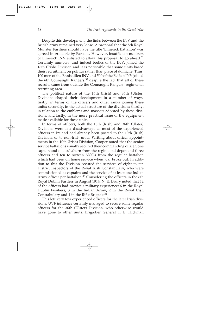Despite this development, the links between the INV and the British army remained very loose. A proposal that the 8th Royal Munster Fusiliers should have the title 'Limerick Battalion' was agreed in principle by Parsons. However, insufficient numbers of Limerick INV enlisted to allow this proposal to go ahead.<sup>31</sup> Certainly numbers, and indeed bodies of the INV, joined the 16th (Irish) Division and it is noticeable that some units based their recruitment on politics rather than place of domicile. Thus, 100 men of the Enniskillen INV and 500 of the Belfast INV joined the 6th Connaught Rangers, $32$  despite the fact that all of these recruits came from outside the Connaught Rangers' regimental recruiting area.

The political nature of the 16th (Irish) and 36th (Ulster) Divisions shaped their development in a number of ways: firstly, in terms of the officers and other ranks joining these units; secondly, in the actual structure of the divisions; thirdly, in relation to the emblems and mascots adopted by these divisions; and lastly, in the more practical issue of the equipment made available for these units.

In terms of officers, both the 16th (Irish) and 36th (Ulster) Divisions were at a disadvantage as most of the experienced officers in Ireland had already been posted to the 10th (Irish) Division, or to non-Irish units. Writing about officer appointments in the 10th (Irish) Division, Cooper noted that the senior service battalions usually secured their commanding officer, one captain and one subaltern from the regimental depot and three officers and ten to sixteen NCOs from the regular battalion which had been on home service when war broke out. In addition to this the Division secured the services of eight to ten District Inspectors of the Royal Irish Constabulary, who were commissioned as captains and the service of at least one Indian Army officer per battalion.<sup>33</sup> Considering the officers in the 6th Royal Dublin Fusilers in August 1914, N. E. Drury noted that 12 of the officers had previous military experience; 6 in the Royal Dublin Fusiliers, 3 in the Indian Army, 2 in the Royal Irish Constabulary and 1 in the Rifle Brigade.<sup>34</sup>

This left very few experienced officers for the later Irish divisions. UVF influence certainly managed to secure some regular officers for the 36th (Ulster) Division, who otherwise would have gone to other units. Brigadier General T. E. Hickman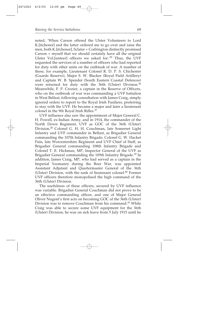noted, 'When Carson offered the Ulster Volunteers to Lord K.[itchener] and the latter ordered me to go over and raise the men, both K.[itchener], Sclater + Codrington distinctly promised Carson + myself that we should certainly have all the original Ulster Vol.[unteer] officers we asked for.'<sup>35</sup> Thus, the UVF requested the services of a number of officers who had reported for duty with other units on the outbreak of war. A number of these, for example, Lieutenant Colonel R. D. P. S. Chichester (Guards Reserve), Major S. W. Blacker (Royal Field Artillery) and Captain W. B. Spender (South Eastern Coastal Defences) were returned for duty with the 36th (Ulster) Division.<sup>36</sup> Meanwhile, F. P. Crozier, a captain in the Reserve of Officers, who on the outbreak of war was commanding a UVF battalion in West Belfast, following consultation with James Craig, simply ignored orders to report to the Royal Irish Fusiliers, preferring to stay with the UVF. He became a major and later a lieutenant colonel in the 9th Royal Irish Rifles.<sup>37</sup>

UVF influence also saw the appointment of Major General C. H. Powell, ex-Indian Army, and in 1914, the commander of the North Down Regiment, UVF as GOC of the 36th (Ulster) Division,<sup>38</sup> Colonel G. H. H. Couchman, late Somerset Light Infantry and UVF commander in Belfast, as Brigadier General commanding the 107th Infantry Brigade, Colonel G. W. Hacket Pain, late Worcestershire Regiment and UVF Chief of Staff, as Brigadier General commanding 108th Infantry Brigade and Colonel T. E. Hickman, MP, Inspector General of the UVF as Brigadier General commanding the 109th Infantry Brigade.<sup>39</sup> In addition, James Craig, MP, who had served as a captain in the Imperial Yeomanry during the Boer War, was appointed Assistant Adjutant and Quartermaster General of the 36th (Ulster) Division, with the rank of lieutenant colonel. $40$  Former UVF officers therefore monopolised the high command of the 36th (Ulster) Division.

The usefulness of these officers, secured by UVF influence was variable. Brigadier General Couchman did not prove to be an effective commanding officer, and one of Major General Oliver Nugent's first acts on becoming GOC of the 36th (Ulster) Division was to remove Couchman from his command.<sup>41</sup> While Craig was able to secure some UVF equipment for the 36th (Ulster) Division, he was on sick leave from 5 July 1915 until he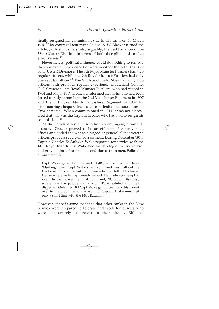finally resigned his commission due to ill health on 10 March 1916.<sup>42</sup> By contrast Lieutenant Colonel S. W. Blacker turned the 9th Royal Irish Fusiliers into, arguably, the best battalion in the 36th (Ulster) Division, in terms of both discipline and combat effectiveness.<sup>43</sup>

Nevertheless, political influence could do nothing to remedy the shortage of experienced officers in either the 16th (Irish) or 36th (Ulster) Divisions. The 8th Royal Munster Fusiliers had two regular officers, while the 9th Royal Munster Fusiliers had only one regular officer.<sup>44</sup> The 9th Royal Irish Rifles had only two officers with previous regular experience: Lieutenant Colonel G. S. Ormerod, late Royal Munster Fusiliers, who had retired in 1904 and Major F. P. Crozier, a reformed alcoholic who had been forced to resign from both the 2nd Manchester Regiment in 1907 and the 3rd Loyal North Lancashire Regiment in 1909 for dishonouring cheques. Indeed, a confidential memorandum on Crozier noted, 'When commissioned in 1914 it was not discovered that this was the Captain Crozier who had had to resign his commission.'<sup>45</sup>

At the battalion level these officers were, again, a variable quantity. Crozier proved to be an efficient, if controversial, officer and ended the war as a brigadier general. Other veteran officers proved a severe embarrassment. During December 1914, Captain Charles St Aulwyn Wake reported for service with the 14th Royal Irish Rifles. Wake had lost his leg on active service and proved himself to be in no condition to train men. Following a route march,

Capt. Wake gave the command 'Halt!', as the men had been 'Marking Time', Capt. Wake's next command was 'Fall out the Gentlemen.' For some unknown reason he then fell off his horse. He lay where he fell, apparently unhurt. He made no attempt to rise. He then gave the final command, 'Battalion Dis-miss', whereupon the parade did a Right Turn, saluted and then dispersed. Only then did Capt. Wake get up, and hand his mount over to the groom, who was waiting. Captain Wake remained only a short time with the 14th. Battalion.<sup>46</sup>

However, there is some evidence that other ranks in the New Armies were prepared to tolerate and work for officers who were not entirely competent in their duties. Rifleman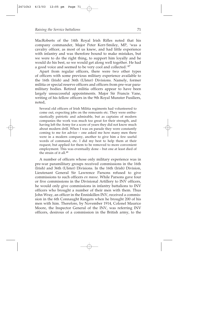MacRoberts of the 14th Royal Irish Rifles noted that his company commander, Major Peter Kerr-Smiley, MP, 'was a cavalry officer, as most of us knew, and had little experience with infantry and was therefore bound to make mistakes, but we were to do the right thing, to support him loyally and he would do his best, so we would get along well together. He had a good voice and seemed to be very cool and collected.'<sup>47</sup>

Apart from regular officers, there were two other types of officers with some previous military experience available to the 16th (Irish) and 36th (Ulster) Divisions. Namely, former militia or special reserve officers and officers from pre-war paramilitary bodies. Retired militia officers appear to have been largely unsuccessful appointments. Major Sir Francis Vane, writing of his fellow officers in the 9th Royal Munster Fusiliers, noted,

Several old officers of Irish Militia regiments had volunteered to come out, expecting jobs on the remounts etc. They were enthusiastically patriotic and admirable, but as captains of modern companies the work was much too great for their strength, and having left the Army for a score of years they did not know much about modern drill. When I was on parade they were constantly coming to me for advice – one asked me how many men there were in a modern company, another to give him a few useful words of command, etc. I did my best to help them at their request, but applied for them to be removed to more convenient employment. This was eventually done – but one at least died of the strain of it all.<sup>48</sup>

A number of officers whose only military experience was in pre-war paramilitary groups received commissions in the 16th (Irish) and 36th (Ulster) Divisions. In the 16th (Irish) Division, Lieutenant General Sir Lawrence Parsons refused to give commissions to such officers *en masse*. While Parsons gave four or five commissions in the Divisional Artillery to INV officers, he would only give commissions in infantry battalions to INV officers who brought a number of their men with them. Thus John Wray, an officer in the Enniskillen INV, received a commission in the 6th Connaught Rangers when he brought 200 of his men with him. Therefore, by November 1914, Colonel Maurice Moore, the Inspector General of the INV, was referring INV officers, desirous of a commission in the British army, to the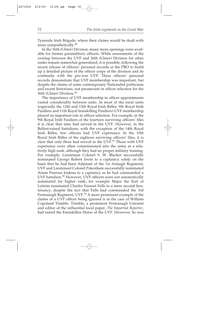Tyneside Irish Brigade, where their claims would be dealt with more sympathetically.<sup>49</sup>

In the 36th (Ulster) Division, many more openings were available for former paramilitary officers. While assessments of the overlap between the UVF and 36th (Ulster) Division for other ranks remain somewhat generalised, it is possible, following the recent release of officers' personal records at the PRO to build up a detailed picture of the officer corps of the division and its continuity with the pre-war UVF. These officers' personal records demonstrate that UVF membership was important, but despite the claims of some contemporary Nationalist politicians and recent historians, not paramount in officer selection for the 36th (Ulster) Division.<sup>50</sup>

The importance of UVF membership in officer appointments varied considerably between units. In most of the rural units (especially the 12th and 13th Royal Irish Rifles, 9th Royal Irish Fusiliers and 11th Royal Inniskilling Fusiliers) UVF membership played an important role in officer selection. For example, in the 9th Royal Irish Fusiliers of the fourteen surviving officers' files it is clear that nine had served in the UVF. However, in the Belfast-raised battalions, with the exception of the 14th Royal Irish Rifles, few officers had UVF experience. In the 10th Royal Irish Rifles of the eighteen surviving officers' files, it is clear that only three had served in the UVF.<sup>51</sup> Those with UVF experience were often commissioned into the army at a relatively high rank, although they had no proper military training. For example, Lieutenant Colonel S. W. Blacker successfully nominated George Robert Irwin to a captaincy solely on the basis that he had been Adjutant of the 1st Armagh Regiment, UVF and Lieutenant Colonel Pakenham successfully nominated Adam Penrose Jenkins to a captaincy as he had commanded a UVF battalion.<sup>52</sup> However, UVF officers were not automatically nominated for higher rank; for example Major the Earl of Leitrim nominated Charles Fausset Falls to a mere second lieutenancy, despite the fact that Falls had commanded the 3rd Fermanagh Regiment, UVF.<sup>53</sup> A more prominent example of the claims of a UVF officer being ignored is in the case of William Copeland Trimble. Trimble, a prominent Fermanagh Unionist and editor of the influential local paper, *The Impartial Reporter*, had raised the Enniskillen Horse of the UVF. However, he was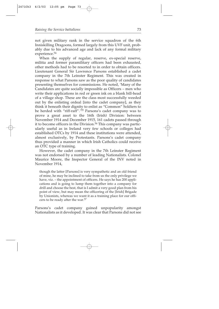not given military rank in the service squadron of the 6th Inniskilling Dragoons, formed largely from this UVF unit, probably due to his advanced age and lack of any formal military experience.<sup>54</sup>

When the supply of regular, reserve, ex-special reserve, militia and former paramilitary officers had been exhausted, other methods had to be resorted to in order to obtain officers. Lieutenant General Sir Lawrence Parsons established a cadet company in the 7th Leinster Regiment. This was created in response to what Parsons saw as the poor quality of candidates presenting themselves for commissions. He noted, 'Many of the Candidates are quite socially impossible as Officers – men who write their applications in red or green ink on a blank bill-head of a village shop. These are the class most successfully weeded out by the enlisting ordeal [into the cadet company], as they think it beneath their dignity to enlist as "Common" Soldiers to be herded with "riff-raff".<sup>'55</sup> Parsons's cadet company was to prove a great asset to the 16th (Irish) Division: between November 1914 and December 1915, 161 cadets passed through it to become officers in the Division.<sup>56</sup> This company was particularly useful as in Ireland very few schools or colleges had established OTCs by 1914 and these institutions were attended, almost exclusively, by Protestants. Parsons's cadet company thus provided a manner in which Irish Catholics could receive an OTC type of training.

However, the cadet company in the 7th Leinster Regiment was not endorsed by a number of leading Nationalists. Colonel Maurice Moore, the Inspector General of the INV noted in November 1914,

though the latter [Parsons] is very sympathetic and an old friend of mine, he may be inclined to take from us the only privilege we have, viz. – the appointment of officers. He says he has 200 applications and is going to lump them together into a company for drill and choose the best, that is I admit a very good plan from his point of view, but may mean the officering of the [Irish] Brigade by Unionists, whereas we want it as a training place for our officers to be ready after the war.<sup>57</sup>

Parsons's cadet company gained unpopularity amongst Nationalists as it developed. It was clear that Parsons did not see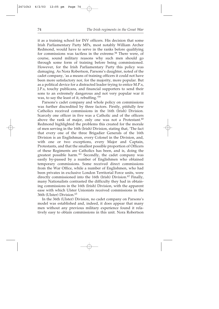it as a training school for INV officers. His decision that some Irish Parliamentary Party MPs, most notably William Archer Redmond, would have to serve in the ranks before qualifying for commissions was tactless in the extreme.<sup>58</sup> There were, of course, sound military reasons why such men should go through some form of training before being commissioned. However, for the Irish Parliamentary Party this policy was damaging. As Nora Robertson, Parsons's daughter, noted of the cadet company, 'as a means of training officers it could not have been more satisfactory nor, for the majority, more popular. But as a political device for a distracted leader trying to entice M.P.s, J.P.s, touchy publicans, and financial supporters to send their sons to an extremely dangerous and not very popular war it was, to say the least of it, rebuffing.'<sup>59</sup>

Parsons's cadet company and whole policy on commissions was further discredited by three factors. Firstly, pitifully few Catholics received commissions in the 16th (Irish) Division. Scarcely one officer in five was a Catholic and of the officers above the rank of major, only one was not a Protestant.<sup>60</sup> Redmond highlighted the problems this created for the morale of men serving in the 16th (Irish) Division, stating that, 'The fact that every one of the three Brigadier Generals of the 16th Division is an Englishman, every Colonel in the Division, and, with one or two exceptions, every Major and Captain, Protestants, and that the smallest possible proportion of Officers of these Regiments are Catholics has been, and is, doing the greatest possible harm.'<sup>61</sup> Secondly, the cadet company was easily by-passed by a number of Englishmen who obtained temporary commissions. Some received direct commissions from the War Office, while a number of Englishmen, who had been privates in exclusive London Territorial Force units, were directly commissioned into the 16th (Irish) Division.<sup>62</sup> Finally, many Nationalists contrasted the difficulty they had in obtaining commissions in the 16th (Irish) Division, with the apparent ease with which Ulster Unionists received commissions in the 36th (Ulster) Division.<sup>63</sup>

In the 36th (Ulster) Division, no cadet company on Parsons's model was established and, indeed, it does appear that many men without any previous military experience found it relatively easy to obtain commissions in this unit. Nora Robertson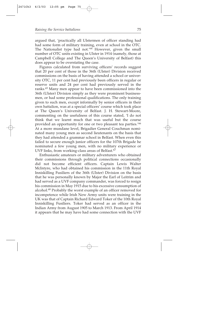argued that, 'practically all Ulstermen of officer standing had had some form of military training, even at school in the OTC. The Nationalist type had not.<sup>'64</sup> However, given the small number of OTC units existing in Ulster in 1914 (namely, those at Campbell College and The Queen's University of Belfast) this does appear to be overstating the case.

Figures calculated from surviving officers' records suggest that 20 per cent of those in the 36th (Ulster) Division received commissions on the basis of having attended a school or university OTC, 11 per cent had previously been officers in regular or reserve units and 24 per cent had previously served in the ranks.<sup>65</sup> Many men appear to have been commissioned into the 36th (Ulster) Division simply as they were prominent businessmen, or had some professional qualifications. The only training given to such men, except informally by senior officers in their own battalion, was at a special officers' course which took place at The Queen's University of Belfast. J. H. Stewart-Moore, commenting on the usefulness of this course stated, 'I do not think that we learnt much that was useful but the course provided an opportunity for one or two pleasant tea parties.'<sup>66</sup> At a more mundane level, Brigadier General Couchman nominated many young men as second lieutenants on the basis that they had attended a grammar school in Belfast. When even this failed to secure enough junior officers for the 107th Brigade he nominated a few young men, with no military experience or UVF links, from working-class areas of Belfast.<sup>67</sup>

Enthusiastic amateurs or military adventurers who obtained their commissions through political connections occasionally did not become efficient officers. Captain Lewis Walter McIntyre, who had obtained his commission in the 11th Royal Inniskilling Fusiliers of the 36th (Ulster) Division on the basis that he was personally known by Major the Earl of Leitrim and had served as a UVF company commander, was forced to resign his commission in May 1915 due to his excessive consumption of alcohol.<sup>68</sup> Probably the worst example of an officer removed for incompetence while Irish New Army units were training in the UK was that of Captain Richard Edward Toker of the 10th Royal Inniskilling Fusiliers. Toker had served as an officer in the Indian Army from August 1905 to March 1913. From April 1914 it appears that he may have had some connection with the UVF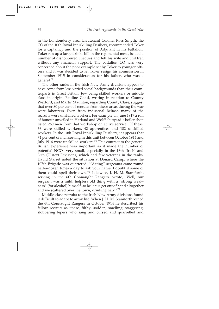in the Londonderry area. Lieutenant Colonel Ross Smyth, the CO of the 10th Royal Inniskilling Fusiliers, recommended Toker for a captaincy and the position of Adjutant in his battalion. Toker ran up a large drinks bill in the regimental mess, issued a number of dishonoured cheques and left his wife and children without any financial support. The battalion CO was very concerned about the poor example set by Toker to younger officers and it was decided to let Toker resign his commission in September 1915 in consideration for his father, who was a general.<sup>69</sup>

The other ranks in the Irish New Army divisions appear to have come from less varied social backgrounds than their counterparts in Great Britain, few being skilled workers or middle class in origin. Pauline Codd, writing in relation to County Wexford, and Martin Staunton, regarding County Clare, suggest that over 80 per cent of recruits from these areas during the war were labourers. Even from industrial Belfast, many of the recruits were unskilled workers. For example, in June 1917 a roll of honour unveiled in Harland and Wolff shipyard's boiler shop listed 260 men from that workshop on active service. Of these, 36 were skilled workers, 42 apprentices and 182 unskilled workers. In the 10th Royal Inniskilling Fusiliers, it appears that 74 per cent of men serving in this unit between October 1914 and July 1916 were unskilled workers.<sup>70</sup> This contrast to the general British experience was important as it made the number of potential NCOs very small, especially in the 16th (Irish) and 36th (Ulster) Divisions, which had few veterans in the ranks. David Starret noted the situation at Donard Camp, where the 107th Brigade was quartered: '"Acting" sergeants came round half-a-dozen times a day to ask your name. I doubt if some of them could spell their own.'<sup>71</sup> Likewise, J. H. M. Staniforth, serving in the 6th Connaught Rangers, wrote, 'Well, our sergeant was a mild, helpless old thing with a "strong weakness" [for alcohol] himself, so he let us get out of hand altogether and we scattered over the town, drinking hard.'<sup>72</sup>

Middle-class recruits to the Irish New Army divisions found it difficult to adapt to army life. When J. H. M. Staniforth joined the 6th Connaught Rangers in October 1914 he described his fellow recruits as 'these, filthy, sodden, smelling, staggering, slobbering lepers who sang and cursed and quarrelled and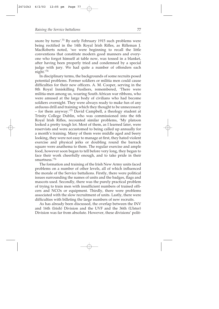snore by turns'.<sup>73</sup> By early February 1915 such problems were being rectified in the 14th Royal Irish Rifles, as Rifleman J. MacRoberts noted, 'we were beginning to recall the little conventions that constitute modern good manners and everyone who forgot himself at table now, was tossed in a blanket, after having been properly tried and condemned by a special judge with jury. We had quite a number of offenders each night.'<sup>74</sup>

In disciplinary terms, the backgrounds of some recruits posed potential problems. Former soldiers or militia men could cause difficulties for their new officers. A. M. Cooper, serving in the 8th Royal Inniskilling Fusiliers, remembered, 'There were militia-men among us, wearing South African war ribbons, who were amused at the large body of civilians who had become soldiers overnight. They were always ready to make fun of any arduous drill and training which they thought to be unnecessary – for them anyway.'<sup>75</sup> David Campbell, a theology student at Trinity College Dublin, who was commissioned into the 6th Royal Irish Rifles, recounted similar problems, 'My platoon looked a pretty tough lot. Most of them, as I learned later, were reservists and were accustomed to being called up annually for a month's training. Many of them were middle aged and beery looking, they were not easy to manage at first, they hated violent exercise and physical jerks or doubling round the barrack square were anathema to them. The regular exercise and ample food, however soon began to tell before very long, they began to face their work cheerfully enough, and to take pride in their smartness.'<sup>76</sup>

The formation and training of the Irish New Army units faced problems on a number of other levels, all of which influenced the morale of the Service battalions. Firstly, there were political issues surrounding the names of units and the badges, flags and mascots used. Secondly, there was the purely practical problem of trying to train men with insufficient numbers of trained officers and NCOs or equipment. Thirdly, there were problems associated with the slow recruitment of units. Lastly, there were difficulties with billeting the large numbers of new recruits.

As has already been discussed, the overlap between the INV and 16th (Irish) Division and the UVF and the 36th (Ulster) Division was far from absolute. However, these divisions' polit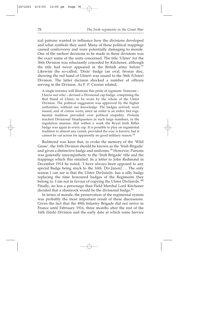ical patrons wanted to influence how the divisions developed and what symbols they used. Many of these political trappings caused controversy and were potentially damaging to morale. One of the earliest decisions to be made in these divisions was the exact name of the units concerned. The title 'Ulster' for the 36th Division was reluctantly conceded by Kitchener, although the title had never appeared in the British army before.<sup>77</sup> Likewise the so-called, 'Dixie' badge (an oval, bronze disc, showing the red hand of Ulster) was issued to the 36th (Ulster) Division. The latter decision shocked a number of officers serving in the Division. As F. P. Crozier related,

A single instance will illustrate this pride of regiment. Someone – I know not who – devised a Divisional cap badge, comprising the Red Hand of Ulster, to be worn by the whole of the Ulster Division. The political suggestion was approved by the higher authorities, without our knowledge. The badges arrived, were issued, and of course worn, since an order is an order; but regimental tradition prevailed over political stupidity. Protests reached Divisional Headquarters in such large numbers, in the regulation manner, that within a week the Royal Irish Rifles badge was again in every cap. It is possible to play on regimental tradition to almost any extent, provided the way is known, but it cannot be cut across for apparently no good military reason.<sup>78</sup>

Redmond was keen that, to evoke the memory of the 'Wild Geese', the 16th Division should be known as the 'Irish Brigade' and given a distinctive badge and uniforms.<sup>79</sup> However, Parsons was generally unsympathetic to the 'Irish Brigade' title and the trappings which this entailed. In a letter to John Redmond in December 1914 he noted, 'I have always been opposed to any special Badge being stuck to the 16th. Div. [ision] ... The only reason I can see is that the Ulster Div[isio]n. has a silly badge replacing the time honoured badges of the Regiments they belong to. I am not in favour of copying the Ulster Div[isio]n.<sup>'80</sup> Finally, no less a personage than Field Marshal Lord Kitchener decided that a shamrock would be the divisional badge. $81$ 

In terms of morale, the preservation of the regimental system was probably the most important result of these discussions. Given the fact that the 49th Infantry Brigade did not arrive in France until February 1916, three months after the rest of the 16th (Irish) Division and the early date at which some Service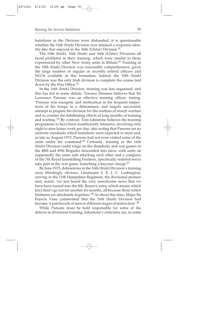battalions in the Division were disbanded, it is questionable whether the 16th (Irish) Division ever attained a corporate identity like that enjoyed in the 36th (Ulster) Division.<sup>82</sup>

The 10th (Irish), 16th (Irish) and 36th (Ulster) Divisions all faced problems in their training, which were similar to those experienced by other New Army units in Britain.<sup>83</sup> Training in the 10th (Irish) Division was reasonably comprehensive, given the large number of regular or recently retired officers and NCOs available in this formation. Indeed, the 10th (Irish) Division was the only Irish division to complete the course laid down by the War Office.<sup>84</sup>

In the 16th (Irish) Division, training was less organised, and this has led to some debate. Terence Denman believes that Sir Lawrence Parsons was an effective training officer, stating, 'Parsons was energetic and methodical in his frequent inspections of his troops in a determined, and largely successful, attempt to prepare his division for the realities of trench warfare and to counter the debilitating effects of long months of training and waiting.'<sup>85</sup> By contrast, Tom Johnstone believes the training programme to have been insufficiently intensive, involving only eight to nine hours work per day; also noting that Parsons set no uniform standards which battalions were expected to meet and, as late as August 1915, Parsons had not even visited some of the units under his command.<sup>86</sup> Certainly, training in the 16th (Irish) Division could verge on the shambolic and war games in the 48th and 49th Brigades descended into farce, with units on supposedly the same side attacking each other and a company of the 7th Royal Inniskilling Fusiliers, specifically ordered not to take part in the war game, launching a bayonet charge.<sup>87</sup>

By June 1915, deficiencies in the 16th (Irish) Division's training were blindingly obvious. Lieutenant S. E. J. C. Lushington, serving in the 11th Hampshire Regiment, the divisional pioneer unit, noted, 'we just heard the very unwelcome news that we have been turned into the 4th. Reserve army which means which [sic] shan't go out for another six months, all because these rotten Irishmen are absolutely hopeless.'<sup>88</sup> At about this time, Major Sir Francis Vane commented that the 16th (Irish) Division had become 'a patchwork of men in different stages of instruction'.<sup>89</sup>

While Parsons must be held responsible for some of the defects in divisional training, Johnstone's criticisms are, to some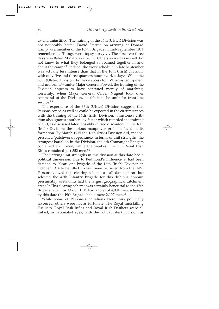extent, unjustified. The training of the 36th (Ulster) Division was not noticeably better. David Starret, on arriving at Donard Camp, as a member of the 107th Brigade in mid-September 1914 remembered, 'Things were topsy-turvy ... The first two-three days was Babel. My! it was a picnic. Others as well as myself did not know to what they belonged so roamed together in and about the camp.'<sup>90</sup> Indeed, the work schedule in late September was actually less intense than that in the 16th (Irish) Division, with only five and three-quarters hours work a day.<sup>91</sup> While the 36th (Ulster) Division did have access to UVF arms, equipment and uniforms,<sup>92</sup> under Major General Powell, the training of the Division appears to have consisted merely of marching. Certainly, when Major General Oliver Nugent took over command of the Division, he felt it to be unfit for front-line service.<sup>93</sup>

The experience of the 36th (Ulster) Division suggests that Parsons coped as well as could be expected in the circumstances with the training of the 16th (Irish) Division. Johnstone's criticism also ignores another key factor which retarded the training of and, as discussed later, possibly caused discontent in, the 16th (Irish) Division: the serious manpower problem faced in its formation. By March 1915 the 16th (Irish) Division did, indeed, present a 'patchwork appearance' in terms of unit strengths; the strongest battalion in the Division, the 6th Connaught Rangers contained 1,235 men, while the weakest, the 7th Royal Irish Rifles contained just 352 men.<sup>94</sup>

The varying unit strengths in this division at this date had a political dimension. Due to Redmond's influence, it had been decided to 'clear' one brigade of the 16th (Irish) Division in October 1914 to be filled up with men recruited from the INV. Parsons viewed this clearing scheme as 'all damned rot' but selected the 47th Infantry Brigade for this dubious honour, presumably as its units had the largest geographical catchment areas.<sup>95</sup> This clearing scheme was certainly beneficial to the 47th Brigade which by March 1915 had a total of 4,004 men, whereas by this date the 49th Brigade had a mere 2,197 men.<sup>96</sup>

While some of Parsons's battalions were thus politically favoured, others were not as fortunate. The Royal Inniskilling Fusiliers, Royal Irish Rifles and Royal Irish Fusiliers were all linked, in nationalist eyes, with the 36th (Ulster) Division, as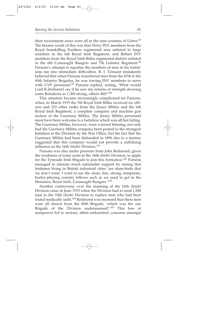their recruitment areas were all in the nine counties of Ulster.<sup>97</sup> The bizarre result of this was that Derry INV members from the Royal Inniskilling Fusiliers regimental area enlisted in large numbers in the 6th Royal Irish Regiment, and Belfast INV members from the Royal Irish Rifles regimental district enlisted in the 6th Connaught Rangers and 7th Leinster Regiment.<sup>98</sup> Parsons's attempt to equalise the numbers of men in his battalions ran into immediate difficulties. R. J. Tennant mistakenly believed that when Parsons transferred men from the 47th to the 49th Infantry Brigades, he was forcing INV members to serve with UVF personnel.<sup>99</sup> Parsons replied, noting, 'What would Lord K.[itchener] say if he saw my returns of strength showing some Battalions as 1,300 strong, others  $400!^{\prime}$ <sup>100</sup>

This situation became increasingly complicated for Parsons, when, in March 1915 the 7th Royal Irish Rifles received six officers and 225 other ranks from the Jersey Militia and the 6th Royal Irish Regiment, a complete company and machine gun section of the Guernsey Militia. The Jersey Militia personnel must have been welcome to a battalion which was all but failing. The Guernsey Militia, however, were a mixed blessing; not only had the Guernsey Militia company been posted to the strongest battalion in the Division by the War Office, but the fact that the Guernsey Militia had been disbanded in 1896 due to a mutiny suggested that this company would not provide a stabilising influence in the 16th (Irish) Division.<sup>101</sup>

Parsons was also under pressure from John Redmond, given the weakness of some units in the 16th (Irish) Division, to apply for the Tyneside Irish Brigade to join this formation.<sup>102</sup> Parsons managed to alienate much nationalist support by stating that Irishmen living in British industrial cities 'are slum-birds that we don't want. I want to see the clean, fine, strong, temperate, hurley-playing country fellows such as we used to get in the Munsters, Royal Irish, Connaught Rangers.'<sup>103</sup>

Another controversy over the manning of the 16th (Irish) Division came in June 1915 when the Division had to send 1,200 men to the 10th (Irish) Division to replace men who had been found medically unfit.<sup>104</sup> Redmond was incensed that these men were all drawn from the 49th Brigade, 'which was the one Brigade of the Division undermanned'.<sup>105</sup> This loss of manpower led to serious, albeit unfounded, concerns amongst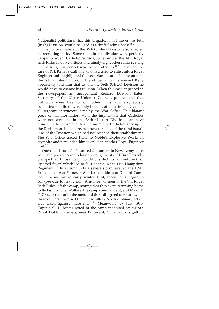Nationalist politicians that this brigade, if not the entire 16th (Irish) Division, would be used as a draft-finding body.<sup>106</sup>

The political nature of the 36th (Ulster) Division also affected its recruiting policy. Some units in this division were perfectly happy to accept Catholic recruits; for example, the 14th Royal Irish Rifles had five officers and ninety-eight other ranks serving in it during this period who were Catholics.<sup>107</sup> However, the case of P. J. Kelly, a Catholic who had tried to enlist into a Royal Engineer unit highlighted the sectarian nature of some units in the 36th (Ulster) Division. The officer who interviewed Kelly apparently told him that to join the 36th (Ulster) Division he would have to change his religion. When this case appeared in the newspapers an unrepentant Richard Dawson Bates, Secretary of the Ulster Unionist Council, pointed out that Catholics were free to join other units and erroneously suggested that there were only fifteen Catholics in the Division, all sergeant instructors, sent by the War Office. This blatant piece of misinformation, with the implication that Catholics were not welcome in the 36th (Ulster) Division, can have done little to improve either the morale of Catholics serving in the Division or, indeed, recruitment for some of the rural battalions of the Division which had not reached their establishment. The War Office traced Kelly to Noble's Explosive Works in Ayrshire and persuaded him to enlist in another Royal Engineer unit.<sup>108</sup>

One final issue which caused discontent in New Army units were the poor accommodation arrangements. At Birr Barracks cramped and insanitary conditions led to an outbreak of 'spotted fever' which led to four deaths in the 11th Hampshire Regiment.<sup>109</sup> In autumn 1914 a severe storm levelled the 109th Brigade camp at Finner.<sup>110</sup> Similar conditions at Donard Camp led to a mutiny in early winter 1914, when tents began to collapse due to heavy rain. A number of men of the 9th Royal Irish Rifles left the camp, stating that they were returning home to Belfast. Colonel Wallace, the camp commandant, and Major F. P. Crozier rode after the men, and they all agreed to return when these officers promised them new billets. No disciplinary action was taken against these men.<sup>111</sup> Meanwhile, by July 1915, Captain O. L. Beater noted of the camp inhabited by the 9th Royal Dublin Fusiliers, near Buttevant, 'This camp is getting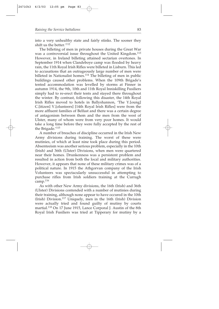into a very unhealthy state and fairly stinks. The sooner they shift us the better.'<sup>112</sup>

The billeting of men in private houses during the Great War was a controversial issue throughout the United Kingdom.<sup>113</sup> However, in Ireland billeting attained sectarian overtones. In September 1914 when Clandeboye camp was flooded by heavy rain, the 11th Royal Irish Rifles were billeted in Lisburn. This led to accusations that an outrageously large number of men were billeted in Nationalist homes. $114$  The billeting of men in public buildings caused other problems. When the 109th Brigade's tented accommodation was levelled by storms at Finner in autumn 1914, the 9th, 10th and 11th Royal Inniskilling Fusiliers simply had to re-erect their tents and stayed there throughout the winter. By contrast, following this disaster, the 14th Royal Irish Rifles moved to hotels in Ballyshannon, 'The Y.[oung] C.[itizen] V.[olunteers] [14th Royal Irish Rifles] were from the more affluent families of Belfast and there was a certain degree of antagonism between them and the men from the west of Ulster, many of whom were from very poor homes. It would take a long time before they were fully accepted by the rest of the Brigade.'<sup>115</sup>

A number of breaches of discipline occurred in the Irish New Army divisions during training. The worst of these were mutinies, of which at least nine took place during this period. Absenteeism was another serious problem, especially in the 10th (Irish) and 36th (Ulster) Divisions, when men were quartered near their homes. Drunkenness was a persistent problem and resulted in action from both the local and military authorities. However, it appears that none of these military crimes was of a political nature. In 1915 the Athgorvan company of the Irish Volunteers was spectacularly unsuccessful in attempting to purchase rifles from Irish soldiers training at the Curragh camp. $116$ 

As with other New Army divisions, the 16th (Irish) and 36th (Ulster) Divisions contended with a number of mutinies during their training, although none appear to have occured in the 10th (Irish) Division.<sup>117</sup> Uniquely, men in the 16th (Irish) Division were actually tried and found guilty of mutiny by courts martial.<sup>118</sup> On 17 June 1915, Lance Corporal J. Austin of the 8th Royal Irish Fusiliers was tried at Tipperary for mutiny by a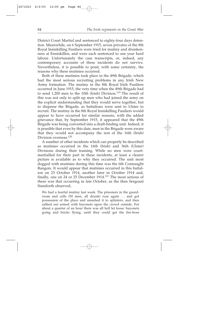District Court Martial and sentenced to eighty-four days detention. Meanwhile, on 6 September 1915, seven privates of the 8th Royal Inniskilling Fusiliers were tried for mutiny and drunkenness at Enniskillen, and were each sentenced to one year hard labour. Unfortunately the case transcripts, or, indeed, any contemporary accounts of these incidents do not survive. Nevertheless, it is possible to posit, with some certainty, the reasons why these mutinies occurred.

Both of these mutinies took place in the 49th Brigade, which had the most serious recruiting problems in any Irish New Army formation. The mutiny in the 8th Royal Irish Fusiliers occurred in June 1915, the very time when the 49th Brigade had to send 1,200 men to the 10th (Irish) Division.<sup>119</sup> The result of this was not only to split up men who had joined the army on the explicit understanding that they would serve together, but to disperse the Brigade, as battalions were sent to Ulster to recruit. The mutiny in the 8th Royal Inniskilling Fusiliers would appear to have occurred for similar reasons, with the added grievance that, by September 1915, it appeared that the 49th Brigade was being converted into a draft-finding unit. Indeed, it is possible that even by this date, men in the Brigade were aware that they would not accompany the rest of the 16th (Irish) Division overseas.<sup>120</sup>

A number of other incidents which can properly be described as mutinies occurred in the 16th (Irish) and 36th (Ulster) Divisions during their training. While no men were courtmartialled for their part in these incidents, at least a clearer picture is available as to why they occurred. The unit most dogged with mutinies during this time was the 6th Connaught Rangers. It would appear that mutinies occurred in this battalion on 23 October 1914, another later in October 1914 and, finally, one on 24 or 25 December 1914.<sup>121</sup> The most serious of these was that occurring in late October, as the then Sergeant Staniforth observed,

We had a fearful mutiny last week. The prisoners in the guardroom and cells (50 men, all drunk) rose again ... and got possession of the place and smashed it to splinters, and then sallied out armed with bayonets upon the crowd outside. For about a quarter of an hour there was all hell let loose: bayonets going and bricks flying, until they could get the fire-hose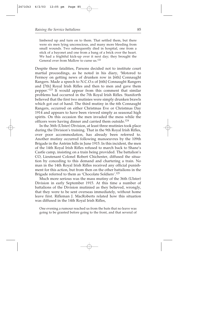limbered up and turn on to them. That settled them, but there were six men lying unconscious, and many more bleeding from small wounds. Two subsequently died in hospital, one from a stick of a bayonet and one from a bang of a brick over the heart. We had a frightful kick-up over it next day; they brought the General over from Mallow to curse us.<sup>122</sup>

Despite these fatalities, Parsons decided not to institute court martial proceedings, as he noted in his diary, 'Motored to Fermoy on getting news of drunken row in [6th] Connaught Rangers. Made a speech to N.C.O.s of [6th] Connaught Rangers and [7th] Royal Irish Rifles and then to men and gave them pepper.'<sup>123</sup> It would appear from this comment that similar problems had occurred in the 7th Royal Irish Rifles. Staniforth believed that the first two mutinies were simply drunken brawls which got out of hand. The third mutiny in the 6th Connaught Rangers, occurred on either Christmas Eve or Christmas Day 1914 and appears to have been viewed simply as seasonal high spirits. On this occasion the men invaded the mess while the officers were having dinner and carried them outside.<sup>124</sup>

In the 36th (Ulster) Division, at least three mutinies took place during the Division's training. That in the 9th Royal Irish Rifles, over poor accommodation, has already been referred to. Another mutiny occurred following manoeuvres by the 109th Brigade in the Antrim hills in June 1915. In this incident, the men of the 14th Royal Irish Rifles refused to march back to Shane's Castle camp, insisting on a train being provided. The battalion's CO, Lieutenant Colonel Robert Chichester, diffused the situation by conceding to this demand and chartering a train. No man in the 14th Royal Irish Rifles received any official punishment for this action, but from then on the other battalions in the Brigade referred to them as 'Chocolate Soldiers'.<sup>125</sup>

Much more serious was the mass mutiny of the 36th (Ulster) Division in early September 1915. At this time a number of battalions of the Division mutinied as they believed, wrongly, that they were to be sent overseas immediately, without home leave first. Rifleman J. MacRoberts related how this situation was diffused in the 14th Royal Irish Rifles,

One evening a rumour reached us from the huts that no leave was going to be granted before going to the front, and that several of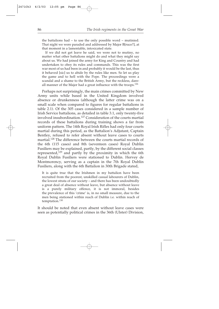the battalions had – to use the only possible word – mutinied. That night we were paraded and addressed by Major B[ruce?], at that moment in a lamentable, intoxicated state.

If we did not get leave he said, we were not to mutiny, no matter what other battalions might do and what they might say about us. We had joined the army for King and Country and had undertaken to obey its rules and commands. This was the first war most of us had been in and probably it would be the last, thus it behaved [sic] us to abide by the rules like men. So let us play the game and to hell with the Pope. The proceedings were a scandal and a shame to the British Army, but the reckless, dareall manner of the Major had a great influence with the troops.<sup>126</sup>

Perhaps not surprisingly, the main crimes committed by New Army units while based in the United Kingdom involved absence or drunkenness (although the latter crime was on a small scale when compared to figures for regular battalions in table 2.1). Of the 305 cases considered in a sample number of Irish Service battalions, as detailed in table 3.1, only twenty-five involved insubordination.<sup>127</sup> Consideration of the courts martial records of these battalions during training shows a far from uniform pattern. The 14th Royal Irish Rifles had only four courts martial during this period, as the Battalion's Adjutant, Captain Bentley, refused to refer absent without leave cases to courts martial.<sup>128</sup> The difference between the courts martial records of the 6th (115 cases) and 8th (seventeen cases) Royal Dublin Fusiliers may be explained, partly, by the different social classes represented,<sup>129</sup> and partly by the proximity in which the 6th Royal Dublin Fusiliers were stationed to Dublin. Hervey de Montmorency, serving as a captain in the 7th Royal Dublin Fusiliers, along with the 6th Battalion in 30th Brigade stated,

It is quite true that the Irishmen in my battalion have been recruited from the poorest, unskilled casual labourers of Dublin, the lowest strata of our society – and there has been undoubtedly a great deal of absence without leave, but absence without leave is a purely military offence, it is not immoral, besides the prevalence of this 'crime' is, in no small measure, due to the men being stationed within reach of Dublin i.e. within reach of temptation.<sup>130</sup>

It should be noted that even absent without leave cases were seen as potentially political crimes in the 36th (Ulster) Division,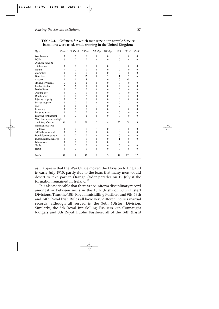| Offence                                        | 8RInnsF  | 10RInnsF | 9RIRifs      | 13RIRifs    | 14RIRifs | 6CR            | 6RDF             | 8RDF         |
|------------------------------------------------|----------|----------|--------------|-------------|----------|----------------|------------------|--------------|
| War Treason                                    | $\theta$ | $\theta$ | $\theta$     | $\theta$    | $\theta$ | $\theta$       | $\boldsymbol{0}$ | $\mathbf{0}$ |
| <b>DORA</b>                                    | $\theta$ | $\theta$ | $\Omega$     | $\theta$    | 0        | 0              | 0                | 0            |
| Offence against an                             |          |          |              |             |          |                |                  |              |
| inhabitant                                     | 0        | $\theta$ | $\theta$     | $\theta$    | $\theta$ | $\theta$       | $\mathbf{0}$     | $\mathbf{0}$ |
| Mutiny                                         | 7        | $\theta$ | 0            | $\theta$    | $\theta$ | 0              | $\boldsymbol{0}$ | $\mathbf{0}$ |
| Cowardice                                      | $\theta$ | $\theta$ | $\theta$     | $\theta$    | 0        | 0              | $\mathbf{0}$     | $\mathbf{0}$ |
| Desertion                                      | 1        | $\theta$ | 12           | $\theta$    | 1        | 1              | $\overline{2}$   | 6            |
| Absence                                        | 2        | 1        | 8            | 1           | $\theta$ | 0              | 65               | 1            |
| Striking or violence                           | 6        | 1        | 1            | 0           | 0        | 3              | $\theta$         | $\theta$     |
| Insubordination                                | 2        | 3        | 1            | 0           | 0        | 2              | 6                | 0            |
| Disobedience                                   | 0        | 0        | $\theta$     | $\theta$    | 0        | $\theta$       | $\theta$         | $\theta$     |
| Quitting post                                  | 0        | 0        | 0            | $\theta$    | $\theta$ | 0              | $\theta$         | 0            |
| Drunkenness                                    | 1        | 1        | 2            | 0           | 0        | $\overline{2}$ | 2                | 0            |
| Injuring property                              | 0        | 0        | 0            | 0           | $\theta$ | 0              | $\theta$         | $\theta$     |
| Loss of property                               | 0        | 0        | 0            | 0           | 0        | 0              | 1                | 0            |
| Theft                                          | 0        | 1        | 1            | 1           | 0        | $\overline{2}$ | 1                | $\theta$     |
| Indecency                                      | 0        | 0        | $\theta$     | $\theta$    | $\theta$ | $\theta$       | $\mathbf{0}$     | $\mathbf{0}$ |
| Resisting escort                               | 0        | 0        | 0            | 0           | 0        | 0              | 0                | 0            |
| Escaping confinement                           | $\Omega$ | $\Omega$ | 1            | $\theta$    | 0        | $\Omega$       | $\theta$         | 0            |
| Miscellaneous and multiple                     |          |          |              |             |          |                |                  |              |
|                                                | 31       | 11       | 21           | 3           | 4        | 33             | 38               | 9            |
| Miscellaneous civil                            |          |          |              |             |          |                |                  |              |
| offences                                       | $\theta$ | $\theta$ | $\mathbf{0}$ | 4           | $\theta$ | $\mathbf{0}$   | $\mathbf{0}$     | $\mathbf{0}$ |
| Self-inflicted wound                           | 0        | 0        | 0            | 0           | $\theta$ | 0              | $\theta$         | $\mathbf{0}$ |
| Fraudulent enlistment                          | $\theta$ | 0        | 0            | 0           | $\theta$ | $\theta$       | 0                | $\mathbf{0}$ |
|                                                | $\theta$ | 0        | 0            | 0           | 0        | 1              | 0                | 0            |
| Falser answer                                  | $\theta$ | 0        | 0            | 0           | 0        | 0              | 0                | 1            |
| Neglect                                        | $\theta$ | $\theta$ | 0            | 0           | 0        | 0              | 0                | $\theta$     |
| Fraud                                          | 0        | 0        | $\Omega$     | $\theta$    | 0        | 0              | $\Omega$         | 0            |
| Totals                                         | 50       | 18       | 47           | $\mathsf q$ | 5        | 44             | 115              | 17           |
| military offences<br>Enlisting after discharge |          |          |              |             |          |                |                  |              |

**Table 3.1.** Offences for which men serving in sample Service battalions were tried, while training in the United Kingdom

as it appears that the War Office moved the Division to England in early July 1915, partly due to the fears that many men would desert to take part in Orange Order parades on 12 July if the formation remained in Ireland.<sup>131</sup>

It is also noticeable that there is no uniform disciplinary record amongst or between units in the 16th (Irish) or 36th (Ulster) Divisions. Thus the 10th Royal Inniskilling Fusiliers and 9th, 13th and 14th Royal Irish Rifles all have very different courts martial records, although all served in the 36th (Ulster) Division. Similarly, the 8th Royal Inniskilling Fusiliers, 6th Connaught Rangers and 8th Royal Dublin Fusiliers, all of the 16th (Irish)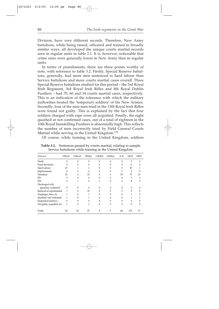Division, have very different records. Therefore, New Army battalions, while being raised, officered and trained in broadly similar ways, all developed the unique courts martial records seen in regular units in table 2.1. It is, however, noticeable that crime rates were generally lower in New Army than in regular units.

In terms of punishments, there are three points worthy of note, with reference to table 3.2. Firstly, Special Reserve battalions, generally, had more men sentenced to hard labour than Service battalions and more courts martial cases overall. Three Special Reserve battalions studied for this period – the 3rd Royal Irish Regiment, 3rd Royal Irish Rifles and 4th Royal Dublin Fusiliers – had 70, 60 and 34 courts martial cases, respectively. This is an indication of the tolerance with which the military authorities treated the 'temporary soldiers' of the New Armies. Secondly, four of the nine men tried in the 13th Royal Irish Rifles were found not guilty. This is explained by the fact that four soldiers charged with rape were all acquitted. Finally, the eight quashed or not confirmed cases, out of a total of eighteen in the 10th Royal Inniskilling Fusiliers is abnormally high. This reflects the number of men incorrectly tried by Field General Courts Martial while serving in the United Kingdom.<sup>132</sup>

Of course, while training in the United Kingdom, soldiers

| Sentences                   | 8RInnF   | 10RInnF | 9RIRifs | 13RIRifs | 14RIRifs | 6CR | 6RDF     | 8RDF |
|-----------------------------|----------|---------|---------|----------|----------|-----|----------|------|
| Death                       | በ        |         |         |          |          |     | $\Omega$ |      |
| Penal Servitude             |          |         |         |          |          |     |          |      |
| Hard Labour                 | 21       |         |         |          |          | 5   | 20       |      |
| Imprisonment                |          |         |         |          |          |     | 2        |      |
| Detention                   | 23       | h       | 32      |          | 3        | 30  | 75       | 10   |
| FP1                         | 2        |         | 0       |          |          | 0   | 3        | 0    |
| FP <sub>2</sub>             | 0        |         |         |          |          |     | 8        | 5    |
| Discharged with             |          |         |         |          |          |     |          |      |
| ignominy/cashiered          | $\Omega$ |         |         |          |          |     |          |      |
| Reduced or reprimanded      |          |         | 10      |          |          |     |          |      |
| Stoppages, fines, etc.      |          |         |         |          |          |     |          |      |
| Quashed/not confirmed       |          | 8       |         |          |          |     |          |      |
| Suspended sentence          | 0        |         |         |          |          |     |          |      |
| Not guilty, acquitted, etc. |          |         |         |          | U        | 3   |          |      |
| Totals                      | 50       | 18      |         | q        | 5        | 44  | 115      | 17   |

**Table 3.2.** Sentences passed by courts martial, relating to sample Service battalions while training in the United Kingdom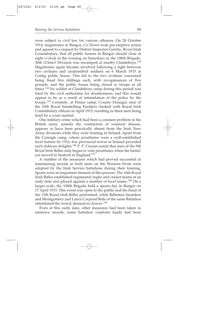were subject to civil law for various offences. On 28 October 1914, magistrates in Bangor, Co Down took pre-emptive action and agreed to a request by District Inspector Gerrity, Royal Irish Constabulary, that all public houses in Bangor should close at eight o'clock in the evening on Saturdays as the 108th Brigade, 36th (Ulster) Division was encamped at nearby Clandeboye.<sup>133</sup> Magistrates again became involved following a fight between two civilians and unidentified soldiers on 6 March 1915 at Conlig public house. This led to the two civilians concerned being fined five shillings each, with recognisances of five pounds, and the public house being closed to troops at all times.<sup>134</sup> No soldier at Clandeboye camp during this period was tried by the civil authorities for drunkenness, and this would appear to be as a result of intimidation of the police by the troops.<sup>135</sup> Certainly, at Finner camp, County Donegal, men of the 10th Royal Inniskilling Fusiliers clashed with Royal Irish Constabulary officers in April 1915, resulting in three men being tried by a court martial.

One military crime which had been a constant problem in the British army, namely the contraction of venereal disease, appears to have been practically absent from the Irish New Army divisions while they were training in Ireland. Apart from the Curragh camp, where prostitutes were a well-established local feature by 1914, few provincial towns in Ireland provided such dubious delights.<sup>136</sup> F. P. Crozier noted that men of the 9th Royal Irish Rifles only began to visit prostitutes when the battalion moved to Seaford in England.<sup>137</sup>

A number of the measures which had proved successful in maintaining morale in Irish units on the Western Front were adopted by the Irish Service battalions during their training. Sports were an important element of this process. The 16th Royal Irish Rifles established regimental rugby and cricket teams at an early date and played against a number of local teams.<sup>138</sup> On a larger scale, the 108th Brigade held a sports day in Bangor on 17 April 1915. This event was open to the public and the band of the 13th Royal Irish Rifles performed, while Riflemen Saunders and Montgomery and Lance Corporal Rule of the same Battalion entertained the crowd, dressed as clowns.<sup>139</sup>

Even at this early date, other measures had been taken to reinforce morale, some battalion comforts funds had been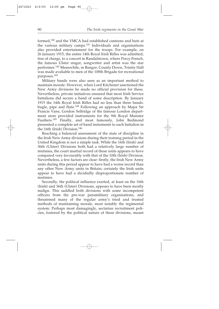formed,<sup>140</sup> and the YMCA had established canteens and huts at the various military camps.<sup>141</sup> Individuals and organisations also provided entertainment for the troops. For example, on 26 January 1915, the entire 14th Royal Irish Rifles was admitted, free of charge, to a concert in Randalstown, where Percy French, the famous Ulster singer, songwriter and artist was the star performer.<sup>142</sup> Meanwhile, in Bangor, County Down, Trinity Hall was made avaliable to men of the 108th Brigade for recreational purposes.<sup>143</sup>

Military bands were also seen as an important method to maintain morale. However, when Lord Kitchener sanctioned the New Army divisions he made no official provision for these. Nevertheless, private initiatives ensured that most Irish Service battalions did secure a band of some description. By January 1915 the 14th Royal Irish Rifles had no less than three bands: bugle, pipe and flute.<sup>144</sup> Following an approach by Major Sir Francis Vane, Gordon Selfridge of the famous London department store provided instruments for the 9th Royal Munster Fusiliers.<sup>145</sup> Finally, and most famously, John Redmond presented a complete set of band instuments to each battalion in the 16th (Irish) Division.<sup>146</sup>

Reaching a balanced assessment of the state of discipline in the Irish New Army divisions during their training period in the United Kingdom is not a simple task. While the 16th (Irish) and 36th (Ulster) Divisions both had a relatively large number of mutinies, the court martial record of these units appears to have compared very favourably with that of the 10th (Irish) Division. Nevertheless, a few factors are clear: firstly, the Irish New Army units during this period appear to have had a worse record than any other New Army units in Britain; certainly the Irish units appear to have had a decidedly disproportionate number of mutinies.

Secondly, the political influence exerted, at least on the 16th (Irish) and 36th (Ulster) Divisions, appears to have been mostly malign. This saddled both divisions with some incompetent officers from the pre-war paramilitary organisations, and threatened many of the regular army's tried and trusted methods of maintaining morale, most notably the regimental system. Perhaps most damagingly, sectarian recruitment policies, fostered by the political nature of these divisions, meant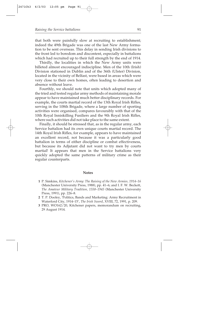that both were painfully slow at recruiting to establishment; indeed the 49th Brigade was one of the last New Army formation to be sent overseas. This delay in sending Irish divisions to the front led to boredom and discontent, especially in battalions which had recruited up to their full strength by the end of 1914.

Thirdly, the localities in which the New Army units were billeted almost encouraged indiscipline. Men of the 10th (Irish) Division stationed in Dublin and of the 36th (Ulster) Division, located in the vicinity of Belfast, were based in areas which were very close to their own homes, often leading to desertion and absence without leave.

Fourthly, we should note that units which adopted many of the tried and tested regular army methods of maintaining morale appear to have maintained much better disciplinary records. For example, the courts martial record of the 13th Royal Irish Rifles, serving in the 108th Brigade, where a large number of sporting activities were organised, compares favourably with that of the 10th Royal Inniskilling Fusiliers and the 9th Royal Irish Rifles, where such activities did not take place to the same extent.

Finally, it should be stressed that, as in the regular army, each Service battalion had its own unique courts martial record. The 14th Royal Irish Rifles, for example, appears to have maintained an excellent record, not because it was a particularly good battalion in terms of either discipline or combat effectiveness, but because its Adjutant did not want to try men by courts martial! It appears that men in the Service battalions very quickly adopted the same patterns of military crime as their regular counterparts.

## **Notes**

- **1** P. Simkins, *Kitchener's Army: The Raising of the New Armies, 1914–16* (Manchester University Press, 1988), pp. 41–6; and I. F. W. Beckett, *The Amateur Military Tradition, 1558–1945* (Manchester University Press, 1991), pp. 226–8.
- **2** T. P. Dooley, 'Politics, Bands and Marketing: Army Recruitment in Waterford City, 1914–15', *The Irish Sword*, XVIII, 72, 1991, p. 209.
- **3** PRO, WO162/20, Kitchener papers, memorandum on recruiting, 29 August 1914.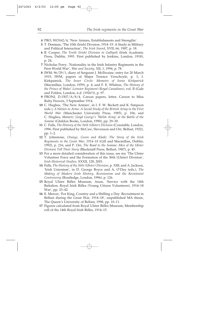- **4** PRO, WO162/4, 'New Armies, Establishments and Strengths'.
- **5** T. Denman, 'The 10th (Irish) Division, 1914–15: A Study in Military and Political Interaction', *The Irish Sword*, XVII, 66, 1987, p. 18.
- **6** B. Cooper, *The Tenth (Irish) Division in Gallipoli* (Irish Academic Press, Dublin, 1993. First published by Jenkins, London, 1918), p. 24.
- **7** Nicholas Perry, 'Nationality in the Irish Infantry Regiments in the First World War', *War and Society*, XII, 1, 1994, p. 78.
- **8** IWM, 96/29/1, diary of Sergeant J. McIlwaine, entry for 20 March 1915; IWM, papers of Major Terence Verschoyle, p. 1; I. Kirkpatrick, *The Inner Circle: Memoirs of Ivone Kirkpatrick* (Macmillan, London, 1959), p. 4; and F. E. Whitton, *The History of the Prince of Wales' Leinster Regiment (Royal Canadians)*, vol. II (Gale and Polden, London, n.d. (1926?)), p. 97.
- **9** PRONI, D.1507/A/8/4, Carson papers, letter, Carson to Miss Ruby Frewen, 3 September 1914.
- **10** C. Hughes, 'The New Armies', in I. F. W. Beckett and K. Simpson (eds.), *A Nation in Arms: A Social Study of the British Army in the First World War* (Manchester University Press, 1985), p. 106; and C. Hughes, *Mametz: Lloyd George's 'Welsh Army' at the Battle of the Somme* (Gliddon Books, London, 1990), pp. 29–30.
- **11** C. Falls, *The History of the 36th (Ulster) Division* (Constable, London, 1996. First published by McCaw, Stevenson and Orr, Belfast, 1922), pp. 1–2.
- **12** T. Johnstone, *Orange, Green and Khaki: The Story of the Irish Regiments in the Great War, 1914–18* (Gill and Macmillan, Dublin, 1992), p. 216; and P. Orr, *The Road to the Somme: Men of the Ulster Division Tell Their Story* (Blackstaff Press, Belfast, 1987), p. 45.
- **13** For a more detailed consideration of this issue, see my 'The Ulster Volunteer Force and the Formation of the 36th (Ulster) Division', *Irish Historical Studies*, XXXII, 128, 2001.
- **14** Falls, *The History of the 36th (Ulster) Division*, p. XIII; and A. Jackson, 'Irish Unionism', in D. George Boyce and A. O'Day (eds.), *The Making of Modern Irish History, Revisionism and the Revisionist Controversy* (Routledge, London, 1996), p. 126.
- **15** Royal Ulster Rifles Museum, Anon, 'Service with the 14th Battalion, Royal Irish Rifles (Young Citizen Volunteers), 1914–18 War', pp. 23–42.
- **16** E. Mercer, 'For King, Country and a Shilling a Day: Recruitment in Belfast during the Great War, 1914–18', unpublished MA thesis, The Queen's University of Belfast, 1998, pp. 10–11.
- **17** Figures calculated from Royal Ulster Rifles Museum, Membership roll of the 14th Royal Irish Rifles, 1914–15.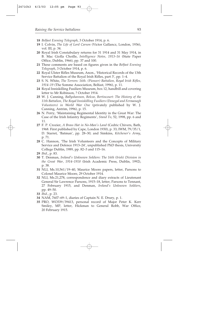- **18** *Belfast Evening Telegraph*, 3 October 1914, p. 6.
- **19** I. Colvin, *The Life of Lord Carson* (Victor Gallancz, London, 1936), vol. III, p. 34.
- **20** Royal Irish Constabulary returns for 31 1914 and 31 May 1914, in B. Mac Giolla Choille, *Intelligence Notes, 1913–16* (State Paper Office, Dublin, 1966), pp. 37 and 100.
- **21** These comments are based on figures given in the *Belfast Evening Telegraph*, 3 October 1914, p. 6.
- **22** Royal Ulster Rifles Museum, Anon., 'Historical Records of the 13th Service Battalion of the Royal Irish Rifles, part 3', pp. 1–4.
- **23** S. N. White, *The Terrors: 16th. (Pioneer) Battalion, Royal Irish Rifles, 1914–19* (The Somme Association, Belfast, 1996), p. 11.
- **24** Royal Inniskilling Fusiliers Museum, box 12, handbill and covering letter to Mr Robinson, ? October 1914.
- **25** W. J. Canning, *Ballyshannon, Belcoo, Bertincourt: The History of the 11th Battalion, The Royal Inniskilling Fusiliers (Donegal and Fermanagh Volunteers) in World War One* (privately published by W. J. Canning, Antrim, 1996), p. 15.
- **26** N. Perry, 'Maintaining Regimental Identity in the Great War: The Case of the Irish Infantry Regiments', *Stand To*, 52, 1998, pp. 6 and 11.
- **27** F. P. Crozier, *A Brass Hat in No-Man's Land* (Cedric Chivers, Bath, 1968. First published by Cape, London 1930), p. 33; IWM, 79/35/1, D. Starret, 'Batman', pp. 28–30; and Simkins, *Kitchener's Army*, p. 71.
- **28** C. Hannon, 'The Irish Volunteers and the Concepts of Military Service and Defence 1913–24', unpublished PhD thesis, University College Dublin, 1989, pp. 82–3 and 115–16.

- **30** T. Denman, *Ireland's Unknown Soldiers: The 16th (Irish) Division in the Great War, 1914–1918* (Irish Academic Press, Dublin, 1992), p. 38.
- **31** NLI, Ms.10,561/19–40, Maurice Moore papers, letter, Parsons to Colonel Maurice Moore, 29 October 1914.
- **32** NLI, Ms.21,278, correspondence and diary extracts of Lieutenant General Sir Lawrence Parsons, 1915–18, letter, Parsons to Tennant, 27 February 1915, and Denman, *Ireland's Unknown Soldiers*, pp. 49–50.
- **33** *Ibid.*, p. 23.
- **34** NAM, 7607–69–1, diaries of Captain N. E. Drury, p. 1.
- **35** PRO, WO339/39413, personal record of Major Peter K. Kerr Smiley, MP, letter, Hickman to General Robb, War Office, 20 February 1915.

**<sup>29</sup>** *Ibid.*, p. 83.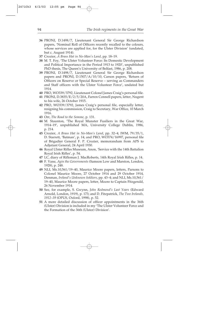- **36** PRONI, D.1498/7, Lieutenant General Sir George Richardson papers, 'Nominal Roll of Officers recently recalled to the colours, whose services are applied for, for the Ulster Division' (undated, but c. August 1914).
- **37** Crozier, *A Brass Hat in No-Man's Land*, pp. 18–19.
- **38** M. T. Foy, 'The Ulster Volunteer Force: Its Domestic Development and Political Importance in the Period 1913 to 1920', unpublished PhD thesis, The Queen's University of Belfast, 1986, p. 208.
- **39** PRONI, D.1498/7, Lieutenant General Sir George Richardson papers and PRONI, D.1507/A/10/10, Carson papers, 'Return of Officers on Reserve or Special Reserve – serving as Commanders and Staff officers with the Ulster Volunteer Force', undated but 1914.
- **40** PRO, WO339/3792, Lieutenant Colonel James Craig's personal file.
- **41** PRONI, D.3835/E/2/5/20A, Farren Connell papers, letter, Nugent to his wife, 26 October 1915.
- **42** PRO, WO339/3792, James Craig's personal file, especially letter, resigning his commission, Craig to Secretary, War Office, 10 March 1916.
- **43** Orr, *The Road to the Somme*, p. 131.
- **44** M. Staunton, 'The Royal Munster Fusiliers in the Great War, 1914–19', unpublished MA, University College Dublin, 1986, p. 214.
- **45** Crozier, *A Brass Hat in No-Man's Land*, pp. 32–4; IWM, 79/35/1, D. Starrett, 'Batman', p. 14; and PRO, WO374/16997, personal file of Brigadier General F. P. Crozier, memorandum from APS to Adjutant General, 24 April 1930.
- **46** Royal Ulster Rifles Museum, Anon, 'Service with the 14th Battalion Royal Irish Rifles', p. 54.
- **47** LC, diary of Rifleman J. MacRoberts, 14th Royal Irish Rifles, p. 14.
- **48** F. Vane, *Agin the Governments* (Samson Low and Marston, London, 1928), p. 248.
- **49** NLI, Ms.10,561/19–40, Maurice Moore papers, letters, Parsons to Colonel Maurice Moore, 27 October 1914 and 29 October 1914, Denman, *Ireland's Unknown Soldiers*, pp. 43–4; and NLI, Ms.10,561/ 19–40, Maurice Moore papers, letter, Moore to Captain Fitzgerald, 26 November 1914.
- **50** See, for example, S. Gwynn, *John Redmond's Last Years* (Edward Arnold, London, 1919), p. 173; and D. Fitzpatrick, *The Two Irelands, 1912–39* (OPUS, Oxford, 1998), p. 52.
- **51** A more detailed discussion of officer appointments in the 36th (Ulster) Division is included in my 'The Ulster Volunteer Force and the Formation of the 36th (Ulster) Division'.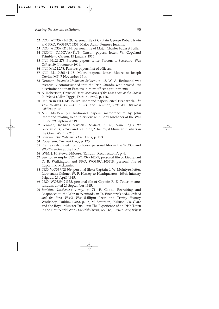- **52** PRO, WO339/14269, personal file of Captain George Robert Irwin and PRO, WO339/14333, Major Adam Penrose Jenkins.
- **53** PRO, WO339/21314, personal file of Major Charles Fausset Falls.
- **54** PRONI, D.1507/A/11/3, Carson papers, letter, W. Copeland Trimble to Carson, 15 January 1915.
- **55** NLI, Ms.21,278, Parsons papers, letter, Parsons to Secretary, War Office, 29 November 1914.
- **56** NLI, Ms.21,278, Parsons papers, list of officers.
- **57** NLI, Ms.10,561/1–18, Moore papers, letter, Moore to Joseph Devlin, MP, 7 November 1914.
- **58** Denman, *Ireland's Unknown Soldiers*, p. 48. W. A. Redmond was eventually commissioned into the Irish Guards, who proved less discriminating than Parsons in their officer appointments.
- **59** N. Robertson, *Crowned Harp: Memories of the Last Years of the Crown in Ireland* (Allen Figgis, Dublin, 1960), p. 126.
- **60** Return in NLI, Ms.15,259, Redmond papers, cited Fitzpatrick, *The Two Irelands, 1912–39*, p. 53; and Denman, *Ireland's Unknown Soldiers*, p. 45.
- **61** NLI, Ms.15,261(7), Redmond papers, memorandum by John Redmond relating to an interview with Lord Kitchener at the War Office, 29 September 1915.
- **62** Denman, *Ireland's Unknown Soldiers*, p. 46; Vane, *Agin the Governments*, p. 248; and Staunton, 'The Royal Munster Fusiliers in the Great War', p. 215.
- **63** Gwynn, *John Redmond's Last Years*, p. 173.
- **64** Robertson, *Crowned Harp*, p. 125.
- **65** Figures calculated from officers' personal files in the WO339 and WO374 series at the PRO.
- **66** IWM, J. H. Stewart-Moore, 'Random Recollections', p. 6.
- **67** See, for example, PRO, WO339/14295, personal file of Lieutenant D. B. Walkington and PRO, WO339/4100418, personal file of Captain R. McLaurin.
- **68** PRO, WO339/21306, personal file of Captain L. W. McIntyre, letter, Lieutenant Colonel W. F. Hessey to Headquarters, 109th Infantry Brigade, 29 April 1915.
- **69** PRO, WO339/21333, personal file of Captain R. E. Toker, memorandum dated 29 September 1915.
- **70** Simkins, *Kitchener's Army*, p. 71; P. Codd, 'Recruiting and Responses to the War in Wexford', in D. Fitzpatrick (ed.), *Ireland and the First World War* (Lilliput Press and Trinity History Workshop, Dublin, 1988), p. 15; M. Staunton, 'Kilrush, Co. Clare and the Royal Munster Fusiliers: The Experience of an Irish Town in the First World War', *The Irish Sword*, XVI, 65, 1986, p. 269; *Belfast*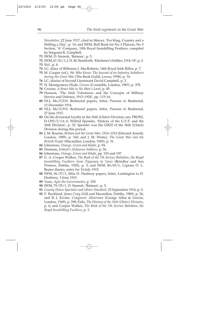*Newsletter*, 22 June 1917, cited in Mercer, 'For King, Country and a Shilling a Day', p. 14; and IWM, Roll Book for No 3 Platoon, No 9 Section, 'A' Company, 10th Royal Inniskilling Fusiliers, compiled by Sergeant R. Campbell.

- **71** IWM, D. Starrett, 'Batman', p. 5.
- **72** IWM, 67/41/1, J. H. M. Staniforth, 'Kitchener's Soldier, 1914–18', p. 3.
- **73** *Ibid.*, p. 4.
- **74** LC, diary of Rifleman J. MacRoberts, 14th Royal Irish Rifles, p. 7.
- **75** M. Cooper (ed.), *We Who Knew: The Journal of an Infantry Subaltern during the Great War* (The Book Guild, Lewes, 1994), p. 16.
- **76** LC, diaries of Second Lieutenant David Campbell, p. 2.
- **77** H. Montgomery-Hyde, *Carson* (Constable, London, 1987), p. 378.
- **78** Crozier, *A Brass Hat in No Man's Land*, p. 45.
- **79** Hannon, 'The Irish Volunteers and the Concepts of Military Service and Defence, 1913–1924', pp. 115–16.
- **80** NLI, Ms.15,519, Redmond papers, letter, Parsons to Redmond, 12 December 1914.
- **81** NLI, Ms.15,519, Redmond papers, letter, Parsons to Redmond, 27 June 1915.
- **82** On the divisional loyalty in the 36th (Ulster) Division, see, PRONI, D.1295/2/1A–9, Wilfrid Spender, 'History of the U.V.F. and the 36th Division', p. 32. Spender was the GSO2 of the 36th (Ulster) Division during this period.
- **83** J. M. Bourne, *Britain and the Great War, 1914–1918* (Edward Arnold, London, 1989), p. 160; and J. M. Winter, *The Great War and the British People* (Macmillan, London, 1985), p. 31.
- **84** Johnstone, *Orange, Green and Khaki*, p. 94.
- **85** Denman, *Ireland's Unknown Soldiers*, p. 56.
- **86** Johnstone, *Orange, Green and Khaki*, pp. 193 and 197.
- **87** G. A. Cooper Walker, *The Book of the 7th Service Battalion, the Royal Inniskilling Fusiliers: from Tipperary to Ypres* (Brindley and Son Printers, Dublin, 1920), p. 5; and IWM, 86/65/1, Captain O. L. Beater diaries, entry for 14 July 1915.
- **88** IWM, 96/37/1, Miss D. Daubeny papers, letter, Lushington to D. Daubeny, 3 June 1915.
- **89** Vane, *Agin the Governments*, p. 250.
- **90** IWM, 79/35/1, D. Starrett, 'Batman', p. 5.
- **91** *County Down Spectator and Ulster Standard*, 25 September 1914, p. 5.
- **92** P. Buckland, *James Craig* (Gill and Macmillan, Dublin, 1980), p. 36; and St J. Ervine, *Craigavon: Ulsterman* (George Allen & Unwin, London, 1949), p. 298; Falls, *The History of the 36th (Ulster) Division*, p. 6; and Cooper Walker, *The Book of the 7th Service Battalion, the Royal Inniskilling Fusiliers*, p. 3.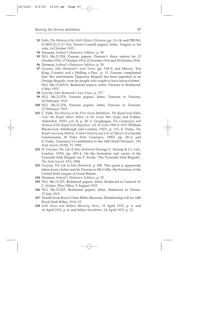- **93** Falls, *The History of the 36th (Ulster) Division*, pp. 13–14; and PRONI, D.3835/E/2/5/12A, Farren Connell papers, letter, Nugent to his wife, 16 October 1915.
- **94** Denman, *Ireland's Unknown Soldiers*, p. 50.
- **95** NLI, Ms.21,524, Parsons papers, Parsons's diary entries for 12 October 1914, 17 October 1914, 23 October 1914 and 30 October 1914.
- **96** Denman, *Ireland's Unknown Soldiers*, p. 50.
- **97** Gwynn, *John Redmond's Last Years*, pp. 194–5; and Mercer, 'For King, Country and a Shilling a Day', p. 12. Parsons complained that 'the unfortunate Tipperary Brigade has been regarded as an Orange Brigade, even by people who ought to have known better', NLI, Ms.15,261(3), Redmond papers, letter, Parsons to Redmond, 6 May 1915.
- **98** Gywnn, *John Redmond's Last Years*, p. 177.
- **99** NLI, Ms.21,278, Parsons papers, letter, Tennant to Parsons, 26 February 1915.
- **100** NLI, Ms.21,278, Parsons papers, letter, Parsons to Tennant, 27 February 1915.
- **101** C. Falls, *The History of the First Seven Battalions, The Royal Irish Rifles (now the Royal Ulster Rifles) in the Great War* (Gale and Polden, Aldershot, 1925), vol. II, p. 20; S. Geoghegan, *The Campaigns and History of the Royal Irish Regiment, vol. II: From 1900 to 1922* (William Blackwood, Edinburgh and London, 1927), p. 111; E. Parks, *The Royal Guernsey Militia: A Short History and List of Officers* (La Société Guernesiaise, St Peter Port, Guernsey, 1992), pp. 20–2; and E. Parks, 'Guernsey's Contribution to the 16th (Irish) Division', *The Irish Sword*, XVIII, 73, 1992.
- **102** D. Gwynn, *The Life of John Redmond* (George G. Harrap & Co. Ltd., London, 1932), pp. 403–4. On the formation and career of the Tyneside Irish Brigade see F. Forde, 'The Tyneside Irish Brigade', *The Irish Sword*, XVI, 1984.
- **103** Gwynn, *The Life of John Redmond*, p. 400. This quote is apparently taken from a letter sent by Parsons to Mr Crilly, the Secretary of the United Irish League of Great Britain.
- **104** Denman, *Ireland's Unknown Soldiers*, p. 55.
- **105** NLI, Ms.15,225, Redmond papers, letter, Redmond to General H. C. Sclater, War Office, 9 August 1915.
- **106** NLI, Ms.15,225, Redmond papers, letter, Redmond to Sclater, 27 July 1915.
- **107** Details from Royal Ulster Rifles Museum, Membership roll for 14th Royal Irish Rifles, 1914–15.
- **108** *Irish News and Belfast Morning News*, 12 April 1915, p. 6. and 16 April 1915, p. 4; and *Belfast Newsletter*, 14 April 1915, p. 12.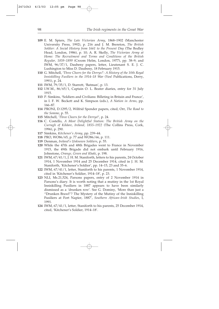- **109** E. M. Spiers, *The Late Victorian Army*, 1868–1902 (Manchester University Press, 1992), p. 216 and J. M. Brereton, *The British Soldier: A Social History from 1661 to the Present Day* (The Bodley Head, London, 1986), p. 10; A. R. Skelly, *The Victorian Army at Home: The Recruitment and Terms and Conditions of the British Regular, 1859–1899* (Croom Helm, London, 1977), pp. 38–9; and IWM, 96/37/1, Daubeny papers, letter, Lieutenant S. E. J. C. Lushington to Miss D. Daubeny, 18 February 1915.
- **110** G. Mitchell, '*Three Cheers for the Derrys!*'*: A History of the 10th Royal Inniskilling Fusiliers in the 1914–18 War* (Yes! Publications, Derry, 1991), p. 24.
- **111** IWM, 79/35/1, D. Starrett, 'Batman', p. 13.
- **112** I.W.M., 86/65/1, Captain O. L. Beater diaries, entry for 31 July 1915.
- **113** P. Simkins, 'Soldiers and Civilians: Billeting in Britain and France', in I. F. W. Beckett and K. Simpson (eds.), *A Nation in Arms*, pp. 166–87.
- **114** PRONI, D.1295/2, Wilfrid Spender papers, cited, Orr, *The Road to the Somme*, p. 55.
- **115** Mitchell, *'Three Cheers for the Derrys*!', p. 24.
- **116** C. Costello, *A Most Delightful Station: The British Army on the Curragh of Kildare, Ireland, 1855–1922* (The Collins Press, Cork, 1996), p. 290.
- **117** Simkins, *Kitchener's Army*, pp. 239–44.
- **118** PRO, WO86/65, p. 77 and WO86/66, p. 111.
- **119** Denman, *Ireland's Unknown Soldiers*, p. 55.
- **120** While the 47th and 48th Brigades went to France in November 1915, the 49th Brigade did not embark until February 1916, Johnstone, *Orange, Green and Khaki*, p. 198.
- **121** IWM, 67/41/1, J. H. M. Staniforth, letters to his parents, 24 October 1914, 1 November 1914 and 25 December 1914, cited in J. H. M. Staniforth, 'Kitchener's Soldier', pp. 14–15, 23 and 35–6.
- **122** IWM, 67/41/1, letter, Staniforth to his parents, 1 November 1914, cited in 'Kitchener's Soldier, 1914–18', p. 23.
- **123** NLI, Ms.21,524, Parsons papers, entry of 2 November 1914 in Parsons's diary. It is worth noting that a mutiny in the 1st Royal Inniskilling Fusiliers in 1887 appears to have been similarly dismissed as a 'drunken row'. See G. Dominy, 'More than just a "Drunken Brawl"? The Mystery of the Mutiny of the Inniskilling Fusiliers at Fort Napier, 1887', *Southern African–Irish Studies*, I, 1991.
- **124** IWM, 67/41/1, letter, Staniforth to his parents, 25 December 1914, cited, 'Kitchener's Soldier, 1914–18'.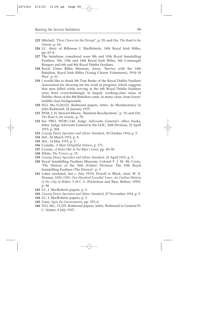- **125** Mitchell, *'Three Cheers for the Derrys*!', p. 29; and Orr, *The Road to the Somme*, p. 64.
- **126** LC, diary of Rifleman J. MacRoberts, 14th Royal Irish Rifles, pp. 63–4.
- **127** The battalions considered were 8th and 10th Royal Inniskilling Fusiliers, 9th, 13th and 14th Royal Irish Rifles, 6th Connaught Rangers and 6th and 8th Royal Dublin Fusiliers.
- **128** Royal Ulster Rifles Museum, Anon, 'Service with the 14th Battalion, Royal Irish Rifles (Young Citizen Volunteers), 1914–18 War', p. 61.
- **129** I would like to thank Mr Tom Burke of the Royal Dublin Fusiliers Association for showing me his work in progress, which suggests that men killed while serving in the 6th Royal Dublin Fusiliers were born overwhelmingly in largely working-class areas of Dublin; those of the 8th Battalion came, in many cases, from lowermiddle-class backgrounds.
- **130** NLI, Ms.15,261(2), Redmond papers, letter, de Montmorency to John Redmond, 24 January 1915.
- **131** IWM, J. H. Stewart-Moore, 'Random Recollections', p. 10; and Orr, *The Road to the Somme*, p. 78.
- **132** See PRO, WO81/144, Judge Advocate General's office books, letter, Judge Advocate General to the GOC, 36th Division, 22 April 1915, p. 504.
- **133** *County Down Spectator and Ulster Standard*, 30 October 1914, p. 5.
- **134** *Ibid.*, 26 March 1915, p. 8.
- **135** *Ibid.*, 14 May 1915, p. 5.
- **136** Costello, *A Most Delightful Station*, p. 171.
- **137** Crozier, *A Brass Hat in No-Man's Land*, pp. 49–50.
- **138** White, *The Terrors*, p. 15.
- **139** *County Down Spectator and Ulster Standard*, 23 April 1915, p. 5.
- **140** Royal Inniskilling Fusiliers Museum, Colonel F. J. M. Mc Crory, 'The History of the 36th (Ulster) Division: The 10th Royal Inniskilling Fusiliers (The Derrys)', p. 5.
- **141** Letter (undated, but c. July 1915), Powell to Black, cited, W. E. Dornan, *1850–1950, One Hundred Eventful Years: An Outline History of the City of Belfast Y.M.C.A*. (Nicholson and Bass, Belfast, 1950), p. 44.
- **142** LC, J. MacRoberts papers, p. 5.
- **143** *County Down Spectator and Ulster Standard*, 27 November 1914, p. 5.
- **144** LC, J. MacRoberts papers, p. 2.
- **145** Vane, *Agin the Governments*, pp. 253–4.
- **146** NLI, Ms., 15,225, Redmond papers, letter, Redmond to General H. C. Sclater, 8 July 1915.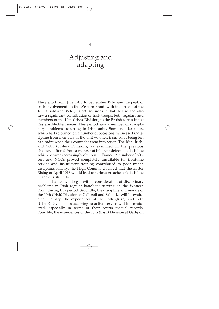## Adjusting and adapting

The period from July 1915 to September 1916 saw the peak of Irish involvement on the Western Front, with the arrival of the 16th (Irish) and 36th (Ulster) Divisions in that theatre and also saw a significant contribution of Irish troops, both regulars and members of the 10th (Irish) Division, to the British forces in the Eastern Mediterranean. This period saw a number of disciplinary problems occurring in Irish units. Some regular units, which had reformed on a number of occasions, witnessed indiscipline from members of the unit who felt insulted at being left as a cadre when their comrades went into action. The 16th (Irish) and 36th (Ulster) Divisions, as examined in the previous chapter, suffered from a number of inherent defects in discipline which became increasingly obvious in France. A number of officers and NCOs proved completely unsuitable for front-line service and insufficient training contributed to poor trench discipline. Finally, the High Command feared that the Easter Rising of April 1916 would lead to serious breaches of discipline in some Irish units.

This chapter will begin with a consideration of disciplinary problems in Irish regular battalions serving on the Western Front during this period. Secondly, the discipline and morale of the 10th (Irish) Division at Gallipoli and Salonika will be evaluated. Thirdly, the experiences of the 16th (Irish) and 36th (Ulster) Divisions in adapting to active service will be considered, especially in terms of their courts martial records. Fourthly, the experiences of the 10th (Irish) Division at Gallipoli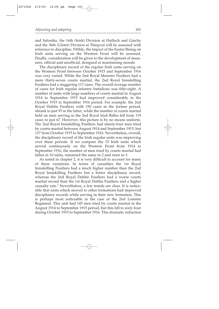and Salonika, the 16th (Irish) Division at Hulluch and Ginchy and the 36th (Ulster) Division at Thiepval will be assessed with reference to discipline. Fifthly, the impact of the Easter Rising on Irish units serving on the Western Front will be assessed. Finally, consideration will be given to the development of measures, official and unofficial, designed at maintaining morale.

The disciplinary record of the regular Irish units serving on the Western Front between October 1915 and September 1916 was very varied. While the 2nd Royal Munster Fusiliers had a mere thirty-seven courts martial, the 2nd Royal Inniskilling Fusiliers had a staggering 117 cases. The overall average number of cases for Irish regular infantry battalions was fifty-eight. A number of units with large numbers of courts martial in August 1914 to September 1915 had improved considerably in the October 1915 to September 1916 period. For example, the 2nd Royal Dublin Fusiliers with 150 cases in the former period, shrank to just 95 in the latter, while the number of courts martial held on men serving in the 2nd Royal Irish Rifles fell from 119 cases to just 67. However, this picture is by no means uniform. The 2nd Royal Inniskilling Fusiliers had ninety-four men tried by courts martial between August 1914 and September 1915, but 117 from October 1915 to September 1916. Nevertheless, overall, the disciplinary record of the Irish regular units was improving over these periods. If we compare the 15 Irish units which served continuously on the Western Front from 1914 to September 1916, the number of men tried by courts martial had fallen in 10 units, remained the same in 2 and risen in 3.

As noted in chapter 2, it is very difficult to account for many of these variations. In terms of casualties the 1st Royal Inniskilling Fusiliers had a much higher number than the 2nd Royal Inniskilling Fusiliers but a better disciplinary record, whereas the 2nd Royal Dublin Fusiliers had a worse courts martial record than the 1st Royal Dublin Fusiliers and a higher casualty rate.<sup>1</sup> Nevertheless, a few trends are clear. It is noticeable that units which moved to other formations had improved disciplinary records while serving in their new formation. This is perhaps most noticeable in the case of the 2nd Leinster Regiment. This unit had 145 men tried by courts martial in the August 1914 to September 1915 period, but this fell to sixty-four during October 1915 to September 1916. This dramatic reduction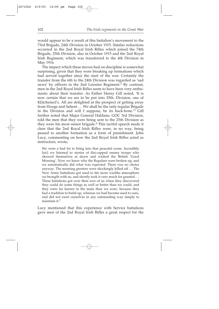would appear to be a result of this battalion's movement to the 73rd Brigade, 24th Division in October 1915. Similar reductions occurred in the 2nd Royal Irish Rifles which joined the 74th Brigade, 25th Division, also in October 1915 and the 2nd Royal Irish Regiment, which was transferred to the 4th Division in May 1916.

The impact which these moves had on discipline is somewhat surprising, given that they were breaking up formations which had served together since the start of the war. Certainly the transfer from the 6th to the 24th Division was regarded as 'sad news' by officers in the 2nd Leinster Regiment.<sup>2</sup> By contrast, men in the 2nd Royal Irish Rifles seem to have been very enthusiastic about their transfer. As Father Henry Gill noted, 'It is now certain that we are to be put into 25th. Division, one of K[itchener]'s. All are delighted at the prospect of getting away from Hooge and Salient ... We shall be the only regular Brigade in the Division and will I suppose, be its back-bone.'<sup>3</sup> Gill further noted that Major General Haldane, GOC 3rd Division, told the men that they were being sent to the 25th Division as they were his most senior brigade.<sup>4</sup> This tactful speech made it clear that the 2nd Royal Irish Rifles were, in no way, being passed to another formation as a form of punishment. John Lucy, commenting on how the 2nd Royal Irish Rifles acted as instructors, wrote,

We were a bad lot to bring into that peaceful scene. Incredibly [sic] we listened to stories of flat-capped enemy troops who showed themselves at dawn and wished the British 'Good Morning'. Now we knew why the Regulars were broken up, and we automatically did what was expected. There was no choice anyway. The morning greeters were shockingly killed off . . . The New Army battalions got used to the more warlike atmosphere we brought with us, and shortly took it very much for granted ... These battalions got over their awe of us when they discovered they could do some things as well or better than we could, and they were far keener in the main than we were, because they had a tradition to build up, whereas we had become used to ours, and did not exert ourselves in any outstanding way simply to maintain it.<sup>5</sup>

Lucy mentioned that this experience with Service battalions gave men of the 2nd Royal Irish Rifles a great respect for the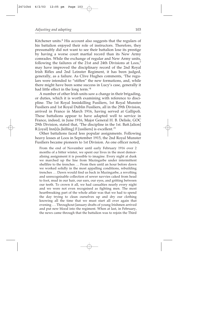Kitchener units. $6$  His account also suggests that the regulars of his battalion enjoyed their role of instructors. Therefore, they presumably did not want to see their battalion lose its prestige by having a worse court martial record than its New Army comrades. While the exchange of regular and New Army units, following the failures of the 21st and 24th Divisions at Loos,<sup>7</sup> may have improved the disciplinary record of the 2nd Royal Irish Rifles and 2nd Leinster Regiment, it has been judged, generally, as a failure. As Clive Hughes comments, 'The regulars were intended to "stiffen" the new formations, and, while there might have been some success in Lucy's case, generally it had little effect in the long term.'<sup>8</sup>

A number of other Irish units saw a change in their brigading, or duties, which it is worth examining with reference to discipline. The 1st Royal Inniskilling Fusiliers, 1st Royal Munster Fusiliers and 1st Royal Dublin Fusiliers, all in the 29th Division, arrived in France in March 1916, having served at Gallipoli. These battalions appear to have adapted well to service in France, indeed, in June 1916, Major General H. B. Delisle, GOC 29th Division, stated that, 'The discipline in the 1st. Batt.[alion] R.[oyal] Inn[i]s.[killing] F.[usiliers] is excellent.'<sup>9</sup>

Other battalions faced less popular assignments. Following heavy losses at Loos in September 1915, the 2nd Royal Munster Fusiliers became pioneers to 1st Division. As one officer noted,

From the end of November until early February 1916 over 2 months of a bitter winter, we spent our lives in the most demoralising assignment it is possible to imagine. Every night at dusk we marched up the line from Mazingarbe under intermittent shellfire to the trenches ... From then until an hour before dawn we worked solidly in the most appalling conditions, rebuilding trenches . . . Dawn would find us back in Mazingarbe, a revolting and unrecognisable collection of sewer navvies caked from head to foot, mud in our hair, our ears, our eyes, and gritting between our teeth. To crown it all, we had casualties nearly every night and we were not even recognised as fighting men. The most heartbreaking part of the whole affair was that we had to spend the day trying to clean ourselves up and dry our clothing knowing all the time that we must start all over again that evening . . . Throughout January drafts of young Irishmen arrived and put new blood into the regiment. When at last, in February, the news came through that the battalion was to rejoin the Third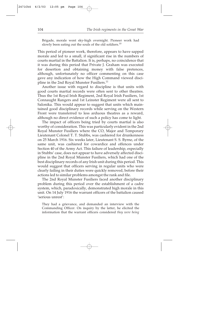Brigade, morale went sky-high overnight. Pioneer work had slowly been eating out the souls of the old soldiers.<sup>10</sup>

This period of pioneer work, therefore, appears to have sapped morale and led to a small, if significant rise in the numbers of courts martial in the Battalion. It is, perhaps, no coincidence that it was during this period that Private J. Graham was executed for desertion and obtaining money with false pretences, although, unfortunately no officer commenting on this case gave any indication of how the High Command viewed discipline in the 2nd Royal Munster Fusiliers.<sup>11</sup>

Another issue with regard to discipline is that units with good courts martial records were often sent to other theatres. Thus the 1st Royal Irish Regiment, 2nd Royal Irish Fusiliers, 1st Connaught Rangers and 1st Leinster Regiment were all sent to Salonika. This would appear to suggest that units which maintained good disciplinary records while serving on the Western Front were transferred to less arduous theatres as a reward, although no direct evidence of such a policy has come to light.

The impact of officers being tried by courts martial is also worthy of consideration. This was particularly evident in the 2nd Royal Munster Fusiliers where the CO, Major and Temporary Lieutenant Colonel T. T. Stubbs, was cashiered for drunkenness on 25 March 1916. Six weeks later, Lieutenant S. S. Byrne, of the same unit, was cashiered for cowardice and offences under Section 40 of the Army Act. This failure of leadership, especially in Stubbs' case, does not appear to have adversely affected discipline in the 2nd Royal Munster Fusiliers, which had one of the best disciplinary records of any Irish unit during this period. This would suggest that officers serving in regular units who were clearly failing in their duties were quickly removed, before their actions led to similar problems amongst the rank and file.

The 2nd Royal Munster Fusiliers faced another disciplinary problem during this period over the establishment of a cadre system, which, paradoxically, demonstrated high morale in this unit. On 14 July 1916 the warrant officers of the battalion caused 'serious unrest':

They had a grievance, and demanded an interview with the Commanding Officer. On inquiry by the latter, he elicited the information that the warrant officers considered *they were being*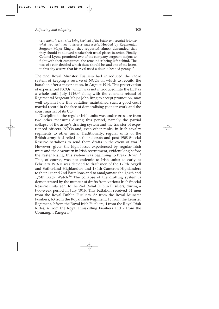*very unfairly treated in being kept out of the battle, and wanted to know what they had done to deserve such a fate*. Headed by Regimental Sergeant Major Ring ... they requested, almost demanded, that they should be allowed to take their usual places in action. Finally Colonel Lyons permitted two of the company sergeant-majors to fight with their companies, the remainder being left behind. The toss of a coin decided which these should be, and one of the losers to this day asserts that his rival used a double-headed penny.<sup>12</sup>

The 2nd Royal Munster Fusiliers had introduced the cadre system of keeping a reserve of NCOs on which to rebuild the battalion after a major action, in August 1914. This preservation of experienced NCOs, which was not introduced into the BEF as a whole until July 1916,<sup>13</sup> along with the constant refusal of Regimental Sergeant Major John Ring to accept promotion, may well explain how this battalion maintained such a good court martial record in the face of demoralising pioneer work and the court martial of its CO.

Discipline in the regular Irish units was under pressure from two other measures during this period, namely the partial collapse of the army's drafting system and the transfer of experienced officers, NCOs and, even other ranks, in Irish cavalry regiments to other units. Traditionally, regular units of the British army had relied on their depots and post-1908 Special Reserve battalions to send them drafts in the event of war.<sup>14</sup> However, given the high losses experienced by regular Irish units and the downturn in Irish recruitment, evident long before the Easter Rising, this system was beginning to break down.<sup>15</sup> This, of course, was not endemic to Irish units; as early as February 1916 it was decided to draft men of the 1/9th Argyll and Sutherland Highlanders and 1/4th Cameron Highlanders to their 1st and 2nd Battalions and to amalgamate the 1/4th and 1/5th Black Watch.<sup>16</sup> The collapse of the drafting system is demonstrated by the number of drafts from various Irish Special Reserve units, sent to the 2nd Royal Dublin Fusiliers, during a two-week period in July 1916. This battalion received 54 men from the Royal Dublin Fusiliers, 52 from the Royal Munster Fusiliers, 63 from the Royal Irish Regiment, 18 from the Leinster Regiment, 9 from the Royal Irish Fusiliers, 4 from the Royal Irish Rifles, 4 from the Royal Inniskilling Fusiliers and 2 from the Connaught Rangers.<sup>17</sup>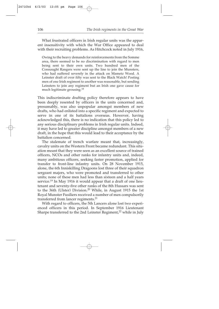What frustrated officers in Irish regular units was the apparent insensitivity with which the War Office appeared to deal with their recruiting problems. As Hitchcock noted in July 1916,

Owing to the heavy demands for reinforcements from the Somme area, there seemed to be no discrimination with regard to men being sent to their own units. Two hundred men of the Connaught Rangers were sent up the line to join the Munsters, who had suffered severely in the attack on Mametz Wood. A Leinster draft of over fifty was sent to the Black Watch! Posting men of one Irish regiment to another was reasonable, but sending Leinsters to join any regiment but an Irish one gave cause for much legitimate grousing.<sup>18</sup>

This indiscriminate drafting policy therefore appears to have been deeply resented by officers in the units concerned and, presumably, was also unpopular amongst members of new drafts, who had enlisted into a specific regiment and expected to serve in one of its battalions overseas. However, having acknowledged this, there is no indication that this policy led to any serious disciplinary problems in Irish regular units. Indeed, it may have led to greater discipline amongst members of a new draft, in the hope that this would lead to their acceptance by the battalion concerned.

The stalemate of trench warfare meant that, increasingly, cavalry units on the Western Front became redundant. This situation meant that they were seen as an excellent source of trained officers, NCOs and other ranks for infantry units and, indeed, many ambitious officers, seeking faster promotion, applied for transfer to front-line infantry units. On 28 November 1915, alone, the 6th Inniskilling Dragoons lost three of their squadron sergeant majors, who were promoted and transferred to other units; none of these men had less than sixteen and a half years service.<sup>19</sup> In May 1916 it would appear that a draft of one lieutenant and seventy-five other ranks of the 8th Hussars was sent to the 36th (Ulster) Division.<sup>20</sup> While, in August 1915 the 1st Royal Munster Fusiliers received a number of men compulsorily transferred from lancer regiments.<sup>21</sup>

With regard to officers, the 5th Lancers alone lost two experienced officers in this period. In September 1916 Lieutenant Sharpe transferred to the 2nd Leinster Regiment,<sup>22</sup> while in July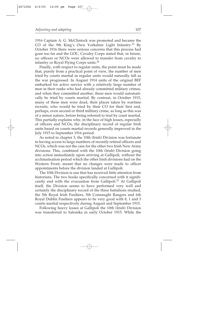1916 Captain A. G. McClintock was promoted and became the CO of the 9th King's Own Yorkshire Light Infantry.<sup>23</sup> By October 1916 there were serious concerns that this process had gone too far and the GOC, Cavalry Corps stated that, in future, no officers or NCOs were allowed to transfer from cavalry to infantry or Royal Flying Corps units.<sup>24</sup>

Finally, with respect to regular units, the point must be made that, purely from a practical point of view, the number of men tried by courts martial in regular units would naturally fall as the war progressed. In August 1914 units of the original BEF embarked for active service with a relatively large number of men in their ranks who had already committed military crimes, and when they committed another, these men would automatically be tried by courts martial. By contrast, in October 1915, many of these men were dead, their places taken by wartime recruits, who would be tried by their CO for their first and, perhaps, even second or third military crime, as long as this was of a minor nature, before being referred to trial by court martial. This partially explains why, in the face of high losses, especially of officers and NCOs, the disciplinary record of regular Irish units based on courts martial records generally improved in the July 1915 to September 1916 period.

As noted in chapter 3, the 10th (Irish) Division was fortunate in having access to large numbers of recently retired officers and NCOs, which was not the case for the other two Irish New Army divisions. This, combined with the 10th (Irish) Division going into action immediately upon arriving at Gallipoli, without the acclimatisation period which the other Irish divisions had on the Western Front, meant that no changes were made to officer appointments before the division landed at Gallipoli.

The 10th Division is one that has received little attention from historians. The two books specifically concerned with it significantly end with the evacuation from Gallipoli.<sup>25</sup> At Gallipoli itself, the Division seems to have performed very well and certainly the disciplinary record of the three battalions studied, the 5th Royal Irish Fusiliers, 5th Connaught Rangers and 6th Royal Dublin Fusiliers appears to be very good with 8, 1 and 3 courts martial respectively during August and September 1915.

Following heavy losses at Gallipoli the 10th (Irish) Division was transferred to Salonika in early October 1915. While the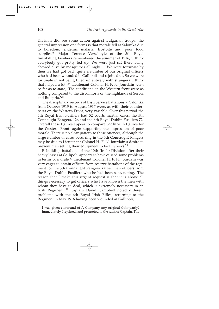Division did see some action against Bulgarian troops, the general impression one forms is that morale fell at Salonika due to boredom, endemic malaria, frostbite and poor food supplies.<sup>26</sup> Major Terence Verschoyle of the 5th Royal Inniskilling Fusiliers remembered the summer of 1916, 'I think everybody got pretty fed up. We were just sat there being chewed alive by mosquitoes all night ... We were fortunate by then we had got back quite a number of our original officers who had been wounded in Gallipoli and rejoined us. So we were fortunate in not being filled up entirely with strangers. I think that helped a lot.'<sup>27</sup> Lieutenant Colonel H. F. N. Jourdain went so far as to state, 'The conditions on the Western front were as nothing compared to the discomforts on the highlands of Serbia and Bulgaria.'<sup>28</sup>

The disciplinary records of Irish Service battalions at Salonika from October 1915 to August 1917 were, as with their counterparts on the Western Front, very variable. Over this period the 5th Royal Irish Fusiliers had 52 courts martial cases, the 5th Connaught Rangers, 126 and the 6th Royal Dublin Fusiliers 72. Overall these figures appear to compare badly with figures for the Western Front, again supporting the impression of poor morale. There is no clear pattern to these offences, although the large number of cases occurring in the 5th Connaught Rangers may be due to Lieutenant Colonel H. F. N. Jourdain's desire to prevent men selling their equipment to local Greeks.<sup>29</sup>

Rebuilding battalions of the 10th (Irish) Division after their heavy losses at Gallipoli, appears to have caused some problems in terms of morale.<sup>30</sup> Lieutenant Colonel H. F. N. Jourdain was very eager to obtain officers from reserve battalions of the regiment for the 5th Connaught Rangers, rather than officers from the Royal Dublin Fusiliers who he had been sent, noting, 'The reason that I make this urgent request is that it is above all things necessary to get officers who have known the men with whom they have to deal, which is extremely necessary in an Irish Regiment.'<sup>31</sup> Captain David Campbell noted different problems with the 6th Royal Irish Rifles, returning to the Regiment in May 1916 having been wounded at Gallipoli,

I was given command of A Company (my original Co[mpan]y) immediately I rejoined, and promoted to the rank of Captain. The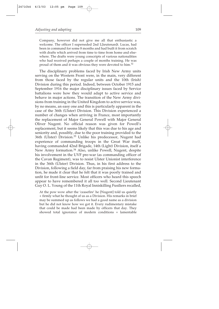Company, however did not give me all that enthusiastic a welcome. The officer I superseded 2nd L[ieutenan]t. Lucas, had been in command for some 8 months and had built it from scratch with drafts which arrived from time to time from home and elsewhere. The drafts were young conscripts of various nationalities who had received perhaps a couple of months training. He was proud of them and it was obvious they were devoted to him.<sup>32</sup>

The disciplinary problems faced by Irish New Army units serving on the Western Front were, in the main, very different from those faced by the regular units and the 10th (Irish) Division during this period. Indeed, between October 1915 and September 1916 the major disciplinary issues faced by Service battalions were how they would adapt to active service and behave in major actions. The transition of the New Army divisions from training in the United Kingdom to active service was, by no means, an easy one and this is particularly apparent in the case of the 36th (Ulster) Division. This Division experienced a number of changes when arriving in France, most importantly the replacement of Major General Powell with Major General Oliver Nugent. No official reason was given for Powell's replacement, but it seems likely that this was due to his age and seniority and, possibly, due to the poor training provided to the 36th (Ulster) Division.<sup>33</sup> Unlike his predecessor, Nugent had experience of commanding troops in the Great War itself, having commanded 42nd Brigade, 14th (Light) Division, itself a New Army formation.<sup>34</sup> Also, unlike Powell, Nugent, despite his involvement in the UVF pre-war (as commanding officer of the Cavan Regiment), was to resist Ulster Unionist interference in the 36th (Ulster) Division. Thus, in his first address to the Division, following a field day, far from praising his new formation, he made it clear that he felt that it was poorly trained and unfit for front-line service. Most officers who heard this speech appear to have remembered it all too well. Second Lieutenant Guy O. L. Young of the 11th Royal Inniskilling Fusiliers recalled,

At the pow wow after the 'ceasefire' he [Nugent] told us quietly + firmly what he thought of us as a Division. His remarks in brief may be summed up as follows we had a good name as a division but he did not know how we got it. Every rudimentary mistake that could be made had been made by officers that day. They showed total ignorance of modern conditions + lamentable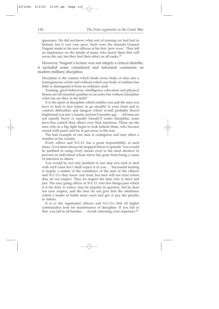ignorance. He did not know what sort of training we had had in Ireland, but it was very poor. Such were the remarks General Nugent made to his new officers at his first 'pow wow'. They left an impression on the minds of many who heard them that will never die out, but they had their effect on all ranks.<sup>35</sup>

However, Nugent's lecture was not simply a critical diatribe, it included some considered and informed comments on modern military discipline,

Discipline is the cement which binds every body of men into a homogeneous whole and without which any body of soldiers has little to distinguish it from an ordinary mob.

Training, good behaviour, intelligence, education and physical fitness are all essential qualities in an army but without discipline what use are they in the field?

It is the spirit of discipline which enables you and the men you have to lead to face losses, to go steadily to your front and to comfort difficulties and dangers which would probably [have] frightened you into a lunatic asylum 8 months ago . . . All men are not equally brave or equally [steady?] under discipline, some have less control than others over their emotions. Those are the men who in a big fight begin to look behind them, who become seized with panic and try to get away to the rear.

The bad example of one man is contagious and may affect a number in his vicinity.

Every officer and N.C.O. has a great responsibility at such times. A rot must always be stopped before it spreads. You would be justified in using every means even to the most decisive to prevent an individual whose nerve has gone from being a cause of infection to others.

You would be not only justified in any step you took to deal with such cases but I shall expect it of you ... Successful leading is largely a matter of the confidence of the men in the officers and N.C.O.s they know and trust, but men will not trust where they do not respect. They do respect the man who is strict and just. The easy going officer or N.C.O. who lets things pass which it is his duty to notice, may be popular in quarters, but he does not earn respect, and the men do not give him the obedience which a leader in battle must exact and get or pay the penalty in failure.

It is to the regimental officers and N.C.O.s that all higher commanders look for maintenance of discipline. If you fail in that, you fail in all besides  $\dots$  Avoid criticising your superiors.<sup>36</sup>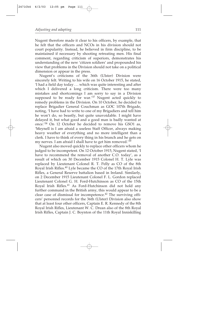Nugent therefore made it clear to his officers, by example, that he felt that the officers and NCOs in his division should not court popularity. Instead, he believed in firm discipline, to be maintained if necessary by shooting retreating men. His final comment, regarding criticism of superiors, demonstrates his understanding of the new 'citizen soldiers' and propounded his view that problems in the Division should not take on a political dimension or appear in the press.

Nugent's criticisms of the 36th (Ulster) Division were sincerely felt. Writing to his wife on 16 October 1915, he stated, 'I had a field day today . . . which was quite interesting and after which I delivered a long criticism. There were too many mistakes and shortcomings I am sorry to say in a Division supposed to be ready for war.<sup>'37</sup> Nugent acted quickly to remedy problems in the Division. On 10 October, he decided to replace Brigadier General Couchman as GOC 107th Brigade, noting, 'I have had to write to one of my Brigadiers and tell him he won't do, so beastly, but quite unavoidable. I might have delayed it, but what good and a good man is badly wanted at once.'<sup>38</sup> On 12 October he decided to remove his GSO1 as, 'Meynell is I am afraid a useless Staff Officer, always making heavy weather of everything and no more intelligent than a clerk. I have to think of every thing in his branch and he gets on my nerves. I am afraid I shall have to get him removed.<sup>'39</sup>

Nugent also moved quickly to replace other officers whom he judged to be incompetent. On 12 October 1915, Nugent stated, 'I have to recommend the removal of another C.O. today', as a result of which on 30 December 1915 Colonel H. T. Lyle was replaced by Lieutenant Colonel R. T. Pelly as CO of the 8th Royal Irish Rifles.<sup>40</sup> Lyle became the CO of the 17th Royal Irish Rifles, a General Reserve battalion based in Ireland. Similarly, on 2 December 1915 Lieutenant Colonel F. L. Gordon replaced Lieutenant Colonel G. H. Ford-Hutchinson as CO of the 15th Royal Irish Rifles.<sup>41</sup> As Ford-Hutchinson did not hold any further command in the British army, this would appear to be a clear case of dismissal for incompetence.<sup>42</sup> The surviving officers' personnel records for the 36th (Ulster) Division also show that at least four other officers, Captain E. R. Kennedy of the 8th Royal Irish Rifles, Lieutenant W. C. Drean also of the 8th Royal Irish Rifles, Captain J. C. Boynton of the 11th Royal Inniskilling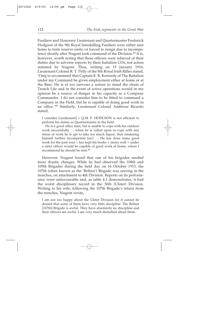Fusiliers and Honorary Lieutenant and Quartermaster Frederick Hodgson of the 9th Royal Inniskilling Fusiliers were either sent home to train reserve units, or forced to resign due to incompetence shortly after Nugent took command of the Division.<sup>43</sup> It is, however, worth noting that these officers were relieved of their duties due to adverse reports by their battalion COs, not action initiated by Nugent. Thus, writing on 15 January 1916, Lieutenant Colonel R. T. Pelly of the 8th Royal Irish Rifles stated, 'I beg to recommend that Captain E. R. Kennedy of The Battalion under my Command be given employment either at home or at the Base. He is of too nervous a nature to stand the strain of Trench Life and in the event of active operations would in my opinion be a source of danger in his capacity as a Company Commander. I do not consider him to be fitted to command a Company in the Field, but he is capable of doing good work in an office.'<sup>44</sup> Similarly, Lieutenant Colonel Ambrose Ricardo stated,

I consider Lieut[enant] + Q.M. F. HODGSON is not efficient to perform his duties as Quartermaster in the field.

He is a good office man, but is unable to cope with his outdoor work successfully ... when he is called upon to cope with any stress of work he is apt to take too much liquor, thus rendering himself further incompetent [sic] ... He has done some good work for the past year + has kept his books + stores well + under a strict officer would be capable of good work at home, where I recommend he should be sent.<sup>45</sup>

However, Nugent found that one of his brigades needed more drastic changes. While he had observed the 108th and 109th Brigades during the field day on 16 October 1915, the 107th (often known as the 'Belfast') Brigade was serving in the trenches, on attachment to 4th Division. Reports on its performance were unfavourable and, as table 4.1 demonstrates, it had the worst disciplinary record in the 36th (Ulster) Division. Writing to his wife, following the 107th Brigade's return from the trenches, Nugent wrote,

I am not too happy about the Ulster Division for it cannot be denied that some of them have very little discipline. The Belfast [107th] Brigade is awful. They have absolutely no discipline and their officers are awful. I am very much disturbed about them.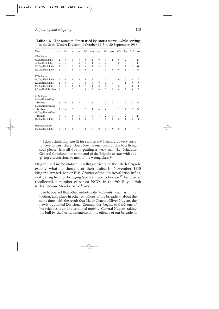| Units                   | Oct.           | Nov.         | Dec.         | Jan.           | Feb.           | Mar.           | Apr.           | May            | June           | July           | Aug.           |                | Sept. Total |
|-------------------------|----------------|--------------|--------------|----------------|----------------|----------------|----------------|----------------|----------------|----------------|----------------|----------------|-------------|
| 107th Brigade           |                |              |              |                |                |                |                |                |                |                |                |                |             |
| 8/Royal Irish Rifles    | $\overline{2}$ | 6            | 3            | 3              | $\mathbf{0}$   | 1              | $\theta$       | 1              | $\overline{2}$ | $\theta$       | 2              | 1              | 21          |
| 9/Royal Irish Rifles    | 6              | 3            | 3            | $\overline{4}$ | 3              | 1              | 5              | $\overline{2}$ | $\mathbf{1}$   | $\mathbf{0}$   | $\overline{2}$ | 1              | 31          |
| 10/Royal Irish Rifles   | 3              | 1            | 8            | 4              | $\overline{4}$ | 1              | $\overline{4}$ | 6              | 1              | $\overline{2}$ | $\overline{2}$ | $\overline{2}$ | 38          |
| 15/Royal Irish Rifles   | $\overline{2}$ | 3            | 5            | 3              | 6              | $\overline{2}$ | $\mathbf{1}$   | $\mathbf{0}$   | 3              | $\mathbf{0}$   | 6              | 1              | 32          |
| 108th Brigade           |                |              |              |                |                |                |                |                |                |                |                |                |             |
| 11/Royal Irish Rifles   | 1              | 6            | 1            | $\mathbf{0}$   | 0              | 2              | 2              | 1              | 1              | $\mathbf{0}$   | $\mathbf{0}$   | 3              | 17          |
| 12/Royal Irish Rifles   | $\overline{2}$ | $\mathbf{0}$ | $\mathbf{0}$ | 1              | $\mathbf{0}$   | 3              | $\theta$       | $\mathbf{0}$   | 1              | 1              | 1              | $\theta$       | 9           |
| 13/Royal Irish Rifles   | 1              | 3            | 1            | $\theta$       | 1              | 1              | $\theta$       | $\mathbf{0}$   | 1              | $\theta$       | $\mathbf{0}$   | $\theta$       | 8           |
| 9/Royal Irish Fusiliers | $\theta$       | 1            | $\mathbf{0}$ | 1              | $\mathbf{0}$   | $\mathbf{0}$   | $\theta$       | 3              | $\theta$       | $\theta$       | $\overline{2}$ | $\theta$       | 7           |
| 109th Brigade           |                |              |              |                |                |                |                |                |                |                |                |                |             |
| 9/Royal Inniskilling    |                |              |              |                |                |                |                |                |                |                |                |                |             |
| Fusiliers               | $\overline{2}$ | $\theta$     | 5            | 3              | 1              | 4              | $\overline{2}$ | 1              | $\theta$       | 1              | $\mathbf{0}$   | 4              | 23          |
| 10/Royal Inniskilling   |                |              |              |                |                |                |                |                |                |                |                |                |             |
| Fusiliers               | $\theta$       | 4            | 3            | 1              | 1              | 1              | 6              | $\overline{4}$ | 1              | 1              | $\overline{2}$ | $\overline{2}$ | 26          |
| 11/Royal Inniskilling   |                |              |              |                |                |                |                |                |                |                |                |                |             |
| Fusiliers               | $\theta$       | 3            | 4            | 5              | $\overline{4}$ | $\theta$       | 4              | 2              | 1              | 1              | 2              | 1              | 27          |
| 14/Royal Irish Rifles   | $\theta$       | 1            | 1            | $\mathbf{0}$   | $\mathbf{0}$   | $\mathbf{0}$   | $\mathbf{1}$   | $\mathbf{0}$   | $\mathbf{0}$   | $\mathbf{0}$   | 1              | 4              | 8           |
| Divisional Pioneers     |                |              |              |                |                |                |                |                |                |                |                |                |             |
| 16/Royal Irish Rifles   | 1              | $\mathbf{0}$ | 1            | 1              | $\mathbf{0}$   | $\mathbf{0}$   | $\mathbf{0}$   | $\mathbf{0}$   | 2              | $\mathbf{0}$   | 1              | 1              | 7           |

**Table 4.1.** The number of men tried by courts martial while serving in the 36th (Ulster) Division, 1 October 1915 to 30 September 1916

I don't think they are fit for service and I should be very sorry to have to trust these. Don't breathe one word of this to a living soul please. It is all due to putting a weak man [i.e. Brigadier General Couchman] in command of the Brigade to start with and giving commissions to men of the wrong class.<sup>46</sup>

Nugent had no hesitation in telling officers of the 107th Brigade exactly what he thought of their units. In November 1915 Nugent 'strafed' Major F. P. Crozier of the 9th Royal Irish Rifles, castigating him for bringing 'such a mob' to France.<sup>47</sup> As Crozier recollected, a number of senior NCOs in the 9th Royal Irish Rifles became 'dead drunk'<sup>48</sup> and,

It so happened that other unfortunate 'accidents', such as minor looting, take place in other battalions of the brigade at about the same time, with the result that Major-General Oliver Nugent, the newly appointed Divisional Commander, begins to think one of his brigades is an undisciplined mob!... General Nugent, taking the bull by the horns, assembles all the officers of our brigade in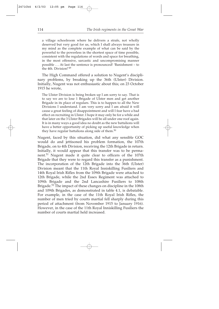a village schoolroom where he delivers a strafe, not wholly deserved but very good for us, which I shall always treasure in my mind as the complete example of what can be said by the powerful to the powerless in the shortest space of time possible, consistent with the regulations of words and space for breathing, in the most offensive, sarcastic and uncompromising manner possible . . . At last the sentence is pronounced! 'Banishment – to the 4th. Division!'<sup>49</sup>

The High Command offered a solution to Nugent's disciplinary problems, by breaking up the 36th (Ulster) Division. Initially, Nugent was not enthusiastic about this; on 23 October 1915 he wrote,

The Ulster Division is being broken up I am sorry to say. That is to say we are to lose 1 Brigade of Ulster men and get another Brigade in its place of regulars. This is to happen to all the New Divisions I understand. I am very sorry and I am afraid it will cause a great feeling of disappointment and will I fear have a bad effect on recruiting in Ulster. I hope it may only be for a while and that later on the 3 Ulster Brigades will be all under one roof again. It is in many ways a good idea no doubt as the new battalions will have a better opportunity of picking up useful knowledge when they have regular battalions along side of them.<sup>50</sup>

Nugent, faced by this situation, did what any sensible GOC would do and jettisoned his problem formation, the 107th Brigade, on to 4th Division, receiving the 12th Brigade in return. Initially, it would appear that this transfer was to be permanent.<sup>51</sup> Nugent made it quite clear to officers of the 107th Brigade that they were to regard this transfer as a punishment. The incorporation of the 12th Brigade into the 36th (Ulster) Division meant that the 11th Royal Inniskilling Fusiliers and 14th Royal Irish Rifles from the 109th Brigade were attached to 12th Brigade, while the 2nd Essex Regiment was attached to 109th Brigade and the 2nd Lancashire Fusiliers to 108th Brigade.<sup>52</sup> The impact of these changes on discipline in the 108th and 109th Brigades, as demonstrated in table 4.1, is debatable. For example, in the case of the 11th Royal Irish Rifles, the number of men tried by courts martial fell sharply during this period of attachment (from November 1915 to January 1916). However, in the case of the 11th Royal Inniskilling Fusiliers the number of courts martial held increased.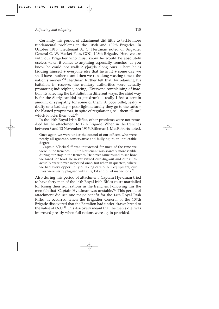Certainly this period of attachment did little to tackle more fundamental problems in the 108th and 109th Brigades. In October 1915, Lieutenant A. C. Herdman noted of Brigadier General G. W. Hacket Pain, GOC, 108th Brigade, 'Here we are with our Brigadier who must know he would be absolutely useless when it comes to anything especially trenches, as you know he could not walk 2 y[ar]ds along ours + here he is kidding himself + everyone else that he is fit + some day we shall have another + until then we run along wasting time + the nation's money.'<sup>53</sup> Herdman further felt that, by retaining his battalion in reserve, the military authorities were actually promoting indiscipline, noting, 'Everyone complaining of inaction, its affecting the Batt[alio]n in different ways, the chief way is for the S[er]g[ean]t[s] to get drunk + really I feel a certain amount of sympathy for some of them. A poor billet, leaky + drafty on a bad day + poor light naturally they go to the cafes + the blasted proprietors, in spite of regulations, sell them "Rum" which knocks them out.'<sup>54</sup>

In the 14th Royal Irish Rifles, other problems were not remedied by the attachment to 12th Brigade. When in the trenches between 8 and 13 November 1915, Rifleman J. MacRoberts noted,

Once again we were under the control of our officers who were nearly all ignorant, conservative and bullying, to an intolerable degree.

Captain S[lacke?] <sup>55</sup> was intoxicated for most of the time we were in the trenches ... Our Lieutenant was scarcely more visible during our stay in the trenches. He never came round to see how we fared for food, he never visited our dug-out and our rifles actually were never inspected once. But when in quarters, where we had every opportunity of taking care of our equipment, our lives were verily plagued with rifle, kit and billet inspections.<sup>56</sup>

Also during this period of attachment, Captain Hyndman tried to have forty men of the 14th Royal Irish Rifles court-martialled for losing their iron rations in the trenches. Following this the men felt that 'Captain Hyndman was unstable.'<sup>57</sup> This period of attachment did see one major benefit for the 14th Royal Irish Rifles. It occurred when the Brigadier General of the 107th Brigade discovered that the Battalion had under-drawn bread to the value of £600.<sup>58</sup> This discovery meant that the men's diet was improved greatly when full rations were again provided.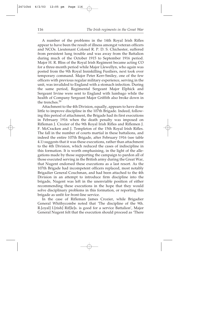A number of the problems in the 14th Royal Irish Rifles appear to have been the result of illness amongst veteran officers and NCOs. Lieutenant Colonel R. P. D. S. Chichester, suffered from persistent lung trouble and was away from the Battalion during much of the October 1915 to September 1916 period. Major H. R. Bliss of the Royal Irish Regiment became acting CO for a three-month period while Major Llewellyn, who again was posted from the 9th Royal Inniskilling Fusiliers, next took over temporary command. Major Peter Kerr-Smiley, one of the few officers with previous regular military experience, serving in the unit, was invalided to England with a stomach infection. During the same period, Regimental Sergeant Major Elphick and Sergeant Irvine were sent to England with lumbago while the health of Company Sergeant Major Griffith also broke down in the trenches.<sup>59</sup>

Attachment to the 4th Division, equally, appears to have done little to improve discipline in the 107th Brigade. Indeed, following this period of attachment, the Brigade had its first executions in February 1916 when the death penalty was imposed on Rifleman J. Crozier of the 9th Royal Irish Rifles and Riflemen J. F. McCracken and J. Templeton of the 15th Royal Irish Rifles. The fall in the number of courts martial in these battalions, and indeed the entire 107th Brigade, after February 1916 (see table 4.1) suggests that it was these executions, rather than attachment to the 4th Division, which reduced the cases of indiscipline in this formation. It is worth emphasising, in the light of the allegations made by those supporting the campaign to pardon all of those executed serving in the British army during the Great War, that Nugent endorsed these executions as a last resort. As the 107th Brigade had incompetent officers replaced, most notably Brigadier General Couchman, and had been attached to the 4th Division in an attempt to introduce firm discipline into the brigade, Nugent was left in the unenviable position of either recommending these executions in the hope that they would solve disciplinary problems in this formation, or reporting this brigade as unfit for front-line service.

In the case of Rifleman James Crozier, while Brigadier General Whithycombe noted that 'The discipline of the 9th. R.[oyal] I.[rish] Rif[le]s. is good for a service Battalion', Major General Nugent felt that the execution should proceed as 'There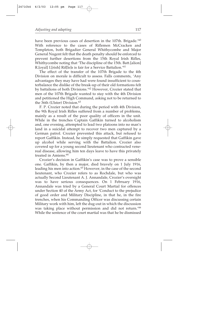have been previous cases of desertion in the 107th. Brigade.'60 With reference to the cases of Riflemen McCracken and Templeton, both Brigadier General Whithycombe and Major General Nugent felt that the death penalty should be enforced to prevent further desertions from the 15th Royal Irish Rifles, Whithycombe noting that 'The discipline of the 15th. Batt.[alion] R.[oyal] I.[rish] Rif[le]s is fair for a Service Battalion.'<sup>61</sup>

The effect of the transfer of the 107th Brigade to the 4th Division on morale is difficult to assess. Falls comments, 'Any advantages they may have had were found insufficient to counterbalance the dislike of the break-up of their old formations felt by battalions of both Divisions.'<sup>62</sup> However, Crozier stated that men of the 107th Brigade wanted to stay with the 4th Division and petitioned the High Command, asking not to be returned to the 36th (Ulster) Division.<sup>63</sup>

F. P. Crozier noted that during the period with 4th Division, the 9th Royal Irish Rifles suffered from a number of problems, mainly as a result of the poor quality of officers in the unit. While in the trenches Captain Gaffikin turned to alcoholism and, one evening, attempted to lead two platoons into no man's land in a suicidal attempt to recover two men captured by a German patrol. Crozier prevented this attack, but refused to report Gaffikin. Instead, he simply requested that Gaffikin gave up alcohol while serving with the Battalion. Crozier also covered up for a young second lieutenant who contracted venereal disease, allowing him ten days leave to have this privately treated in Amiens.<sup>64</sup>

Crozier's decision in Gaffikin's case was to prove a sensible one. Gaffikin, by then a major, died bravely on 1 July 1916, leading his men into action.<sup>65</sup> However, in the case of the second lieutenant, who Crozier refers to as Rochdale, but who was actually Second Lieutenant A. J. Annandale, Crozier's oversight was to have serious consequences. On 1 February 1916, Annandale was tried by a General Court Martial for offences under Section 40 of the Army Act, for 'Conduct to the prejudice of good order and Military Discipline, in that he, in the fire trenches, when his Commanding Officer was discussing certain Military work with him, left the dug-out in which the discussion was taking place without permission and did not return.'<sup>66</sup> While the sentence of the court martial was that he be dismissed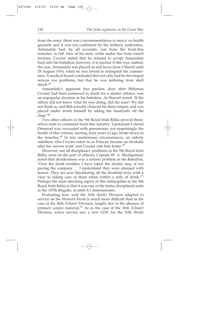from the army, there was a recommendation to mercy on health grounds and it was not confirmed by the military authorities. Annandale had, by all accounts, run from the front-line trenches, in full view of his men, while under fire from trench mortars. Crozier stated that he refused to accept Annandale back into his battalion; however, it is unclear if this was, indeed, the case. Annandale was placed on sick leave from 2 March until 29 August 1916, when he was forced to relinquish his commission. A medical board concluded that not only had he developed serious eye problems, but that he was suffering from shell shock.<sup>67</sup>

Annandale's apparent free pardon, days after Rifleman Crozier had been sentenced to death for a similar offence, was an unpopular decision in his battalion. As Starrett noted, 'If the officer did not know what he was doing, did the man? We did not think so, and Bell actually chanced his three stripes, and was placed under arrest himself by taking the handcuffs off the chap.'<sup>68</sup>

Two other officers in the 9th Royal Irish Rifles proved themselves unfit to command front-line infantry. Lieutenant Colonel Ormerod was evacuated with pneumonia; not surprisingly the health of this veteran, nearing sixty years of age, broke down in the trenches.<sup>69</sup> In less meritorious circumstances, an elderly subaltern who Crozier refers to as Felucan became an alcoholic after his 'nerves went' and Crozier sent him home.<sup>70</sup>

However, not all disciplinary problems in the 9th Royal Irish Rifles were on the part of officers. Captain W. A. Montgomery noted that drunkenness was a serious problem in the Battalion, 'Over the drink troubles I have taken the drastic step of not paying the company . . . I understand they were stunned with horror. They are now blacklisting all the doubtful boys with a view to taking care of them when within a mile of drink.'<sup>71</sup> Perhaps the most shocking aspect of this indiscipline in the 9th Royal Irish Rifles is that it was one of the better disciplined units in the 107th Brigade, as table 4.1 demonstrates.

Evaluating how well the 16th (Irish) Division adapted to service on the Western Front is much more difficult than in the case of the 36th (Ulster) Division, largely due to the absence of primary source material.<sup>72</sup> As in the case of the 36th (Ulster) Division, active service saw a new GOC for the 16th (Irish)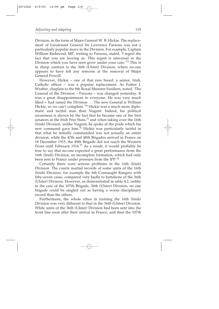Division, in the form of Major General W. B. Hickie. The replacement of Lieutenant General Sir Lawrence Parsons was not a particularly popular move in the Division. For example, Captain William Redmond, MP, writing to Parsons, stated, 'I regret the fact that you are leaving us. This regret is universal in the Division which you have seen grow under your care.'<sup>73</sup> This is in sharp contrast to the 36th (Ulster) Division, where no-one appears to have felt any remorse at the removal of Major General Powell.

However, Hickie – one of that rare breed, a senior, Irish, Catholic officer – was a popular replacement. As Father J. Wrafter, chaplain to the 8th Royal Munster Fusiliers, noted, 'The General of the Division – Parsons – was changed yesterday. It was a great disappointment to everyone. He was very much liked  $+$  had raised the Division  $\ldots$  The new General is William Hickie, so we can't complain.'<sup>74</sup> Hickie was a much more diplomatic and tactful man than Nugent. Indeed, his political awareness is shown by the fact that he became one of the first senators in the Irish Free State,<sup>75</sup> and when taking over the 16th (Irish) Division, unlike Nugent, he spoke of the pride which his new command gave him.<sup>76</sup> Hickie was particularly tactful in that what he initially commanded was not actually an entire division; while the 47th and 48th Brigades arrived in France on 18 December 1915, the 49th Brigade did not reach the Western Front until February 1916.<sup>77</sup> As a result, it would probably be true to say that no-one expected a great performance from the 16th (Irish) Division, an incomplete formation, which had only been sent to France under pressure from the IPP.<sup>78</sup>

Certainly there were serious problems in the 16th (Irish) Division. The courts martial records of some units of the 16th (Irish) Division, for example the 6th Connaught Rangers with fifty-seven cases, compared very badly to battalions of the 36th (Ulster) Division. However, as demonstrated in table 4.2, unlike in the case of the 107th Brigade, 36th (Ulster) Division, no one brigade could be singled out as having a worse disciplinary record than the others.

Furthermore, the whole ethos in training the 16th (Irish) Division was very different to that in the 36th (Ulster) Division. While units of the 36th (Ulster) Division had been sent into the front line soon after their arrival in France, and then the 107th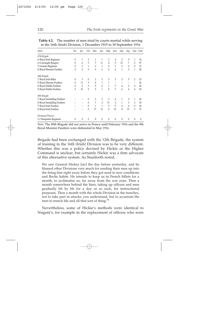| Units                          | Dec.     | Jan.           | Feb.     | Mar.           | Apr.           | May            | June           | July           | Aug.           |                | Sept. Total |
|--------------------------------|----------|----------------|----------|----------------|----------------|----------------|----------------|----------------|----------------|----------------|-------------|
| 47th Brigade                   |          |                |          |                |                |                |                |                |                |                |             |
| 6/Royal Irish Regiment         | $\theta$ | 1              | 2        | 1              | 1              | 2              | 4              | 2              | $\theta$       | 1              | 14          |
| 6/Connaught Rangers            | $\theta$ | 6              | 5        | 7              | 11             | $\overline{4}$ | 3              | 12             | 7              | $\overline{2}$ | 57          |
| 7/Leinster Regiment            | 0        | 3              | 1        | $\overline{2}$ | 1              | $\theta$       | 1              | 3              | 2              | $\theta$       | 13          |
| 8/Royal Munster Fusiliers      | $\theta$ | $\overline{2}$ | 5        | 6              | 6              | $\theta$       | 4              | 1              | 3              | 1              | 28          |
| 48th Brigade                   |          |                |          |                |                |                |                |                |                |                |             |
| 7/Royal Irish Rifles           | $\theta$ | 3              | $\theta$ | 2              | 3              | 3              | 3              | $\overline{2}$ | 5              | $\overline{2}$ | 23          |
| 9/Royal Munster Fusiliers      | $\theta$ | 11             | 9        | $\overline{4}$ | 1              | 1              | $\equiv$       |                |                | -              | 26          |
| 8/Royal Dublin Fusiliers       | 0        | 2              | 3        | 5              | $\theta$       | 1              | 7              | 4              | $\overline{2}$ | $\theta$       | 24          |
| 9/Royal Dublin Fusiliers       | $\theta$ | 10             | 5        | 5              | 1              | 8              | 7              | 6              | 4              | 4              | 50          |
| 49th Brigade                   |          |                |          |                |                |                |                |                |                |                |             |
| 7/Royal Inniskilling Fusiliers |          |                | $\theta$ | 3              | 3              | 3              | 4              | 1              | 5              | 1              | 20          |
| 8/Royal Inniskilling Fusiliers |          |                | $\theta$ | 7              | $\overline{2}$ | 13             | $\overline{2}$ | 1              | 3              | 2              | 30          |
| 7/Royal Irish Fusiliers        |          |                | $\theta$ | 1              | 1              | 5              | 9              | 4              | 4              | $\theta$       | 24          |
| 8/Royal Irish Fusiliers        |          |                | $\theta$ | 17             | 12             | 6              | 12             | 8              | 15             | 3              | 73          |
| Divisional Pioneers            |          |                |          |                |                |                |                |                |                |                |             |
| 11/Hampshire Regiment          | $\theta$ | $\theta$       | $\theta$ | $\theta$       | $\theta$       | $\theta$       | $\theta$       | $\theta$       | $\theta$       | $\theta$       | $\theta$    |

**Table 4.2.** The number of men tried by courts martial while serving in the 16th (Irish) Division, 1 December 1915 to 30 September 1916

*Note:* The 49th Brigade did not arrive in France until February 1916 and the 9th Royal Munster Fusiliers were disbanded in May 1916.

Brigade had been exchanged with the 12th Brigade, the system of training in the 16th (Irish) Division was to be very different. Whether this was a policy devised by Hickie or the Higher Command is unclear, but certainly Hickie was a firm advocate of this alternative system. As Staniforth noted,

We saw General Hickey [sic] the day before yesterday, and he blamed other Divisions very much for sending their men up into the firing-line right away before they got used to new conditions and Boche habits. He intends to keep us in French billets for a month, to acclimatise us, far away from the war zone. Then a month somewhere behind the lines, taking up officers and men gradually bit by bit for a day or so each, for instructional purposes. Then a month with the whole Division in the trenches, not to take part in attacks, you understand, but to accustom the men to trench life and all that sort of thing.<sup>79</sup>

Nevertheless, some of Hickie's methods were identical to Nugent's, for example in the replacement of officers who were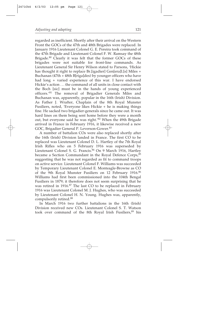regarded as inefficient. Shortly after their arrival on the Western Front the GOCs of the 47th and 48th Brigades were replaced. In January 1916 Lieutenant Colonel G. E. Pereira took command of the 47th Brigade and Lieutenant Colonel F. W. Ramsay the 48th Brigade.<sup>80</sup> Clearly it was felt that the former GOCs of these brigades were not suitable for front-line commands. As Lieutenant General Sir Henry Wilson stated to Parsons, 'Hickie has thought it right to replace Br.[igadier] Gen[era]l.[s] Miles + Buchanan (47th + 48th B[riga]des) by younger officers who have had long + varied experience of this war. I have endorsed Hickie's action ... the command of all units in close contact with the Boch [sic] must be in the hands of young experienced officers.'<sup>81</sup> The removal of Brigadier Generals Miles and Buchanan was, apparently, popular in the 16th (Irish) Division. As Father J. Wrafter, Chaplain of the 8th Royal Munster Fusiliers, noted, 'Everyone likes Hickie + he is making things fine. He sacked two brigadier-generals since he came out. It was hard lines on them being sent home before they were a month out, but everyone said he was right.'<sup>82</sup> When the 49th Brigade arrived in France in February 1916, it likewise received a new GOC, Brigadier General P. Leverson-Gower.<sup>83</sup>

A number of battalion COs were also replaced shortly after the 16th (Irish) Division landed in France. The first CO to be replaced was Lieutenant Colonel D. L. Hartley of the 7th Royal Irish Rifles who on 5 February 1916 was superseded by Lieutenant Colonel S. G. Francis.<sup>84</sup> On 9 March 1916, Hartley became a Section Commandant in the Royal Defence Corps,<sup>85</sup> suggesting that he was not regarded as fit to command troops on active service. Lieutenant Colonel F. Williams was succeeded by Temporary Lieutenant Colonel E. Monteagle-Browne as CO of the 9th Royal Munster Fusiliers on 12 February 1916.<sup>86</sup> Williams had first been commissioned into the 104th Bengal Fusiliers in 1879; it therefore does not seem surprising that he was retired in 1916.<sup>87</sup> The last CO to be replaced in February 1916 was Lieutenant Colonel M. J. Hughes, who was succeeded by Lieutenant Colonel H. N. Young. Hughes was, apparently, compulsorily retired.<sup>88</sup>

In March 1916 two further battalions in the 16th (Irish) Division received new COs. Lieutenant Colonel S. T. Watson took over command of the 8th Royal Irish Fusiliers, 89 his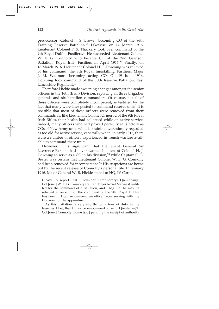predecessor, Colonel J. S. Brown, becoming CO of the 86th Training Reserve Battalion.<sup>90</sup> Likewise, on 14 March 1916, Lieutenant Colonel F. S. Thackery took over command of the 9th Royal Dublin Fusiliers.<sup>91</sup> He succeeded Lieutenant Colonel W. E. G. Connolly who became CO of the 2nd Garrison Battalion, Royal Irish Fusiliers in April 1916.<sup>92</sup> Finally, on 18 March 1916, Lieutenant Colonel H. J. Downing was relieved of his command, the 8th Royal Inniskilling Fusiliers, Major J. M. Wadmore becoming acting CO. On 19 June 1916, Downing took command of the 10th Reserve Battalion, East Lancashire Regiment.<sup>93</sup>

Therefore Hickie made sweeping changes amongst the senior officers in the 16th (Irish) Division, replacing all three brigadier generals and six battalion commanders. Of course, not all of these officers were completely incompetent, as testified by the fact that many were later posted to command reserve units. It is possible that most of these officers were removed from their commands as, like Lieutenant Colonel Ormerod of the 9th Royal Irish Rifles, their health had collapsed while on active service. Indeed, many officers who had proved perfectly satisfactory as COs of New Army units while in training, were simply regarded as too old for active service, especially when, in early 1916, there were a number of officers experienced in trench warfare available to command these units.

However, it is significant that Lieutenant General Sir Lawrence Parsons had never wanted Lieutenant Colonel H. J. Downing to serve as a CO in his division, <sup>94</sup> while Captain O. L. Beater was certain that Lieutenant Colonel W. E. G. Connolly had been removed for incompetence.<sup>95</sup> His suspicions are borne out by the recent release of Connolly's personal file. In January 1916, Major General W. B. Hickie stated to HQ, IV Corps,

I have to report that I consider Temp.[orary] L[ieutenan]t. Col.[onel] W. E. G. Connolly (retired Major Royal Marines) unfitted for the command of a Battalion, and I beg that he may be relieved at once, from the command of the 9th. Royal Dublin Fusiliers ... I can recommend an officer, now serving with the Division, for the appointment.

As this Battalion is very shortly for a tour of duty in the trenches I beg that I may be empowered to send L[ieutenan]T. Col.[onel] Connolly Home [sic.] pending the receipt of authority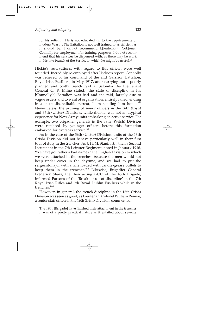for his relief ... He is not educated up to the requirements of modern War . . . The Battalion is not well trained or as efficient as it should be. I cannot recommend L[ieutenan]t. Col.[onel] Connolly for employment for training purposes. I do not recommend that his services be dispensed with, as there may be work in his late branch of the Service in which he might be useful.<sup>96</sup>

Hickie's reservations, with regard to this officer, were well founded. Incredibly re-employed after Hickie's report, Connolly was relieved of his command of the 2nd Garrison Battalion, Royal Irish Fusiliers, in May 1917, after carrying out a poorly planned and costly trench raid at Salonika. As Lieutenant General G. F. Milne stated, 'the state of discipline in his [Connolly's] Battalion was bad and the raid, largely due to vague orders and to want of organisation, entirely failed, ending in a most discreditable retreat, I am sending him home.'<sup>97</sup> Nevertheless, the pruning of senior officers in the 16th (Irish) and 36th (Ulster) Divisions, while drastic, was not an atypical experience for New Army units embarking on active service. For example, two brigadier generals in the 38th (Welsh) Division were replaced by younger officers before this formation embarked for overseas service.<sup>98</sup>

As in the case of the 36th (Ulster) Division, units of the 16th (Irish) Division did not behave particularly well in their first tour of duty in the trenches. As J. H. M. Staniforth, then a Second Lieutenant in the 7th Leinster Regiment, noted in January 1916, 'We have got rather a bad name in the English Division to which we were attached in the trenches, because the men would not keep under cover in the daytime, and we had to put the sergeant-major with a rifle loaded with candle-grease bullets to keep them in the trenches.'<sup>99</sup> Likewise, Brigadier General Frederick Shaw, the then acting GOC of the 48th Brigade, informed Parsons of the 'Breaking up of discipline' in the 7th Royal Irish Rifles and 9th Royal Dublin Fusiliers while in the trenches.<sup>100</sup>

However, in general, the trench discipline in the 16th (Irish) Division was seen as good, as Lieutenant Colonel William Rennie, a senior staff officer in the 16th (Irish) Division, commented,

The 48th. [Brigade] have finished their attachment in the trenches it was of a pretty practical nature as it entailed about seventy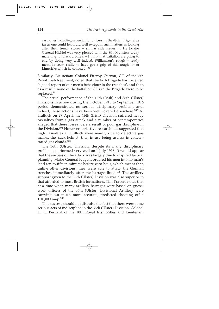casualties including seven junior officers . . . the 48th. [Brigade] as far as one could learn did well except in such matters as looking after their trench stores  $+$  similar side issues ... He [Major General Hickie] was very pleased with the 8th. Munsters today marching to forward billets + I think that battalion are going to end by doing very well indeed. Williamson's rough + ready methods seem really to have got a grip of this tough lot of Limericks which he collected.<sup>101</sup>

Similarly, Lieutenant Colonel Fitzroy Curzon, CO of the 6th Royal Irish Regiment, noted that the 47th Brigade had received 'a good report of our men's behaviour in the trenches', and that, as a result, none of the battalion COs in the Brigade were to be replaced.<sup>102</sup>

The actual performance of the 16th (Irish) and 36th (Ulster) Divisions in action during the October 1915 to September 1916 period demonstrated no serious disciplinary problems and, indeed, these actions have been well covered elsewhere.<sup>103</sup> At Hulluch on 27 April, the 16th (Irish) Division suffered heavy casualties from a gas attack and a number of contemporaries alleged that these losses were a result of poor gas discipline in the Division.<sup>104</sup> However, objective research has suggested that high casualties at Hulluch were mainly due to defective gas masks, the 'sack helmet' then in use being useless in concentrated gas clouds.<sup>105</sup>

The 36th (Ulster) Division, despite its many disciplinary problems, performed very well on 1 July 1916. It would appear that the success of the attack was largely due to inspired tactical planning. Major General Nugent ordered his men into no man's land ten to fifteen minutes before zero hour, which meant that, unlike other divisions, they were able to attack the German trenches immediately after the barrage lifted.<sup>106</sup> The artillery support given to the 36th (Ulster) Division was also superior to that afforded to most British formations. Tim Travers notes that at a time when many artillery barrages were based on guesswork officers of the 36th (Ulster) Divisional Artillery were carrying out much more accurate, predicted shooting off a 1:10,000 map.<sup>107</sup>

This success should not disguise the fact that there were some serious acts of indiscipline in the 36th (Ulster) Division. Colonel H. C. Bernard of the 10th Royal Irish Rifles and Lieutenant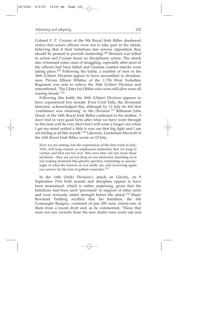Colonel F. P. Crozier of the 9th Royal Irish Rifles disobeyed orders that senior officers were not to take part in the attack, believing that if their battalions met serious opposition they should be present to provide leadership.<sup>108</sup> Bernard was killed in action and Crozier faced no disciplinary action. The attack also witnessed some cases of straggling, especially after most of the officers had been killed and German counter-attacks were taking place.<sup>109</sup> Following the battle, a number of men in the 36th (Ulster) Division appear to have succumbed to drunkenness. Private Ellison Whitley of the 1/7th West Yorkshire Regiment was sent to relieve the 36th (Ulster) Division and remembered, 'The Ulster [sic] Rifles who were still alive were all roaring drunk.'<sup>110</sup>

Following this battle the 36th (Ulster) Division appears to have experienced low morale. Even Cyril Falls, the divisional historian, acknowledged this, although by 12 July he felt that 'confidence was returning' to the Division.<sup>111</sup> Rifleman John Doran of the 14th Royal Irish Rifles confessed to his mother, 'I don't feel in very good form after what we have went through so this note will be very short but I will write a longer one when I get my mind settled a little it was our first big fight and I am not feeling at all like myself.'<sup>112</sup> Likewise, Lieutenant Maxwell of the 16th Royal Irish Rifles wrote on 10 July,

Now we are resting, but the experiences of the first week in July, 1916, will long remain as unpleasant memories that we long to curtain and blot out for ever. But even time can not erase these incidents – they are carved deep on our memories, haunting us in our waking moments like ghastly spectres, reminding us unceasingly of what the horrors of war really are, and reviewing again our sorrow for the loss of gallant comrades.<sup>113</sup>

In the 16th (Irish) Division's attack on Ginchy, on 9 September 1916 both morale and discipline appear to have been maintained, which is rather surprising, given that the battalions had been used 'piecemeal' in support of other units and were seriously under strength before the attack.<sup>114</sup> Major Rowland Feilding recalled that his battalion, the 6th Connaught Rangers, consisted of just 200 men, ninety-one of them from a recent draft and, as he commented, 'Those that were not raw recruits from the new drafts were worn out and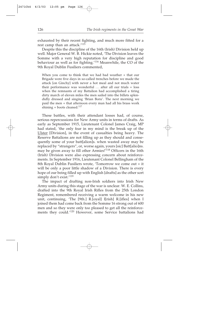exhausted by their recent fighting, and much more fitted for a rest camp than an attack.'<sup>115</sup>

Despite this the discipline of the 16th (Irish) Division held up well. Major General W. B. Hickie noted, 'The Division leaves the Somme with a very high reputation for discipline and good behaviour as well as for fighting.'<sup>116</sup> Meanwhile, the CO of the 9th Royal Dublin Fusiliers commented,

When you come to think that we had bad weather + that our Brigade were five days in so-called trenches before we made the attack [on Ginchy] with never a hot meal and not much water their performance was wonderful  $\ldots$  after all our trials + loss when the remnants of my Battalion had accomplished a tiring dirty march of eleven miles the men sailed into the billets splendidly dressed and singing 'Brian Boru'. The next morning we paid the men + that afternoon every man had all his brass work shining  $+$  boots cleaned.<sup>117</sup>

These battles, with their attendant losses had, of course, serious repercussions for New Army units in terms of drafts. As early as September 1915, Lieutenant Colonel James Craig, MP had stated, 'the only fear in my mind is the break up of the Ulster [Division], in the event of casualties being heavy. The Reserve Battalions are not filling up as they should and consequently some of your batt[alion]s. when wasted away may be replaced by "strangers", or, worse again, yours [sic] Batt[alio]ns. may be given away to fill other Armies!'<sup>118</sup> Officers in the 16th (Irish) Division were also expressing concern about reinforcements. In September 1916, Lieutenant Colonel Bellingham of the 8th Royal Dublin Fusiliers wrote, 'Tomorrow we come out + it will be only a poor little shadow of a Division. There is every hope of our being filled up with English [drafts] as the other sort simply don't exist.'<sup>119</sup>

The impact of drafting non-Irish soldiers into Irish New Army units during this stage of the war is unclear. W. E. Collins, drafted into the 9th Royal Irish Rifles from the 25th London Regiment, remembered receiving a warm welcome in his new unit, continuing, 'The [9th.] R.[oyal] I[rish] R.[ifles] when I joined them had come back from the Somme 16 strong out of 600 men and so they were only too pleased to get all the reinforcements they could.'<sup>120</sup> However, some Service battalions had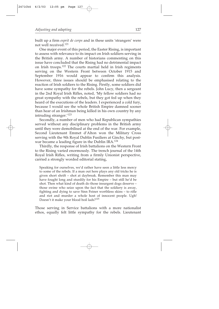built up a firm *esprit de corps* and in these units 'strangers' were not well received.<sup>121</sup>

One major event of this period, the Easter Rising, is important to assess with relevance to its impact on Irish soldiers serving in the British army. A number of historians commenting on this issue have concluded that the Rising had no detrimental impact on Irish troops.<sup>122</sup> The courts martial held in Irish regiments serving on the Western Front between October 1915 and September 1916 would appear to confirm this analysis. However, three issues should be emphasised relating to the reaction of Irish soldiers to the Rising. Firstly, some soldiers did have some sympathy for the rebels. John Lucy, then a sergeant in the 2nd Royal Irish Rifles, noted, 'My fellow soldiers had no great sympathy with the rebels, but they got fed up when they heard of the executions of the leaders. I experienced a cold fury, because I would see the whole British Empire damned sooner than hear of an Irishman being killed in his own country by any intruding stranger.'<sup>123</sup>

Secondly, a number of men who had Republican sympathies served without any disciplinary problems in the British army until they were demobilised at the end of the war. For example, Second Lieutenant Emmet d'Alton won the Military Cross serving with the 9th Royal Dublin Fusiliers at Ginchy, but postwar became a leading figure in the Dublin IRA.<sup>124</sup>

Thirdly, the response of Irish battalions on the Western Front to the Rising varied enormously. The trench journal of the 14th Royal Irish Rifles, writing from a firmly Unionist perspective, carried a strongly worded editorial stating,

Speaking for ourselves, we'd rather have seen a little less mercy to some of the rebels. If a man out here plays any old tricks he is given short shrift – shot at daybreak. Remember this man may have fought long and sturdily for his Empire – but still he'd be shot. Then what kind of death do those insurgent dogs deserve – those swine who seize upon the fact that the soldiery is away, fighting and dying to save Sinn Feiner worthless skins – to rifle and riot and murder a whole host of innocent people. Ugh! Doesn't it make your blood boil lads?<sup>125</sup>

Those serving in Service battalions with a more nationalist ethos, equally felt little sympathy for the rebels. Lieutenant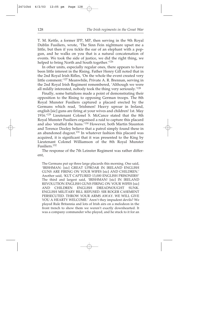T. M. Kettle, a former IPP, MP, then serving in the 9th Royal Dublin Fusiliers, wrote, 'The Sinn Fein nightmare upset me a little, but then if you tickle the ear of an elephant with a popgun, and he walks on you that is a natural concatenation of events. We took the side of justice, we did the right thing, we helped to bring North and South together.'<sup>126</sup>

In other units, especially regular ones, there appears to have been little interest in the Rising. Father Henry Gill noted that in the 2nd Royal Irish Rifles, 'On the whole the event created very little comment.'<sup>127</sup> Meanwhile, Private A. R. Brennan, serving in the 2nd Royal Irish Regiment remembered, 'Although we were all mildly interested, nobody took the thing very seriously.'<sup>128</sup>

Finally, some battalions made a point of demonstrating their opposition to the Rising to opposing German troops. The 8th Royal Munster Fusiliers captured a placard erected by the Germans which read, 'Irishmen! Heavy uproar in Ireland, english [sic] guns are firing at your wives and children! 1st. May 1916.'<sup>129</sup> Lieutenant Colonel S. McCance stated that the 8th Royal Munster Fusiliers organised a raid to capture this placard and also 'straffed the huns.'<sup>130</sup> However, both Martin Staunton and Terence Dooley believe that a patrol simply found these in an abandoned dugout.<sup>131</sup> In whatever fashion this placard was acquired, it is significant that it was presented to the King by Lieutenant Colonel Williamson of the 8th Royal Munster Fusiliers.<sup>132</sup>

The response of the 7th Leinster Regiment was rather different,

The Germans put up three large placards this morning. One said, 'IRISHMAN: [sic] GREAT UPROAR IN IRELAND ENGLISH GUNS ARE FIRING ON YOUR WIFES [sic] AND CHILDREN.' Another said, 'KUT CAPTURED 13,000 ENGLISH PRISONERS!' The third and largest said, 'IRISHMAN! [sic] IN IRELAND REVOLUTION ENGLISH GUNS FIRING ON YOUR WIFES [sic] AND CHILDREN ENGLISH DREADNOUGHT SUNK. ENGLISH MILITARY BILL REFUSED. SIR ROGER CASEMENT PERSECUTED. THROW YOUR ARMS AWAY. WE WILL GIVE YOU A HEARTY WELCOME.' Aren't they impudent devils? We played Rule Britannia and lots of Irish airs on a melodeon in the front trench to show them we weren't exactly downhearted. It was a company commander who played, and he stuck to it for an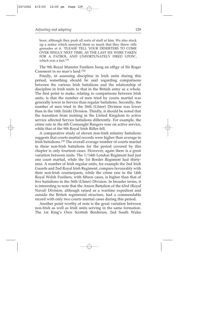hour, although they push all sorts of stuff at him. We also stuck up a notice which annoyed them so much that they threw rifle grenades at it. 'PLEASE TELL YOUR DESERTERS TO COME OVER SINGLY NEXT TIME, AS THE LAST SIX WERE TAKEN FOR A PATROL AND UNFORTUNATELY FIRED UPON', which was a fact.<sup>133</sup>

The 9th Royal Munster Fusiliers hung an effigy of Sir Roger Casement in no man's land.<sup>134</sup>

Finally, in assessing discipline in Irish units during this period, something should be said regarding comparisons between the various Irish battalions and the relationship of discipline in Irish units to that in the British army as a whole. The first point to make, relating to comparisons between Irish units, is that the number of men tried by courts martial was generally lower in Service than regular battalions. Secondly, the number of men tried in the 36th (Ulster) Division was lower than in the 16th (Irish) Division. Thirdly, it should be noted that the transition from training in the United Kingdom to active service affected Service battalions differently. For example, the crime rate in the 6th Connaught Rangers rose on active service, while that of the 9th Royal Irish Rifles fell.

A comparative study of eleven non-Irish infantry battalions suggests that courts martial records were higher than average in Irish battalions.<sup>135</sup> The overall average number of courts martial in these non-Irish battalions for the period covered by this chapter is only fourteen cases. However, again there is a great variation between units. The 1/14th London Regiment had just one court martial, while the 1st Border Regiment had thirtynine. A number of Irish regular units, for example the 2nd Irish Guards and 2nd Royal Irish Regiment, compare favourably with their non-Irish counterparts, while the crime rate in the 14th Royal Welsh Fusiliers, with fifteen cases, is higher than that of five battalions in the 36th (Ulster) Division. In broader terms, it is interesting to note that the Anson Battalion of the 63rd (Royal Naval) Division, although raised as a wartime expedient and outside the British regimental structure, had a commendable record with only two courts martial cases during this period.

Another point worthy of note is the great variation between non-Irish as well as Irish units serving in the same formation. The 1st King's Own Scottish Borderers, 2nd South Wales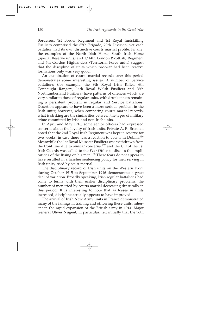Borderers, 1st Border Regiment and 1st Royal Inniskilling Fusiliers comprised the 87th Brigade, 29th Division, yet each battalion had its own distinctive courts martial profile. Finally, the examples of the North Irish Horse, South Irish Horse (Special Reserve units) and 1/14th London (Scottish) Regiment and 6th Gordon Highlanders (Territorial Force units) suggest that the discipline of units which pre-war had been reserve formations only was very good.

An examination of courts martial records over this period demonstrates some interesting issues. A number of Service battalions (for example, the 9th Royal Irish Rifles, 6th Connaught Rangers, 14th Royal Welsh Fusiliers and 26th Northumberland Fusiliers) have patterns of offences which are very similar to those of regular units, with drunkenness remaining a persistent problem in regular and Service battalions. Desertion appears to have been a more serious problem in the Irish units; however, when comparing courts martial records, what is striking are the similarities between the types of military crime committed by Irish and non-Irish units.

In April and May 1916, some senior officers had expressed concerns about the loyalty of Irish units. Private A. R. Brennan noted that the 2nd Royal Irish Regiment was kept in reserve for two weeks, in case there was a reaction to events in Dublin.<sup>136</sup> Meanwhile the 1st Royal Munster Fusiliers was withdrawn from the front line due to similar concerns,<sup>137</sup> and the CO of the 1st Irish Guards was called to the War Office to discuss the implications of the Rising on his men.<sup>138</sup> These fears do not appear to have resulted in a harsher sentencing policy for men serving in Irish units, tried by court martial.

The disciplinary record of Irish units on the Western Front during October 1915 to September 1916 demonstrates a great deal of variation. Broadly speaking, Irish regular battalions had come to terms with their earlier disciplinary problems, the number of men tried by courts martial decreasing drastically in this period. It is interesting to note that as losses in units increased, discipline actually appears to have improved.

The arrival of Irish New Army units in France demonstrated many of the failings in training and officering these units, inherent in the rapid expansion of the British army in 1914. Major General Oliver Nugent, in particular, felt initially that the 36th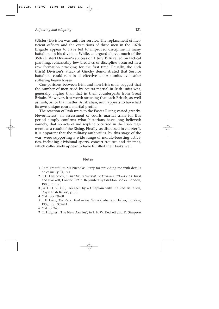(Ulster) Division was unfit for service. The replacement of inefficient officers and the executions of three men in the 107th Brigade appear to have led to improved discipline in many battalions in his division. While, as argued above, much of the 36th (Ulster) Division's success on 1 July 1916 relied on tactical planning, remarkably few breaches of discipline occurred in a raw formation attacking for the first time. Equally, the 16th (Irish) Division's attack at Ginchy demonstrated that Service battalions could remain as effective combat units, even after suffering heavy losses.

Comparisons between Irish and non-Irish units suggest that the number of men tried by courts martial in Irish units was, generally, higher than that in their counterparts from Great Britain. However, it is worth stressing that each British, as well as Irish, or for that matter, Australian, unit, appears to have had its own unique courts martial profile.

The reaction of Irish units to the Easter Rising varied greatly. Nevertheless, an assessment of courts martial trials for this period simply confirms what historians have long believed: namely, that no acts of indiscipline occurred in the Irish regiments as a result of the Rising. Finally, as discussed in chapter 1, it is apparent that the military authorities, by this stage of the war, were supporting a wide range of morale-boosting activities, including divisional sports, concert troupes and cinemas, which collectively appear to have fulfilled their tasks well.

## **Notes**

- **1** I am grateful to Mr Nicholas Perry for providing me with details on casualty figures.
- **2** F. C. Hitchcock, *'Stand To', A Diary of the Trenches, 1915–1918* (Hurst and Blackett, London, 1937. Reprinted by Gliddon Books, London, 1988), p. 106.
- **3** JAD, H. V. Gill, 'As seen by a Chaplain with the 2nd Battalion, Royal Irish Rifles', p. 59.
- **4** *Ibid.*, pp. 59–60.
- **5** J. F. Lucy, *There's a Devil in the Drum* (Faber and Faber, London, 1938), pp. 339–41.
- **6** *Ibid.*, p. 343.
- **7** C. Hughes, 'The New Armies', in I. F. W. Beckett and K. Simpson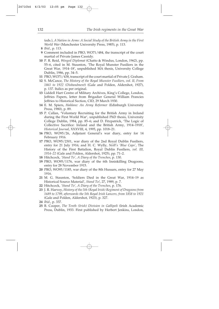(eds.), *A Nation in Arms: A Social Study of the British Army in the First World War* (Manchester University Press, 1985), p. 113.

- **8** *Ibid.*, p. 113.
- **9** Comment included in PRO, WO71/484, the transcript of the court martial of Private James Cassidy.
- **10** P. R. Reid, *Winged Diplomat* (Chatto & Windus, London, 1962), pp. 55–6, cited in M. Staunton, 'The Royal Munster Fusiliers in the Great War, 1914–18', unpublished MA thesis, University College Dublin, 1986, pp. 34–5.
- **11** PRO, WO71/438, transcript of the court martial of Private J. Graham.
- **12** S. McCance, *The History of the Royal Munster Fusiliers, vol. II, From 1861 to 1922 (Disbandment*) (Gale and Polden, Aldershot, 1927), p. 137. Italics as per original.
- **13** Liddell Hart Centre of Military Archives, King's College, London, Jeffries Papers, letter from Brigadier General William Francies Jeffries to Historical Section, CID, 29 March 1930.
- **14** E. M. Spiers, *Haldane: An Army Reformer* (Edinburgh University Press, 1980), p. 89.
- **15** P. Callan, 'Voluntary Recruiting for the British Army in Ireland during the First World War', unpublished PhD thesis, University College Dublin, 1984, pp. 85–6; and D. Fitzpatrick, 'The Logic of Collective Sacrifice: Ireland and the British Army, 1914–1918', *Historical Journal*, XXXVIII, 4, 1995, pp. 1018–21.
- **16** PRO, WO95/26, Adjutant General's war diary, entry for 14 February 1916.
- **17** PRO, WO95/2301, war diary of the 2nd Royal Dublin Fusiliers, entry for 21 July 1916; and H. C. Wylly, *Neill's 'Blue Caps'*, The History of the First Battalion, Royal Dublin Fusiliers, *vol. III, 1914–22* (Gale and Polden, Aldershot, 1925), pp. 71–2.
- **18** Hitchcock, *'Stand To', A Diary of the Trenches*, p. 130.
- **19** PRO, WO95/1176, war diary of the 6th Inniskilling Dragoons, entry for 28 November 1915.
- **20** PRO, WO95/1185, war diary of the 8th Hussars, entry for 27 May 1916.
- **21** M. G. Staunton, 'Soldiers Died in the Great War, 1914–19 as Historical Source Material', *Stand To!*, 27, 1989, p. 7.
- **22** Hitchcock, *'Stand To', A Diary of the Trenches*, p. 176.
- **23** J. R. Harvey, *History of the 5th (Royal Irish) Regiment of Dragoons from 1689 to 1799, afterwards the 5th Royal Irish Lancers, from 1858 to 1921* (Gale and Polden, Aldershot, 1923), p. 327.
- **24** *Ibid.*, p. 337.
- **25** B. Cooper, *The Tenth (Irish) Division in Gallipoli* (Irish Academic Press, Dublin, 1933. First published by Herbert Jenkins, London,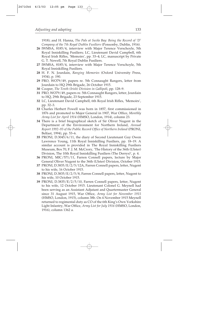1918); and H. Hanna, *The Pals at Suvla Bay: Being the Record of 'D' Company of the 7th Royal Dublin Fusiliers* (Ponsonby, Dublin, 1916).

- **26** IWMSA, 8185/4, interview with Major Terence Verschoyle, 5th Royal Inniskilling Fusiliers; LC, Lieutenant David Campbell, 6th Royal Irish Rifles, 'Memoirs', pp. 33–4; LC, manuscript by Private G. T. Newell, 7th Royal Dublin Fusiliers.
- **27** IWMSA, 8185/4, interview with Major Terence Verschoyle, 5th Royal Inniskilling Fusiliers.
- **28** H. F. N. Jourdain, *Ranging Memories* (Oxford University Press, 1934), p. 190.
- **29** PRO, WO79/49, papers re. 5th Connaught Rangers, letter from Jourdain to HQ 29th Brigade, 26 October 1915.
- **30** Cooper, *The Tenth (Irish) Division in Gallipoli*, pp. 128–9.
- **31** PRO, WO79/49, papers re. 5th Connaught Rangers, letter, Jourdain to HQ, 29th Brigade, 23 September 1915.
- **32** LC, Lieutenant David Campbell, 6th Royal Irish Rifles, 'Memoirs', pp. 32–3.
- **33** Charles Herbert Powell was born in 1857, first commissioned in 1876 and promoted to Major General in 1907, War Office, *Monthly Army List for April 1914* (HMSO, London, 1914), column 23.
- **34** There is a brief biographical sketch of Sir Oliver Nugent in the Department of the Environment for Northern Ireland, *Annual Report 1992–93 of the Public Record Office of Northern Ireland* (PRONI, Belfast, 1994), pp. 53–6.
- **35** PRONI, D.3045/6/11, the diary of Second Lieutenant Guy Owen Lawrence Young, 11th Royal Inniskilling Fusiliers, pp. 18–19. A similar account is provided in The Royal Inniskilling Fusiliers Museum, Box 70, F. J. M. McCrory, 'The History of the 36th (Ulster) Division, The 10th Royal Inniskilling Fusiliers (The Derrys)', p. 4.
- **36** PRONI, MIC/571/11, Farren Connell papers, lecture by Major General Oliver Nugent to the 36th (Ulster) Division, October 1915.
- **37** PRONI, D.3835/E/2/5/12A, Farren Connell papers, letter, Nugent to his wife, 16 October 1915.
- **38** PRONI, D.3835/E/2/5/8, Farren Connell papers, letter, Nugent to his wife, 10 October 1915.
- **39** PRONI, D.3835/E/2/5/10, Farren Connell papers, letter, Nugent to his wife, 12 October 1915. Lieutenant Colonel G. Meynell had been serving as an Assistant Adjutant and Quartermaster General since 31 August 1915, War Office, *Army List for November 1915* (HMSO, London, 1915), column 38b. On 4 November 1915 Meynell returned to regimental duty as CO of the 6th King's Own Yorkshire Light Infantry, War Office, *Army List for July 1916* (HMSO, London, 1916), column 1362 a.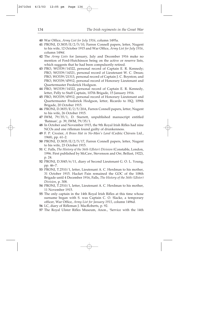- **40** War Office, *Army List for July 1916*, column 1495a.
- **41** PRONI, D.3835/E/2/5/10, Farren Connell papers, letter, Nugent to his wife, 12 October 1915 and War Office, *Army List for July 1916*, column 1496f.
- **42** The *Army Lists* for January, July and December 1916 make no mention of Ford-Hutchinson being on the active or reserve lists, which suggests that he had been compulsorily retired.
- **43** PRO, WO339/14322, personal record of Captain E. R. Kennedy; PRO, WO339/14321, personal record of Lieutenant W. C. Drean; PRO, WO339/21313, personal record of Captain J. C. Boynton; and PRO, WO339/45912, personal record of Honorary Lieutenant and Quartermaster Frederick Hodgson.
- **44** PRO, WO339/14322, personal record of Captain E. R. Kennedy, letter, Pelly to Staff Captain, 107th Brigade, 15 January 1916.
- **45** PRO, WO339/45912, personal record of Honorary Lieutenant and Quartermaster Frederick Hodgson, letter, Ricardo to HQ, 109th Brigade, 20 October 1915.
- **46** PRONI, D.3835/E/2/5/20A, Farren Connell papers, letter, Nugent to his wife, 26 October 1915.
- **47** IWM, 79/35/1, D. Starrett, unpublished manuscript entitled 'Batman', p. 39, IWM, 79/35/1.
- **48** In October and November 1915, the 9th Royal Irish Rifles had nine NCOs and one rifleman found guilty of drunkenness.
- **49** F. P. Crozier, *A Brass Hat in No-Man's Land* (Cedric Chivers Ltd., 1968), pp. 61–2.
- **50** PRONI, D.3835/E/2/5/17, Farren Connell papers, letter, Nugent to his wife, 23 October 1915.
- **51** C. Falls, *The History of the 36th (Ulster) Division* (Constable, London, 1996. First published by McCaw, Stevenson and Orr, Belfast, 1922), p. 24.
- **52** PRONI, D.3045/6/11, diary of Second Lieutenant G. O. L. Young, pp. 46–7.
- **53** PRONI, T.2510/1, letter, Lieutenant A. C. Herdman to his mother, 31 October 1915. Hacket Pain remained the GOC of the 108th Brigade until 4 December 1916, Falls, *The History of the 36th (Ulster) Division*, p. 308.
- **54** PRONI, T.2510/1, letter, Lieutenant A. C. Herdman to his mother, 11 November 1915.
- **55** The only captain in the 14th Royal Irish Rifles at this time whose surname began with S. was Captain C. O. Slacke, a temporary officer, War Office, *Army List for January 1915*, column 1496d.
- **56** LC, diary of Rifleman J. MacRoberts, p. 92.
- **57** The Royal Ulster Rifles Museum, Anon., 'Service with the 14th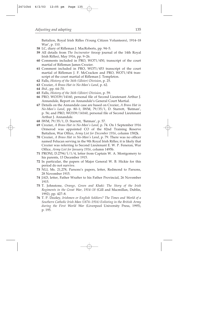Battalion, Royal Irish Rifles (Young Citizen Volunteers), 1914–18 War', p. 110.

- **58** LC, diary of Rifleman J. MacRoberts, pp. 94–5.
- **59** All details from *The Incinerator* (troop journal of the 14th Royal Irish Rifles), May 1916, pp. 9–26.
- **60** Comments included in PRO, WO71/450, transcript of the court martial of Rifleman James Crozier.
- **61** Comment included in PRO, WO71/453 transcript of the court martial of Rifleman J. F. McCracken and PRO, WO71/454 transcript of the court martial of Rifleman J. Templeton.
- **62** Falls, *History of the 36th (Ulster) Division*, p. 25.
- **63** Crozier, *A Brass Hat in No-Man's Land*, p. 62.
- **64** *Ibid.*, pp. 64–70.
- **65** Falls, *History of the 36th (Ulster) Division*, p. 59.
- **66** PRO, WO339/14160, personal file of Second Lieutenant Arthur J. Annandale, Report on Annandale's General Court Martial.
- **67** Details on the Annandale case are based on Crozier, *A Brass Hat in No-Man's Land*, pp. 80–1; IWM, 79/35/1, D. Starrett, 'Batman', p. 56; and PRO, WO339/14160, personal file of Second Lieutenant Arthur J. Annandale.
- **68** IWM, 79/35/1, D. Starrett, 'Batman', p. 57.
- **69** Crozier, *A Brass Hat in No-Man's Land*, p. 74. On 1 September 1916 Ormerod was appointed CO of the 82nd Training Reserve Battalion, War Office, *Army List for December 1916*, column 1582k.
- **70** Crozier, *A Brass Hat in No-Man's Land*, p. 79. There was no officer named Felucan serving in the 9th Royal Irish Rifles; it is likely that Crozier was referring to Second Lieutenant E. W. P. Feneran, War Office, *Army List for January 1916*, column 1495b.
- **71** PRONI, D.2794/1/1/4, letter from Captain W. A. Montgomery to his parents, 13 December 1915.
- **72** In particular, the papers of Major General W. B. Hickie for this period do not survive.
- **73** NLI, Ms. 21,278, Parsons's papers, letter, Redmond to Parsons, 28 November 1915.
- **74** JAD, letter, Father Wrafter to his Father Provincial, 26 November 1915.
- **75** T. Johnstone, *Orange, Green and Khaki: The Story of the Irish Regiments in the Great War, 1914–18* (Gill and Macmillan, Dublin, 1992), pp. 427–8.
- **76** T. P. Dooley, *Irishmen or English Soldiers? The Times and World of a Southern Catholic Irish Man (1876–1916) Enlisting in the British Army during the First World War* (Liverpool University Press, 1995), p. 195.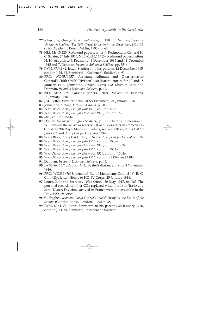- **77** Johnstone, *Orange, Green and Khaki*, p. 198; T. Denman, *Ireland's Unknown Soldiers: The 16th (Irish) Division in the Great War, 1914–18* (Irish Academic Press, Dublin, 1992), p. 62.
- **78** NLI, Ms.15,225, Redmond papers, letter, J. Redmond to General H. C. Sclater, 27 July 1915; NLI, Ms.15,165 (5), Redmond papers, letters H. H. Asquith to J. Redmond, 1 December 1915 and 11 December 1915 and T. Denman, *Ireland's Unknown Soldiers*, pp. 55–6.
- **79** IWM, 67/41/1, letter, Staniforth to his parents, 12 December 1915, cited in J. H. M. Staniforth, 'Kitchener's Soldier', p. 93.
- **80** PRO, WO95/1957, Assistant Adjutant and Quartermaster General's (16th (Irish) Division) war diaries, entries for 17 and 18 January 1916; Johnstone, *Orange, Green and Khaki*, p. 203; and Denman, *Ireland's Unknown Soldiers*, p. 62.
- **81** NLI, Ms.21,278, Parsons papers, letter, Wilson to Parsons, 14 January 1916.
- **82** JAD, letter, Wrafter to his Father Provincial, 21 January 1916.
- **83** Johnstone, *Orange, Green and Khaki*, p. 203.
- **84** War Office, *Army List for July 1916*, column 1495.
- **85** War Office, *Army List for December 1916*, column 1621.
- **86** *Ibid.*, column 1544a.
- **87** Dooley, *Irishmen or English Soldiers*?, p. 195. There is no mention of Williams on the active or reserve list of officers after his removal as CO of the 9th Royal Munster Fusiliers, see War Office, *Army List for July 1916* and *Army List for December 1916*.
- **88** War Office, *Army List for July 1916* and *Army List for December 1916*.
- **89** War Office, *Army List for July 1916*, column 1508a.
- **90** War Office, *Army List for December 1916*, column 1583a.
- **91** War Office, *Army List for July 1916*, column 1552a.
- **92** War Office, *Army List for December 1916*, column 1504e.
- **93** War Office, *Army List for July 1916*, columns 1159a and 1188.
- **94** Denman, *Ireland's Unknown Soldiers*, p. 45.
- **95** IWM, 86/65/1, Captain O. L. Beater's diaries, entry for 8 November 1916.
- **96** PRO, WO339/7608, personal file of Lieutenant Colonel W. E. G. Connolly, letter, Hickie to HQ, IV Corps, 25 January 1916.
- **97** Letter, Milne to Secretary, War Office, 30 May 1917, in *Ibid*. The personal records of other COs replaced when the 16th (Irish) and 36th (Ulster) Divisions arrived in France were not avaliable in the PRO, WO339 series.
- **98** C. Hughes, *Mametz: Lloyd George's 'Welsh Army' at the Battle of the Somme* (Gliddon Books, London), 1990, p. 38.
- **99** IWM, 67/41/1, letter, Staniforth to his parents, 30 January 1916, cited in J. H. M. Staniforth, 'Kitchener's Soldier'.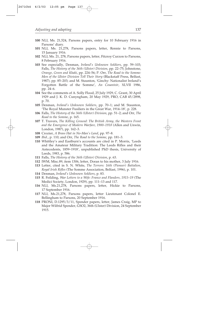- **100** NLI, Ms. 21,524, Parsons papers, entry for 10 February 1916 in Parsons' diary.
- **101** NLI, Ms. 21,278, Parsons papers, letter, Rennie to Parsons, 15 January 1916.
- **102** NLI, Ms. 21, 278, Parsons papers, letter, Fitzroy Curzon to Parsons, 8 February 1916.
- **103** See especially, Denman, *Ireland's Unknown Soldiers*, pp. 59–103; Falls, *The History of the 36th (Ulster) Division*, pp. 22–75; Johnstone, *Orange, Green and Khaki*, pp. 224–56; P. Orr, *The Road to the Somme: Men of the Ulster Division Tell Their Story* (Blackstaff Press, Belfast, 1987), pp. 85–203; and M. Staunton, 'Ginchy: Nationalist Ireland's Forgotten Battle of the Somme', *An Cosantoir*, XLVII 1986, pp. 24–6.
- **104** See the comments of A. Solly Flood, 25 July 1929, C. Grant, 30 April 1929 and J. K. D. Cunyngham, 20 May 1929, PRO, CAB 45/2898, p. 70.
- **105** Denman, *Ireland's Unknown Soldiers*, pp. 70–1; and M. Staunton, 'The Royal Munster Fusiliers in the Great War, 1914–18', p. 228.
- **106** Falls, *The History of the 36th (Ulster) Division*, pp. 51–2; and Orr, *The Road to the Somme*, p. 165.
- **107** T. Travers, *The Killing Ground: The British Army, the Western Front and the Emergence of Modern Warfare, 1900–1918* (Allen and Unwin, London, 1987), pp. 162–3.
- **108** Crozier, *A Brass Hat in No-Man's Land*, pp. 97–8.
- **109** *Ibid.*, p. 110; and Orr, *The Road to the Somme*, pp. 181–3.
- **110** Whittley's and Eastburn's accounts are cited in P. Morris, 'Leeds and the Amateur Military Tradition: The Leeds Rifles and their Antecedents, 1859–1918', unpublished PhD thesis, University of Leeds, 1983, p. 586.
- **111** Falls, *The History of the 36th (Ulster) Division*, p. 63.
- **112** IWM, Misc.89, item 1306, letter, Doran to his mother, 3 July 1916.
- **113** Letter, cited in S. N. White, *The Terrors: 16th (Pioneer) Battalion, Royal Irish Rifles* (The Somme Association, Belfast, 1996), p. 101.
- **114** Denman, *Ireland's Unknown Soldiers*, p. 83.
- **115** R. Feilding, *War Letters to a Wife: France and Flanders, 1915–19* (The Medici Society, London, 1929), pp. 111–13 and 117.
- **116** NLI, Ms.21,278, Parsons papers, letter, Hickie to Parsons, 17 September 1916.
- **117** NLI, Ms.21,278, Parsons papers, letter Lieutenant Colonel E. Bellingham to Parsons, 20 September 1916.
- **118** PRONI, D.1295/3/11, Spender papers, letter, James Craig, MP to Major Wilfrid Spender, GSO2, 36th (Ulster) Division, 24 September 1915.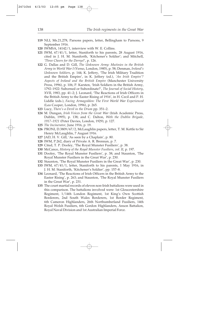- **119** NLI, Ms.21,278, Parsons papers, letter, Bellingham to Parsons, 9 September 1916.
- **120** IWMSA, 14142/1, interview with W. E. Collins.
- **121** IWM, 67/41/1, letter, Staniforth to his parents, 28 August 1916, cited in J. H. M. Staniforth, 'Kitchener's Soldier'; and Mitchell, *'Three Cheers for the Derrys*!', p. 126.
- **122** G. Dallas and D. Gill, *The Unknown Army: Mutinies in the British Army in World War I* (Verso, London, 1985), p. 58; Denman, *Ireland's Unknown Soldiers*, p. 144; K. Jeffery, 'The Irish Military Tradition and the British Empire', in K. Jeffery (ed.), *'An Irish Empire'? Aspects of Ireland and the British Empire* (Manchester University Press, 1996), p. 106; P. Karsten, 'Irish Soldiers in the British Army, 1792–1922: Suborned or Subordinate?', *The Journal of Social History*, XVII, 1983, pp. 41–2; J. Leonard, 'The Reactions of Irish Officers in the British Army to the Easter Rising of 1916', in H. Cecil and P. H. Liddle (eds.), *Facing Armageddon: The First World War Experienced* (Leo Cooper, London, 1996), p. 265.
- **123** Lucy, *There's a Devil in the Drum* pp. 351–2.
- **124** M. Dungan, *Irish Voices from the Great War* (Irish Academic Press, Dublin, 1995), p. 138; and C. Dalton, *With the Dublin Brigade, 1917–1921* (Peter Davies, London, 1929), p. 127.
- **125** *The Incinerator*, June 1916, p. 19.
- **126** PRONI, D.3809/67/2, McLaughlin papers, letter, T. M. Kettle to Sir Henry McLaughlin, 7 August 1916.
- **127** JAD, H. V. Gill, 'As seen by a Chaplain', p. 80.
- **128** IWM, P.262, diary of Private A. R. Brennan, p. 7.
- **129** Cited, T. P. Dooley, 'The Royal Munster Fusiliers', p. 38.
- **130** McCance, *History of the Royal Munster Fusiliers*, *vol. II*, p. 197.
- **131** Dooley, 'The Royal Munster Fusiliers', p. 38; and Staunton, 'The Royal Munster Fusiliers in the Great War', p. 230.
- **132** Staunton, 'The Royal Munster Fusiliers in the Great War', p. 230.
- **133** IWM, 67/41/1, letter, Staniforth to his parents, 1 May 1916, in J. H. M. Staniforth, 'Kitchener's Soldier', pp. 157–8.
- **134** Leonard, 'The Reactions of Irish Officers in the British Army to the Easter Rising', p. 263; and Staunton, 'The Royal Munster Fusiliers in the Great War', p. 231.
- **135** The court martial records of eleven non-Irish battalions were used in this comparison. The battalions involved were: 1st Gloucestershire Regiment, 1/14th London Regiment, 1st King's Own Scottish Borderers, 2nd South Wales Borderers, 1st Border Regiment, 6th Cameron Highlanders, 26th Northumberland Fusiliers, 14th Royal Welsh Fusiliers, 6th Gordon Highlanders, Anson Battalion, Royal Naval Division and 1st Australian Imperial Force.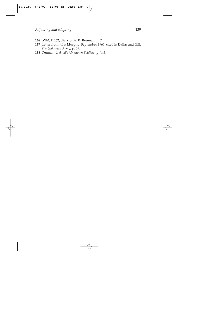- **136** IWM, P.262, diary of A. R. Brennan, p. 7.
- **137** Letter from John Murphy, September 1965, cited in Dallas and Gill, *The Unknown Army*, p. 59.
- **138** Denman, *Ireland's Unknown Soldiers*, p. 143.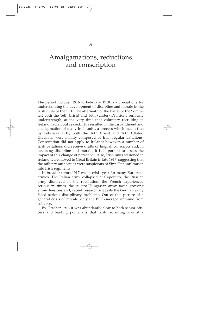## Amalgamations, reductions and conscription

The period October 1916 to February 1918 is a crucial one for understanding the development of discipline and morale in the Irish units of the BEF. The aftermath of the Battle of the Somme left both the 16th (Irish) and 36th (Ulster) Divisions seriously understrength, at the very time that voluntary recruiting in Ireland had all but ceased. This resulted in the disbandment and amalgamation of many Irish units, a process which meant that by February 1918, both the 16th (Irish) and 36th (Ulster) Divisions were mainly composed of Irish regular battalions. Conscription did not apply to Ireland; however, a number of Irish battalions did receive drafts of English conscripts and, in assessing discipline and morale, it is important to assess the impact of this change of personnel. Also, Irish units stationed in Ireland were moved to Great Britain in late 1917, suggesting that the military authorities were suspicious of Sinn Fein infiltration into Irish regiments.

In broader terms 1917 was a crisis year for many European armies. The Italian army collapsed at Caporetto, the Russian army dissolved in the revolution, the French experienced serious mutinies, the Austro-Hungarian army faced growing ethnic tensions and, recent research suggests the German army faced serious disciplinary problems. Out of this picture of a general crisis of morale, only the BEF emerged immune from collapse.

By October 1916 it was abundantly clear to both senior officers and leading politicians that Irish recruiting was at a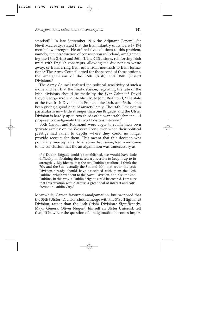standstill.<sup>1</sup> In late September 1916 the Adjutant General, Sir Nevil Macready, stated that the Irish infantry units were 17,194 men below strength. He offered five solutions to this problem, namely, the introduction of conscription in Ireland, amalgamating the 16th (Irish) and 36th (Ulster) Divisions, reinforcing Irish units with English conscripts, allowing the divisions to waste away, or transferring Irish units from non-Irish to Irish formations.<sup>2</sup> The Army Council opted for the second of these options, the amalgamation of the 16th (Irish) and 36th (Ulster) Divisions.<sup>3</sup>

The Army Council realised the political sensitivity of such a move and felt that the final decision, regarding the fate of the Irish divisions should be made by the War Cabinet.<sup>4</sup> David Lloyd George wrote, quite bluntly, to John Redmond, 'The state of the two Irish Divisions in France – the 16th. and 36th. – has been giving a good deal of anxiety lately. The 16th. Division in particular is now little stronger than one Brigade, and the Ulster Division is hardly up to two-thirds of its war establishment . . . I propose to amalgamate the two Divisions into one.'<sup>5</sup>

Both Carson and Redmond were eager to retain their own 'private armies' on the Western Front, even when their political prestige had fallen to depths where they could no longer provide recruits for them. This meant that this decision was politically unacceptable. After some discussion, Redmond came to the conclusion that the amalgamation was unnecessary as,

if a Dublin Brigade could be established, we would have little difficulty in obtaining the necessary recruits to keep it up to its strength ... My idea is, that the two Dublin battalions, I think the 7th. and the 8th. [actually the 8th and 9th], that are in the 16th. Division already should have associated with them the 10th. Dublins, which was sent to the Naval Division, and also the 2nd. Dublins. In this way, a Dublin Brigade could be created. I am sure that this creation would arouse a great deal of interest and satisfaction in Dublin City.<sup>6</sup>

Meanwhile, Carson favoured amalgamation, but proposed that the 36th (Ulster) Division should merge with the 51st (Highland) Division, rather than the 16th (Irish) Division.<sup>7</sup> Significantly, Major General Oliver Nugent, himself an Ulster Unionist, felt that, 'If however the question of amalgamation becomes imper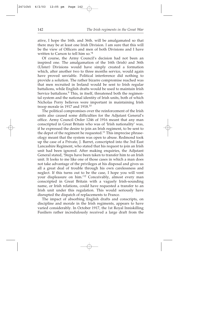ative, I hope the 16th. and 36th. will be amalgamated so that there may be at least one Irish Division. I am sure that this will be the view of Officers and men of both Divisions and I have written to Carson to tell him so.'<sup>8</sup>

Of course, the Army Council's decision had not been an inspired one. The amalgamation of the 16th (Irish) and 36th (Ulster) Divisions would have simply created a formation which, after another two to three months service, would again have proved unviable. Political interference did nothing to provide a solution. The rather bizarre compromise reached was that men recruited in Ireland would be sent to Irish regular battalions, while English drafts would be used to maintain Irish Service battalions.<sup>9</sup> This, in itself, threatened both the regimental system and the national identity of Irish units, both of which Nicholas Perry believes were important in maintaining Irish troop morale in 1917 and 1918.<sup>10</sup>

The political compromises over the reinforcement of the Irish units also caused some difficulties for the Adjutant General's office. Army Council Order 1246 of 1916 meant that any man conscripted in Great Britain who was of 'Irish nationality' was, if he expressed the desire to join an Irish regiment, to be sent to the depot of the regiment he requested.<sup>11</sup> This imprecise phraseology meant that the system was open to abuse. Redmond took up the case of a Private, J. Barret, conscripted into the 3rd East Lancashire Regiment, who stated that his request to join an Irish unit had been ignored. After making enquiries, the Adjutant General stated, 'Steps have been taken to transfer him to an Irish unit. It looks to me like one of those cases in which a man does not take advantage of the privileges at his disposal and gives us all a great deal of trouble through his own carelessness and neglect. If this turns out to be the case, I hope you will vent your displeasure on him.'<sup>12</sup> Conceivably, almost every man conscripted in Great Britain with a vaguely Irish-sounding name, or Irish relations, could have requested a transfer to an Irish unit under this regulation. This would seriously have disrupted the dispatch of replacements to France.

The impact of absorbing English drafts and conscripts, on discipline and morale in the Irish regiments, appears to have varied considerably. In October 1917, the 1st Royal Inniskilling Fusiliers rather incredulously received a large draft from the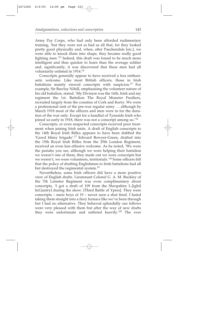Army Pay Corps, who had only been afforded rudimentary training, 'but they were not as bad as all that, for they looked pretty good physically and, when, after Paschendale [sic.], we were able to knock them into shape, they became really good fighting men.'<sup>13</sup> Indeed, this draft was found to be much more intelligent and thus quicker to learn than the average soldier and, significantly, it was discovered that these men had all voluntarily enlisted in 1914.<sup>14</sup>

Conscripts generally appear to have received a less enthusiastic welcome. Like most British officers, those in Irish battalions mainly viewed conscripts with suspicion.<sup>15</sup> For example, Sir Barclay Nihill, emphasising the volunteer nature of his old battalion, stated, 'My Division was the 16th, Irish and my regiment the 1st. Battalion The Royal Munster Fusiliers, recruited largely from the counties of Cork and Kerry. We were a professional unit of the pre-war regular army . . . although by March 1918 most of the officers and men were in for the duration of the war only. Except for a handful of Tyneside Irish who joined us early in 1918, there was not a conscript among us.'<sup>16</sup>

Conscripts, or even suspected conscripts received poor treatment when joining Irish units. A draft of English conscripts to the 14th Royal Irish Rifles appears to have been dubbed the 'Gawd blimy brigade'.<sup>17</sup> Edward Bowyer-Green, drafted into the 15th Royal Irish Rifles from the 25th London Regiment, received an even less effusive welcome. As he noted, 'We were the pariahs you see, although we were helping their battalion we weren't one of them, they made out we were conscripts but we weren't, we were volunteers, territorials.'<sup>18</sup> Some officers felt that the policy of drafting Englishmen to Irish battalions had all but destroyed the regimental system.<sup>19</sup>

Nevertheless, some Irish officers did have a more positive view of English drafts. Lieutenant Colonel G. A. M. Buckley of the 7th Leinster Regiment was even complimentary about conscripts, 'I got a draft of 109 from the Shropshire L.[ight] Inf.[antry] during the show. [Third Battle of Ypres]. They were conscripts – mere boys of 19 – never seen a shot fired. I hated taking them straight into a fiery furnace like we've been through but I had no alternative. They behaved splendidly our fellows were very pleased with them but after the way of new drafts they were unfortunate and suffered heavily.'<sup>20</sup> The ever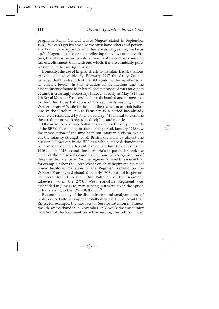pragmatic Major General Oliver Nugent stated in September 1916, 'We can't get Irishmen so we must have others and personally I don't care tuppence who they are as long as they make us up.'<sup>21</sup> Nugent must have been reflecting the views of many officers, that it was better to hold a trench with a company nearing full establishment, than with one which, if more ethnically pure, was not an effective fighting unit.

Ironically, the use of English drafts to maintain Irish battalions proved to be unviable. By February 1917 the Army Council believed that the strength of the BEF could not be maintained at its current level.<sup>22</sup> In this situation amalgamations and the disbandment of some Irish battalions to provide drafts for others became increasingly necessary. Indeed, as early as May 1916 the 9th Royal Munster Fusiliers had been disbanded and its men sent to the other three battalions of the regiments serving on the Western Front.<sup>23</sup> While the issue of the reduction of Irish battalions in the October 1916 to February 1918 period has already been well researched by Nicholas Perry,<sup>24</sup> it is vital to examine these reductions with regard to discipline and morale.

Of course Irish Service battalions were not the only elements of the BEF to face amalgamation in this period. January 1918 saw the introduction of the nine-battalion infantry division, which cut the infantry strength of all British divisions by almost one quarter.<sup>25</sup> However, in the BEF as a whole, these disbandments were carried out in a logical fashion. As Ian Beckett notes, 'in 1916 and in 1918 second line territorials in particular took the brunt of the reductions consequent upon the reorganisation of the expeditionary force.'26At the regimental level this meant that for example, when the 1/8th West Yorkshire Regiment, the most junior territorial battalion of the Regiment serving on the Western Front, was disbanded in early 1918, most of its personnel were drafted to the 1/6th Battalion of the Regiment. Likewise, when the 2/7th West Yorkshire Regiment was disbanded in June 1918, men serving in it were given the option of transferring to the 1/7th Battalion.<sup>27</sup>

By contrast, many of the disbandments and amalgamations of Irish Service battalions appear totally illogical. In the Royal Irish Rifles, for example, the most senior Service battalion in France, the 7th, was disbanded in November 1917, while the most junior battalion of the Regiment on active service, the 16th survived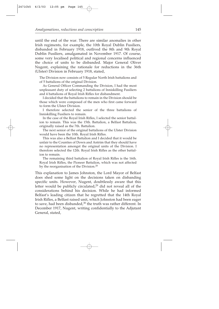until the end of the war. There are similar anomalies in other Irish regiments, for example, the 10th Royal Dublin Fusiliers, disbanded in February 1918, outlived the 8th and 9th Royal Dublin Fusiliers, amalgamated in November 1917. Of course, some very localised political and regional concerns influenced the choice of units to be disbanded. Major General Oliver Nugent, explaining the rationale for reductions in the 36th (Ulster) Division in February 1918, stated,

The Division now consists of 5 Regular North Irish battalions and of 5 battalions of the original Division.

As General Officer Commanding the Division, I had the most unpleasant duty of selecting 2 battalions of Inniskilling Fusiliers and 4 battalions of Royal Irish Rifles for disbandment.

I decided that the battalions to remain in the Division should be those which were composed of the men who first came forward to form the Ulster Division.

I therefore selected the senior of the three battalions of Inniskilling Fusiliers to remain.

In the case of the Royal Irish Rifles, I selected the senior battalion to remain. This was the 15th. Battalion, a Belfast Battalion, originally raised as the 7th. Battalion.

The next senior of the original battalions of the Ulster Division would have been the 10th. Royal Irish Rifles.

This was also a Belfast Battalion and I decided that it would be unfair to the Counties of Down and Antrim that they should have no representation amongst the original units of the Division. I therefore selected the 12th. Royal Irish Rifles as the other battalion to remain.

The remaining third battalion of Royal Irish Rifles is the 16th. Royal Irish Rifles, the Pioneer Battalion, which was not affected by the reorganisation of the Division.<sup>28</sup>

This explanation to James Johnston, the Lord Mayor of Belfast does shed some light on the decisions taken on disbanding specific units. However, Nugent, doubtlessly aware that this letter would be publicly circulated,<sup>29</sup> did not reveal all of the considerations behind his decision. While he had informed Belfast's leading citizen that he regretted that the 14th Royal Irish Rifles, a Belfast raised unit, which Johnston had been eager to save, had been disbanded, $30$  the truth was rather different. In December 1917, Nugent, writing confidentially to the Adjutant General, stated,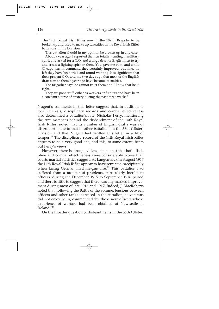The 14th. Royal Irish Rifles now in the 109th. Brigade, to be broken up and used to make up casualties in the Royal Irish Rifles battalions in the Division.

This battalion should in my opinion be broken up in any case.

About a year ago, I reported them as totally wanting in military spirit and asked for a C.O. and a large draft of Englishmen to try and create a fighting spirit in them. You gave me both, and while Cheape was in command they certainly improved, but since he left they have been tried and found wanting. It is significant that their present C.O. told me two days ago that most of the English draft sent to them a year ago have become casualties.

The Brigadier says he cannot trust them and I know that he is right.

They are poor stuff, either as workers or fighters and have been a constant source of anxiety during the past three weeks.<sup>31</sup>

Nugent's comments in this letter suggest that, in addition to local interests, disciplinary records and combat effectiveness also determined a battalion's fate. Nicholas Perry, mentioning the circumstances behind the disbandment of the 14th Royal Irish Rifles, noted that its number of English drafts was not disproportionate to that in other battalions in the 36th (Ulster) Division and that Nugent had written this letter in a fit of temper.<sup>32</sup> The disciplinary record of the 14th Royal Irish Rifles appears to be a very good one, and this, to some extent, bears out Perry's views.

However, there is strong evidence to suggest that both discipline and combat effectiveness were considerably worse than courts martial statistics suggest. At Langemarck in August 1917 the 14th Royal Irish Rifles appear to have retreated precipitately when facing German machine-gun fire.<sup>33</sup> This battalion had suffered from a number of problems, particularly inefficient officers, during the December 1915 to September 1916 period and there is little to suggest that there was any marked improvement during most of late 1916 and 1917. Indeed, J. MacRoberts noted that, following the Battle of the Somme, tensions between officers and other ranks increased in the battalion, as veterans did not enjoy being commanded 'by those new officers whose experience of warfare had been obtained at Newcastle in Ireland.'<sup>34</sup>

On the broader question of disbandments in the 36th (Ulster)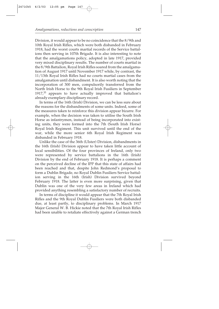Division, it would appear to be no coincidence that the 8/9th and 10th Royal Irish Rifles, which were both disbanded in February 1918, had the worst courts martial records of the Service battalions then serving in 107th Brigade. It is also interesting to note that the amalgamations policy, adopted in late 1917, provided very mixed disciplinary results. The number of courts martial in the 8/9th Battalion, Royal Irish Rifles soared from the amalgamation of August 1917 until November 1917 while, by contrast, the 11/13th Royal Irish Rifles had no courts martial cases from the amalgamation until disbandment. It is also worth noting that the incorporation of 300 men, compulsorily transferred from the North Irish Horse to the 9th Royal Irish Fusiliers in September 1917,<sup>35</sup> appears to have actually improved that battalion's already exemplary disciplinary record.

In terms of the 16th (Irish) Division, we can be less sure about the reasons for the disbandments of some units. Indeed, some of the measures taken to reinforce this division appear bizarre. For example, when the decision was taken to utilise the South Irish Horse as infantrymen, instead of being incorporated into existing units, they were formed into the 7th (South Irish Horse) Royal Irish Regiment. This unit survived until the end of the war, while the more senior 6th Royal Irish Regiment was disbanded in February 1918.

Unlike the case of the 36th (Ulster) Division, disbandments in the 16th (Irish) Division appear to have taken little account of local sensibilities. Of the four provinces of Ireland, only two were represented by service battalions in the 16th (Irish) Division by the end of February 1918. It is perhaps a comment on the perceived decline of the IPP that this state of affairs had been reached and that, despite John Redmond's proposal to form a Dublin Brigade, no Royal Dublin Fusiliers Service battalion serving in the 16th (Irish) Division survived beyond February 1918. The latter is even more surprising, given that Dublin was one of the very few areas in Ireland which had provided anything resembling a satisfactory number of recruits.

In terms of discipline it would appear that the 7th Royal Irish Rifles and the 9th Royal Dublin Fusiliers were both disbanded due, at least partly, to disciplinary problems. In March 1917 Major General W. B. Hickie noted that the 7th Royal Irish Rifles had been unable to retaliate effectively against a German trench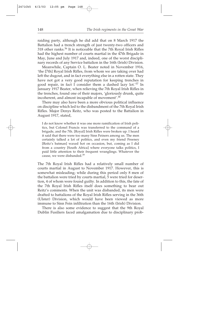raiding party, although he did add that on 8 March 1917 the Battalion had a trench strength of just twenty-two officers and 318 other ranks.<sup>36</sup> It is noticeable that the 7th Royal Irish Rifles had the highest number of courts martial in the 47th Brigade in May, June and July 1917 and, indeed, one of the worst disciplinary records of any Service battalion in the 16th (Irish) Division.

Meanwhile, Captain O. L. Beater noted in November 1916, 'the [7th] Royal Irish Rifles, from whom we are taking over had left the dugout, and in fact everything else in a rotten state. They have not got a very good reputation for keeping trenches in good repair, in fact I consider them a dashed lazy lot.'<sup>37</sup> In January 1917 Beater, when relieving the 7th Royal Irish Rifles in the trenches, found one of their majors, 'gloriously drunk, quite incoherent, and almost incapable of movement'.<sup>38</sup>

There may also have been a more obvious political influence on discipline which led to the disbandment of the 7th Royal Irish Rifles. Major Denys Reitz, who was posted to the Battalion in August 1917, stated,

I do not know whether it was one more ramification of Irish politics, but Colonel Francis was transferred to the command of a brigade, and the 7th. [Royal] Irish Rifles were broken up. I heard it said that there were too many Sinn Feiners among us. The men certainly talked a lot of politics, and even my friend Freeney [Reitz's batman] waxed hot on occasion, but, coming as I did from a country [South Africa] where everyone talks politics, I paid little attention to their frequent wranglings. Whatever the cause, we were disbanded.<sup>39</sup>

The 7th Royal Irish Rifles had a relatively small number of courts martial in August to November 1917. However, this is somewhat misleading; while during this period only 8 men of the battalion were tried by courts martial, 5 were tried for desertion, 4 of whom were found guilty. In addition to this, the fate of the 7th Royal Irish Rifles itself does something to bear out Reitz's comments. When the unit was disbanded, its men were drafted to battalions of the Royal Irish Rifles serving in the 36th (Ulster) Division, which would have been viewed as more immune to Sinn Fein infiltration than the 16th (Irish) Division.

There is also some evidence to suggest that the 9th Royal Dublin Fusiliers faced amalgamation due to disciplinary prob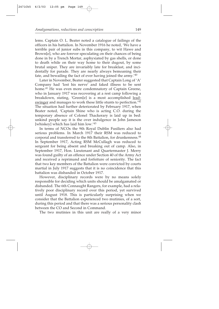lems. Captain O. L. Beater noted a catalogue of failings of the officers in his battalion. In November 1916 he noted, 'We have a terrible pair of junior subs in this company, to wit Hawe and Brown[e], who are forever speculating on their chances of being done in by a Trench Mortar, asphyxiated by gas shells, or done to death while on their way home to their dugout, by some brutal sniper. They are invariably late for breakfast, and incidentally for parade. They are nearly always bemoaning their fate, and bewailing the fact of ever having joined the army.'<sup>40</sup>

Later in November, Beater suggested that Captain Long of 'A' Company had 'lost his nerve' and faked illness to be sent home.<sup>41</sup> He was even more condemnatory of Captain Greene, who in January 1917 was recovering at a rest camp following a breakdown, stating, 'Green[e] is a most accomplished leadswinger and manages to work these little stunts to perfection.'<sup>42</sup> The situation had further deteriorated by February 1917, when Beater noted, 'Captain Shine who is acting C.O. during the temporary absence of Colonel Thackerary is laid up in bed: unkind people say it is the over indulgence in John Jameson [whiskey] which has laid him low.'<sup>43</sup>

In terms of NCOs the 9th Royal Dublin Fusiliers also had serious problems. In March 1917 their RSM was reduced to corporal and transferred to the 8th Battalion, for drunkenness.<sup>44</sup> In September 1917, Acting RSM McCullagh was reduced to sergeant for being absent and breaking out of camp. Also, in September 1917, Hon. Lieutenant and Quartermaster J. Merry was found guilty of an offence under Section 40 of the Army Act and received a reprimand and forfeiture of seniority. The fact that two key members of the Battalion were convicted by courts martial in July 1917 suggests that it is no coincidence that this battalion was disbanded in October 1917.

However, disciplinary records were by no means solely responsible for deciding which units should be amalgamated or disbanded. The 6th Connaught Rangers, for example, had a relatively poor disciplinary record over this period, yet survived until August 1918. This is particularly surprising when we consider that the Battalion experienced two mutinies, of a sort, during this period and that there was a serious personality clash between the CO and Second in Command.

The two mutinies in this unit are really of a very minor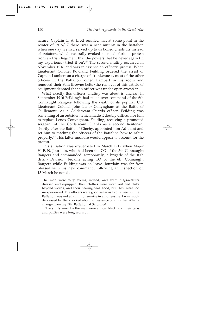nature. Captain C. A. Brett recalled that at some point in the winter of 1916/17 there 'was a near mutiny in the Battalion when one day we had served up to us boiled chestnuts instead of potatoes, which naturally evoked so much furious protest from an Irish Regiment that the powers that be never again (in my experience) tried it on'.<sup>45</sup> The second mutiny occurred in November 1916 and was in essence an officers' protest. When Lieutenant Colonel Rowland Feilding ordered the arrest of Captain Lambert on a charge of drunkenness, most of the other officers in the Battalion joined Lambert in his room and removed their Sam Browne belts (the removal of this article of equipment denoted that an officer was under open arrest).<sup>46</sup>

What exactly this officers' mutiny was about is unclear. In September 1916 Feilding<sup>47</sup> had taken over command of the 6th Connaught Rangers following the death of its popular CO, Lieutenant Colonel John Lenox-Conyngham at the Battle of Guillemont. As a Coldstream Guards officer, Feilding was something of an outsider, which made it doubly difficult for him to replace Lenox-Conyngham. Feilding, receiving a promoted sergeant of the Coldstream Guards as a second lieutenant shortly after the Battle of Ginchy, appointed him Adjutant and set him to teaching the officers of the Battalion how to salute properly.<sup>48</sup> This latter measure would appear to account for the protest.

This situation was exacerbated in March 1917 when Major H. F. N. Jourdain, who had been the CO of the 5th Connaught Rangers and commanded, temporarily, a brigade of the 10th (Irish) Division, became acting CO of the 6th Connaught Rangers while Feilding was on leave. Jourdain was far from pleased with his new command; following an inspection on 13 March he noted,

The men were very young indeed, and were disgracefully dressed and equipped, their clothes were worn out and dirty beyond words, and their bearing was good, but they were too inexperienced. The officers were good as far as I could see but the Battalion was not at all fit for service in an offensive. I was much depressed by the knocked about appearance of all ranks. What a change from my 5th. Battalion at Salonika!

The shirts worn by the men were almost black, and their caps and putties were long worn out.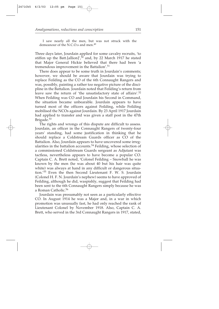I saw nearly all the men, but was not struck with the demeanour of the N.C.O.s and men.<sup>49</sup>

Three days later, Jourdain applied for some cavalry recruits, 'to stiffen up the Batt.[allion]', $50$  and, by 22 March 1917 he stated that Major General Hickie believed that there had been 'a tremendous improvement in the Battalion'.<sup>51</sup>

There does appear to be some truth in Jourdain's comments; however, we should be aware that Jourdain was trying to replace Feilding as the CO of the 6th Connaught Rangers and was, possibly, painting a rather too negative picture of the discipline in the Battalion. Jourdain noted that Feilding's return from leave saw the return of 'the unsatisfactory state of affairs'.<sup>52</sup> When Feilding was CO and Jourdain his Second in Command, the situation became unbearable. Jourdain appears to have turned most of the officers against Feilding, while Feilding mobilised the NCOs against Jourdain. By 23 April 1917 Jourdain had applied to transfer and was given a staff post in the 47th Brigade.<sup>53</sup>

The rights and wrongs of this dispute are difficult to assess. Jourdain, an officer in the Connaught Rangers of twenty-four years' standing, had some justification in thinking that he should replace a Coldstream Guards officer as CO of the Battalion. Also, Jourdain appears to have uncovered some irregularities in the battalion accounts.<sup>54</sup> Feilding, whose selection of a commissioned Coldstream Guards sergeant as Adjutant was tactless, nevertheless appears to have become a popular CO. Captain C. A. Brett noted, 'Colonel Feilding – Snowball he was known by the men (he was about 40 but his hair was quite white) was always at hand in any difficult or dangerous situation.'<sup>55</sup> Even the then Second Lieutenant F. W. S. Jourdain (Colonel H. F. N. Jourdain's nephew) seems to have approved of Feilding, although he did, waspishly, suggest that Feilding had been sent to the 6th Connaught Rangers simply because he was a Roman Catholic.<sup>56</sup>

Jourdain was presumably not seen as a particularly effective CO. In August 1914 he was a Major and, in a war in which promotion was unusually fast, he had only reached the rank of Lieutenant Colonel by November 1918. Also, Captain C. A. Brett, who served in the 3rd Connaught Rangers in 1917, stated,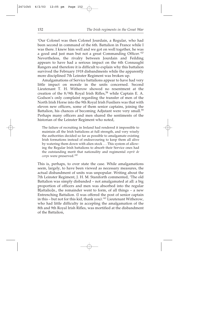'Our Colonel was then Colonel Jourdain, a Regular, who had been second in command of the 6th. Battalion in France while I was there. I knew him well and we got on well together, he was a good and just man but not a great Commanding Officer.'<sup>57</sup> Nevertheless, the rivalry between Jourdain and Feilding appears to have had a serious impact on the 6th Connaught Rangers and therefore it is difficult to explain why this battalion survived the February 1918 disbandments while the apparently more disciplined 7th Leinster Regiment was broken up.

Amalgamations of Service battalions appear to have had very little impact on morale in the units concerned. Second Lieutenant T. H. Witherow showed no resentment at the creation of the 8/9th Royal Irish Rifles,<sup>58</sup> while Captain E. A. Godson's only complaint regarding the transfer of men of the North Irish Horse into the 9th Royal Irish Fusiliers was that with eleven new officers, some of them senior captains, joining the Battalion, his chances of becoming Adjutant were very small.<sup>59</sup> Perhaps many officers and men shared the sentiments of the historian of the Leinster Regiment who noted,

The failure of recruiting in Ireland had rendered it impossible to maintain all the Irish battalions at full strength, and very wisely the authorities decided so far as possible to amalgamate existing Irish formations instead of endeavouring to keep them all alive by watering them down with alien stock ... This system of allowing the Regular Irish battalions to absorb their Service ones had the outstanding merit that nationality and regimental *esprit de corps* were preserved.'<sup>60</sup>

This is, perhaps, to over state the case. While amalgamations seem, largely, to have been viewed as necessary measures, the actual disbandment of units was unpopular. Writing about the 7th Leinster Regiment, J. H. M. Staniforth commented, 'The old Battalion was simply disbanded – not amalgamated at all: a big proportion of officers and men was absorbed into the regular B[attalio]n., the remainder went to form, of all things – a new Entrenching Battalion. (I was offered the post of senior captain in this – but not for this kid, thank you).<sup>'61</sup> Lieutenant Witherow, who had little difficulty in accepting the amalgamation of the 8th and 9th Royal Irish Rifles, was mortified at the disbandment of the Battalion,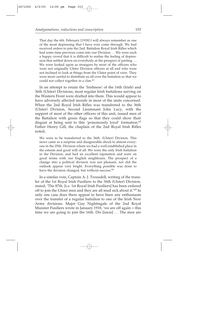That day the 6th. February [1918] I will always remember as one of the most depressing that I have ever come through. We had received orders to join the 2nd. Battalion Royal Irish Rifles which had some time previous come into our Division ... We were such a happy crowd that it is difficult to realise the feeling of depression that settled down on everybody at the prospect of parting . . . We were looked upon as strangers by most of the officers who were not originally Ulster Division officers at all and who were not inclined to look at things from the Ulster point of view. They were most careful to distribute us all over the battalion so that we could not collect together in a clan.<sup>62</sup>

In an attempt to retain the 'Irishness' of the 16th (Irish) and 36th (Ulster) Divisions, most regular Irish battalions serving on the Western Front were drafted into them. This would appear to have adversely affected morale in most of the units concerned. When the 2nd Royal Irish Rifles was transferred to the 36th (Ulster) Division, Second Lieutenant John Lucy, with the support of most of the other officers of this unit, issued men of the Battalion with green flags so that they could show their disgust at being sent to this 'poisonously loyal' formation.<sup>63</sup> Father Henry Gill, the chaplain of the 2nd Royal Irish Rifles noted,

We were to be transferred to the 36th. (Ulster) Division. This news came as a surprise and disagreeable shock to almost everyone in the 25th. Division where we had a well established place in the esteem and good will of all. We were the only Irish battalion in the Division, and had an excellent reputation and were on good terms with our English neighbours. The prospect of a change into a political division was not pleasant, nor did the outlook appear very bright. Everything possible was done to have the decision changed, but without success.<sup>64</sup>

In a similar vein, Captain A. J. Trousdell, writing of the transfer of the 1st Royal Irish Fusiliers to the 36th (Ulster) Division, stated, 'The 87th. [i.e. 1st Royal Irish Fusiliers] has been ordered off to join the Ulster men and they are all mud sick about it.'<sup>65</sup> In only one case does there appear to have been any enthusiasm over the transfer of a regular battalion to one of the Irish New Army divisions. Major Guy Nightingale of the 2nd Royal Munster Fusiliers wrote in January 1918, 'we are off again + this time we are going to join the 16th. Div.[ision] ... The men are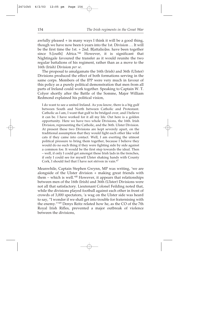awfully pleased + in many ways I think it will be a good thing, though we have now been 6 years into the 1st. Division . . . It will be the first time the 1st. + 2nd. B[attalio]ns. have been together since S.[outh] Africa.'<sup>66</sup> However, it is significant that Nightingale favoured the transfer as it would reunite the two regular battalions of his regiment, rather than as a move to the 16th (Irish) Division *per se*.

The proposal to amalgamate the 16th (Irish) and 36th (Ulster) Divisions produced the effect of both formations serving in the same corps. Members of the IPP were very much in favour of this policy as a purely political demonstration that men from all parts of Ireland could work together. Speaking to Captain W. T. Colyer shortly after the Battle of the Somme, Major William Redmond explained his political vision,

I do want to see a united Ireland. As you know, there is a big gulf between South and North between Catholic and Protestant. Catholic as I am, I want that gulf to be bridged over, and I believe it can be. I have worked for it all my life. Out here is a golden opportunity. Here we have two whole Divisions, the 16th. Irish Division, representing the Catholic, and the 36th. Ulster Division. At present these two Divisions are kept severely apart, on the traditional assumption that they would fight each other like wild cats if they came into contact. Well, I am exerting the utmost political pressure to bring them together, because I believe they would do no such thing if they were fighting side by side against a common foe. It would be the first step towards the ideal. Then – well, if only I could get amongst these Irish lads in the trenches, if only I could see for myself Ulster shaking hands with County Cork, I should feel that I have not striven in vain.<sup>67</sup>

Meanwhile, Captain Stephen Gwynn, MP was writing, 'we are alongside of the Ulster division + making great friends with them – which is well.<sup>'68</sup> However, it appears that relationships between men of the 16th (Irish) and 36th (Ulster) Divisions were not all that satisfactory. Lieutenant Colonel Feilding noted that, while the divisions played football against each other in front of crowds of 3,000 spectators, 'a wag on the Ulster side was heard to say, "I wonder if we shall get into trouble for fraternising with the enemy."'<sup>69</sup> Denys Reitz related how he, as the CO of the 7th Royal Irish Rifles, prevented a major outbreak of violence between the divisions,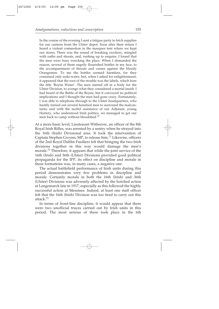In the course of the evening I sent a fatigue party to fetch supplies for our canteen from the Ulster depot. Soon after their return I heard a violent commotion in the marquee tent where we kept our stores. There was the sound of breaking crockery, mingled with oaths and shouts, and, rushing up to enquire, I found that the men were busy wrecking the place. When I demanded the reason, several of them angrily flourished bottles in my face, to the accompaniment of threats and curses against the bloody Orangemen. To me the bottles seemed harmless, for they contained only soda-water, but, when I asked for enlightenment, it appeared that the root of the trouble was the labels, which bore the title 'Boyne Water'. The men started off in a body for the Ulster Division, to avenge what they considered a mortal insult. I had heard of the Battle of the Boyne, but it conveyed no political implications and I thought the men had gone crazy. Fortunately, I was able to telephone through to the Ulster headquarters, who hastily turned out several hundred men to surround the malcontents; and with the tactful assistance of our Adjutant, young Hartery, who understood Irish politics, we managed to get our men back to camp without bloodshed.<sup>70</sup>

At a more basic level, Lieutenant Witherow, an officer of the 8th Royal Irish Rifles, was arrested by a sentry when he strayed into the 16th (Irish) Divisional area. It took the intervention of Captain Stephen Gwynn, MP, to release him.<sup>71</sup> Likewise, officers of the 2nd Royal Dublin Fusiliers felt that bringing the two Irish divisions together in this way would damage the men's morale.<sup>72</sup> Therefore, it appears that while the joint service of the 16th (Irish) and 36th (Ulster) Divisions provided good political propaganda for the IPP, its effect on discipline and morale in these formations was, in many cases, a negative one.

The actual battlefield performance of Irish units during this period demonstrates very few problems in discipline and morale. Certainly morale in both the 16th (Irish) and 36th (Ulster) Divisions was adversely affected by the botched action at Langemarck late in 1917, especially as this followed the highly successful action at Messines. Indeed, at least one staff officer felt that the 16th (Irish) Division was too tired to carry out this attack.<sup>73</sup>

In terms of front-line discipline, it would appear that there were two unofficial truces carried out by Irish units in this period. The most serious of these took place in the 6th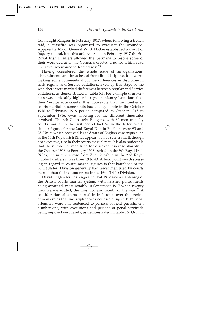Connaught Rangers in February 1917, when, following a trench raid, a ceasefire was organised to evacuate the wounded. Apparently Major General W. B. Hickie established a Court of Inquiry to look into this affair.<sup>74</sup> Also, in February 1917 the 9th Royal Irish Fusiliers allowed the Germans to rescue some of their wounded after the Germans erected a notice which read 'Let save two wounded Kamerards'.<sup>75</sup>

Having considered the whole issue of amalgamations, disbandments and breaches of front-line discipline, it is worth making some comments about the differences in discipline in Irish regular and Service battalions. Even by this stage of the war, there were marked differences between regular and Service battalions, as demonstrated in table 5.1. For example drunkenness was noticeably higher in regular infantry battalions than their Service equivalents. It is noticeable that the number of courts martial in some units had changed little in the October 1916 to February 1918 period compared to October 1915 to September 1916, even allowing for the different timescales involved. The 6th Connaught Rangers, with 60 men tried by courts martial in the first period had 57 in the latter, while similar figures for the 2nd Royal Dublin Fusiliers were 93 and 95. Units which received large drafts of English conscripts such as the 14th Royal Irish Rifles appear to have seen a small, though not excessive, rise in their courts martial rate. It is also noticeable that the number of men tried for drunkenness rose sharply in the October 1916 to February 1918 period: in the 9th Royal Irish Rifles, the numbers rose from 7 to 12, while in the 2nd Royal Dublin Fusiliers it was from 19 to 43. A final point worth stressing in regard to courts martial figures is that battalions of the 36th (Ulster) Division generally had fewer men tried by courts martial than their counterparts in the 16th (Irish) Division.

David Englander has suggested that 1917 saw a tightening of the British courts martial system, with harsher punishments being awarded, most notably in September 1917 when twenty men were executed, the most for any month of the war.<sup>76</sup> A consideration of courts martial in Irish units over this period demonstrates that indiscipline was not escalating in 1917. Most offenders were still sentenced to periods of field punishment number one, with executions and periods of penal servitude being imposed very rarely, as demonstrated in table 5.2. Only in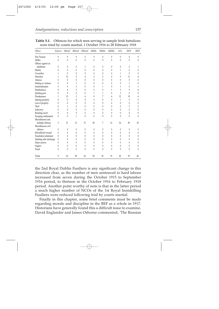| Offence                   | 5Lancers | 1RInnsF  |          | 8RInnsF 10RInnsF | 2RIRifs        | 9RIRifs        | 14RIRifs | 6CR      | 2RDF     | 8RDF     |
|---------------------------|----------|----------|----------|------------------|----------------|----------------|----------|----------|----------|----------|
| War Treason               | 0        | 0        | $\theta$ | $\theta$         | $\theta$       | 0              | $\theta$ | $\theta$ | $\theta$ | $\theta$ |
| <b>DORA</b>               | 0        | 0        | 0        | $\mathbf{0}$     | $\theta$       | $\overline{0}$ | $\theta$ | 0        | 0        | $\theta$ |
| Offence against an        |          |          |          |                  |                |                |          |          |          |          |
| inhabitant                | 0        | 0        | $\theta$ | 1                | $\theta$       | 0              | 0        | $\theta$ | $\theta$ | 1        |
| Mutiny                    | 0        | 0        | $\theta$ | $\theta$         | $\theta$       | 0              | $\theta$ | 1        | $\theta$ | $\theta$ |
| Cowardice                 | 1        | 0        | $\theta$ | $\theta$         | 0              | 0              | $\theta$ | 1        | $\theta$ | $\theta$ |
| Desertion                 | 1        | 12       | 5        | 4                | $\overline{2}$ | 2              | $\theta$ | $\theta$ | 11       | 4        |
| Absence                   | 0        | Ō        | $\theta$ | $\theta$         | $\theta$       | 0              | $\theta$ | $\theta$ | $\theta$ | $\theta$ |
| Striking or violence      | O        | 0        | 1        | $\theta$         | $\theta$       | 0              | 0        | 0        | 1        | 0        |
| Insubordination           | 3        | 0        | 3        | $\theta$         | $\theta$       | 1              | $\theta$ | 1        | 2        | 1        |
| Disobedience              | 0        | 4        | 3        | $\theta$         | $\overline{2}$ | $\overline{0}$ | 1        | 3        | 9        | 4        |
| Quitting post             | 0        | $\theta$ | $\theta$ | $\theta$         | 1              | 1              | $\theta$ | 3        | $\theta$ | 0        |
| Drunkenness               | 1        | 15       | 3        | 4                | 9              | 7              | 4        | 12       | 19       | 4        |
| Injuring property         | 0        | 0        | $\theta$ | $\theta$         | $\theta$       | 0              | 0        | 1        | $\theta$ | 0        |
| Loss of property          | 0        | 0        | $\theta$ | $\theta$         | $\theta$       | 0              | $\theta$ | $\theta$ | $\theta$ | 0        |
| Theft                     | 0        | 1        | $\theta$ | $\theta$         | 2              | 0              | $\theta$ | 2        | 2        | 2        |
| Indecency                 | 0        | 0        | $\theta$ | $\theta$         | $\theta$       | 0              | $\theta$ | $\theta$ | $\theta$ | $\theta$ |
| Resisting escort          | 0        | 0        | $\theta$ | $\theta$         | $\theta$       | 0              | $\theta$ | $\theta$ | $\theta$ | $\theta$ |
| Escaping confinement      | 0        | Ō        | 1        | $\theta$         | $\theta$       | 0              | $\theta$ | $\theta$ | $\theta$ | $\theta$ |
| Miscellaneous and         |          |          |          |                  |                |                |          |          |          |          |
| multiple offences         | 3        | 31       | 12       | 15               | 38             | 7              | 14       | 36       | 49       | 30       |
| Miscellaneous civil       |          |          |          |                  |                |                |          |          |          |          |
| offences                  | 0        | 0        | $\theta$ | $\theta$         | $\theta$       | 0              | 0        | $\theta$ | $\theta$ | 0        |
| Self-inflicted wound      | 0        | 0        | 0        | 0                | $\theta$       | 0              | 0        | 0        | 0        | 0        |
| Fraudulent enlistment     | 0        | 0        | $\theta$ | $\theta$         | 0              | 0              | 0        | 0        | 0        | 0        |
| Enlisting after discharge | $\theta$ | 0        | $\theta$ | $\theta$         | 0              | 0              | $\theta$ | 0        | 0        | 0        |
| Falser answer             | 0        | 0        | $\theta$ | $\theta$         | $\theta$       | 0              | $\theta$ | $\theta$ | $\theta$ | $\theta$ |
| Neglect                   | 0        | 0        | $\theta$ | $\theta$         | 0              | 0              | 0        | 0        | $\theta$ | 0        |
| Fraud                     | 0        | Ō        | $\theta$ | $\theta$         | $\theta$       | 0              | $\theta$ | $\theta$ | $\theta$ | $\theta$ |
| Totals                    | 9        | 63       | 28       | 24               | 54             | 18             | 19       | 60       | 93       | 46       |

**Table 5.1.** Offences for which men serving in sample Irish battalions were tried by courts martial, 1 October 1916 to 28 February 1918

the 2nd Royal Dublin Fusiliers is any significant change in this direction clear, as the number of men sentenced to hard labour increased from seven during the October 1915 to September 1916 period, to thirteen in the October 1916 to February 1918 period. Another point worthy of note is that in the latter period a much higher number of NCOs of the 1st Royal Inniskilling Fusiliers were reduced following trial by courts martial.

Finally in this chapter, some brief comments must be made regarding morale and discipline in the BEF as a whole in 1917. Historians have generally found this a difficult issue to examine. David Englander and James Osborne commented, 'The Russian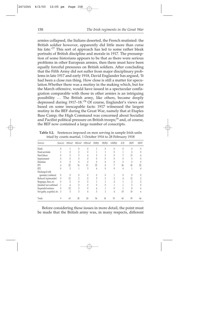armies collapsed, the Italians deserted, the French mutinied: the British soldier however, apparently did little more than curse his fate.'<sup>77</sup> This sort of approach has led to some rather bleak portraits of British discipline and morale in 1917. The presumption of some historians appears to be that as there were serious problems in other European armies, then there must have been equally forceful pressures on British soldiers. After concluding that the Fifth Army did not suffer from major disciplinary problems in late 1917 and early 1918, David Englander has argued, 'It had been a close run thing. How close is still a matter for speculation.Whether there was a mutiny in the making which, but for the March offensive, would have issued in a spectacular conflagration comparable with those in other armies is an intriguing possibility ... The British army, like others, became deeply depressed during 1917–18.'<sup>78</sup> Of course, Englander's views are based on some inescapable facts: 1917 witnessed the largest mutiny in the BEF during the Great War, namely that at Etaples Base Camp; the High Command was concerned about Socialist and Pacifist political pressure on British troops;<sup>79</sup> and, of course, the BEF now contained a large number of conscripts.

| Sentence                      | 5Lancers | 1RInnsF        |    | 8RInnsF 10RInnsF | 2RIRifs | 9RIRifs | 14RIRifs | 6CR | 2RDF | 8RDF |
|-------------------------------|----------|----------------|----|------------------|---------|---------|----------|-----|------|------|
| Death                         |          |                | 0  |                  |         |         |          |     | O    |      |
| Penal servitude               |          |                | 2  |                  |         |         |          |     | 2    |      |
| Hard labour                   |          | 3              | 3  |                  |         | 3       |          |     | 13   |      |
| Imprisonment                  |          |                |    |                  |         |         |          |     |      |      |
| Detention                     |          |                |    |                  |         |         |          |     |      |      |
| FP <sub>1</sub>               |          | 22             | 14 | 11               | 32      | 8       |          | 26  | 43   | 22   |
| FP <sub>2</sub>               |          | 3              |    | 3                | 4       |         |          | 4   |      |      |
| Discharged with               |          |                |    |                  |         |         |          |     |      |      |
| ignominy/cashiered            | $\theta$ | 0              | 0  |                  |         |         |          |     | N    |      |
| Reduced/reprimanded           | $\theta$ | 13             |    |                  | 5       | 3       |          | 4   | 12   |      |
| Stoppages, fines, etc.        | $\theta$ | $\overline{2}$ | 0  |                  |         |         |          |     | 2    |      |
| Quashed/not confirmed         | 1        | 4              |    |                  |         |         |          |     |      |      |
| Suspended sentence            | 0        | 12             | 3  |                  |         |         |          |     | 8    |      |
| Not guilty, acquitted, etc. 3 |          | 3              | 3  | 4                | 3       |         | 4        | 15  | 10   |      |
| Totals                        | 9        | 63             | 28 | 24               | 54      | 18      | 19       | 60  | 93   | 46   |

**Table 5.2.** Sentences imposed on men serving in sample Irish units tried by courts martial, 1 October 1916 to 28 February 1918

Before considering these issues in more detail, the point must be made that the British army was, in many respects, different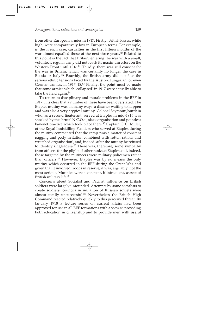from other European armies in 1917. Firstly, British losses, while high, were comparatively low in European terms. For example, in the French case, casualties in the first fifteen months of the war almost equalled those of the next three years.<sup>80</sup> Related to this point is the fact that Britain, entering the war with a small, volunteer, regular army did not reach its maximum effort on the Western Front until 1916.<sup>81</sup> Thirdly, there was still consent for the war in Britain, which was certainly no longer the case in Russia or Italy.<sup>82</sup> Fourthly, the British army did not face the serious ethnic tensions faced by the Austro-Hungarian, or even German armies, in 1917–18.<sup>83</sup> Finally, the point must be made that some armies which 'collapsed' in 1917 were actually able to take the field again.<sup>84</sup>

To return to disciplinary and morale problems in the BEF in 1917, it is clear that a number of these have been overstated. The Etaples mutiny was, in many ways, a disaster waiting to happen and was also a very atypical mutiny. Colonel Seymour Jourdain who, as a second lieutenant, served at Etaples in mid-1916 was shocked by the 'brutal N.C.O.s', slack organisation and pointless bayonet practice which took place there.<sup>85</sup> Captain C. C. Miller, of the Royal Inniskilling Fusiliers who served at Etaples during the mutiny commented that the camp 'was a matter of constant nagging and petty irritation combined with rotten rations and wretched organisation', and, indeed, after the mutiny he refused to identify ringleaders.<sup>86</sup> There was, therefore, some sympathy from officers for the plight of other ranks at Etaples and, indeed, those targeted by the mutineers were military policemen rather than officers.<sup>87</sup> However, Etaples was by no means the only mutiny which occurred in the BEF during the Great War and given that it involved troops in reserve, it was, arguably, not the most serious. Mutinies were a constant, if infrequent, aspect of British military life.<sup>88</sup>

Concerns about Socialist and Pacifist influence on British soldiers were largely unfounded. Attempts by some socialists to create soldiers' councils in imitation of Russian soviets were almost totally unsuccessful.<sup>89</sup> Nevertheless the British High Command reacted relatively quickly to this perceived threat. By January 1918 a lecture series on current affairs had been approved for use in all BEF formations with a view to providing both education in citizenship and to provide men with useful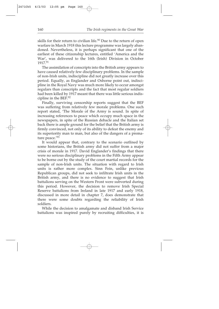skills for their return to civilian life.<sup>90</sup> Due to the return of open warfare in March 1918 this lecture programme was largely abandoned. Nevertheless, it is perhaps significant that one of the earliest of these citizenship lectures, entitled 'America and the War', was delivered to the 16th (Irish) Division in October 1917.<sup>91</sup>

The assimilation of conscripts into the British army appears to have caused relatively few disciplinary problems. In the sample of non-Irish units, indiscipline did not greatly increase over this period. Equally, as Englander and Osborne point out, indiscipline in the Royal Navy was much more likely to occur amongst regulars than conscripts and the fact that most regular soldiers had been killed by 1917 meant that there was little serious indiscipline in the BEF.<sup>92</sup>

Finally, surviving censorship reports suggest that the BEF was suffering from relatively few morale problems. One such report stated, 'The Morale of the Army is sound. In spite of increasing references to peace which occupy much space in the newspapers, in spite of the Russian debacle and the Italian set back there is ample ground for the belief that the British army is firmly convinced, not only of its ability to defeat the enemy and its superiority man to man, but also of the dangers of a premature peace.'<sup>93</sup>

It would appear that, contrary to the scenario outlined by some historians, the British army did not suffer from a major crisis of morale in 1917. David Englander's findings that there were no serious disciplinary problems in the Fifth Army appear to be borne out by the study of the court martial records for the sample of non-Irish units. The situation with regard to Irish units is rather more complex. Sinn Fein, unlike previous Republican groups, did not seek to infiltrate Irish units in the British army, and there is no evidence to suggest that Irish battalions serving on the Western Front were subverted during this period. However, the decision to remove Irish Special Reserve battalions from Ireland in late 1917 and early 1918, discussed in more detail in chapter 7, does demonstrate that there were some doubts regarding the reliability of Irish soldiers.

While the decision to amalgamate and disband Irish Service battalions was inspired purely by recruiting difficulties, it is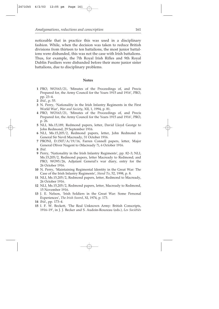noticeable that in practice this was used in a disciplinary fashion. While, when the decision was taken to reduce British divisions from thirteen to ten battalions, the most junior battalions were disbanded, this was not the case with Irish battalions. Thus, for example, the 7th Royal Irish Rifles and 9th Royal Dublin Fusiliers were disbanded before their more junior sister battalions, due to disciplinary problems.

## **Notes**

- **1** PRO, WO163/21, 'Minutes of the Proceedings of, and Precis Prepared for, the Army Council for the Years 1915 and 1916', PRO, pp. 23–4.
- **2** *Ibid.*, p. 55.
- **3** N. Perry, 'Nationality in the Irish Infantry Regiments in the First World War', *War and Society*, XII, 1, 1994, p. 81.
- **4** PRO, WO163/21, 'Minutes of the Proceedings of, and Precis Prepared for, the Army Council for the Years 1915 and 1916', PRO, p. 26.
- **5** NLI, Ms.15,189, Redmond papers, letter, David Lloyd George to John Redmond, 29 September 1916.
- **6** NLI, Ms.15,205/2, Redmond papers, letter, John Redmond to General Sir Nevil Macready, 31 October 1916.
- **7** PRONI, D.1507/A/19/16, Farren Connell papers, letter, Major General Oliver Nugent to (Macready ?), 6 October 1916.
- **8** *Ibid.*
- **9** Perry, 'Nationality in the Irish Infantry Regiments', pp. 82–3; NLI, Ms.15,205/2, Redmond papers, letter Macready to Redmond; and PRO, WO95/26, Adjutant General's war diary, entry for the 26 October 1916.
- **10** N. Perry, 'Maintaining Regimental Identity in the Great War: The Case of the Irish Infantry Regiments', *Stand To*, 52, 1998, p. 8.
- **11** NLI, Ms.15,205/2, Redmond papers, letter, Redmond to Macready, 26 October 1916.
- **12** NLI, Ms.15,205/2, Redmond papers, letter, Macready to Redmond, 15 November 1916.
- **13** J. E. Nelson, 'Irish Soldiers in the Great War: Some Personal Experiences', *The Irish Sword*, XI, 1974, p. 173.
- **14** *Ibid.*, pp. 173–4.
- **15** I. F. W. Beckett, 'The Real Unknown Army: British Conscripts, 1916–19', in J. J. Becker and S. Audoin-Rouzeau (eds.), *Les Sociétiés*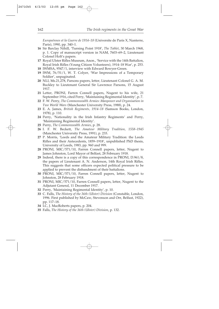*Europeénnes et la Guerre de 1914–18* (Universite de Paris X, Nanterre, Paris), 1990, pp. 340–1.

- **16** Sir Barclay Nihill, 'Turning Point 1918', *The Tablet*, 30 March 1968, p. 1. Copy of manuscript version in NAM, 7603–69–2, Lieutenant Colonel Holt's papers.
- **17** Royal Ulster Rifles Museum, Anon., 'Service with the 14th Battalion, Royal Irish Rifles (Young Citizen Volunteers), 1914–18 War', p. 253.
- **18** IWMSA, 9547/1, interview with Edward Bowyer-Green.
- **19** IWM, 76/51/1, W. T. Colyer, 'War Impressions of a Temporary Soldier', unpaginated.
- **20** NLI, Ms.21,278, Parsons papers, letter, Lieutenant Colonel G. A. M. Buckley to Lieutenant General Sir Lawrence Parsons, 15 August 1917.
- **21** Letter, PRONI, Farren Connell papers, Nugent to his wife, 21 September 1916, cited Perry, 'Maintaining Regimental Identity', p. 7.
- **22** F. W. Perry, *The Commonwealth Armies: Manpower and Organisation in Two World Wars* (Manchester University Press, 1988), p. 24.
- **23** E. A. James, *British Regiments, 1914–18* (Samson Books, London, 1978), p. 110.
- **24** Perry, 'Nationality in the Irish Infantry Regiments' and Perry, 'Maintaining Regimental Identity'.
- **25** Perry, *The Commonwealth Armies*, p. 28.
- **26** I. F. W. Beckett, *The Amateur Military Tradition, 1558–1945* (Manchester University Press, 1991), p. 233.
- **27** P. Morris, 'Leeds and the Amateur Military Tradition: the Leeds Rifles and their Antecedents, 1859–1918', unpublished PhD thesis, University of Leeds, 1983, pp. 960 and 999.
- **28** PRONI, MIC/571/10, Farren Connell papers, letter, Nugent to James Johnston, Lord Mayor of Belfast, 28 February 1918.
- **29** Indeed, there is a copy of this correspondence in PRONI, D.961/8, the papers of Lieutenant A. N. Anderson, 14th Royal Irish Rifles. This suggests that some officers expected political pressure to be applied to prevent the disbandment of their battalions.
- **30** PRONI, MIC/571/10, Farren Connell papers, letter, Nugent to Johnston, 28 February 1918.
- **31** PRONI, MIC/571/10, Farren Connell papers, letter, Nugent to the Adjutant General, 11 December 1917.
- **32** Perry, 'Maintaining Regimental Identity', p. 10.
- **33** C. Falls, *The History of the 36th (Ulster) Division* (Constable, London, 1996. First published by McCaw, Stevenson and Orr, Belfast, 1922), pp. 117–18.
- **34** LC, J. MacRoberts papers, p. 204.
- **35** Falls, *The History of the 36th (Ulster) Division*, p. 132.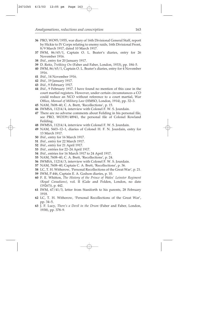- PRO, WO95/1955, war diary of 16th Divisional General Staff, report by Hickie to IV Corps relating to enemy raids, 16th Divisional Front, 8/9 March 1917, dated 10 March 1917.
- IWM, 86/65/1, Captain O. L. Beater's diaries, entry for 26 November 1916.
- *Ibid.*, entry for 20 January 1917.
- D. Reitz, *Trekking On* (Faber and Faber, London, 1933), pp. 184–5.
- IWM, 86/65/1, Captain O. L. Beater's diaries, entry for 4 November 1916.
- *Ibid.*, 14 November 1916.
- *Ibid.*, 19 January 1917.
- *Ibid.*, 9 February 1917.
- *Ibid.*, 9 February 1917. I have found no mention of this case in the court martial registers. However, under certain circumstances a CO could reduce an NCO without reference to a court martial, War Office, *Manual of Military Law* (HMSO, London, 1914), pp. 32–3.
- NAM, 7608–40, C. A. Brett, 'Recollections', p. 15.
- IWMSA, 11214/4, interview with Colonel F. W. S. Jourdain.
- There are no adverse comments about Feilding in his personal file, see PRO, WO339/48941, the personal file of Colonel Rowland Feilding.
- IWMSA, 11214/4, interview with Colonel F. W. S. Jourdain.
- NAM, 5603–12–1, diaries of Colonel H. F. N. Jourdain, entry for 13 March 1917.
- *Ibid.*, entry for 16 March 1917.
- *Ibid.*, entry for 22 March 1917.
- *Ibid.*, entry for 21 April 1917.
- *Ibid.*, entries for 22–24 April 1917.
- *Ibid.*, entries for 16 March 1917 to 24 April 1917.
- NAM, 7608–40, C. A. Brett, 'Recollections', p. 24.
- IWMSA, 11214/3, interview with Colonel F. W. S. Jourdain.
- NAM, 7608–40, Captain C. A. Brett, 'Recollections', p. 36.
- LC, T. H. Witherow, 'Personal Recollections of the Great War', p. 21.
- IWM, P.446, Captain E. A. Godson diaries, p. 10.
- F. E. Whitton, *The History of the Prince of Wales' Leinster Regiment (Royal Canadians)*, vol. II (Gale and Polden, London, no date (1926?)), p. 442.
- IWM, 67/41/3, letter from Staniforth to his parents, 28 February 1918.
- LC, T. H. Witherow, 'Personal Recollections of the Great War', pp. 34–5.
- J. F. Lucy, *There's a Devil in the Drum* (Faber and Faber, London, 1938), pp. 378–9.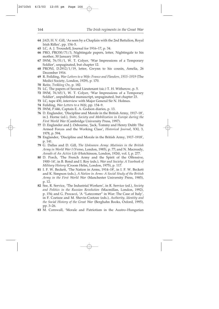- **64** JAD, H. V. Gill, 'As seen by a Chaplain with the 2nd Battalion, Royal Irish Rifles', pp. 154–5.
- **65** LC, A. J. Trousdell, Journal for 1916–17, p. 34.
- **66** PRO, PRO30/71/3, Nightingale papers, letter, Nightingale to his mother, 30 January 1918.
- **67** IWM, 76/51/1, W. T. Colyer, 'War Impressions of a Temporary Soldier', unpaginated, but chapter 12.
- **68** PRONI, D.2912/1/19, letter, Gwynn to his cousin, Amelia, 26 December 1916.
- **69** R. Feilding, *War Letters to a Wife: France and Flanders, 1915–1919* (The Medici Society, London, 1929), p. 170.
- **70** Reitz, *Trekking On*, p. 182.
- **71** LC, The papers of Second Lieutenant (sic.) T. H. Witherow, p. 5.
- **72** IWM, 76/65/1, W. T. Colyer, 'War Impressions of a Temporary Soldier', unpublished manuscript, unpaginated, but chapter 23.
- **73** LC, tape 430, interview with Major General Sir N. Holmes.
- **74** Feilding, *War Letters to a Wife*, pp. 154–9.
- **75** IWM, P.446, Captain E. A. Godson diaries, p. 13.
- **76** D. Englander, 'Discipline and Morale in the British Army, 1917–18', in J. Horne (ed.), *State, Society and Mobilization in Europe during the First World War* (Cambridge University Press, 1997).
- **77** D. Englander and J. Osbourne, 'Jack, Tommy and Henry Dubb: The Armed Forces and the Working Class', *Historical Journal*, XXI, 3, 1978, p. 594.
- **78** Englander, 'Discipline and Morale in the British Army, 1917–1918', p. 141.
- **79** G. Dallas and D. Gill, *The Unknown Army: Mutinies in the British Army in World War I* (Verso, London, 1985), p. 77; and N. Macready, *Annals of An Active Life* (Hutchinson, London, 1924), vol. I, p. 277.
- **80** D. Porch, 'The French Army and the Spirit of the Offensive, 1900–14', in B. Bond and I. Roy (eds.), *War and Society: A Yearbook of Military History* (Croom Helm, London, 1975), p. 117.
- **81** I. F. W. Beckett, 'The Nation in Arms, 1914–18', in I. F. W. Beckett and K. Simpson (eds.), *A Nation in Arms: A Social Study of the British Army in the First World War* (Manchester University Press, 1985), p. 12.
- **82** See, R. Service, 'The Industrial Workers', in R. Service (ed.), *Society and Politics in the Russian Revolution* (Macmillan, London, 1992), p. 154; and G. Procacci, 'A "Latecomer" in War: The Case of Italy', in F. Coetzee and M. Shevin-Coetzee (eds.), *Authority, Identity and the Social History of the Great War* (Berghahn Books, Oxford, 1995), pp. 3–26.
- **83** M. Cornwall, 'Morale and Patriotism in the Austro–Hungarian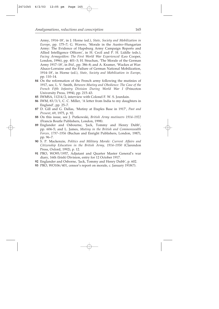Army, 1914–18', in J. Horne (ed.), *State, Society and Mobilization in Europe*, pp. 175–7; G. Wawro, 'Morale in the Austro–Hungarian Army: The Evidence of Hapsburg Army Campaign Reports and Allied Intelligence Officers', in H. Cecil and P. H. Liddle (eds.), *Facing Armageddon: The First World War Experienced* (Leo Cooper, London, 1996), pp. 401–3; H. Strachan, 'The Morale of the German Army 1917–18', in *Ibid.*, pp. 386–8; and A. Kramer, 'Wackes at War: Alsace-Lorraine and the Failure of German National Mobilization, 1914–18', in Horne (ed.), *State, Society and Mobilization in Europe*, pp. 110–14.

- **84** On the reformation of the French army following the mutinies of 1917, see, L. V. Smith, *Between Mutiny and Obedience: The Case of the French Fifth Infantry Division During World War I* (Princeton University Press, 1994), pp. 215–43.
- **85** IWMSA, 11214/2, interview with Colonel F. W. S. Jourdain.
- **86** IWM, 83/3/1, C. C. Miller, 'A letter from India to my daughters in England', pp. 25–7.
- **87** D. Gill and G. Dallas, 'Mutiny at Etaples Base in 1917', *Past and Present*, 69, 1975, p. 92.
- **88** On this issue, see J. Putkowski, *British Army mutineers 1914–1922* (Francis Boutle Publishers, London, 1998).
- **89** Englander and Osbourne, 'Jack, Tommy and Henry Dubb', pp. 604–5; and L. James, *Mutiny in the British and Commonwealth Forces, 1797–1956* (Buchan and Enright Publishers, London, 1987), pp. 96–7.
- **90** S. P. Mackenzie, *Politics and Military Morale: Current Affairs and Citizenship Education in the British Army, 1914–1950* (Clarendon Press, Oxford, 1992), p. 12.
- **91** PRO, WO95/1957, Adjutant and Quarter Master General's war diary, 16th (Irish) Division, entry for 12 October 1917.
- **92** Englander and Osborne, 'Jack, Tommy and Henry Dubb', p. 602.
- **93** PRO, WO106/401, censor's report on morale, c. January 1918(?).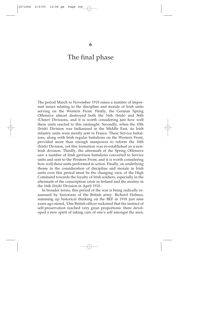## The final phase

The period March to November 1918 raises a number of important issues relating to the discipline and morale of Irish units serving on the Western Front. Firstly, the German Spring Offensive almost destroyed both the 16th (Irish) and 36th (Ulster) Divisions, and it is worth considering just how well these units reacted to this onslaught. Secondly, when the 10th (Irish) Division was Indianised in the Middle East, its Irish infantry units were mostly sent to France. These Service battalions, along with Irish regular battalions on the Western Front, provided more than enough manpower to reform the 16th (Irish) Division, yet this formation was re-established as a non-Irish division. Thirdly, the aftermath of the Spring Offensive saw a number of Irish garrison battalions converted to Service units and sent to the Western Front, and it is worth considering how well these units performed in action. Finally, an underlying theme in the consideration of discipline and morale in Irish units over this period must be the changing view of the High Command towards the loyalty of Irish soldiers, especially in the aftermath of the conscription crisis in Ireland and the mutiny in the 16th (Irish) Division in April 1918.

In broader terms, this period of the war is being radically reassessed by historians of the British army. Richard Holmes, summing up historical thinking on the BEF in 1918 just nine years ago stated, 'One British officer reckoned that the instinct of self-preservation reached very great proportions: there developed a new spirit of taking care of one's self amongst the men,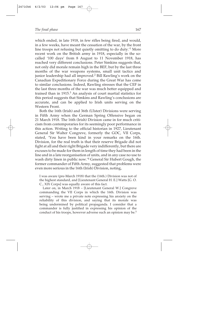which ended, in late 1918, in few rifles being fired, and would, in a few weeks, have meant the cessation of the war, by the front line troops not refusing but quietly omitting to do duty.'<sup>1</sup> More recent work on the British army in 1918, especially in the socalled '100 days' from 8 August to 11 November 1918, has reached very different conclusions. Peter Simkins suggests that, not only did morale remain high in the BEF, but by the last three months of the war weapons systems, small unit tactics and junior leadership had all improved.<sup>2</sup> Bill Rawling's work on the Canadian Expeditionary Force during the Great War has come to similar conclusions. Indeed, Rawling stresses that the CEF in the last three months of the war was much better equipped and trained than in 1915.<sup>3</sup> An analysis of court martial statistics for this period suggests that Simkins and Rawling's conclusions are accurate, and can be applied to Irish units serving on the Western Front.

Both the 16th (Irish) and 36th (Ulster) Divisions were serving in Fifth Army when the German Spring Offensive began on 21 March 1918. The 16th (Irish) Division came in for much criticism from contemporaries for its seemingly poor performance in this action. Writing to the official historian in 1927, Lieutenant General Sir Walter Congreve, formerly the GOC, VII Corps, stated, 'You have been kind in your remarks on the 16th. Division, for the real truth is that their reserve Brigade did not fight at all and their right Brigade very indifferently, but there are excuses to be made for them in length of time they had been in the line and in a late reorganisation of units, and in any case no use to wash dirty linen in public now.'<sup>4</sup> General Sir Hubert Gough, the former commander of Fifth Army, suggested that problems were even more serious in the 16th (Irish) Division, noting,

I was aware (pre-March 1918) that the (16th.) Division was not of the highest standard, and [Lieutenant General H. E.] Watts [G. O. C., XIX Corps] was equally aware of this fact.

Later on, in March 1918 – [Lieutenant General W.] Congreve commanding the VII Corps in which the 16th. Division was serving – wrote me a private note expressing his anxiety on the reliability of this division, and saying that its morale was being undermined by political propaganda. I consider that a commander is fully justified in expressing his opinion of the conduct of his troops, however adverse such an opinion may be.<sup>5</sup>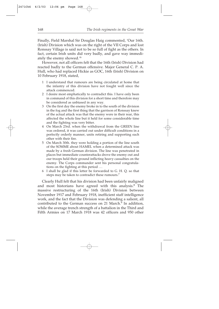Finally, Field Marshal Sir Douglas Haig commented, 'Our 16th. (Irish) Division which was on the right of the VII Corps and lost Ronssay Village is said not to be so full of fight as the others. In fact, certain Irish units did very badly, and gave way immediately the enemy showed.'<sup>6</sup>

However, not all officers felt that the 16th (Irish) Division had reacted badly to the German offensive. Major General C. P. A. Hull, who had replaced Hickie as GOC, 16th (Irish) Division on 10 February 1918, stated,

- 1 I understand that rumours are being circulated at home that the infantry of this division have not fought well since the attack commenced.
- 2 I desire most emphatically to contradict this. I have only been in command of this division for a short time and therefore may be considered as unbiased in any way.
- 3 On the first day the enemy broke in to the south of the division in the fog and the first thing that the garrison of Ronssay knew of the actual attack was that the enemy were in their rear, this affected the whole line but it held for some considerable time and the fighting was very bitter.
- 4 On March 23rd. when the withdrawal from the GREEN line was ordered, it was carried out under difficult conditions in a perfectly orderly manner, units retiring and supporting each other with their fire.
- 5 On March 30th. they were holding a portion of the line south of the SOMME about HAMEL when a determined attack was made by a fresh German division. The line was penetrated in places but immediate counterattacks drove the enemy out and our troops held their ground inflicting heavy casualties on the enemy. The Corps commander sent his personal congratulations on the fighting at this period ...
- 6 I shall be glad if this letter be forwarded to G. H. Q. so that steps may be taken to contradict these rumours.<sup>7</sup>

Clearly Hull felt that his division had been unfairly maligned and most historians have agreed with this analysis.<sup>8</sup> The massive restructuring of the 16th (Irish) Division between November 1917 and February 1918, inefficient staff intelligence work, and the fact that the Division was defending a salient, all contributed to the German success on 21 March. $\frac{9}{9}$  In addition, while the average trench strength of a battalion in the Third and Fifth Armies on 17 March 1918 was 42 officers and 950 other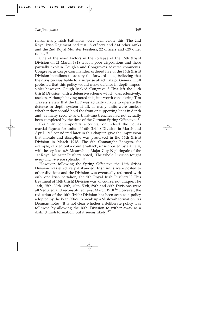ranks, many Irish battalions were well below this. The 2nd Royal Irish Regiment had just 18 officers and 514 other ranks and the 2nd Royal Munster Fusiliers, 22 officers and 629 other ranks.<sup>10</sup>

One of the main factors in the collapse of the 16th (Irish) Division on 21 March 1918 was its poor dispositions and these partially explain Gough's and Congreve's adverse comments. Congreve, as Corps Commander, ordered five of the 16th (Irish) Division battalions to occupy the forward zone, believing that the division was liable to a surprise attack. Major General Hull protested that this policy would make defence in depth impossible; however, Gough backed Congreve.<sup>11</sup> This left the 16th (Irish) Division with a defensive scheme which was, effectively, useless. Although having noted this, it is worth considering Tim Travers's view that the BEF was actually unable to operate the defence in depth system at all, as many units were unclear whether they should hold the front or supporting lines in depth and, as many second- and third-line trenches had not actually been completed by the time of the German Spring Offensive.<sup>12</sup>

Certainly contemporary accounts, or indeed the courts martial figures for units of 16th (Irish) Division in March and April 1918 considered later in this chapter, give the impression that morale and discipline was preserved in the 16th (Irish) Division in March 1918. The 6th Connaught Rangers, for example, carried out a counter-attack, unsupported by artillery, with heavy losses.<sup>13</sup> Meanwhile, Major Guy Nightingale of the 1st Royal Munster Fusiliers noted, 'The whole Division fought every inch + were splendid.'<sup>14</sup>

However, following the Spring Offensive the 16th (Irish) Division was effectively disbanded. Irish units were posted to other divisions and the Division was eventually reformed with only one Irish battalion, the 5th Royal Irish Fusiliers.<sup>15</sup> This treatment of 16th (Irish) Division was, of course, not unique. The 14th, 25th, 30th, 39th, 40th, 50th, 59th and 66th Divisions were all 'reduced and reconstituted' post March 1918.<sup>16</sup> However, the reduction of the 16th (Irish) Division has been seen as a policy adopted by the War Office to break up a 'disloyal' formation. As Denman notes, 'It is not clear whether a deliberate policy was followed by allowing the 16th. Division to wither away as a distinct Irish formation, but it seems likely.'<sup>17</sup>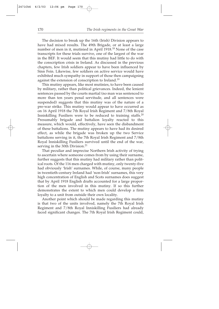The decision to break up the 16th (Irish) Division appears to have had mixed results. The 49th Brigade, or at least a large number of men in it, mutinied in April 1918.<sup>18</sup> None of the case transcripts for these trials survive, one of the largest of the war in the BEF. It would seem that this mutiny had little to do with the conscription crisis in Ireland. As discussed in the previous chapters, few Irish soldiers appear to have been influenced by Sinn Fein. Likewise, few soldiers on active service would have exhibited much sympathy in support of those then campaigning against the extension of conscription to Ireland.<sup>19</sup>

This mutiny appears, like most mutinies, to have been caused by military, rather than political grievances. Indeed, the lenient sentences passed by the courts martial (no man was sentenced to more than ten years penal servitude, and all sentences were suspended) suggests that this mutiny was of the nature of a pre-war strike. This mutiny would appear to have occurred as on 16 April 1918 the 7th Royal Irish Regiment and 7/8th Royal Inniskilling Fusiliers were to be reduced to training staffs.<sup>20</sup> Presumably brigade and battalion loyalty reacted to this measure, which would, effectively, have seen the disbandment of these battalions. The mutiny appears to have had its desired effect, as while the brigade was broken up the two Service battalions serving in it, the 7th Royal Irish Regiment and 7/8th Royal Inniskilling Fusiliers survived until the end of the war, serving in the 30th Division.<sup>21</sup>

That peculiar and imprecise Northern Irish activity of trying to ascertain where someone comes from by using their surname, further suggests that this mutiny had military rather than political roots. Of the 116 men charged with mutiny, only twenty-five had obviously 'Irish' surnames. While, of course, many people in twentieth-century Ireland had 'non-Irish' surnames, this very high concentration of English and Scots surnames does suggest that by April 1918 English drafts accounted for a large proportion of the men involved in this mutiny. If so this further demonstrates the extent to which men could develop a firm loyalty to a unit from outside their own locality.

Another point which should be made regarding this mutiny is that two of the units involved, namely the 7th Royal Irish Regiment and 7/8th Royal Inniskilling Fusiliers had already faced significant changes. The 7th Royal Irish Regiment could,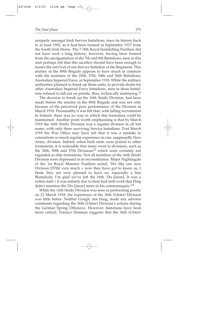uniquely amongst Irish Service battalions, trace its history back to at least 1902, as it had been formed in September 1917 from the South Irish Horse. The 7/8th Royal Inniskilling Fusiliers did not have such a long history, however, having been formed from the amalgamation of the 7th and 8th Battalions; men in this unit perhaps felt that this sacrifice should have been enough to insure the survival of one Service battalion of the Regiment. This mutiny in the 49th Brigade appears to have much in common with the mutinies of the 25th, 37th, 54th and 56th Battalions, Australian Imperial Force, in September 1918. While the military authorities planned to break up these units, to provide drafts for other Australian Imperial Force battalions, men in these battalions refused to fall out on parade, thus, technically mutinying.<sup>22</sup>

The decision to break up the 16th (Irish) Division, had been made before the mutiny in the 49th Brigade and was not only because of the perceived poor performance of the Division in March 1918. Presumably it was felt that, with falling recruitment in Ireland, there was no way in which this formation could be maintained. Another point worth emphasising is that by March 1918 the 16th (Irish) Division was a regular division in all but name, with only three surviving Service battalions. Post March 1918 the War Office may have felt that it was a mistake to concentrate so much regular experience in one, supposedly New Army, division. Indeed, when Irish units were posted to other formations, it is noticeable that many went to divisions, such as the 30th, 50th and 57th Divisions<sup>23</sup> which were certainly not regarded as elite formations. Not all members of the 16th (Irish) Division were depressed at its reconstitution. Major Nightingale of the 1st Royal Munster Fusiliers noted, 'We like our new Division [57th] very much + now they have got to know us, I think they are very pleased to have us, especially a line B[attalio]n. I'm glad we've left the 16th. Div.[ision]. It was a rotten staff + it was entirely due to their bad staff work that Haig didn't mention the Div.[ision] more in his communiqués.<sup>'24</sup>

While the 16th (Irish) Division was seen as performing poorly on 21 March 1918, the experience of the 36th (Ulster) Division was little better. Neither Gough, nor Haig, made any adverse comments regarding the 36th (Ulster) Division's actions during the German Spring Offensive. However, historians have been more critical. Terence Denman suggests that the 36th (Ulster)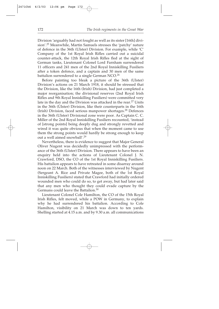Division 'arguably had not fought as well as its sister [16th] division'.<sup>25</sup> Meanwhile, Martin Samuels stresses the 'patchy' nature of defence in the 36th (Ulster) Division. For example, while 'C' Company of the 1st Royal Irish Rifles carried out a suicidal counter-attack, the 12th Royal Irish Rifles fled at the sight of German tanks, Lieutenant Colonel Lord Farnham surrendered 11 officers and 241 men of the 2nd Royal Inniskilling Fusiliers after a token defence, and a captain and 30 men of the same battalion surrendered to a single German NCO.<sup>26</sup>

Before painting too bleak a picture of the 36th (Ulster) Division's actions on 21 March 1918, it should be stressed that the Division, like the 16th (Irish) Division, had just completed a major reorganisation; the divisional reserves (2nd Royal Irish Rifles and 9th Royal Inniskilling Fusiliers) were committed very late in the day and the Division was attacked in the rear.<sup>27</sup> Units in the 36th (Ulster) Division, like their counterparts in the 16th (Irish) Division, faced serious manpower shortages.<sup>28</sup> Defences in the 36th (Ulster) Divisional zone were poor. As Captain C. C. Miller of the 2nd Royal Inniskilling Fusiliers recounted, 'instead of [strong points] being deeply dug and strongly revetted and wired it was quite obvious that when the moment came to use them the strong points would hardly be strong enough to keep out a well aimed snowball'.<sup>29</sup>

Nevertheless, there is evidence to suggest that Major General Oliver Nugent was decidedly unimpressed with the performance of the 36th (Ulster) Division. There appears to have been an enquiry held into the actions of Lieutenant Colonel J. N. Crawford, DSO, the CO of the 1st Royal Inniskilling Fusiliers. His battalion appears to have retreated in some disarray around noon on 22 March. Both of the witnesses interviewed by Nugent (Sergeant A. Rice and Private Magee, both of the 1st Royal Inniskilling Fusiliers) stated that Crawford had initially ordered wounded men who could do so, to get away, but had later said that any men who thought they could evade capture by the Germans could leave the Battalion.<sup>30</sup>

Lieutenant Colonel Cole Hamilton, the CO of the 15th Royal Irish Rifles, felt moved, while a POW in Germany, to explain why he had surrendered his battalion. According to Cole Hamilton, visibility on 21 March was down to ten yards. Shelling started at 4.15 a.m. and by 9.30 a.m. all communications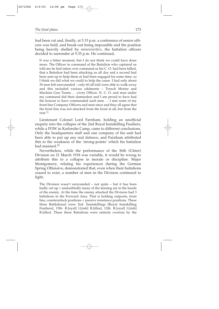had been cut and, finally, at 5.15 p.m. a conference of senior officers was held, and break-out being impossible and the position being heavily shelled by *minenwerfers*, the battalion officers decided to surrender at 5.35 p.m. He continued,

It was a bitter moment, but I do not think we could have done more. The Officer in command of the Battalion who captured us told me he had taken over command as his C. O. had been killed, that a Battalion had been attacking us all day and a second had been sent up to help them or had been engaged for some time, so I think we did what we could to help the cause. I had only about 30 men left unwounded – only 60 all told were able to walk away and this included various oddments – Trench Mortar and Machine Gun Teams ... every Officer, N. C. O. and man under my command did their damnedest and I am proud to have had the honour to have commanded such men . . . I met some of my front line Company Officers and men since and they all agree that the front line was not attacked from the front at all, but from the rear.<sup>31</sup>

Lieutenant Colonel Lord Farnham, holding an unofficial enquiry into the collapse of the 2nd Royal Inniskilling Fusiliers, while a POW in Karlsruhe Camp, came to different conclusions. Only the headquarters staff and one company of his unit had been able to put up any real defence, and Farnham attributed this to the weakness of the 'strong-points' which his battalion had manned.<sup>32</sup>

Nevertheless, while the performance of the 36th (Ulster) Division on 21 March 1918 was variable, it would be wrong to attribute this to a collapse in morale or discipline. Major Montgomery, relating his experiences during the German Spring Offensive, demonstrated that, even when their battalions ceased to exist, a number of men in the Division continued to fight,

The Division wasn't surrounded – not quite – but it has been badly cut up + undoubtedly many of the missing are in the hands of the enemy. At the time the enemy attacked the Division had 3 battalions in the Forward Area. That is holding outposts, front line, counterattack positions + passive resistance positions. These three Batt[alions] were 2nd. Enniskillings [Royal Inniskilling Fusiliers], 15th. R.[oyal] I.[rish] R.[ifles], 12th. R.[oyal] I.[rish] R.[ifles]. These three Battalions were entirely overrun by the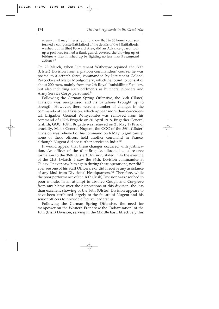enemy . . . It may interest you to know that in 56 hours your son formed a composite Batt.[alion] of the details of the 3 Batt[alion]s. washed out in [the] Forward Area, did an Advance guard, took up a position, formed a flank guard, covered the blowing up of bridges + then finished up by fighting no less than 5 rearguard actions.<sup>33</sup>

On 23 March, when Lieutenant Witherow rejoined the 36th (Ulster) Division from a platoon commanders' course, he was posted to a scratch force, commanded by Lieutenant Colonel Peacocke and Major Montgomery, which he found to consist of about 200 men, mainly from the 9th Royal Inniskilling Fusiliers, but also including such oddments as butchers, pioneers and Army Service Corps personnel.<sup>34</sup>

Following the German Spring Offensive, the 36th (Ulster) Division was reorganised and its battalions brought up to strength. However, there were a number of changes in the commands of the Division, which appear more than coincidental. Brigadier General Withycombe was removed from his command of 107th Brigade on 30 April 1918, Brigadier General Griffith, GOC, 108th Brigade was relieved on 21 May 1918 and, crucially, Major General Nugent, the GOC of the 36th (Ulster) Division was relieved of his command on 6 May. Significantly, none of these officers held another command in France, although Nugent did see further service in India.<sup>35</sup>

It would appear that these changes occurred with justification. An officer of the 61st Brigade, allocated as a reserve formation to the 36th (Ulster) Division, stated, 'On the evening of the 21st. [March] I saw the 36th. Division commander at Ollezy. I never saw him again during these operations, nor did I ever see one of his Staff Officers, nor did I receive any assistance of any kind from Divisional Headquarters.'<sup>36</sup> Therefore, while the poor performance of the 16th (Irish) Division was ascribed to poor morale, in an attempt to absolve Gough and Congreve from any blame over the dispositions of this division, the less than excellent showing of the 36th (Ulster) Division appears to have been attributed largely to the failure of Nugent and his senior officers to provide effective leadership.

Following the German Spring Offensive, the need for manpower on the Western Front saw the 'Indianisation' of the 10th (Irish) Division, serving in the Middle East. Effectively this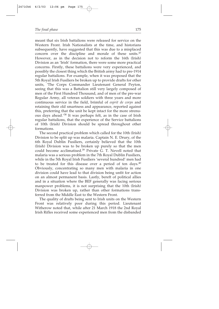meant that six Irish battalions were released for service on the Western Front. Irish Nationalists at the time, and historians subsequently, have suggested that this was due to a misplaced concern over the discipline and morale of these units.<sup>37</sup> However, as in the decision not to reform the 16th (Irish) Division as an 'Irish' formation, there were some more practical concerns. Firstly, these battalions were very experienced, and possibly the closest thing which the British army had to pre-1914 regular battalions. For example, when it was proposed that the 5th Royal Irish Fusiliers be broken up to provide drafts for other units, 'The Corps Commander Lieutenant General Peyton, seeing that this was a Battalion still very largely composed of men of the First Hundred Thousand, and of men of the pre-war Regular Army, all veteran soldiers with three years and more continuous service in the field, brimful of *esprit de corps* and retaining their old smartness and appearance, reported against this, preferring that the unit be kept intact for the more strenuous days ahead.'<sup>38</sup> It was perhaps felt, as in the case of Irish regular battalions, that the experience of the Service battalions of 10th (Irish) Division should be spread throughout other formations.

The second practical problem which called for the 10th (Irish) Division to be split up was malaria. Captain N. E. Drury, of the 6th Royal Dublin Fusiliers, certainly believed that the 10th (Irish) Division was to be broken up purely so that the men could become acclimatised.<sup>39</sup> Private G. T. Nevell noted that malaria was a serious problem in the 7th Royal Dublin Fusiliers, while in the 5th Royal Irish Fusiliers 'several hundred' men had to be treated for this disease over a period of ten days.<sup>40</sup> Obviously, concentrating so many men with malaria in one division could have lead to that division being unfit for action on an almost permanent basis. Lastly, bereft of political allies and in a situation where the BEF generally was facing serious manpower problems, it is not surprising that the 10th (Irish) Division was broken up, rather than other formations transferred from the Middle East to the Western Front.

The quality of drafts being sent to Irish units on the Western Front was relatively poor during this period. Lieutenant Witherow noted that, while after 21 March 1918 the 2nd Royal Irish Rifles received some experienced men from the disbanded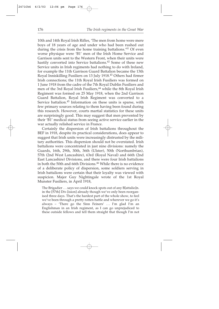10th and 14th Royal Irish Rifles, 'The men from home were mere boys of 18 years of age and under who had been rushed out during the crisis from the home training battalions.'<sup>41</sup> Of even worse physique were 'B1' men of the Irish Home Service and Garrison units sent to the Western Front, when their units were hastily converted into Service battalions.<sup>42</sup> Some of these new Service units in Irish regiments had nothing to do with Ireland, for example the 11th Garrison Guard Battalion became the 13th Royal Inniskilling Fusiliers on 13 July 1918.<sup>43</sup> Others had firmer Irish connections; the 11th Royal Irish Fusiliers was formed on 1 June 1918 from the cadre of the 7th Royal Dublin Fusiliers and men of the 3rd Royal Irish Fusiliers,<sup>44</sup> while the 8th Royal Irish Regiment was formed on 25 May 1918, when the 2nd Garrison Guard Battalion, Royal Irish Regiment was converted to a Service battalion.<sup>45</sup> Information on these units is sparse, with few primary sources relating to them having been found during this research. However, courts martial statistics for these units are surprisingly good. This may suggest that men prevented by their 'B1' medical status from seeing active service earlier in the war actually relished service in France.

Certainly the dispersion of Irish battalions throughout the BEF in 1918, despite its practical considerations, does appear to suggest that Irish units were increasingly distrusted by the military authorities. This dispersion should not be overstated. Irish battalions were concentrated in just nine divisions: namely the Guards, 16th, 29th, 30th, 36th (Ulster), 50th (Northumbrian), 57th (2nd West Lancashire), 63rd (Royal Naval) and 66th (2nd East Lancashire) Divisions, and there were four Irish battalions in both the 50th and 66th Divisions.<sup>46</sup> While there is no evidence of a deliberate policy of dispersion, some soldiers serving in Irish battalions were certain that their loyalty was viewed with suspicion. Major Guy Nightingale wrote of the 1st Royal Munster Fusiliers, in April 1918,

The Brigadier . . . says we could knock spots out of any B[attalio]n. in the [57th] Div.[ision] already though we've only been reorganised three days. That's the hardest part of the whole show, to feel we've been through a pretty rotten battle and wherever we go it's always - 'There go the Sinn Feiners'  $\ldots$  I'm glad I'm an Englishman in an Irish regiment, as I can go unprejudiced to these outside fellows and tell them straight that though I'm not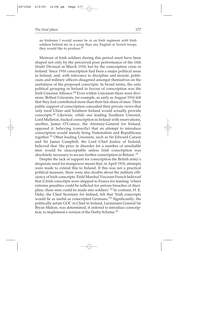an Irishman I would sooner be in an Irish regiment with Irish soldiers behind me in a scrap than any English or Scotch troops they would like to produce. $4\overline{7}$ 

Mistrust of Irish soldiers during this period must have been shaped not only by the perceived poor performance of the 16th (Irish) Division in March 1918, but by the conscription crisis in Ireland. Since 1916 conscription had been a major political issue in Ireland, and, with relevance to discipline and morale, politicians and military officers disagreed amongst themselves on the usefulness of the proposed conscripts. In broad terms, the only political grouping in Ireland in favour of conscription was the Irish Unionist Alliance.<sup>48</sup> Even within Unionism there were divisions. Belfast Unionists, for example, as early as August 1916 felt that they had contributed more than their fair share of men. Their public support of conscription concealed their private views that only rural Ulster and Southern Ireland would actually provide conscripts.<sup>49</sup> Likewise, while one leading Southern Unionist, Lord Midleton, backed conscription in Ireland with reservations, another, James O'Connor, the Attorney-General for Ireland, opposed it, believing (correctly) that an attempt to introduce conscription would merely bring Nationalists and Republicans together.<sup>50</sup> Other leading Unionists, such as Sir Edward Carson and Sir James Campbell, the Lord Chief Justice of Ireland, believed that 'the price in disorder for a number of unreliable men would be unacceptable unless Irish conscription was absolutely necessary to secure further conscription in Britain'.<sup>51</sup>

Despite the lack of support for conscription the British army's desperate need for manpower meant that, in April 1918, attempts were made to extend this to Ireland. If this was not a practical political measure, there were also doubts about the military efficiency of Irish conscripts. Field Marshal Viscount French believed that if Irish conscripts were shipped to France for training 'where extreme penalties could be inflicted for serious breaches of discipline, these men could be made into soldiers'.<sup>52</sup> In contrast, H. E. Duke, the Chief Secretary for Ireland, felt that 'Irish conscripts would be as useful as conscripted Germans.'<sup>53</sup> Significantly, the politically astute GOC in Chief in Ireland, Lieutenant General Sir Bryan Mahon, was determined, if ordered to introduce conscription, to implement a version of the Derby Scheme.<sup>54</sup>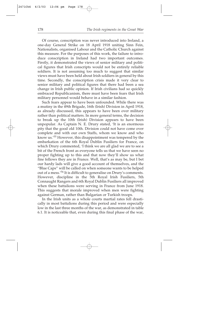Of course, conscription was never introduced into Ireland, a one-day General Strike on 18 April 1918 uniting Sinn Fein, Nationalists, organised Labour and the Catholic Church against this measure. For the purposes of this work, the failure to introduce conscription in Ireland had two important outcomes. Firstly, it demonstrated the views of senior military and political figures that Irish conscripts would not be entirely reliable soldiers. It is not assuming too much to suggest that similar views must have been held about Irish soldiers in general by this time. Secondly, the conscription crisis made it very clear to senior military and political figures that there had been a sea change in Irish public opinion. If Irish civilians had so quickly embraced Republicanism, there must have been fears that Irish military personnel would behave in a similar fashion.

Such fears appear to have been unfounded. While there was a mutiny in the 49th Brigade, 16th (Irish) Division in April 1918, as already discussed, this appears to have been over military rather than political matters. In more general terms, the decision to break up the 10th (Irish) Division appears to have been unpopular. As Captain N. E. Drury stated, 'It is an enormous pity that the good old 10th. Division could not have come over complete and with our own Staffs, whom we know and who know us.'<sup>55</sup> However, this disappointment was tempered by the embarkation of the 6th Royal Dublin Fusiliers for France, on which Drury commented, 'I think we are all glad we are to see a bit of the French front as everyone tells us that we have seen no proper fighting up to this and that now they'll show us what fine fellows they are in France. Well, that's as may be, but I bet our hardy lads will give a good account of themselves, and the "Blue Caps" will be called on when someone wants to be helped out of a mess.'<sup>56</sup> It is difficult to generalise on Drury's comments. However, discipline in the 5th Royal Irish Fusiliers, 5th Connaught Rangers and 6th Royal Dublin Fusiliers all improved when these battalions were serving in France from June 1918. This suggests that morale improved when men were fighting against German, rather than Bulgarian or Turkish troops.

In the Irish units as a whole courts martial rates fell drastically in most battalions during this period and were especially low in the last three months of the war, as demonstrated in table 6.1. It is noticeable that, even during this final phase of the war,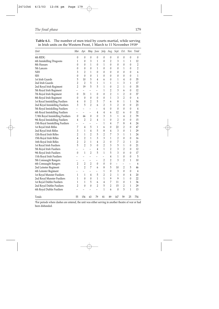| Unit                               |                  |                  | Mar. Apr. May June |                          |                  |                | July Aug. Sept. Oct. Nov. Total |                  |                  |                  |
|------------------------------------|------------------|------------------|--------------------|--------------------------|------------------|----------------|---------------------------------|------------------|------------------|------------------|
| 4th RIDG                           | $\boldsymbol{0}$ | $\boldsymbol{0}$ | $\theta$           | $\boldsymbol{0}$         | $\boldsymbol{0}$ | $\theta$       | 0                               | $\theta$         | $\boldsymbol{0}$ | $\boldsymbol{0}$ |
| 6th Inniskilling Dragoons          | 1                | 0                | 3                  | 1                        | $\boldsymbol{0}$ | $\overline{2}$ | 3                               | 1                | 1                | 12               |
| 8th Hussars                        | $\theta$         | 0                | 1                  | $\boldsymbol{0}$         | 1                | $\theta$       | 0                               | 0                | $\theta$         | $\overline{2}$   |
| 5th Lancers                        | $\theta$         | 0                | $\theta$           | 1                        | $\theta$         | $\theta$       | 0                               | 1                | $\theta$         | 2                |
| NIH                                | 3                | $\overline{2}$   | 1                  | $\overline{0}$           | 0                | $\theta$       | $\boldsymbol{0}$                | $\boldsymbol{0}$ | 0                | 6                |
| SIH                                | $\boldsymbol{0}$ | 0                | $\theta$           | 1                        | 0                | $\theta$       | 0                               | 0                | $\theta$         | 1                |
| 1st Irish Guards                   | 5                | 10               | 5                  | $\overline{4}$           | 6                | $\theta$       | 1                               | 4                | $\theta$         | 35               |
| 2nd Irish Guards                   | 2                | $\overline{2}$   | 5                  | 1                        | 1                | 1              | 1                               | 3                | 1                | 17               |
| 2nd Royal Irish Regiment           | $\overline{2}$   | 19               | 5                  | 5                        | 1                | $\theta$       | 2                               | 1                | $\theta$         | 35               |
| 5th Royal Irish Regiment           |                  |                  | -                  | -                        | 1                | $\overline{2}$ | 3                               | 6                | $\theta$         | 12               |
| 7th Royal Irish Regiment           | $\boldsymbol{0}$ | 31               | 1                  | $\theta$                 | 0                | $\overline{2}$ | 1                               | $\overline{2}$   | $\theta$         | 37               |
| 8th Royal Irish Regiment           | 0                | $\theta$         | $\theta$           | $\boldsymbol{0}$         | $\boldsymbol{0}$ | 1              | 3                               | $\overline{2}$   | $\theta$         | 6                |
| 1st Royal Inniskilling Fusiliers   | 4                | 0                | $\overline{2}$     | 5                        | 7                | 6              | 8                               | 1                | 1                | 34               |
| 2nd Royal Inniskilling Fusiliers   | 3                | 5                | $\overline{2}$     | 6                        | 2                | 3              | 2                               | $\theta$         | $\theta$         | 23               |
| 5th Royal Inniskilling Fusiliers   | -                |                  | -                  | $\overline{\phantom{0}}$ | 4                | $\theta$       | $\boldsymbol{0}$                | 0                | $\boldsymbol{0}$ | $\overline{4}$   |
| 6th Royal Inniskilling Fusiliers   | -                | -                | -                  | 4                        | $\overline{4}$   | 6              | 12                              | 6                | $\theta$         | 32               |
| 7/8th Royal Inniskilling Fusiliers | 0                | 66               | 0                  | 0                        | 3                | 3              | 1                               | 4                | $\overline{2}$   | 79               |
| 9th Royal Inniskilling Fusiliers   | 4                | $\overline{2}$   | $\overline{2}$     | 4                        | 1                | $\theta$       | 2                               | 0                | $\theta$         | 15               |
| 13th Royal Inniskilling Fusiliers  | -                |                  | -                  | -                        | 1                | 4              | 7                               | 8                | 4                | 24               |
| 1st Royal Irish Rifles             | 7                | 4                | 5                  | 1                        | 6                | $\theta$       | 22                              | 2                | $\theta$         | 47               |
| 2nd Royal Irish Rifles             | 3                | 1                | 4                  | 5                        | 8                | 4              | 3                               | 0                | 1                | 29               |
| 12th Royal Irish Rifles            | $\overline{2}$   | 1                | $\overline{2}$     | 5                        | $\overline{2}$   | 7              | 3                               | 1                | 1                | 24               |
| 15th Royal Irish Rifles            | 4                | $\overline{2}$   | 1                  | 3                        | 3                | 1              | 2                               | 0                | $\theta$         | 16               |
| 16th Royal Irish Rifles            | $\overline{2}$   | $\overline{2}$   | 1                  | $\overline{4}$           | $\overline{2}$   | $\theta$       | 7                               | $\overline{2}$   | 1                | 21               |
| 1st Royal Irish Fusiliers          | 5                | $\overline{2}$   | 3                  | 0                        | $\overline{2}$   | 3              | 5                               | $\mathbf{1}$     | $\theta$         | 21               |
| 5th Royal Irish Fusiliers          |                  |                  | -                  | 4                        | 1                | $\overline{2}$ | 3                               | $\overline{2}$   | $\theta$         | 12               |
| 9th Royal Irish Fusiliers          | 0                | 1                | $\overline{2}$     | 5                        | 1                | 5              | 3                               | 0                | $\theta$         | 17               |
| 11th Royal Irish Fusiliers         | -                |                  | -                  | -                        | -                | 4              | 1                               | 0                | $\theta$         | 5                |
| 5th Connaught Rangers              |                  |                  | -                  | -                        | $\overline{2}$   | $\overline{2}$ | 3                               | $\overline{2}$   | 1                | 10               |
| 6th Connaught Rangers              | $\overline{2}$   | $\overline{2}$   | $\overline{2}$     | $\theta$                 | $\boldsymbol{0}$ | $\theta$       |                                 | -                | -                | 6                |
| 2nd Leinster Regiment              | 1                | $\overline{2}$   | 7                  | 6                        | 8                | 5              | 10                              | $\overline{2}$   | 5                | 46               |
| 6th Leinster Regiment              | -                |                  | -                  | -                        | 1                | $\theta$       | 3                               | 0                | $\theta$         | 4                |
| 1st Royal Munster Fusiliers        | 1                | 1                | 4                  | 5                        | $\overline{2}$   | $\overline{2}$ | 1                               | 0                | 4                | 20               |
| 2nd Royal Munster Fusiliers        | 1                | 0                | $\theta$           | 1                        | 1                | 9              | 9                               | 1                | $\theta$         | 22               |
| 1st Royal Dublin Fusiliers         | 1                | 1                | 5                  | 6                        | $\overline{4}$   | 7              | 11                              | $\boldsymbol{0}$ | 1                | 36               |
| 2nd Royal Dublin Fusiliers         | $\overline{2}$   | 0                | $\theta$           | $\overline{2}$           | 5                | $\overline{2}$ | 15                              | 2                | $\mathbf{1}$     | 29               |
| 6th Royal Dublin Fusiliers         |                  |                  |                    |                          | 1                | 6              | $\boldsymbol{0}$                | 5                | 1                | 13               |
| Totals                             | 55               | 156              | 63                 | 79                       | 81               | 89             | 147                             | 59               | 25               | 754              |

**Table 6.1.** The number of men tried by courts martial, while serving in Irish units on the Western Front, 1 March to 11 November 1918<sup>a</sup>

<sup>a</sup>For periods where dashes are entered, the unit was either serving in another theatre of war or had been disbanded.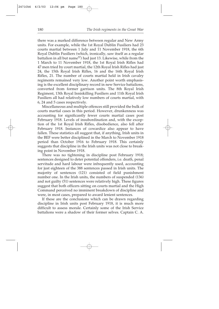there was a marked difference between regular and New Army units. For example, while the 1st Royal Dublin Fusiliers had 23 courts martial between 1 July and 11 November 1918, the 6th Royal Dublin Fusiliers (which, ironically, saw itself as a regular battalion in all but name<sup>57</sup>) had just 13. Likewise, while from the 1 March to 11 November 1918, the 1st Royal Irish Rifles had 47 men tried by court martial, the 12th Royal Irish Rifles had just 24, the 15th Royal Irish Rifles, 16 and the 16th Royal Irish Rifles, 21. The number of courts martial held in Irish cavalry regiments remained very low. Another point worth emphasising is the excellent disciplinary record in new Service battalions, converted from former garrison units. The 8th Royal Irish Regiment, 13th Royal Inniskilling Fusiliers and 11th Royal Irish Fusiliers all had relatively low numbers of courts martial, with 6, 24 and 5 cases respectively.

Miscellaneous and multiple offences still provided the bulk of courts martial cases in this period. However, drunkenness was accounting for significantly fewer courts martial cases post February 1918. Levels of insubordination and, with the exception of the 1st Royal Irish Rifles, disobedience, also fell after February 1918. Instances of cowardice also appear to have fallen. These statistics all suggest that, if anything, Irish units in the BEF were better disciplined in the March to November 1918 period than October 1916 to February 1918. This certainly suggests that discipline in the Irish units was not close to breaking point in November 1918.

There was no tightening in discipline post February 1918; sentences designed to deter potential offenders, i.e. death, penal servitude and hard labour were infrequently used, accounting for just eighteen of the 388 sentences passed in Irish units. The majority of sentences (121) consisted of field punishment number one. In the Irish units, the numbers of suspended (136) and not guilty (51) sentences were relatively high. These figures suggest that both officers sitting on courts martial and the High Command perceived no imminent breakdown of discipline and were, in most cases, prepared to award lenient sentences.

If these are the conclusions which can be drawn regarding discipline in Irish units post February 1918, it is much more difficult to assess morale. Certainly some of the Irish Service battalions were a shadow of their former selves. Captain C. A.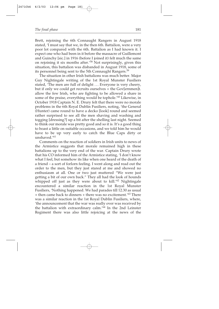Brett, rejoining the 6th Connaught Rangers in August 1918 stated, 'I must say that we, in the then 6th. Battalion, were a very poor lot compared with the 6th. Battalion as I had known it. I expect one who had been in it before the massacre of Guillemont and Guinchy [sic.] in 1916 (before I joined it) felt much the same on rejoining it six months after.'<sup>58</sup> Not surprisingly, given this situation, this battalion was disbanded in August 1918, some of its personnel being sent to the 5th Connaught Rangers.<sup>59</sup>

The situation in other Irish battalions was much better. Major Guy Nightingale writing of the 1st Royal Munster Fusiliers stated, 'The men are full of delight ... Everyone is very cheery, but if only we could get recruits ourselves + the Gov[ernmen]t. allow the few Irish, who are fighting to be allowed a share in some of the praise, everything would be tophole.'<sup>60</sup> Likewise, in October 1918 Captain N. E. Drury felt that there were no morale problems in the 6th Royal Dublin Fusiliers, noting, 'the General (Hunter) came round to have a decko [look] round and seemed rather surprised to see all the men shaving and washing and togging [dressing?] up a bit after the shelling last night. Seemed to think our morale was pretty good and so it is. It's a good thing to boast a little on suitable occasions, and we told him he would have to be up very early to catch the Blue Caps dirty or unshaved.'<sup>61</sup>

Comments on the reaction of soldiers in Irish units to news of the Armistice suggests that morale remained high in these battalions up to the very end of the war. Captain Drury wrote that his CO informed him of the Armistice stating, 'I don't know what I feel, but somehow its like when one heard of the death of a friend – a sort of forlorn feeling. I went along and read out the order to the men, but they just stared at me and showed no enthusiasm at all. One or two just muttered "We were just getting a bit of our own back." They all had the look of hounds whipped off just as they were about to kill.<sup>'62</sup> Nightingale encountered a similar reaction in the 1st Royal Munster Fusiliers, 'Nothing happened. We had parades till 12.30 as usual + then came back to dinners + there was no excitement.'<sup>63</sup> There was a similar reaction in the 1st Royal Dublin Fusiliers, where, 'the announcement that the war was really over was received by the battalion with extraordinary calm.' $64$  In the 2nd Leinster Regiment there was also little rejoicing at the news of the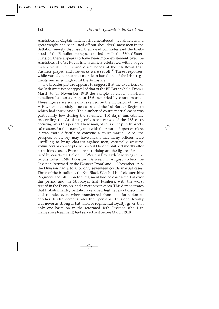Armistice, as Captain Hitchcock remembered, 'we all felt as if a great weight had been lifted off our shoulders', most men in the Battalion merely discussed their dead comrades and the likelihood of the Battalion being sent to India.<sup>65</sup> In the 36th (Ulster) Division there appears to have been more excitement over the Armistice. The 1st Royal Irish Fusiliers celebrated with a rugby match, while the fife and drum bands of the 9th Royal Irish Fusiliers played and fireworks were set off.<sup>66</sup> These responses, while varied, suggest that morale in battalions of the Irish regiments remained high until the Armistice.

The broader picture appears to suggest that the experience of the Irish units is not atypical of that of the BEF as a whole. From 1 March to 11 November 1918 the sample of eleven non-Irish battalions had an average of 16.6 men tried by courts martial. These figures are somewhat skewed by the inclusion of the 1st AIF which had sixty-nine cases and the 1st Border Regiment which had thirty cases. The number of courts martial cases was particularly low during the so-called '100 days' immediately proceeding the Armistice, only seventy-two of the 183 cases occuring over this period. There may, of course, be purely practical reasons for this, namely that with the return of open warfare, it was more difficult to convene a court martial. Also, the prospect of victory may have meant that many officers were unwilling to bring charges against men, especially wartime volunteers or conscripts, who would be demobilised shortly after hostilities ceased. Even more surprising are the figures for men tried by courts martial on the Western Front while serving in the reconstituted 16th Division. Between 1 August (when the Division 'returned' to the Western Front) and 11 November 1918, the Division had a total of only seventeen courts martial cases. Three of the battalions, the 9th Black Watch, 14th Leicestershire Regiment and 34th London Regiment had no courts martial over this period and the 5th Royal Irish Fusiliers, with the worst record in the Division, had a mere seven cases. This demonstrates that British infantry battalions retained high levels of discipline and morale, even when transferred from one formation to another. It also demonstrates that, perhaps, divisional loyalty was never as strong as battalion or regimental loyalty, given that only one battalion in the reformed 16th Division (the 11th Hampshire Regiment) had served in it before March 1918.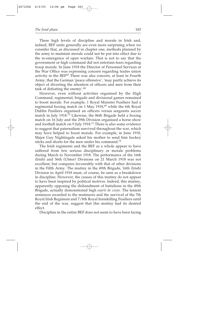These high levels of discipline and morale in Irish and, indeed, BEF units generally are even more surprising when we consider that, as discussed in chapter one, methods planned by the army to maintain morale could not be put into effect due to the re-emergence of open warfare. That is not to say that the government or high command did not entertain fears regarding troop morale. In June 1918 the Director of Personnel Services at the War Office was expressing concern regarding trades union activity in the BEF<sup>67</sup> There was also concern, at least in Fourth Army, that the German 'peace offensive', 'may partly achieve its object of diverting the attention of officers and men from their task of defeating the enemy'.<sup>68</sup>

However, even without activities organised by the High Command, regimental, brigade and divisional games remained to boost morale. For example, 1 Royal Munster Fusiliers had a regimental boxing match on 1 May 1918,<sup>69</sup> while the 6th Royal Dublin Fusiliers organised an officers versus sergeants soccer match in July 1918.<sup>70</sup> Likewise, the 86th Brigade held a boxing match on 16 July and the 29th Division organised a horse show and football match on 9 July 1918.<sup>71</sup> There is also some evidence to suggest that paternalism survived throughout the war, which may have helped to boost morale. For example, in June 1918, Major Guy Nightingale asked his mother to send him hockey sticks and shorts for the men under his command.<sup>72</sup>

The Irish regiments and the BEF as a whole appear to have suffered from few serious disciplinary or morale problems during March to November 1918. The performance of the 16th (Irish) and 36th (Ulster) Divisions on 21 March 1918 was not excellent, but compares favourably with that of other divisions in the Fifth Army. The mutiny in the 49th Brigade, 16th (Irish) Division in April 1918 must, of course, be seen as a breakdown in discipline. However, the causes of this mutiny do not appear to have been inspired by political motives. Indeed, this mutiny, apparently opposing the disbandment of battalions in the 49th Brigade, actually demonstrated high *esprit de corps*. The lenient sentences awarded to the mutineers and the survival of the 7th Royal Irish Regiment and 7/8th Royal Inniskilling Fusiliers until the end of the war, suggest that this mutiny had its desired effect.

Discipline in the entire BEF does not seem to have been facing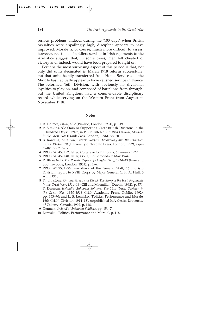serious problems. Indeed, during the '100 days' when British casualties were appallingly high, discipline appears to have improved. Morale is, of course, much more difficult to assess; however, reactions of soldiers serving in Irish regiments to the Armistice suggest that, in some cases, men felt cheated of victory and, indeed, would have been prepared to fight on.

Perhaps the most surprising aspect of this period is that, not only did units decimated in March 1918 reform successfully, but that units hastily transferred from Home Service and the Middle East, actually appear to have relished service in France. The reformed 16th Division, with obviously no divisional loyalties to play on, and composed of battalions from throughout the United Kingdom, had a commendable disciplinary record while serving on the Western Front from August to November 1918.

## **Notes**

- **1** R. Holmes, *Firing Line* (Pimlico, London, 1994), p. 319.
- **2** P. Simkins, 'Co-Stars or Supporting Cast? British Divisions in the "Hundred Days", 1918', in P. Griffith (ed.), *British Fighting Methods in the Great War* (Frank Cass, London, 1996), pp. 60–2.
- **3** B. Rawling, *Surviving Trench Warfare: Technology and the Canadian Corps, 1914–1918* (University of Toronto Press, London, 1992), especially, pp. 216–17.
- **4** PRO, CAB45/192, letter, Congreve to Edmonds, 6 January 1927.
- **5** PRO, CAB45/140, letter, Gough to Edmonds, 3 May 1944.
- **6** R. Blake (ed.), *The Private Papers of Douglas Haig, 1914–19* (Eyre and Spottiswoode, London, 1952), p. 296.
- **7** PRO, WO95/1956, war diary of the General Staff, 16th (Irish) Division, report to XVIII Corps by Major General C. P. A. Hull, 5 April 1918.
- **8** T. Johnstone, *Orange, Green and Khaki: The Story of the Irish Regiments in the Great War, 1914–18* (Gill and Macmillan, Dublin, 1992), p. 371; T. Denman, *Ireland's Unknown Soldiers: The 16th (Irish) Division in the Great War, 1914–1918* (Irish Academic Press, Dublin, 1992), pp. 153–70; and L. S. Lemisko, 'Politics, Performance and Morale: 16th (Irish) Division, 1914–18', unpublished MA thesis, University of Calgary, Canada, 1992, p. 118.
- **9** Denman, *Ireland's Unknown Soldiers*, pp. 154–7.
- **10** Lemisko, 'Politics, Performance and Morale', p. 118.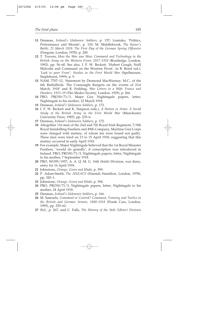- **11** Denman, *Ireland's Unknown Soldiers*, p. 157; Lemisko, 'Politics, Performance and Morale', p. 120; M. Middlebrook, *The Kaiser's Battle, 21 March 1918: The First Day of the German Spring Offensive* (Penguin, London, 1978), p. 200.
- **12** T. Travers, *How the War was Won: Command and Technology in the British Army on the Western Front, 1917–1918* (Routledge, London, 1992), pp. 56–60. See also, I. F. W. Beckett, 'Hubert Gough, Neill Malcolm and Command on the Western Front', in B. Bond (ed.), *'Look to your Front': Studies in the First World War* (Spellmount, Staplehurst, 1999), p. 9.
- **13** NAM, 7707–12, 'Statement by Desmond MacWeeney, M.C., of the 6th Batt[allio]n. The Connaught Rangers on the events of 21st March, 1918' and R. Feilding, *War Letters to a Wife: France and Flanders, 1915–19* (The Medici Society, London, 1929), p. 266.
- **14** PRO, PRO30/71/3, Major Guy Nightingale papers, letter, Nightingale to his mother, 22 March 1918.
- **15** Denman, *Ireland's Unknown Soldiers*, p. 172.
- **16** I. F. W. Beckett and K. Simpson (eds.), *A Nation in Arms: A Social Study of the British Army in the First World War* (Manchester University Press, 1985), pp. 235–6.
- **17** Denman, *Ireland's Unknown Soldiers*, p. 172.
- **18** Altogether 116 men of the 2nd and 7th Royal Irish Regiment, 7/8th Royal Inniskilling Fusiliers and 49th Company, Machine Gun Corps were charged with mutiny, of whom ten were found not guilty. These men were tried on 13 to 15 April 1918, suggesting that this mutiny occurred in early April 1918.
- **19** For example, Major Nightingale believed that the 1st Royal Munster Fusiliers, 'would do grandly', if conscription was introduced in Ireland. PRO, PRO30/71/3, Nightingale papers, letter, Nightingale to his mother, 7 September 1918.
- **20** PRO, WO95/1957, A. A. Q. M. G. 16th (Irish) Division, war diary, entry for 16 April 1918.
- **21** Johnstone, *Orange, Green and Khaki*, p. 399.
- **22** P. Adam-Smith, *The ANZACS* (Hamish Hamilton, London, 1978), pp. 320–1.
- **23** Johnstone, *Orange, Green and Khaki*, p. 394.
- **24** PRO, PRO30/71/3, Nightingale papers, letter, Nightingale to his mother, 24 April 1918.
- **25** Denman, *Ireland's Unknown Soldiers*, p. 166.
- **26** M. Samuels, *Command or Control? Command, Training and Tactics in the British and German Armies, 1888–1918* (Frank Cass, London, 1995), pp. 255–62.
- **27** *Ibid.*, p. 267; and C. Falls, *The History of the 36th (Ulster) Division*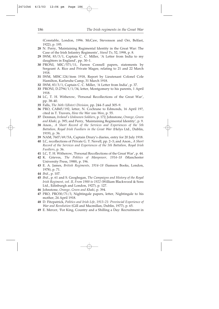(Constable, London, 1996. McCaw, Stevenson and Orr, Belfast, 1922), p. 195.

- **28** N. Perry, 'Maintaining Regimental Identity in the Great War: The Case of the Irish Infantry Regiments', *Stand To*, 52, 1998, p. 8.
- **29** IWM, 83/3/1, Captain C. C. Miller, 'A Letter from India to my daughters in England', pp. 30–1.
- **30** PRONI, MIC/571/11, Farren Connell papers, statements by Sergeant A. Rice and Private Magee, relating to 21 and 22 March 1918.
- **31** IWM, MISC.124/item 1918, Report by Lieutenant Colonel Cole Hamilton, Karlsruhe Camp, 31 March 1918.
- **32** IWM, 83/3/1, Captain C. C. Miller, 'A Letter from India', p. 37.
- **33** PRONI, D.2794/1/1/34, letter, Montgomery to his parents, 1 April 1918.
- **34** LC, T. H. Witherow, 'Personal Recollections of the Great War', pp. 38–40.
- **35** Falls, *The 36th (Ulster) Division*, pp. 244–5 and 305–9.
- **36** PRO, CAB45/192, letter, N. Cochrane to Edmonds, 16 April 19?, cited in T. Travers, *How the War was Won*, p. 55.
- **37** Denman, *Ireland's Unknown Soldiers*, p. 172; Johnstone, *Orange, Green and Khaki*, p. 395; and Perry, 'Maintaining Regimental Identity', p. 9.
- **38** Anon., *A Short Record of the Services and Experiences of the 5th Battalion, Royal Irish Fusiliers in the Great War* (Helys Ltd., Dublin, 1919), p. 36.
- **39** NAM, 7607/69/5A, Captain Drury's diaries, entry for 20 July 1918.
- **40** LC, recollections of Private G. T. Nevell, pp. 2–3; and Anon., *A Short Record of the Services and Experiences of the 5th Battalion, Royal Irish Fusiliers*, p. 36.
- **41** LC, T. H. Witherow, 'Personal Recollections of the Great War', p. 44.
- **42** K. Grieves, *The Politics of Manpower, 1914–18* (Manchester University Press, 1988), p. 196.
- **43** E. A. James, *British Regiments, 1914–18* (Samson Books, London, 1978), p. 71.
- **44** *Ibid.*, p. 107.
- **45** *Ibid.*, p. 61 and S. Geoghegan, *The Campaigns and History of the Royal Irish Regiment, vol. II, From 1900 to 1922* (William Blackwood & Sons Ltd., Edinburgh and London, 1927), p. 127.
- **46** Johnstone, *Orange, Green and Khaki*, p. 394.
- **47** PRO, PRO30/71/3, Nightingale papers, letter, Nightingale to his mother, 24 April 1918.
- **48** D. Fitzpatrick, *Politics and Irish Life, 1913–21: Provincial Experience of War and Revolution* (Gill and Macmillan, Dublin, 1977), p. 65.
- **49** E. Mercer, 'For King, Country and a Shilling a Day: Recruitment in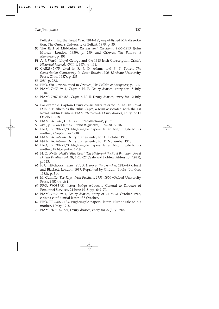Belfast during the Great War, 1914–18', unpublished MA dissertation, The Queens University of Belfast, 1998, p. 35.

- **50** The Earl of Middleton, *Records and Reactions, 1856–1939* (John Murray, London, 1939), p. 250; and Grieves, *The Politics of Manpower*, p. 191.
- **51** A. J. Ward, 'Lloyd George and the 1918 Irish Conscription Crisis', *Historical Journal*, XVII, 1, 1974, p. 111.
- **52** CAB23/5/75, cited in R. J. Q. Adams and P. P. Poirer, *The Conscription Controversy in Great Britain 1900–18* (State University Press, Ohio, 1987), p. 283.
- **53** *Ibid.*, p. 283.
- **54** PRO, W032/9556, cited in Grieves, *The Politics of Manpower*, p. 191.
- **55** NAM, 7607–69–4, Captain N. E. Drury diaries, entry for 15 July 1918.
- **56** NAM, 7607–69–5A, Captain N. E. Drury diaries, entry for 12 July 1918.
- **57** For example, Captain Drury consistently referred to the 6th Royal Dublin Fusiliers as the 'Blue Caps', a term associated with the 1st Royal Dublin Fusiliers. NAM, 7607–69–4, Drury diaries, entry for 11 October 1918.
- **58** NAM, 7608–40, C. A. Brett, 'Recollections', p. 37.
- **59** *Ibid.*, p. 37 and James, *British Regiments, 1914–18*, p. 107.
- **60** PRO, PRO30/71/3, Nightingale papers, letter, Nightingale to his mother, 7 September 1918.
- **61** NAM, 7607–69–4, Drury diaries, entry for 11 October 1918.
- **62** NAM, 7607–69–4, Drury diaries, entry for 11 November 1918.
- **63** PRO, PRO30/71/3, Nightingale papers, letter, Nightingale to his mother, 18 November 1918.
- **64** H. C. Wylly, *Neill's 'Blue Caps': The History of the First Battalion, Royal Dublin Fusiliers vol. III, 1914–22* (Gale and Polden, Aldershot, 1925), p. 123.
- **65** F. C. Hitchcock, *'Stand To', A Diary of the Trenches, 1915–18* (Hurst and Blackett, London, 1937. Reprinted by Gliddon Books, London, 1988), p. 314.
- **66** M. Cunliffe, *The Royal Irish Fusiliers, 1793–1950* (Oxford University Press, 1952), p. 361.
- **67** PRO, WO83/31, letter, Judge Advocate General to Director of Personnel Services, 21 June 1918, pp. 669–70.
- **68** NAM, 7607–69–4, Drury diaries, entry of 21 to 31 October 1918, citing a confidential letter of 8 October.
- **69** PRO, PRO30/71/3, Nightingale papers, letter, Nightingale to his mother, 1 May 1918.
- **70** NAM, 7607–69–5A, Drury diaries, entry for 27 July 1918.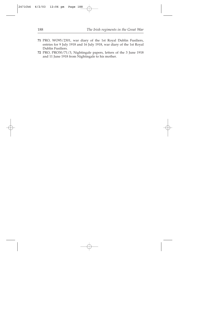- **71** PRO, WO95/2301, war diary of the 1st Royal Dublin Fusiliers, entries for 9 July 1918 and 16 July 1918, war diary of the 1st Royal Dublin Fusiliers.
- **72** PRO, PRO30/71/3, Nightingale papers, letters of the 3 June 1918 and 11 June 1918 from Nightingale to his mother.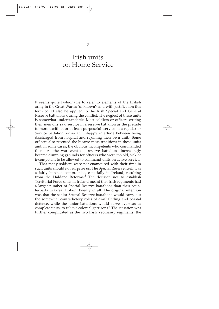## Irish units on Home Service

It seems quite fashionable to refer to elements of the British army in the Great War as 'unknown'<sup>1</sup> and with justification this term could also be applied to the Irish Special and General Reserve battalions during the conflict. The neglect of these units is somewhat understandable. Most soldiers or officers writing their memoirs saw service in a reserve battalion as the prelude to more exciting, or at least purposeful, service in a regular or Service battalion, or as an unhappy interlude between being discharged from hospital and rejoining their own unit.<sup>2</sup> Some officers also resented the bizarre mess traditions in these units and, in some cases, the obvious incompetents who commanded them. As the war went on, reserve battalions increasingly became dumping grounds for officers who were too old, sick or incompetent to be allowed to command units on active service.

That many soldiers were not enamoured with their time in such units should not surprise us. The Special Reserve itself was a fairly botched compromise, especially in Ireland, resulting from the Haldane Reforms.<sup>3</sup> The decision not to establish Territorial Force units in Ireland meant that Irish regiments had a larger number of Special Reserve battalions than their counterparts in Great Britain, twenty in all. The original intention was that the senior Special Reserve battalions would carry out the somewhat contradictory roles of draft finding and coastal defence, while the junior battalions would serve overseas as complete units, to relieve colonial garrisons.<sup>4</sup> The situation was further complicated as the two Irish Yeomanry regiments, the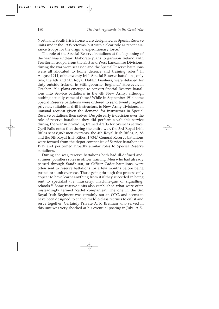North and South Irish Horse were designated as Special Reserve units under the 1908 reforms, but with a clear role as reconnaissance troops for the original expeditionary force.<sup>5</sup>

The role of the Special Reserve battalions at the beginning of the war was unclear. Elaborate plans to garrison Ireland with Territorial troops, from the East and West Lancashire Divisions, during the war were set aside and the Special Reserve battalions were all allocated to home defence and training roles.<sup>6</sup> In August 1914, of the twenty Irish Special Reserve battalions, only two, the 4th and 5th Royal Dublin Fusiliers, were detailed for duty outside Ireland, in Sittingbourne, England.<sup>7</sup> However, in October 1914 plans emerged to convert Special Reserve battalions into Service battalions in the 4th New Army, although nothing actually came of these.<sup>8</sup> While in September 1914 some Special Reserve battalions were ordered to send twenty regular privates, suitable as drill instructors, to New Army divisions, an unusual request given the demand for instructors in Special Reserve battalions themselves. Despite early indecision over the role of reserve battalions they did perform a valuable service during the war in providing trained drafts for overseas service. Cyril Falls notes that during the entire war, the 3rd Royal Irish Rifles sent 8,069 men overseas, the 4th Royal Irish Rifles, 2,188 and the 5th Royal Irish Rifles, 1,934.9 General Reserve battalions were formed from the depot companies of Service battalions in 1915 and performed broadly similar roles to Special Reserve battalions.

During the war, reserve battalions both had ill-defined and, at times, pointless roles in officer training. Men who had already passed through Sandhurst, or Officer Cadet battalions, were often sent to reserve battalions for a few months before being posted to a unit overseas. Those going through this process only appear to have learnt anything from it if they suceeded in being sent to specialist (i.e. musketry, machine-gun or signalling) schools.<sup>10</sup> Some reserve units also established what were often misleadingly termed 'cadet companies'. The one in the 3rd Royal Irish Regiment was certainly not an OTC, and seems to have been designed to enable middle-class recruits to enlist and serve together. Certainly Private A. R. Brennan who served in this unit was very shocked at his eventual posting in July 1915,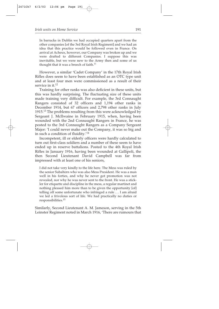In barracks in Dublin we had occupied quarters apart from the other companies [of the 3rd Royal Irish Regiment] and we had an idea that this practice would be followed even in France. On arrival at Acheux, however, our Company was broken up and we were drafted to different Companies. I suppose this was inevitable, but we were new to the Army then and some of us thought that it was a breech of faith.<sup>11</sup>

However, a similar 'Cadet Company' in the 17th Royal Irish Rifles does seem to have been established as an OTC type unit and at least four men were commissioned as a result of their service in it.<sup>12</sup>

Training for other ranks was also deficient in these units, but this was hardly surprising. The fluctuating size of these units made training very difficult. For example, the 3rd Connaught Rangers consisted of 32 officers and 1,194 other ranks in December 1914, but 67 officers and 2,798 other ranks in July 1915.<sup>13</sup> The problems resulting from this were acknowledged by Sergeant J. McIlwaine in February 1915, when, having been wounded with the 2nd Connaught Rangers in France, he was posted to the 3rd Connaught Rangers as a Company Sergeant Major: 'I could never make out the Company, it was so big and in such a condition of fluidity.'<sup>14</sup>

Incompetent, ill or elderly officers were hardly calculated to turn out first-class soldiers and a number of these seem to have ended up in reserve battalions. Posted to the 4th Royal Irish Rifles in January 1916, having been wounded at Gallipoli, the then Second Lieutenant David Campbell was far from impressed with at least one of his seniors,

I did not take very kindly to the life here. The Mess was ruled by the senior Subaltern who was also Mess President. He was a man well in his forties, and why he never got promotion was not revealed, nor why he was never sent to the front. He was a stickler for etiquette and discipline in the mess, a regular martinet and nothing pleased him more than to be given the opportunity [of] telling off some unfortunate who infringed a rule . . . I am afraid we led a frivolous sort of life. We had practically no duties or responsibilities.<sup>15</sup>

Similarly, Second Lieutenant A. M. Jameson, serving in the 5th Leinster Regiment noted in March 1916, 'There are rumours that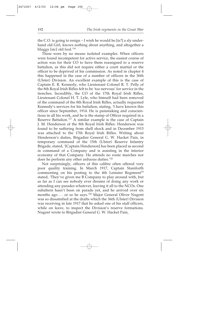the C.O. is going to resign – I wish he would he [is?] a sly underhand old Girl, knows nothing about anything, and altogether a bluggy [sic] old fool.'<sup>16</sup>

These were by no means isolated examples. When officers were found incompetent for active service, the easiest course of action was for their CO to have them reassigned to a reserve battalion, as this did not require either a court martial or the officer to be deprived of his commission. As noted in chapter 4 this happened in the case of a number of officers in the 36th (Ulster) Division. An excellent example of this is the case of Captain E. R. Kennedy, who Lieutenant Colonel R. T. Pelly of the 8th Royal Irish Rifles felt to be 'too nervous' for service in the trenches. Incredibly, the CO of the 17th Royal Irish Rifles, Lieutenant Colonel H. T. Lyle, who himself had been removed of the command of the 8th Royal Irish Rifles, actually requested Kennedy's services for his battalion, stating, 'I have known this officer since September, 1914. He is painstaking and conscientious in all his work, and he is the stamp of Officer required in a Reserve Battalion.'<sup>17</sup> A similar example is the case of Captain J. M. Henderson of the 8th Royal Irish Rifles. Henderson was found to be suffering from shell shock and in December 1915 was attached to the 17th Royal Irish Rifles. Writing about Henderson's duties, Brigadier General G. W. Hacket Pain, in temporary command of the 15th (Ulster) Reserve Infantry Brigade, stated, '[Captain Henderson] has been placed as second in command of a Company and is assisting in the interior economy of that Company. He attends no route marches nor does he perform any other arduous duties.'<sup>18</sup>

Not surprisingly, officers of this calibre often offered very poor quality training. In March 1917, Captain Staniforth commenting on his posting to the 4th Leinster Regiment<sup>19</sup> stated, 'They've given me B Company to play around with, but as far as I can see nobody ever dreams of doing any work or attending any parades whatever, leaving it all to the NCOs. One subaltern hasn't been on parade yet, and he arrived over six months ago ... or so he says.'<sup>20</sup> Major General Oliver Nugent was so dissatisfied at the drafts which the 36th (Ulster) Division was receiving in late 1917 that he asked one of his staff officers, while on leave, to inspect the Division's reserve formations. Nugent wrote to Brigadier General G. W. Hacket Pain,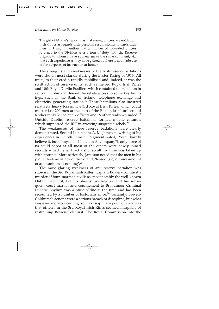The gist of Mudie's report was that young officers are not taught their duties as regards their personal responsibility towards their men ... I might mention that a number of wounded officers returned to the Division after a tour of duty with the Reserve Brigade to whom I have spoken, make the same comment, viz. that such experience as they have gained out here is not made use of for purposes of instruction at home.<sup>21</sup>

The strengths and weaknesses of the Irish reserve battalions were shown most starkly during the Easter Rising of 1916. All units, to their credit, rapidly mobilised and, indeed, it was the swift action of reserve units, such as the 3rd Royal Irish Rifles and 10th Royal Dublin Fusiliers which contained the rebellion in central Dublin and denied the rebels access to some key buildings, such as the Bank of Ireland, telephone exchange and electricity generating station.<sup>22</sup> These battalions also incurred relatively heavy losses. The 3rd Royal Irish Rifles, which could muster just 200 men at the start of the Rising, lost 1 officer and 6 other ranks killed and 4 officers and 29 other ranks wounded.<sup>23</sup> Outside Dublin, reserve battalions formed mobile columns which supported the RIC in arresting suspected rebels.<sup>24</sup>

The weaknesses of these reserve battalions were clearly demonstrated. Second Lieutenant A. M. Jameson, writing of his experiences in the 5th Leinster Regiment noted, 'You'll hardly believe it, but of myself + 10 men in A [company?], only three of us could shoot at all most of the others were newly joined recruits + had never fired a shot so all my time was taken up with potting.' More seriously, Jameson noted that the men in his piquet took an attack of 'funk' and, 'lossed [sic] off any amount of ammunition at nothing'.<sup>25</sup>

The most glaring weakness of any reserve battalion was shown in the 3rd Royal Irish Rifles. Captain Bowen-Colthurst's murder of four unarmed civilians, most notably the well-known Dublin pacificist, Francis Sheehy Skeffington, and his subsequent court martial and confinement to Broadmoor Criminal Lunatic Asylum was a *cause célèbre* at the time and has been recounted by a number of historians since.<sup>26</sup> Certainly, Bowen-Colthurst's actions were a serious breach of discipline, but what was even more concerning from a disciplinary point of view was that officers in the 3rd Royal Irish Rifles seemed incapable of restraining Bowen-Colthurst. The Royal Commission into the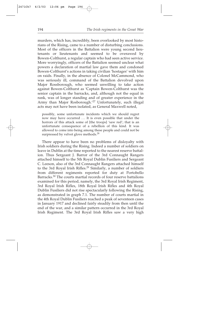murders, which has, incredibly, been overlooked by most historians of the Rising, came to a number of disturbing conclusions. Most of the officers in the Battalion were young second lieutenants or lieutenants and seemed to be overawed by Bowen-Colthurst, a regular captain who had seen active service. More worryingly, officers of the Battalion seemed unclear what powers a declaration of martial law gave them and condoned Bowen-Colthurst's actions in taking civilian 'hostages' with him on raids. Finally, in the absence of Colonel McCammond, who was seriously ill, command of the Battalion devolved upon Major Rossborough, who seemed unwilling to take action against Bowen-Colthurst as 'Captain Bowen-Colthurst was the senior captain in the barracks, and, although not the equal in rank, was of longer standing and of greater experience in the Army than Major Rosborough.'<sup>27</sup> Unfortunately, such illegal acts may not have been isolated, as General Maxwell noted,

possibly, some unfortunate incidents which we should regret now may have occurred ... It is even possible that under the horrors of this attack some of [the troops] 'saw red'; that is an unfortunate consequence of a rebellion of this kind. It was allowed to come into being among these people and could not be surpressed by velvet glove methods.<sup>28</sup>

There appear to have been no problems of disloyalty with Irish soldiers during the Rising. Indeed a number of soldiers on leave in Dublin at the time reported to the nearest reserve battalion. Thus Sergeant J. Barror of the 3rd Connaught Rangers attached himself to the 5th Royal Dublin Fusiliers and Sergeant C. Leeson, also of the 3rd Connaught Rangers attached himself to the 3rd Royal Irish Rifles.<sup>29</sup> Similarly, a number of soldiers from different regiments reported for duty at Portobello Barracks.<sup>30</sup> The courts martial records of four reserve battalions examined for this period, namely, the 3rd Royal Irish Regiment, 3rd Royal Irish Rifles, 18th Royal Irish Rifles and 4th Royal Dublin Fusiliers did not rise spectacularly following the Rising, as demonstrated in graph 7.1. The number of courts martial in the 4th Royal Dublin Fusiliers reached a peak of seventeen cases in January 1917 and declined fairly steadily from then until the end of the war, and a similar pattern occurred in the 3rd Royal Irish Regiment. The 3rd Royal Irish Rifles saw a very high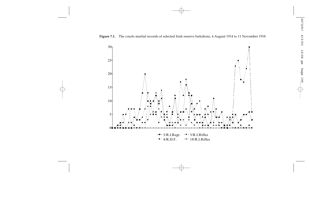

**Figure 7.1.** The courts martial records of selected Irish reserve battalions, 4 August 1914 to 11 November 1918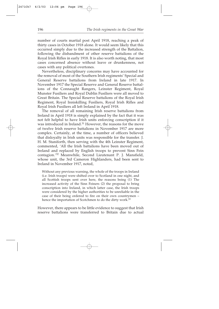number of courts martial post April 1918, reaching a peak of thirty cases in October 1918 alone. It would seem likely that this occurred simply due to the increased strength of the Battalion, following the disbandment of other reserve battalions of the Royal Irish Rifles in early 1918. It is also worth noting, that most cases concerned absence without leave or drunkenness, not cases with any political overtones.

Nevertheless, disciplinary concerns may have accounted for the removal of most of the Southern Irish regiments' Special and General Reserve battalions from Ireland in late 1917. In November 1917 the Special Reserve and General Reserve battalions of the Connaught Rangers, Leinster Regiment, Royal Munster Fusiliers and Royal Dublin Fusiliers were all moved to Great Britain. The Special Reserve battalions of the Royal Irish Regiment, Royal Inniskilling Fusiliers, Royal Irish Rifles and Royal Irish Fusiliers all left Ireland in April 1918.

The removal of all remaining Irish reserve battalions from Ireland in April 1918 is simply explained by the fact that it was not felt helpful to have Irish units enforcing conscription if it was introduced in Ireland.<sup>31</sup> However, the reasons for the move of twelve Irish reserve battalions in November 1917 are more complex. Certainly, at the time, a number of officers believed that disloyalty in Irish units was responsible for the transfer. J. H. M. Staniforth, then serving with the 4th Leinster Regiment, commented, 'All the Irish battalions have been moved out of Ireland and replaced by English troops to prevent Sinn Fein contagion.'<sup>32</sup> Meanwhile, Second Lieutenant P. J. Mansfield, whose unit, the 3rd Cameron Highlanders, had been sent to Ireland in November 1917, noted,

Without any previous warning, the whole of the troops in Ireland (i.e. Irish troops) were shifted over to Scotland in one night, and all Scottish troops sent over here, the reasons being (1) The increased activity of the Sinn Feiners (2) the proposal to bring conscription into Ireland, in which latter case, the Irish troops were considered by the higher authorities to be unreliable in the case of their being ordered to fire on their own countrymen – hence the importation of Scotchmen to do the dirty work.<sup>33</sup>

However, there appears to be little evidence to suggest that Irish reserve battalions were transferred to Britain due to actual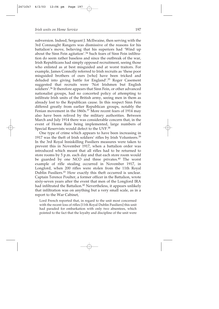subversion. Indeed, Sergeant J. McIlwaine, then serving with the 3rd Connaught Rangers was dismissive of the reasons for his battalion's move, believing that his superiors had 'Wind up about the Sinn Fein agitation'.<sup>34</sup> Such fears of Sinn Fein infiltration do seem rather baseless and since the outbreak of the war, Irish Republicans had simply opposed recruitment, seeing those who enlisted as at best misguided and at worst traitors. For example, James Connolly referred to Irish recruits as 'these poor misguided brothers of ours [who] have been tricked and deluded into giving battle for England'.<sup>35</sup> Roger Casement suggested that recruits were 'Not Irishmen but English soldiers'.<sup>36</sup> It therefore appears that Sinn Fein, or other advanced nationalist groups, had no concerted policy of attempting to infiltrate Irish units of the British army, seeing men in them as already lost to the Republican cause. In this respect Sinn Fein differed greatly from earlier Republican groups, notably the Fenian movement in the 1860s.<sup>37</sup> More recent fears of 1914 may also have been relived by the military authorities. Between March and July 1914 there was considerable concern that, in the event of Home Rule being implemented, large numbers of Special Reservists would defect to the UVF.<sup>38</sup>

One type of crime which appears to have been increasing in 1917 was the theft of Irish soldiers' rifles by Irish Volunteers.<sup>39</sup> In the 3rd Royal Inniskilling Fusiliers measures were taken to prevent this in November 1917, when a battalion order was introduced which meant that all rifles had to be returned to store rooms by 5 p.m. each day and that each store room would be guarded by one NCO and three privates.<sup>40</sup> The worst example of rifle stealing occurred in November 1917, in Longford, when 200 rifles were stolen from the 11th Royal Dublin Fusiliers.<sup>41</sup> How exactly this theft occurred is unclear. Captain Terence Poulter, a former officer in the Battalion, wrote sixty-seven years after the event that men of the Longford IRA had infiltrated the Battalion.<sup>42</sup> Nevertheless, it appears unlikely that infiltration was on anything but a very small scale, as in a report to the War Cabinet,

Lord French reported that, in regard to the unit most concerned with the recent loss of rifles [11th Royal Dublin Fusiliers] this unit had paraded for embarkation with only two absentees, which pointed to the fact that the loyalty and discipline of the unit were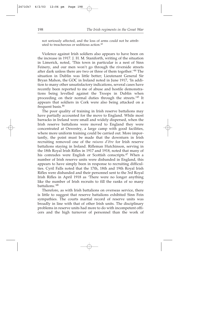not seriously affected, and the loss of arms could not be attributed to treacherous or seditious action.<sup>43</sup>

Violence against Irish soldiers also appears to have been on the increase in 1917. J. H. M. Staniforth, writing of the situation in Limerick, noted, 'This town in particular is a nest of Sinn Feinery, and our men won't go through the riverside streets after dark unless there are two or three of them together.'<sup>44</sup> The situation in Dublin was little better; Lieutenant General Sir Bryan Mahon, the GOC in Ireland noted in June 1917, 'In addition to many other unsatisfactory indications, several cases have recently been reported to me of abuse and hostile demonstrations being levelled against the Troops in Dublin when proceeding on their normal duties through the streets.'<sup>45</sup> It appears that soldiers in Cork were also being attacked on a frequent basis.<sup>46</sup>

The poor quality of training in Irish reserve battalions may have partially accounted for the move to England. While most barracks in Ireland were small and widely dispersed, when the Irish reserve battalions were moved to England they were concentrated at Oswestry, a large camp with good facilities, where more uniform training could be carried out. More importantly, the point must be made that the downturn in Irish recruiting removed one of the *raisons d'être* for Irish reserve battalions staying in Ireland. Rifleman Hutchinson, serving in the 18th Royal Irish Rifles in 1917 and 1918, noted that many of his comrades were English or Scottish conscripts.<sup>47</sup> When a number of Irish reserve units were disbanded in England, this appears to have simply been in response to recruiting difficulties. Cyril Falls noted that the 17th, 18th and 19th Royal Irish Rifles were disbanded and their personnel sent to the 3rd Royal Irish Rifles in April 1918 as 'There were no longer anything like the number of Irish recruits to fill the ranks of so many battalions.'<sup>48</sup>

Therefore, as with Irish battalions on overseas service, there is little to suggest that reserve battalions exhibited Sinn Fein sympathies. The courts martial record of reserve units was broadly in line with that of other Irish units. The disciplinary problems in reserve units had more to do with incompetent officers and the high turnover of personnel than the work of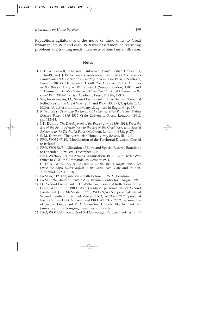Republican agitators, and the move of these units to Great Britain in late 1917 and early 1918 was based more on recruiting problems and training needs, than fears of Sinn Fein infiltration.

## **Notes**

- **1** I. F. W. Beckett, 'The Real Unknown Army: British Conscripts, 1916–19', in J. J. Becker and S. Audoin-Rouzeau (eds.), *Les Sociétiés Européennes et la Guerre de 1914–18* (Université de Paris X-Nanterre, Paris, 1990); G. Dallas and D. Gill, *The Unknown Army: Mutinies in the British Army in World War I* (Verso, London, 1985); and T. Denman, *Ireland's Unknown Soldiers: The 16th (Irish) Division in the Great War, 1914–18* (Irish Academic Press, Dublin, 1992).
- **2** See, for examples, LC, Second Lieutenant T. H Witherow, 'Personal Reflections of the Great War', p. 1; and IWM, 83/3/1, Captain C. C. Miller, 'A Letter from India to my daughters in England', p. 17.
- **3** R. Williams, *Defending the Empire: The Conservative Party and British Defence Policy 1899–1915* (Yale University Press, London, 1991), pp. 112–14.
- **4** J. K. Dunlop, *The Development of the British Army 1899–1914: From the Eve of the South African War to the Eve of the Great War, with Special Reference to the Territorial Force* (Methuen, London, 1938), p. 274.
- **5** E. M. Dorman, 'The North Irish Horse', *Army Review*, III, 1913.
- **6** PRO, WO32/7110, 'Mobilization of the Territorial Division allotted to Ireland'.
- **7** PRO, WO162/3, 'Allocation of Extra and Special Reserve Battalions to Defended Ports, etc., December 1914'.
- **8** PRO, WO162/3, 'New Armies Organisation, 1914 + 1915', letter War Office to GOC in Commands, 25 October 1914.
- **9** C. Falls, *The History of the First Seven Battalions, Royal Irish Rifles (Now the Royal Ulster Rifles) in the Great War* (Gale and Polden, Aldershot, 1925), p. 186.
- **10** IWMSA, 11214/1, interview with Colonel F. W. S. Jourdain.
- **11** IWM, P.262, diary of Private A. R. Brennan, entry for 1 August 1915.
- **12** LC, Second Lieutenant T. H. Witherow, 'Personal Reflections of the Great War', p. 1; PRO, WO339/44458, personal file of Second Lieutenant J. S. McMaster; PRO, WO339/45658, personal file of Second Lieutenant Samuel Mercer; PRO, WO339/57731, personal file of Captain H. G. Morrow; and PRO, WO339/67962, personal file of Second Lieutenant T. A. Valentine. I would like to thank Mr James Taylor for bringing these files to my attention.
- **13** PRO, WO79/40, 'Records of 3rd Connaught Rangers', entries for 31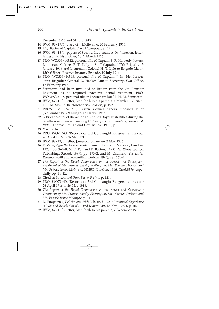December 1914 and 31 July 1915.

- **14** IWM, 96/29/1, diary of J. McIlwaine, 20 February 1915.
- **15** LC, diaries of Captain David Campbell, p. 29.
- **16** IWM, 98/13/1, papers of Second Lieutenant A. M. Jameson, letter, Jameson to his mother, 18[?] March 1916.
- **17** PRO, WO339/14322, personal file of Captain E. R. Kennedy, letters, Lieutenant Colonel R. T. Pelly to Staff Captain, 107th Brigade, 15 January 1916 and Lieutenant Colonel H. T. Lyle to Brigade Major, 15th (Ulster) Reserve Infantry Brigade, 10 July 1916.
- **18** PRO, WO339/14318, personal file of Captain J. M. Henderson, letter Brigadier General G. Hacket Pain to Secretary, War Office, 17 February 1916.
- **19** Staniforth had been invalided to Britain from the 7th Leinster Regiment, as he required extensive dental treatment, PRO, WO339/23115, personal file on Lieutenant [sic.] J. H. M. Staniforth.
- **20** IWM, 67/41/1, letter, Staniforth to his parents, 4 March 1917, cited, J. H. M. Staniforth, 'Kitchener's Soldier', p. 192.
- **21** PRONI, MIC/571/10, Farren Connel papers, undated letter (November 1917?) Nugent to Hacket Pain.
- **22** A brief account of the actions of the 3rd Royal Irish Rifles during the rebellion is given in *Standing Orders of the 3rd Battalion, Royal Irish Rifles* (Thomas Brough and Cox, Belfast, 1917), p. 13.
- **23** *Ibid.*, p. 14.
- **24** PRO, WO79/40, 'Records of 3rd Connaught Rangers', entries for 26 April 1916 to 26 May 1916.
- **25** IWM, 98/13/1, letter, Jameson to Fairdee, 2 May 1916.
- **26** F. Vane, *Agin the Governments* (Samson Low and Marston, London, 1928), pp. 262–8; M. T. Foy and B. Barton, *The Easter Rising* (Sutton Publishing, Stroud, 1999), pp. 190–2; and M. Caulfield, *The Easter Rebellion* (Gill and Macmillan, Dublin, 1995), pp. 161–2.
- **27** *The Report of the Royal Commission on the Arrest and Subsequent Treatment of Mr. Francis Sheehy Skeffington, Mr. Thomas Dickson and Mr. Patrick James McIntyre*, HMSO, London, 1916, Cmd.8376, especially pp. 11–12.
- **28** Cited in Barton and Foy, *Easter Rising*, p. 121.
- **29** PRO, WO79/40, 'Records of 3rd Connaught Rangers', entries for 26 April 1916 to 26 May 1916.
- **30** *The Report of the Royal Commission on the Arrest and Subsequent Treatment of Mr. Francis Sheehy Skeffington, Mr. Thomas Dickson and Mr. Patrick James McIntyre*, p. 11.
- **31** D. Fitzpatrick, *Politics and Irish Life, 1913–1921: Provincial Experience of War and Revolution* (Gill and Macmillan, Dublin, 1977), p. 26.
- **32** IWM, 67/41/3, letter, Staniforth to his parents, 7 December 1917.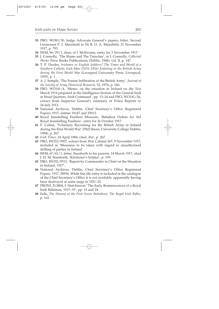- **33** PRO, WO83/30, Judge Advocate General's papers, letter, Second Lieutenant P. J. Mansfield to Dr B. O. A. Mansfield, 21 November 1917, p. 793.
- **34** IWM, 96/29/1, diary of J. McIlwaine, entry for 3 November 1917.
- **35** J. Connolly, 'The Slums and The Trenches', in J. Connolly, *Collected Works* (New Books Publications, Dublin, 1988), vol. II, p. 147.
- **36** T. P. Dooley, *Irishmen or English Soldiers? The Times and World of a Southern Catholic Irish Man (1876–1916) Enlisting in the British Army during the First World War* (Liverpool University Press, Liverpool, 1995), p. 1.
- **37** A. J. Semple, 'The Fenian Infiltration of the British Army', *Journal of the Society of Army Historical Research*, 52, 1974, p. 160.
- **38** PRO, WO141/4, 'Memo. on the situation in Ireland on the 31st March 1914 prepared in the Intelligence Section of the General Staff at Head Quarters, Irish Command', pp. 13–14 and PRO, WO141/26, extract from Inspector General's summary of Police Reports to 24 July 1913.
- **39** National Archives, Dublin, Chief Secretary's Office Registered Papers, 1917, entries 19147 and 25012.
- **40** Royal Inniskilling Fusiliers Museum, 'Battalion Orders for 3rd Royal Inniskilling Fusiliers', entry for 26 October 1917.
- **41** P. Callan, 'Voluntary Recruiting for the British Army in Ireland during the First World War' (PhD thesis, University College Dublin, 1984), p. 267.
- **42** *Irish Times*, 24 April 1984, cited, *ibid.*, p. 267.
- **43** PRO, WO32/9507, extract from War Cabinet 267, 9 November 1917, included in 'Measures to be taken with regard to unauthorized drilling of parties in Ireland'.
- **44** IWM, 67/41/1, letter, Staniforth to his parents, 14 March 1917, cited J. H. M. Staniforth, 'Kitchener's Soldier', p. 195.
- **45** PRO, WO32/9513, 'Report by Commander in Chief on the Situation in Ireland, 1917'.
- **46** National Archives, Dublin, Chief Secretary's Office Registered Papers, 1917, 28936. While this file entry is included in the catalogue of the Chief Secretary's Office it is not available, apparently having been destroyed at some stage in 1921–22.
- **47** PRONI, D.3804, J. Hutchinson, 'The Early Reminiscences of a Royal Irish Rifleman, 1917–19', pp. 19 and 24.
- **48** Falls, *The History of the First Seven Battalions, The Royal Irish Rifles,* p. 162.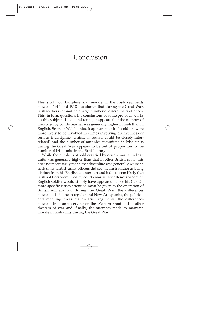## Conclusion

This study of discipline and morale in the Irish regiments between 1914 and 1918 has shown that during the Great War, Irish soldiers committed a large number of disciplinary offences. This, in turn, questions the conclusions of some previous works on this subject.<sup>1</sup> In general terms, it appears that the number of men tried by courts martial was generally higher in Irish than in English, Scots or Welsh units. It appears that Irish soldiers were more likely to be involved in crimes involving drunkenness or serious indiscipline (which, of course, could be closely interrelated) and the number of mutinies committed in Irish units during the Great War appears to be out of proportion to the number of Irish units in the British army.

While the numbers of soldiers tried by courts martial in Irish units was generally higher than that in other British units, this does not necessarily mean that discipline was generally worse in Irish units. British army officers did see the Irish soldier as being distinct from his English counterpart and it does seem likely that Irish soldiers were tried by courts martial for offences where an English soldier would simply have appeared before his CO. On more specific issues attention must be given to the operation of British military law during the Great War, the differences between discipline in regular and New Army units, the political and manning pressures on Irish regiments, the differences between Irish units serving on the Western Front and in other theatres of war and, finally, the attempts made to maintain morale in Irish units during the Great War.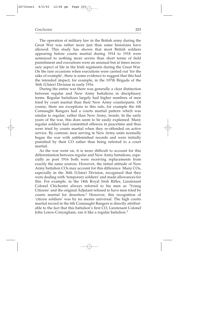The operation of military law in the British army during the Great War was rather more just than some historians have allowed. This study has shown that most British soldiers appearing before courts martial during 1914 to 1918 were sentenced to nothing more severe than short terms of field punishment and executions were an unusual but at times necessary aspect of life in the Irish regiments during the Great War. On the rare occasions when executions were carried out 'for the sake of example', there is some evidence to suggest that this had the intended impact; for example, in the 107th Brigade of the 36th (Ulster) Division in early 1916.

During the entire war there was generally a clear distinction between regular and New Army battalions in disciplinary terms. Regular battalions largely had higher numbers of men tried by court martial than their New Army counterparts. Of course, there are exceptions to this rule, for example the 6th Connaught Rangers had a courts martial pattern which was similar to regular, rather than New Army, trends. In the early years of the war, this does seem to be easily explained. Many regular soldiers had committed offences in peacetime and thus were tried by courts martial when they re-offended on active service. By contrast, men serving in New Army units normally began the war with unblemished records and were initially punished by their CO rather than being referred to a court martial.

As the war went on, it is more difficult to account for this differentiation between regular and New Army battalions, especially as post 1916 both were receiving replacements from exactly the same sources. However, the initial attitude of New Army battalion COs may account for this difference. Many COs, especially in the 36th (Ulster) Division, recognised that they were dealing with 'temporary soldiers' and made allowances for this. For example, in the 14th Royal Irish Rifles, Lieutenant Colonel Chichester always referred to his men as 'Young Citizens' and the original Adjutant refused to have men tried by courts martial for desertion.<sup>2</sup> However, this recognition of 'citizen soldiers' was by no means universal. The high courts martial record in the 6th Connaught Rangers is directly attributable to the fact that this battalion's first CO, Lieutenant Colonel John Lenox-Conyngham, ran it like a regular battalion.<sup>3</sup>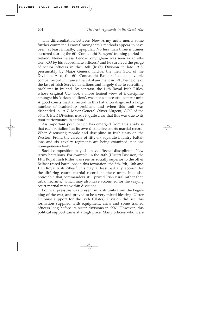This differentiation between New Army units merits some further comment. Lenox-Conyngham's methods appear to have been, at least initially, unpopular. No less than three mutinies occurred during the 6th Connaught Rangers' training period in Ireland. Nevertheless, Lenox-Conyngham was seen as an efficient CO by his subordinate officers, $\frac{4}{3}$  and he survived the purge of senior officers in the 16th (Irish) Division in late 1915, presumably by Major General Hickie, the then GOC of the Division. Also, the 6th Connaught Rangers had an enviable combat record in France, their disbandment in 1918 being one of the last of Irish Service battalions and largely due to recruiting problems in Ireland. By contrast, the 14th Royal Irish Rifles, whose original CO took a more lenient view of indiscipline amongst his 'citizen soldiers', was not a successful combat unit. A good courts martial record in this battalion disguised a large number of leadership problems and when this unit was disbanded in 1917, Major General Oliver Nugent, GOC of the 36th (Ulster) Division, made it quite clear that this was due to its poor performance in action.<sup>5</sup>

An important point which has emerged from this study is that each battalion has its own distinctive courts martial record. When discussing morale and discipline in Irish units on the Western Front, the careers of fifty-six separate infantry battalions and six cavalry regiments are being examined, not one homogeneous body.

Social composition may also have affected discipline in New Army battalions. For example, in the 36th (Ulster) Division, the 14th Royal Irish Rifles was seen as socially superior to the other Belfast-raised battalions in this formation: the 8th, 9th, 10th and 15th Royal Irish Rifles.<sup>6</sup> This may, at least partially, account for the differing courts martial records in these units. It is also noticeable that commanders still prized Irish rural rather than urban recruits, $<sup>7</sup>$  which may also have accounted for the varying</sup> court martial rates within divisions.

Political pressure was present in Irish units from the beginning of the war, and proved to be a very mixed blessing. Ulster Unionist support for the 36th (Ulster) Division did see this formation supplied with equipment, arms and some trained officers long before its sister divisions in 'K6'. However, this political support came at a high price. Many officers who were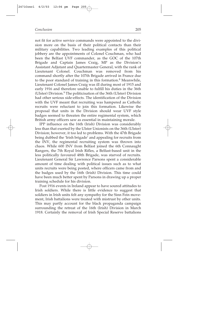not fit for active service commands were appointed to the division more on the basis of their political contacts than their military capabilities. Two leading examples of this political jobbery are the appointments of Colonel Couchman, who had been the Belfast UVF commander, as the GOC of the 107th Brigade and Captain James Craig, MP as the Division's Assistant Adjutant and Quartermaster General, with the rank of Lieutenant Colonel. Couchman was removed from his command shortly after the 107th Brigade arrived in France due to the poor standard of training in this formation.<sup>8</sup> Meanwhile, Lieutenant Colonel James Craig was ill during most of 1915 and early 1916 and therefore unable to fulfill his duties in the 36th (Ulster) Division.<sup>9</sup> The politicisation of the 36th (Ulster) Division had other serious side-effects. The identification of the Division with the UVF meant that recruiting was hampered as Catholic recruits were reluctant to join this formation. Likewise the proposal that units in the Division should wear UVF style badges seemed to threaten the entire regimental system, which British army officers saw as essential in maintaining morale.

IPP influence on the 16th (Irish) Division was considerably less than that exerted by the Ulster Unionists on the 36th (Ulster) Division; however, it too led to problems. With the 47th Brigade being dubbed the 'Irish brigade' and appealing for recruits from the INV, the regimental recruiting system was thrown into chaos. While 600 INV from Belfast joined the 6th Connaught Rangers, the 7th Royal Irish Rifles, a Belfast-based unit in the less politically favoured 48th Brigade, was starved of recruits. Lieutenant General Sir Lawrence Parsons spent a considerable amount of time dealing with political issues such as to what units recruits were being posted, where officers came from and the badges used by the 16th (Irish) Division. This time could have been much better spent by Parsons in drawing up a proper training schedule for his division.

Post 1916 events in Ireland appear to have soured attitudes to Irish soldiers. While there is little evidence to suggest that soldiers in Irish units felt any sympathy for the Sinn Fein movement, Irish battalions were treated with mistrust by other units. This may partly account for the black propaganda campaign surrounding the retreat of the 16th (Irish) Division in March 1918. Certainly the removal of Irish Special Reserve battalions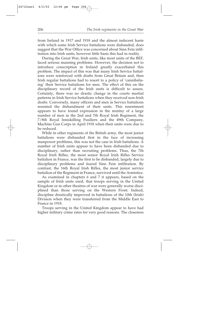from Ireland in 1917 and 1918 and the almost indecent haste with which some Irish Service battalions were disbanded, does suggest that the War Office was concerned about Sinn Fein infiltration into Irish units, however little basis this had in reality.

During the Great War, Irish units, like most units of the BEF, faced serious manning problems. However, the decision not to introduce conscription in Ireland greatly exacerbated this problem. The impact of this was that many Irish Service battalions were reinforced with drafts from Great Britain and, then Irish regular battalions had to resort to a policy of 'cannibalising' their Service battalions for men. The effect of this on the disciplinary record of the Irish units is difficult to assess. Certainly, there was no drastic change in the courts martial patterns in Irish Service battalions when they received non-Irish drafts. Conversely, many officers and men in Service battalions resented the disbandment of their units. This resentment appears to have found expression in the mutiny of a large number of men in the 2nd and 7th Royal Irish Regiment, the 7/8th Royal Inniskilling Fusiliers and the 49th Company, Machine Gun Corps in April 1918 when their units were due to be reduced.

While in other regiments of the British army, the most junior battalions were disbanded first in the face of increasing manpower problems, this was not the case in Irish battalions. A number of Irish units appear to have been disbanded due to disciplinary, rather than recruiting problems. Thus, the 7th Royal Irish Rifles, the most senior Royal Irish Rifles Service battalion in France, was the first to be disbanded, largely due to disciplinary problems and feared Sinn Fein infiltration. By contrast, the 16th Royal Irish Rifles, the most junior service battalion of the Regiment in France, survived until the Armistice.

As examined in chapters 6 and 7 it appears, based on the sample of Irish units used, that troops serving in the United Kingdom or in other theatres of war were generally worse disciplined than those serving on the Western Front. Indeed, discipline drastically improved in battalions of the 10th (Irish) Division when they were transferred from the Middle East to France in 1918.

Troops serving in the United Kingdom appear to have had higher military crime rates for very good reasons. The closeness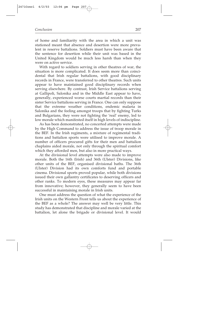of home and familiarity with the area in which a unit was stationed meant that absence and desertion were more prevalent in reserve battalions. Soldiers must have been aware that the sentence for desertion while their unit was based in the United Kingdom would be much less harsh than when they were on active service.

With regard to soldiers serving in other theatres of war, the situation is more complicated. It does seem more than coincidental that Irish regular battalions, with good disciplinary records in France, were transferred to other theatres. Such units appear to have maintained good disciplinary records when serving elsewhere. By contrast, Irish Service battalions serving at Gallipoli, Salonika and in the Middle East appear to have, generally, experienced worse courts martial records than their sister Service battalions serving in France. One can only suppose that the extreme weather conditions, endemic malaria in Salonika and the feeling amongst troops that by fighting Turks and Bulgarians, they were not fighting the 'real' enemy, led to low morale which manifested itself in high levels of indiscipline.

As has been demonstrated, no concerted attempts were made by the High Command to address the issue of troop morale in the BEF. In the Irish regiments, a mixture of regimental traditions and battalion sports were utilised to improve morale. A number of officers procured gifts for their men and battalion chaplains aided morale, not only through the spiritual comfort which they afforded men, but also in more practical ways.

At the divisional level attempts were also made to improve morale. Both the 16th (Irish) and 36th (Ulster) Divisions, like other units of the BEF, organised divisional baths. The 36th (Ulster) Division had its own comforts fund and portable cinema. Divisional sports proved popular, while both divisions issued their own gallantry certificates to deserving officers and other ranks. To modern eyes, these measures may appear far from innovative; however, they generally seem to have been successful in maintaining morale in Irish units.

One must address the question of what the experience of the Irish units on the Western Front tells us about the experience of the BEF as a whole? The answer may well be very little. This study has demonstrated that discipline and morale varied at the battalion, let alone the brigade or divisional level. It would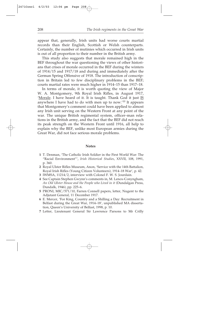appear that, generally, Irish units had worse courts martial records than their English, Scottish or Welsh counterparts. Certainly, the number of mutinies which occurred in Irish units is out of all proportion to their number in the British army.

This study also suggests that morale remained high in the BEF throughout the war questioning the views of other historians that crises of morale occurred in the BEF during the winters of 1914/15 and 1917/18 and during and immediately after the German Spring Offensive of 1918. The introduction of conscription in Britain led to few disciplinary problems in the BEF; courts martial rates were much higher in 1914–15 than 1917–18.

In terms of morale, it is worth quoting the view of Major W. A. Montgomery, 9th Royal Irish Rifles, in August 1917, 'Morale. I have heard of it. It is taught. Thank God it just IS anywhere I have had to do with men up to now.'<sup>10</sup> It appears that Montgomery's comment could have been applied to almost any Irish unit serving on the Western Front at any point of the war. The unique British regimental system, officer–man relations in the British army, and the fact that the BEF did not reach its peak strength on the Western Front until 1916, all help to explain why the BEF, unlike most European armies during the Great War, did not face serious morale problems.

#### **Notes**

- **1** T. Denman, 'The Catholic Irish Soldier in the First World War: The "Racial Environment"', *Irish Historical Studies*, XXVII, 108, 1991, p. 360.
- **2** Royal Ulster Rifles Museum, Anon, 'Service with the 14th Battalion, Royal Irish Rifles (Young Citizen Volunteers), 1914–18 War', p. 42.
- **3** IWMSA, 11214/2, interview with Colonel F. W. S. Jourdain.
- **4** See Captain Stephen Gwynn's comments in, M. Lenox-Conyngham, *An Old Ulster House and the People who Lived in it* (Dundalgan Press, Dundalk, 1946), pp. 225–6.
- **5** PRONI, MIC/571/10, Farren Connell papers, letter, Nugent to the Adjutant General, 11 December 1917.
- **6** E. Mercer, 'For King, Country and a Shilling a Day: Recruitment in Belfast during the Great War, 1914–18', unpublished MA dissertation, Queen's University of Belfast, 1998, p. 10.
- **7** Letter, Lieutenant General Sir Lawrence Parsons to Mr Crilly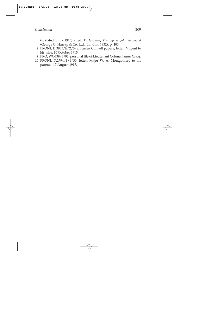(undated but c.1915) cited, D. Gwynn, *The Life of John Redmond* (George G. Harrap & Co. Ltd., London, 1932), p. 400.

- **8** PRONI, D.3835/E/2/5/8, Farren Connell papers, letter, Nugent to his wife, 10 October 1915.
- **9** PRO, WO339/3792, personal file of Lieutenant Colonel James Craig.
- **10** PRONI, D.2794/1/1/30, letter, Major W. A. Montgomery to his parents, 17 August 1917.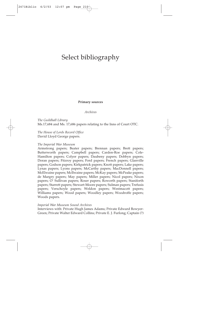# Select bibliography

**Primary sources**

*Archives*

*The Guildhall Library* Ms.17,684 and Ms. 17,686 papers relating to the Inns of Court OTC.

*The House of Lords Record Office* David Lloyd George papers.

#### *The Imperial War Museum*

Armstrong papers; Beater papers; Brennan papers; Brett papers; Butterworth papers; Campbell papers; Carden-Roe papers; Cole-Hamilton papers; Colyer papers; Daubeny papers; Dobbyn papers; Doran papers; Fitzroy papers; Ford papers; French papers; Glanville papers; Godson papers; Kirkpatrick papers; Knott papers; Lake papers; Lynas papers; Lyons papers; McCarthy papers; MacDonnell papers; McElwaine papers; McIlwaine papers; McKay papers; McPeake papers; de Margry papers; May papers; Miller papers; Nicol papers; Nixon papers; O' Sullivan papers; Roser papers; Roworth papers; Staniforth papers; Starrett papers; Stewart-Moore papers; Sulman papers; Trefusis papers; Verschoyle papers; Weldon papers; Westmacott papers; Williams papers; Wood papers; Woodley papers; Woodroffe papers; Woods papers.

#### *Imperial War Museum Sound Archives*

Interviews with: Private Hugh James Adams; Private Edward Bowyer-Green; Private Walter Edward Collins; Private E. J. Furlong; Captain (?)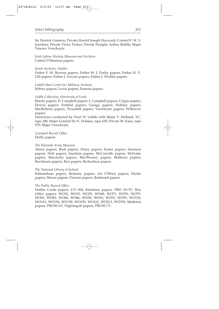Sir Derrick Gunston; Private Harold Joseph Hayward; Colonel F. W. S. Jourdain; Private Victor Packer; Private Douglas Arthur Riddle; Major Terence Verschoyle.

*Irish Labour History Museum and Archives* Cathal O'Shannon papers.

#### *Jesuit Archives, Dublin*

Father F. M. Browne papers; Father W. J. Farley papers; Father H. V. Gill papers; Father J. Gwynn papers; Father J. Wrafter papers.

*Liddell Hart Centre for Military Archives* Jeffries papers; Lewis papers; Parsons papers.

#### *Liddle Collection, University of Leeds*

Brierly papers; D. Campbell papers; J. Campbell papers; Cripps papers; Downs papers; Faithful papers; Grange papers; Hobday papers; MacRoberts papers; Trousdell papers; Verschoyle papers; Witherow papers.

Interviews conducted by Peter H. Liddle with Major V. Holland, VC, tape 248; Major General Sir N. Holmes, tape 430; Private M. Kane, tape 579; Major Verschoyle.

*Liverpool Record Office* Derby papers.

#### *The National Army Museum*

Ahern papers; Brett papers; Drury papers; Foster papers; Harrison papers; Holt papers; Jourdain papers; McConville papers; McPeake papers; Maconchy papers; MacWeeney papers; Mathews papers; Rawlinson papers; Rice papers; Richardson papers.

## *The National Library of Ireland*

Kilmainham papers; Berkeley papers; Art O'Brien papers; Hickie papers; Moore papers; Parsons papers; Redmond papers.

## *The Public Record Office*

Dublin Castle papers: CO 904; Kitchener papers: PRO 30/57; War Office papers: WO32, WO33, WO35, WO68, WO71, WO76, WO79, WO81, WO83, WO84, WO86, WO90, WO92, WO93, WO95, WO138, WO141, WO154, WO158, WO159, WO162, WO213, WO339; Midleton papers, PRO30/67; Nightingale papers, PRO30/71.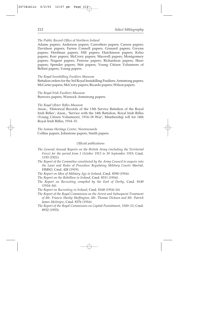## *The Public Record Office of Northern Ireland*

Adams papers; Anderson papers; Carrothers papers; Carson papers; Davidson papers; Farren Connell papers; Granard papers; Gwynn papers; Herdman papers; Hill papers; Hutchinson papers; Kelso papers; Kerr papers; McCrory papers; Maxwell papers; Montgomery papers; Nugent papers; Penrose papers; Richardson papers; Shaw papers; Spender papers; Stitt papers; Young Citizen Volunteers of Belfast papers; Young papers.

## *The Royal Inniskilling Fusiliers Museum*

Battalion orders for the 3rd Royal Inniskilling Fusiliers; Armstrong papers; McCarter papers; McCrory papers; Ricardo papers; Wilson papers.

*The Royal Irish Fusiliers Museum*

Burrows papers; Warnock Armstrong papers.

## *The Royal Ulster Rifles Museum*

Anon., 'Historical Records of the 13th Service Battalion of the Royal Irish Rifles'; Anon., 'Service with the 14th Battalion, Royal Irish Rifles (Young Citizen Volunteers), 1914–18 War'; Membership roll for 14th Royal Irish Rifles, 1914–15.

*The Somme Heritage Centre, Newtownards*

Collins papers, Johnstone papers, Smith papers.

## *Official publications*

- *The General Annual Reports on the British Army (including the Territorial Force) for the period from 1 October 1913 to 30 September 1919*, Cmd. 1193 (1921).
- *The Report of the Committee constituted by the Army Council to enquire into the Laws and Rules of Procedure Regulating Military Courts Martial*, HMSO, Cmd. 428 (1919).

*The Report on Men of Military Age in Ireland*, Cmd. 8390 (1916).

*The Report on the Rebellion in Ireland*, Cmd. 8311 (1916).

- *The Report on Recruiting compiled by the Earl of Derby*, Cmd. 8149 (1914–16).
- *The Report on Recruiting in Ireland*, Cmd. 8168 (1914–16)
- *The Report of the Royal Commission on the Arrest and Subsequent Treatment of Mr. Francis Sheehy Skeffington, Mr. Thomas Dickson and Mr. Patrick James McIntyre*, Cmd. 8376 (1916).
- *The Report of the Royal Commission on Capital Punishment, 1949–53*, Cmd. 8932 (1953).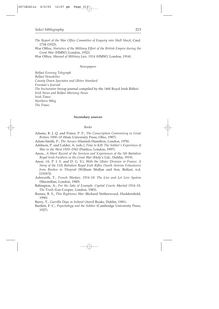- *The Report of the War Office Committee of Enquiry into Shell Shock*, Cmd. 1734 (1922).
- War Office, *Statistics of the Military Effort of the British Empire during the Great War* (HMSO, London, 1922).
- War Office, *Manual of Military Law, 1914* (HMSO, London, 1914).

#### *Newspapers*

*Belfast Evening Telegraph Belfast Newsletter County Down Spectator and Ulster Standard Freeman's Journal The Incinerator* (troop journal compiled by the 14th Royal Irish Rifles) *Irish News and Belfast Morning News Irish Times Northern Whig The Times*

#### **Secondary sources**

#### *Books*

- Adams, R. J. Q. and Poirer, P. P., *The Conscription Controversy in Great Britain 1900–18* (State University Press, Ohio, 1987).
- Adam-Smith, P., *The Anzacs* (Hamish Hamilton, London, 1978).
- Addison, P. and Calder, A. (eds.), *Time to Kill: The Soldier's Experience of War in the West 1939–1945* (Pimlico, London, 1997).
- Anon., *A Short Record of the Services and Experiences of the 5th Battalion Royal Irish Fusiliers in the Great War* (Hely's Ltd., Dublin, 1919).
- Anon. (A. P. I. S. and D. G. S.), *With the Ulster Division in France: A Story of the 11th Battalion Royal Irish Rifles (South Antrim Volunteers) from Bordon to Thiepval* (William Mullan and Son, Belfast, n.d. [1918?]).
- Ashworth, T*., Trench Warfare, 1914–18: The Live and Let Live System* (Macmillan, London, 1980).
- Babington, A., *For the Sake of Example: Capital Courts Martial 1914–18, The Truth* (Leo Cooper, London, 1983).
- Barnes, B. S., *This Righteous War* (Richard Netherwood, Huddersfield, 1990).
- Barry, T., *Guerilla Days in Ireland* (Anvil Books, Dublin, 1981).
- Bartlett, F. C., *Psyschology and the Soldier* (Cambridge University Press, 1927).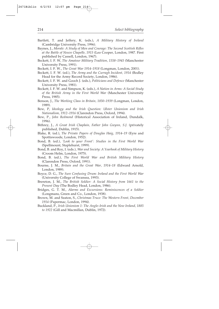- Bartlett, T. and Jeffery, K. (eds.), *A Military History of Ireland* (Cambridge University Press, 1996).
- Baynes, J., *Morale: A Study of Men and Courage: The Second Scottish Rifles at the Battle of Neuve Chapelle, 1915* (Leo Cooper, London, 1987. First published by Cassell, London, 1967).
- Beckett, I. F. W, *The Amateur Military Tradition, 1558–1945* (Manchester University Press, 1991).
- Beckett, I. F. W., *The Great War 1914–1918* (Longman, London, 2001).
- Beckett, I. F. W. (ed.), *The Army and the Curragh Incident, 1914* (Bodley Head for the Army Record Society, London, 1986).
- Beckett, I. F. W. and Gooch J. (eds.), *Politicians and Defence* (Manchester University Press, 1981).
- Beckett, I. F. W. and Simpson, K. (eds.), *A Nation in Arms: A Social Study of the British Army in the First World War* (Manchester University Press, 1985).
- Benson, J., *The Working Class in Britain, 1850–1939* (Longman, London, 1989).
- Bew, P, *Ideology and the Irish Question: Ulster Unionism and Irish Nationalism, 1912–1916* (Clarendon Press, Oxford, 1994).
- Bew, P., *John Redmond* (Historical Association of Ireland, Dundalk, 1996).
- Bithrey, J., *A Great Irish Chaplain, Father John Gwynn, S.J.* (privately published, Dublin, 1915).
- Blake, R. (ed.), *The Private Papers of Douglas Haig, 1914–19* (Eyre and Spottiswoode, London, 1952).
- Bond, B. (ed.), *'Look to your Front': Studies in the First World War* (Spellmount, Staplehurst, 1999).
- Bond, B. and Roy, I. (eds.), *War and Society: A Yearbook of Military History* (Croom Helm, London, 1975).
- Bond, B. (ed.), *The First World War and British Military History* (Clarendon Press, Oxford, 1991).
- Bourne, J. M., *Britain and the Great War, 1914–18* (Edward Arnold, London, 1989).
- Boyce, D. G., *The Sure Confusing Drum: Ireland and the First World War* (University College of Swansea, 1993).
- Brereton, J. M., *The British Soldier: A Social History from 1661 to the Present Day* (The Bodley Head, London, 1986).
- Bridges, G. T. M., *Alarms and Excursions: Reminiscences of a Soldier* (Longmans, Green and Co., London, 1938).
- Brown, M. and Seaton, S., *Christmas Truce: The Western Front, December 1914* (Papermac, London, 1994).
- Buckland, P., *Irish Unionism 1: The Anglo–Irish and the New Ireland, 1885 to 1922* (Gill and Macmillan, Dublin, 1972).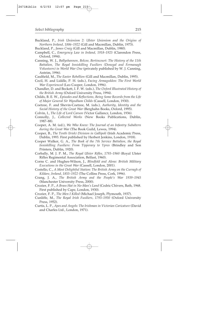Buckland, P., *Irish Unionism 2: Ulster Unionism and the Origins of Northern Ireland, 1886–1922* (Gill and Macmillan, Dublin, 1973).

- Campbell, C., *Emergency Law in Ireland, 1918–1925* (Clarendon Press, Oxford, 1994).
- Canning, W. J., *Ballyshannon, Belcoo, Bertincourt: The History of the 11th Battalion, The Royal Inniskilling Fusiliers (Donegal and Fermanagh Volunteers) in World War One* (privately published by W. J. Canning, Antrim, 1996).
- Caulfield, M., *The Easter Rebellion* (Gill and Macmillan, Dublin, 1995).
- Cecil, H. and Liddle, P. H. (eds.), *Facing Armageddon: The First World War Experienced* (Leo Cooper, London, 1996).
- Chandler, D. and Beckett, I. F. W. (eds.), *The Oxford Illustrated History of the British Army* (Oxford University Press, 1994).
- Childs, B. E. W., *Episodes and Reflections, Being Some Records from the Life of Major General Sir Wyndham Childs* (Cassell, London, 1930).
- Coetzee, F. and Shevin-Coetzee, M. (eds.), *Authority, Identity and the Social History of the Great War* (Berghahn Books, Oxford, 1995).
- Colvin, I., *The Life of Lord Carson* (Victor Gallancz, London, 1936).
- Connolly, J., *Collected Works* (New Books Publications, Dublin, 1987–88).
- Cooper, A. M. (ed.), *We Who Knew: The Journal of an Infantry Subaltern during the Great War* (The Book Guild, Lewes, 1994).
- Cooper, B., *The Tenth (Irish) Division in Gallipoli* (Irish Academic Press, Dublin, 1993. First published by Herbert Jenkins, London, 1918).
- Cooper Walker, G. A., *The Book of the 7th Service Battalion, the Royal Inniskilling Fusiliers: From Tipperary to Ypres* (Brindley and Son Printers, Dublin, 1920).
- Corbally, M. J. P. M., *The Royal Ulster Rifles, 1793–1960* (Royal Ulster Rifles Regimental Association, Belfast, 1960).
- Corns C. and Hughes-Wilson, J., *Blindfold and Alone: British Military Executions in the Great War* (Cassell, London, 2001).
- Costello, C., *A Most Delightful Station: The British Army on the Curragh of Kildare, Ireland, 1855–1922* (The Collins Press, Cork, 1996).
- Crang, J. A., *The British Army and the People's War 1939–1945* (Manchester University Press, 2000).
- Crozier, F. P., *A Brass Hat in No-Man's Land* (Cedric Chivers, Bath, 1968. First published by Cape, London, 1930).
- Crozier, F. P., *The Men I Killed* (Michael Joseph, Plymouth, 1937).
- Cunliffe, M., *The Royal Irish Fusiliers, 1793–1950* (Oxford University Press, 1952).
- Curtis, L. P., *Apes and Angels: The Irishman in Victorian Caricature* (David and Charles Ltd., London, 1971).

Buckland, P., *James Craig* (Gill and Macmillan, Dublin, 1980).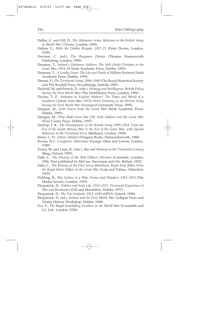- Dallas, G. and Gill, D., *The Unknown Army: Mutinies in the British Army in World War I* (Verso, London, 1985).
- Dalton, C., *With the Dublin Brigade, 1917–21* (Peter Davies, London, 1929).
- Davison, C. (ed.), *The Burgoyne Diaries* (Thomas Harmsworth Publishing, London, 1985).
- Denman, T., *Ireland's Unknown Soldiers: The 16th (Irish) Division in the Great War, 1914–18* (Irish Academic Press, Dublin, 1992).
- Denman, T., *A Lonely Grave: The Life and Death of William Redmond* (Irish Academic Press, Dublin, 1995).
- Dennis, P., *The Territorial Army, 1906–1940* (The Royal Historical Society and The Boydell Press, Woodbridge, Suffolk, 1987).
- Dockrill, M. and French, D., (eds.), *Strategy and Intelligence: British Policy during the First World War* (The Hambledon Press, London, 1996).
- Dooley, T. P., *Irishmen or English Soldiers? The Times and World of a Southern Catholic Irish Man (1876–1916) Enlisting in the British Army during the First World War* (Liverpool University Press, 1995).
- Dungan, M., *Irish Voices from the Great War* (Irish Academic Press, Dublin, 1995).
- Dungan, M., *They Shall Grow Not Old: Irish Soldiers and the Great War* (Four Courts Press, Dublin, 1997).
- Dunlop, J. K., *The Development of the British Army 1899–1914: From the Eve of the South African War to the Eve of the Great War, with Special Reference to the Territorial Force* (Methuen, London, 1938).
- Enloe, C. H., *Ethnic Soldiers* (Penguin Books, Harmondsworth, 1980).
- Ervine, St J., *Craigavon: Ulsterman* (George Allen and Unwin, London, 1949).
- Evans, M. and Lunn, K. (eds.), *War and Memory in the Twentieth Century* (Berg, Oxford, 1997).
- Falls, C., *The History of the 36th (Ulster) Division* (Constable, London, 1996. First published by McCaw, Stevenson and Orr, Belfast, 1922).
- Falls, C., *The History of the First Seven Battalions, Royal Irish Rifles (Now the Royal Ulster Rifles) in the Great War* (Gale and Polden, Aldershot, 1925).
- Feilding, R., *War Letters to a Wife: France and Flanders, 1915–1919* (The Medici Society, London, 1929).
- Fitzpatrick, D., *Politics and Irish Life, 1913–1921: Provincial Experience of War and Revolution* (Gill and Macmillan, Dublin, 1977).
- Fitzpatrick, D., *The Two Irelands, 1912–1939* (OPUS, Oxford, 1998).
- Fitzpatrick, D. (ed.), *Ireland and the First World War* (Lilliput Press and Trinity History Workshop, Dublin, 1988).
- Fox, F., *The Royal Inniskilling Fusiliers in the World War* (Constable and Co. Ltd., London, 1928).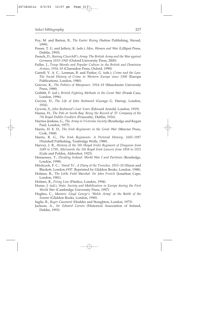- Foy, M. and Barton, B., *The Easter Rising* (Sutton Publishing, Stroud, 1999).
- Fraser, T. G. and Jeffery, K. (eds.), *Men, Women and War* (Lilliput Press, Dublin, 1993).
- French, D., *Raising Churchill's Army: The British Army and the War against Germany 1919–1945* (Oxford University Press, 2000).
- Fuller, J., *Troop Morale and Popular Culture in the British and Dominion Armies*, *1914–18* (Clarendon Press, Oxford, 1990).
- Gatrell, V. A. C., Lenman, B. and Parker, G. (eds.), *Crime and the Law: The Social History of Crime in Western Europe since 1500* (Europa Publications, London, 1980).
- Grieves, K., *The Politics of Manpower, 1914–18* (Manchester University Press, 1988).
- Griffith, P. (ed.), *British Fighting Methods in the Great War* (Frank Cass, London, 1996).
- Gwynn, D., *The Life of John Redmond* (George G. Harrap, London, 1932).
- Gywnn, S., *John Redmond's Last Years* (Edward Arnold, London, 1919).
- Hanna, H., *The Pals at Suvla Bay: Being the Record of 'D' Company of the 7th Royal Dublin Fusiliers* (Ponsonby, Dublin, 1916).
- Harries-Jenkins, G., *The Army in Victorian Society* (Routledge and Kegan Paul, London, 1977).
- Harris, H. E. D., *The Irish Regiments in the Great War* (Mercier Press, Cork, 1968).
- Harris, R. G., *The Irish Regiments: A Pictorial History, 1683–1987* (Nutshell Publishing, Tunbridge Wells, 1988).
- Harvey, J. R., *History of the 5th (Royal Irish) Regiment of Dragoons from 1689 to 1799, Afterwards the 5th Royal Irish Lancers from 1858 to 1921* (Gale and Polden, Aldershot, 1923).
- Hennessey, T., *Dividing Ireland: World War I and Partition* (Routledge, London, 1998).
- Hitchcock, F. C., *'Stand To', A Diary of the Trenches, 1915–18* (Hurst and Blackett, London,1937. Reprinted by Gliddon Books, London, 1988).
- Holmes, R., *The Little Field Marshal: Sir John French* (Jonathan Cape, London, 1981).
- Holmes, R., *Firing Line* (Pimlico, London, 1994).
- Horne, J. (ed.), *State, Society and Mobilization in Europe during the First World War* (Cambridge University Press, 1997).
- Hughes, C., *Mametz: Lloyd George's 'Welsh Army' at the Battle of the Somme* (Gliddon Books, London, 1990).
- Inglis, B., *Roger Casement* (Hodder and Stoughton, London, 1973).
- Jackson, A., *Sir Edward Carson* (Historical Association of Ireland, Dublin, 1993).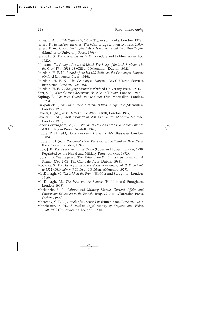James, E. A., *British Regiments, 1914–18* (Samson Books, London, 1978).

Jeffery, K., *Ireland and the Great War* (Cambridge University Press, 2000).

- Jeffery, K. (ed.), *'An Irish Empire'? Aspects of Ireland and the British Empire* (Manchester University Press, 1996).
- Jervis, H. S., *The 2nd Munsters in France* (Gale and Polden, Aldershot, 1922).
- Johnstone, T., *Orange, Green and Khaki: The Story of the Irish Regiments in the Great War, 1914–18* (Gill and Macmillan, Dublin, 1992).
- Jourdain, H. F. N., *Record of the 5th (S.) Battalion the Connaught Rangers* (Oxford University Press, 1916).
- Jourdain, H. F. N., *The Connaught Rangers* (Royal United Services Institution, London, 1924–28).
- Jourdain, H. F. N., *Ranging Memories* (Oxford University Press, 1934).
- Kerr, S. P., *What the Irish Regiments Have Done* (Unwin, London, 1916).
- Kipling, R., *The Irish Guards in the Great War* (Macmillan, London, 1923).
- Kirkpatrick, I., *The Inner Circle: Memoirs of Ivone Kirkpatrick* (Macmillan, London, 1959).
- Lavery, F. (ed.), *Irish Heroes in the War* (Everett, London, 1917).
- Lavery, F. (ed.), *Great Irishmen in War and Politics* (Andrew Melrose, London, 1920).
- Lenox-Conyngham, M., *An Old Ulster House and the People who Lived in it* (Dundalgan Press, Dundalk, 1946).
- Liddle, P. H. (ed.), *Home Fires and Foreign Fields* (Brasseys, London, 1985).
- Liddle, P. H. (ed.), *Passchendaele in Perspective, The Third Battle of Ypres* (Leo Cooper, London, 1997).
- Lucy, J. F., *There's a Devil in the Drum* (Faber and Faber, London, 1938. Reprinted by the Naval and Military Press, London, 1992).
- Lyons, J. B., *The Enigma of Tom Kettle: Irish Patriot, Essayist, Poet, British Soldier, 1880–1916* (The Glendale Press, Dublin, 1983).
- McCance, S., *The History of the Royal Munster Fusiliers, vol. II, From 1861 to 1922 (Disbandment)* (Gale and Polden, Aldershot, 1927).
- MacDonagh, M., *The Irish at the Front* (Hodder and Stoughton, London, 1916).
- MacDonagh, M., *The Irish on the Somme* (Hodder and Stoughton, London, 1918).
- Mackenzie, S. P., *Politics and Military Morale: Current Affairs and Citizenship Education in the British Army, 1914–50* (Clarendon Press, Oxford, 1992).
- Macready, C. F. N., *Annals of an Active Life* (Hutchinson, London, 1924).
- Manchester, A*.* H., *A Modern Legal History of England and Wales, 1750–1950* (Butterworths, London, 1980).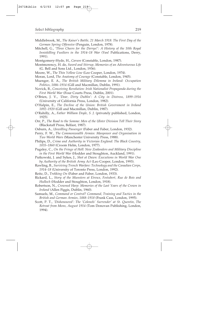- Middlebrook, M., *The Kaiser's Battle, 21 March 1918: The First Day of the German Spring Offensive* (Penguin, London, 1978).
- Mitchell, G., '*Three Cheers for the Derrys!': A History of the 10th Royal Inniskilling Fusiliers in the 1914–18 War* (Yes! Publications, Derry, 1991).
- Montgomery-Hyde, H., *Carson* (Constable, London, 1987).
- Montmorency, H. de, *Sword and Stirrup, Memories of an Adventurous Life* (G. Bell and Sons Ltd., London, 1936).
- Moore, W., *The Thin Yellow Line* (Leo Cooper, London, 1974).
- Moran, Lord, *The Anatomy of Courage* (Constable, London, 1945).
- Muenger, E. A., *The British Military Dilemma in Ireland: Occupation Politics, 1886–1914* (Gill and Macmillan, Dublin, 1991).
- Novick, B., *Conceiving Revolution: Irish Nationalist Propaganda during the First World War* (Four Courts Press, Dublin, 2001).
- O'Brien, J. V., *'Dear, Dirty Dublin': A City in Distress, 1899–1916* (University of California Press, London, 1982).
- O'Halpin, E., *The Decline of the Union: British Government in Ireland 1892–1920* (Gill and Macmillan, Dublin, 1987).
- O'Rahilly, A., *Father William Doyle, S. J*. (privately published, London, 1925).
- Orr, P., *The Road to the Somme: Men of the Ulster Division Tell Their Story* (Blackstaff Press, Belfast, 1987).
- Osburn, A., *Unwilling Passenger* (Faber and Faber, London, 1932).
- Perry, F. W., *The Commonwealth Armies: Manpower and Organisation in Two World Wars* (Manchester University Press, 1988).
- Philips, D., *Crime and Authority in Victorian England: The Black Country, 1835–1860* (Croom Helm, London, 1977).
- Pugsley, C., *On the Fringe of Hell: New Zealanders and Military Discipline in the First World War* (Hodder and Stoughton, Auckland, 1991).
- Putkowski, J. and Sykes, J., *Shot at Dawn: Executions in World War One by Authority of the British Army Act* (Leo Cooper, London, 1993).
- Rawling, B., *Surviving Trench Warfare: Technology and the Canadian Corps, 1914–18* (University of Toronto Press, London, 1992).
- Reitz, D., *Trekking On* (Faber and Faber, London, 1933).

Rickard, L., *Story of the Munsters at Etreux, Festubert, Rue de Bois and Hulloch* (Hodder and Stoughton, London, 1918).

- Robertson, N., *Crowned Harp: Memories of the Last Years of the Crown in Ireland* (Allen Figgis, Dublin, 1960).
- Samuels, M., *Command or Control? Command, Training and Tactics in the British and German Armies, 1888–1918* (Frank Cass, London, 1995).
- Scott, P. T., *'Dishonoured': The 'Colonels' Surrender' at St. Quentin, The Retreat from Mons, August 1914* (Tom Donovan Publishing, London, 1994).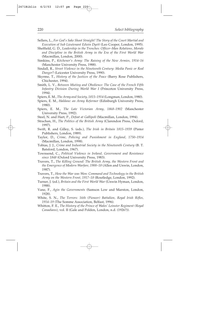- Sellers, L., *For God's Sake Shoot Straight! The Story of the Court Martial and Execution of Sub Lieutenant Edwin Dyett* (Leo Cooper, London, 1995).
- Sheffield, G. D., *Leadership in the Trenches: Officer–Man Relations, Morale and Discipline in the British Army in the Era of the First World War* (Macmillan, London, 2000).
- Simkins, P., *Kitchener's Army: The Raising of the New Armies, 1914–16* (Manchester University Press, 1988).
- Sindall, R., *Street Violence in the Nineteenth Century: Media Panic or Real Danger*? (Leicester University Press, 1990).
- Skyrme, T., *History of the Justices of the Peace* (Barry Rose Publishers, Chichester, 1994).
- Smith, L. V., *Between Mutiny and Obedience: The Case of the French Fifth Infantry Division During World War I* (Princeton University Press, 1994).
- Spiers, E. M., *The Army and Society, 1815–1914* (Longman, London, 1980).
- Spiers, E. M., *Haldane: an Army Reformer* (Edinburgh University Press, 1980).
- Spiers, E. M., *The Late Victorian Army, 1868–1902* (Manchester University Press, 1992).
- Steel, N. and Hart, P., *Defeat at Gallipoli* (Macmillan, London, 1994).
- Strachan, H., *The Politics of the British Army* (Clarendon Press, Oxford, 1997).
- Swift, R. and Gilley, S. (eds.), *The Irish in Britain 1815–1939* (Pinter Publishers, London, 1989).
- Taylor, D., *Crime, Policing and Punishment in England, 1750–1914* (Macmillan, London, 1998).
- Tobias, J. J., *Crime and Industrial Society in the Nineteenth Century* (B. T. Batsford, London, 1967).
- Townsend, C., *Political Violence in Ireland, Government and Resistance since 1848* (Oxford University Press, 1983).
- Travers, T., *The Killing Ground: The British Army, the Western Front and the Emergence of Modern Warfare, 1900–18* (Allen and Unwin, London, 1987).
- Travers, T., *How the War was Won: Command and Technology in the British Army on the Western Front, 1917–18* (Routledge, London, 1992).
- Turner, J. (ed.), *Britain and the First World War* (Unwin Hyman, London, 1988).
- Vane, F., *Agin the Governments* (Samson Low and Marston, London, 1928).
- White, S. N., *The Terrors: 16th (Pioneer) Battalion, Royal Irish Rifles, 1914–19* (The Somme Association, Belfast, 1996).
- Whitton, F. E., *The History of the Prince of Wales' Leinster Regiment (Royal Canadians)*, vol. II (Gale and Polden, London, n.d. (1926?)).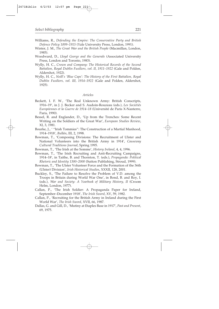- Williams, R., *Defending the Empire: The Conservative Party and British Defence Policy 1899–1915* (Yale University Press, London, 1991).
- Winter, J. M., *The Great War and the British People* (Macmillan, London, 1985).
- Woodward, D., *Lloyd George and the Generals* (Associated University Press, London and Toronto, 1983).
- Wylly, H. C., *Crown and Company: The Historical Records of the Second Battalion, Royal Dublin Fusiliers, vol. II, 1911–1922* (Gale and Polden, Aldershot, 1922).
- Wylly, H. C., *Neill's 'Blue Caps': The History of the First Battalion, Royal Dublin Fusiliers, vol. III, 1914–1922* (Gale and Polden, Aldershot, 1925).

#### *Articles*

- Beckett, I. F. W., 'The Real Unknown Army: British Conscripts, 1916–19', in J. J. Becker and S. Audoin-Rouzeau (eds.), *Les Societiés Européennes et la Guerre de 1914–18* (Université de Paris X-Nanterre, Paris, 1990).
- Bessel, R. and Englander, D., 'Up from the Trenches: Some Recent Writing on the Soldiers of the Great War', *European Studies Review*, XI, 3, 1981.
- Bourke, J., ' "Irish Tommies": The Construction of a Martial Manhood, 1914–1918', *Bullán*, III, 2, 1998.
- Bowman, T., 'Composing Divisions: The Recruitment of Ulster and National Volunteers into the British Army in 1914', *Causeway Cultural Traditions Journal*, Spring 1995.
- Bowman, T., 'The Irish at the Somme', *History Ireland*, 4, 4, 1996.
- Bowman, T., 'The Irish Recruiting and Anti-Recruiting Campaigns, 1914–18', in Taithe, B. and Thornton, T. (eds.), *Propaganda: Political Rhetoric and Identity 1300–2000* (Sutton Publishing, Stroud, 1999).
- Bowman, T., 'The Ulster Volunteer Force and the Formation of the 36th (Ulster) Division', *Irish Historical Studies*, XXXII, 128, 2001.
- Buckley, S., 'The Failure to Resolve the Problem of V.D. among the Troops in Britain during World War One', in Bond, B. and Roy, I. (eds.), *War and Society: A Yearbook of Military History, II* (Croom Helm, London, 1977).
- Callan, P., 'The Irish Soldier: A Propaganda Paper for Ireland, September–December 1918', *The Irish Sword*, XV, 59, 1982.
- Callan, P., 'Recruiting for the British Army in Ireland during the First World War', *The Irish Sword*, XVII, 66, 1987.
- Dallas, G. and Gill, D., 'Mutiny at Etaples Base in 1917', *Past and Present*, 69, 1975.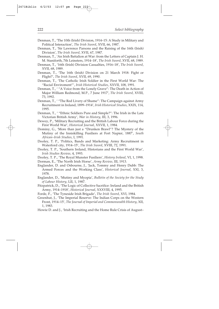- Denman, T., 'The 10th (Irish) Division, 1914–15: A Study in Military and Political Interaction', *The Irish Sword*, XVII, 66, 1987.
- Denman, T., 'Sir Lawrence Parsons and the Raising of the 16th (Irish) Division', *The Irish Sword*, XVII, 67, 1987.
- Denman, T., 'An Irish Battalion at War: from the Letters of Captain J. H. M. Staniforth, 7th Leinsters, 1914–18', *The Irish Sword*, XVII, 68, 1989.
- Denman, T., '16th (Irish) Division Casualties, 1916–18', *The Irish Sword*, XVII, 68, 1989.
- Denman, T., 'The 16th (Irish) Division on 21 March 1918: Fight or Flight?', *The Irish Sword*, XVII, 69, 1990.
- Denman, T., 'The Catholic Irish Soldier in the First World War: The "Racial Enviroment"', *Irish Historical Studies*, XXVII, 108, 1991.
- Denman, T., ' "A Voice from the Lonely Grave": The Death in Action of Major William Redmond, M.P., 7 June 1917', *The Irish Sword*, XVIII, 73, 1992.
- Denman, T., ' "The Red Livery of Shame": The Campaign against Army Recruitment in Ireland, 1899–1914', *Irish Historical Studies*, XXIX, 114, 1995.
- Denman, T., ' "Ethnic Soldiers Pure and Simple?": The Irish in the Late Victorian British Army', *War in History*, III, 3, 1996.
- Dewey, P., 'Military Recruiting and the British Labour Force during the First World War', *Historical Journal*, XXVII, 1, 1984.
- Dominy, G., 'More than just a "Drunken Brawl"? The Mystery of the Mutiny of the Inniskilling Fusiliers at Fort Napier, 1887', *South African–Irish Studies*, I, 1991.
- Dooley, T. P., 'Politics, Bands and Marketing: Army Recruitment in Waterford city, 1914–15', *The Irish Sword*, XVIII, 72, 1991.
- Dooley, T. P., 'Southern Ireland, Historians and the First World War', *Irish Studies Review*, 4, 1993.
- Dooley, T. P., 'The Royal Munster Fusiliers', *History Ireland*, VI, 1, 1998.
- Dorman, E., 'The North Irish Horse', *Army Review*, III, 1913.
- Englander, D. and Osbourne, J., 'Jack, Tommy and Henry Dubb: The Armed Forces and the Working Class', *Historical Journal*, XXI, 3, 1978.
- Englander, D., 'Mutiny and Myopia', *Bulletin of the Society for the Study of Labour History*, LII, 1, 1987.
- Fitzpatrick, D., 'The Logic of Collective Sacrifice: Ireland and the British Army, 1914–1918', *Historical Journal*, XXXVIII, 4, 1995.
- Forde, F., 'The Tyneside Irish Brigade', *The Irish Sword*, XVI, 1984.
- Greenhut, J., 'The Imperial Reserve: The Indian Corps on the Western Front, 1914–15', *The Journal of Imperial and Commonwealth History*, XII, 1, 1983.
- Howie D. and J., 'Irish Recruiting and the Home Rule Crisis of August–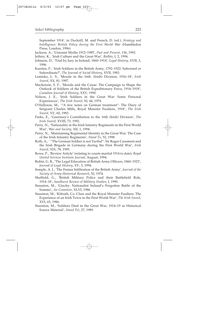September 1914', in Dockrill, M. and French, D. (ed.), *Strategy and Intelligence: British Policy during the First World War* (Hambledon Press, London, 1996).

- Jackson, A., 'Unionist Myths 1912–1985', *Past and Present*, 136, 1992.
- Jeffery, K., 'Irish Culture and the Great War', *Bullán*, I, 2, 1994.
- Johnson, D., 'Trial by Jury in Ireland, 1860–1914', *Legal History*, XVII, 3, 1996.
- Karsten, P., 'Irish Soldiers in the British Army, 1792–1922: Suborned or Subordinate?', *The Journal of Social History*, XVII, 1983.
- Lemisko, L. S., 'Morale in the 16th. (Irish) Division, 1916–18', *Irish Sword*, XX, 81, 1997.
- Mackenzie, S. P., 'Morale and the Cause: The Campaign to Shape the Outlook of Soldiers of the British Expeditionary Force, 1914–1918', *Canadian Journal of History*, XXV, 1990.
- Nelson, J. E., 'Irish Soldiers in the Great War: Some Personal Experiences', *The Irish Sword*, XI, 44, 1974.
- O'Halloran, M., '"A few notes on German treatment": The Diary of Sergeant Charles Mills, Royal Munster Fusiliers, 1918', *The Irish Sword*, XV, 60, 1983.
- Parks, E., 'Guernsey's Contribution to the 16th (Irish) Division', *The Irish Sword*, XVIII, 73, 1992.
- Perry, N., 'Nationality in the Irish Infantry Regiments in the First World War', *War and Society*, XII, 1, 1994.
- Perry, N., 'Maintaining Regimental Identity in the Great War: The Case of the Irish Infantry Regiments', *Stand To*, 52, 1998.
- Roth, A., ' "The German Soldier is not Tactful": Sir Roger Casement and the Irish Brigade in Germany during the First World War', *Irish Sword*, XIX, 78, 1995.
- Rowe, P., 'Review Article' (relating to courts martial 1914 to date), *Royal United Services Institute Journal*, August, 1994.
- Rubin, G. R., 'The Legal Education of British Army Officers, 1860–1923', *Journal of Legal History*, XV, 3, 1994.
- Semple, A. J., 'The Fenian Infiltration of the British Army', *Journal of the Society of Army Historical Research*, 52, 1974.
- Sheffield, G., 'British Military Police and their Battlefield Role, 1914–18', *Sandhurst Review of Military Studies*, I, 1990.
- Staunton, M., 'Ginchy: Nationalist Ireland's Forgotten Battle of the Somme', *An Cosantoir*, XLVI, 1986.
- Staunton, M., 'Kilrush, Co. Clare and the Royal Munster Fusiliers: The Experience of an Irish Town in the First World War', *The Irish Sword*, XVI, 65, 1986.
- Staunton, M., 'Soldiers Died in the Great War, 1914–19 as Historical Source Material', *Stand To*!, 27, 1989.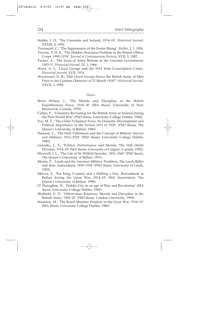- Stubbs, J. O., 'The Unionists and Ireland, 1914–18', *Historical Journal*, XXXIII, 4, 1990.
- Townsend, C., 'The Suppression of the Easter Rising', *Bullán*, I, 1, 1994.
- Travers, T. H. E., 'The Hidden Structural Problem in the British Officer Corps, 1900–1918', *Journal of Contemporary History*, XVII, 3, 1982.
- Tucker, A., 'The Issue of Army Reform in the Unionist Government, 1903–5', *Historical Journal*, IX, 1, 1966.
- Ward, A. J., 'Lloyd George and the 1918 Irish Conscription Crisis', *Historical Journal*, XVII, 1974.
- Woodward, D. R., 'Did Lloyd George Starve the British Army of Men Prior to the German Offensive of 21 March 1918?', *Historical Journal*, XXVII, 1, 1984.

#### *Theses*

- Brent Wilson, J., 'The Morale and Discipline of the British Expeditionary Force, 1914–18' (MA thesis, University of New Brunswick, Canada, 1978).
- Callan, P., 'Voluntary Recruiting for the British Army in Ireland during the First World War' (PhD thesis, University College Dublin, 1984).
- Foy, M. T., 'The Ulster Volunteer Force: Its Domestic Development and Political Importance in the Period 1913 to 1920' (PhD thesis, The Queen's University of Belfast, 1986).
- Hannon, C., 'The Irish Volunteers and the Concept of Military Service and Defence, 1913–1924' (PhD thesis, University College Dublin, 1989).
- Lemisko, L. S., 'Politics, Performance and Morale: The 16th (Irish) Division, 1914–18' (MA thesis, University of Calgary, Canada, 1992).
- Maxwell, I. L., 'The Life of Sir Wilfrid Spender, 1876–1960' (PhD thesis, The Queen's University of Belfast, 1991).
- Morris, P., 'Leeds and the Amateur Military Tradition: The Leeds Rifles and their Antecedents, 1859–1918' (PhD thesis, University of Leeds, 1983).
- Mercer, E., 'For King, Country and a Shilling a Day: Recruitment in Belfast during the Great War, 1914–18' (MA dissertation, The Queen's University of Belfast, 1998).
- O' Flanaghan, N., 'Dublin City in an age of War and Revolution' (MA thesis, University College Dublin, 1985).
- Sheffield, G. D., 'Officer-man Relations: Morale and Discipline in the British Army, 1902–22' (PhD thesis, London University, 1994).
- Staunton, M., 'The Royal Munster Fusiliers in the Great War, 1914–19' (MA thesis, University College Dublin, 1986).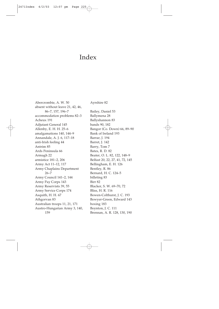## Index

Abercrombie, A. W. 50 absent without leave 21, 42, 46, 86–7, 157, 196–7 accommodation problems 82–3 Acheux 191 Adjutant General 145 Allenby, E. H. H. 25–6 amalgamations 140, 144–9 Annandale, A. J. 6, 117–18 anti-Irish feeling 44 Antrim 85 Ards Peninsula 66 Armagh 22 armistice 181–2, 206 Army Act 11–12, 117 Army Chaplains Department 26–7 Army Council 141–2, 144 Army Pay Corps 143 Army Reservists 39, 55 Army Service Corps 174 Asquith, H. H. 67 Athgorvan 83 Australian troops 11, 21, 171 Austro-Hungarian Army 3, 140, 159

Ayrshire 82

Bailey, Daniel 53 Ballymena 28 Ballyshannon 83 bands 90, 182 Bangor (Co. Down) 66, 89–90 Bank of Ireland 193 Barrar, J. 194 Barret, J. 142 Barry, Tom 7 Bates, R. D. 82 Beater, O. L. 82, 122, 148–9 Belfast 20, 22, 27, 41, 72, 145 Bellingham, E. H. 126 Bentley, R. 86 Bernard, H. C. 124–5 billeting 83 Birr 82 Blacker, S. W. 69–70, 72 Bliss, H. R. 116 Bowen-Colthurst, J. C. 193 Bowyer-Green, Edward 143 boxing 183 Boynton, J. C. 111 Brennan, A. R. 128, 130, 190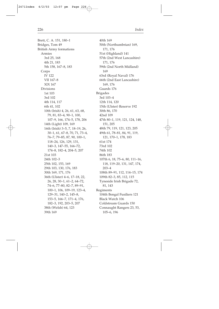Brett, C. A. 151, 180–1 Bridges, Tom 49 British Army formations Armies 3rd 25, 168 4th 21, 183 5th 158, 167–8, 183 Corps IV 122 VII 167–8 XIX 167 Divisions 1st 103 3rd 102 4th 114, 117 6th 41, 102 10th (Irish) 4, 26, 61, 63, 68, 79, 81, 83–4, 90–1, 100, 107–9, 166, 174–5, 178, 206 14th (Light) 109, 169 16th (Irish) 3–5, 7, 18–19, 26, 30–1, 61, 67–8, 70, 71, 73–4, 76–7, 79–85, 87, 90, 100–1, 118–24, 126, 129, 131, 140–3, 147–55, 166–72, 174–8, 182–4, 204–5, 207 21st 103 24th 102–3 25th 102, 153, 169 29th 103, 130, 176, 183 30th 169, 171, 176 36th (Ulster) 4–6, 17–18, 22, 26, 28, 30–1, 61–2, 64–72, 74–6, 77–80, 82–7, 89–91, 100–1, 106, 109–19, 123–4, 129–31, 140–2, 145–8, 153–5, 166–7, 171–4, 176, 182–3, 192, 203–5, 207 38th (Welsh) 64, 123 39th 169

40th 169 50th (Northumbrian) 169, 171, 176 51st (Highland) 141 57th (2nd West Lancashire) 171, 176 59th (2nd North Midland) 169 63rd (Royal Naval) 176 66th (2nd East Lancashire) 169, 176 Guards 176 Brigades 3rd 103–4 12th 114, 120 15th (Ulster) Reserve 192 30th 86, 170 42nd 109 47th 80–1, 119, 121, 124, 148, 151, 205 48th 79, 119, 121, 123, 205 49th 61, 78–81, 84, 91, 119, 121, 170–1, 178, 183 61st 174 73rd 102 74th 102 86th 183 107th 6, 18, 75–6, 80, 111–16, 118, 119–20, 131, 147, 174, 203–4 108th 89–91, 112, 114–15, 174 109th 82–3, 85, 112, 115 Tyneside Irish Brigade 72, 81, 143 Regiments 104th Bengal Fusiliers 121 Black Watch 106 Coldstream Guards 150 Connaught Rangers 23, 53, 105–6, 196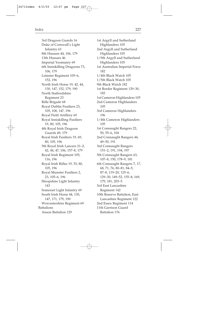3rd Dragoon Guards 16 Duke of Cornwall's Light Infantry 63 8th Hussars 44, 106, 179 13th Hussars 46 Imperial Yeomanry 69 6th Inniskilling Dragoons 73, 106, 179 Leinster Regiment 105–6, 152, 196 North Irish Horse 19, 42, 44, 130, 147, 152, 179, 190 North Staffordshire Regiment 23 Rifle Brigade 68 Royal Dublin Fusiliers 23, 105, 108, 147, 196 Royal Field Artillery 69 Royal Inniskilling Fusiliers 19, 80, 105, 196 4th Royal Irish Dragoon Guards 49, 179 Royal Irish Fusiliers 19, 69, 80, 105, 196 5th Royal Irish Lancers 21–2, 42, 44, 47, 106, 157–8, 179 Royal Irish Regiment 105, 116, 196 Royal Irish Rifles 19, 53, 80, 105, 196 Royal Munster Fusiliers 2, 23, 105–6, 196 Shropshire Light Infantry 143 Somerset Light Infantry 69 South Irish Horse 44, 130, 147, 171, 179, 190 Worcestershire Regiment 69 Battalions Anson Battalion 129

1st Argyll and Sutherland Highlanders 105 2nd Argyll and Sutherland Highlanders 105 1/9th Argyll and Sutherland Highlanders 105 1st Australian Imperial Force 182 1/4th Black Watch 105 1/5th Black Watch 105 9th Black Watch 182 1st Border Regiment 129–30, 182 1st Cameron Highlanders 105 2nd Cameron Highlanders 105 3rd Cameron Highlanders 196 1/4th Cameron Highlanders 105 1st Connaught Rangers 22, 50, 55–6, 104 2nd Connaught Rangers 44, 49–50, 191 3rd Connaught Rangers 151–2, 191, 194, 197 5th Connaught Rangers 63, 107–8, 150, 178–9, 181 6th Connaught Rangers 7, 17, 68, 71, 76, 80–81, 84–5, 87–8, 119–20, 125–6, 129–30, 149–52, 155–8, 169, 179, 181, 203–5 3rd East Lancashire Regiment 142 10th Reserve Battalion, East Lancashire Regiment 122 2nd Essex Regiment 114 11th Garrison Guard Battalion 176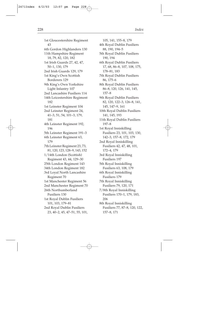1st Gloucestershire Regiment 43 6th Gordon Highlanders 130 11th Hampshire Regiment 18, 79, 82, 120, 182 1st Irish Guards 27, 42, 47, 50–1, 130, 179 2nd Irish Guards 129, 179 1st King's Own Scottish Borderers 129 9th King's Own Yorkshire Light Infantry 107 2nd Lancashire Fusiliers 114 14th Leicestershire Regiment 182 1st Leinster Regiment 104 2nd Leinster Regiment 24, 41–3, 51, 54, 101–3, 179, 181 4th Leinster Regiment 192, 196 5th Leinster Regiment 191–3 6th Leinster Regiment 63, 179 7th Leinster Regiment 23, 73, 81, 120, 123, 128–9, 143, 152 1/14th London (Scottish) Regiment 43, 44, 129–30 25th London Regiment 143 34th London Regiment 182 3rd Loyal North Lancashire Regiment 70 1st Manchester Regiment 56 2nd Manchester Regiment 70 26th Northumberland Fusiliers 130 1st Royal Dublin Fusiliers 101, 103, 179–81 2nd Royal Dublin Fusiliers 23, 40–2, 45, 47–51, 55, 101,

105, 141, 155–8, 179 4th Royal Dublin Fusiliers 88, 190, 194–5 5th Royal Dublin Fusiliers 190, 194 6th Royal Dublin Fusiliers 17, 68, 86–8, 107, 108, 175, 178–81, 183 7th Royal Dublin Fusiliers 86, 175–6 8th Royal Dublin Fusiliers 86–8, 120, 126, 141, 145, 157–8 9th Royal Dublin Fusiliers 82, 120, 122–3, 126–8, 141, 145, 147–9, 161 10th Royal Dublin Fusiliers 141, 145, 193 11th Royal Dublin Fusiliers 197–8 1st Royal Inniskilling Fusiliers 23, 101, 103, 130, 142–3, 157–8, 172, 179 2nd Royal Inniskilling Fusiliers 42, 47, 48, 101, 172–4, 179 3rd Royal Inniskilling Fusiliers 197 5th Royal Inniskilling Fusiliers 63, 108, 179 6th Royal Inniskilling Fusiliers 179 7th Royal Inniskilling Fusiliers 79, 120, 171 7/8th Royal Inniskilling Fusiliers 170–1, 179, 183, 206 8th Royal Inniskilling Fusiliers 77, 87–8, 120, 122, 157–8, 171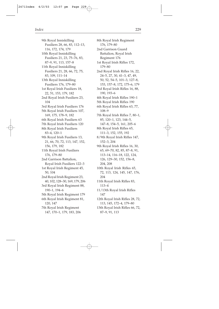9th Royal Inniskilling Fusiliers 28, 66, 83, 112–13, 116, 172, 174, 179 10th Royal Inniskilling Fusiliers 21, 23, 75–76, 83, 87–9, 91, 113, 157–8 11th Royal Inniskilling Fusiliers 21, 28, 66, 72, 75, 83, 109, 111–14 13th Royal Inniskilling Fusiliers 176, 179–80 1st Royal Irish Fusiliers 18, 22, 51, 153, 179, 182 2nd Royal Irish Fusiliers 23, 104 3rd Royal Irish Fusiliers 176 5th Royal Irish Fusiliers 107, 169, 175, 178–9, 182 6th Royal Irish Fusiliers 63 7th Royal Irish Fusiliers 120 8th Royal Irish Fusiliers 83–4, 120–1 9th Royal Irish Fusiliers 13, 21, 66, 70, 72, 113, 147, 152, 156, 179, 182 11th Royal Irish Fusiliers 176, 179–80 2nd Garrison Battalion, Royal Irish Fusiliers 122–3 1st Royal Irish Regiment 45, 50, 104 2nd Royal Irish Regiment 23, 40, 102, 128–30, 169, 179, 206 3rd Royal Irish Regiment 88, 190–1, 194–6 5th Royal Irish Regiment 179 6th Royal Irish Regiment 81, 120, 147 7th Royal Irish Regiment 147, 170–1, 179, 183, 206

8th Royal Irish Regiment 176, 179–80 2nd Garrison Guard Battalion, Royal Irish Regiment 176 1st Royal Irish Rifles 172, 179–80 2nd Royal Irish Rifles 16, 22, 24–5, 27, 30, 41–3, 47, 49, 50, 52, 54–5, 101–3, 127–8, 153, 157–8, 172, 175–6, 179 3rd Royal Irish Rifles 16, 88, 190, 193–6 4th Royal Irish Rifles 190–1 5th Royal Irish Rifles 190 6th Royal Irish Rifles 63, 77, 108–9 7th Royal Irish Rifles 7, 80–1, 85, 120–1, 123, 144–5, 147–8, 154–5, 161, 205–6 8th Royal Irish Rifles 65, 111–3, 152, 155, 192 8/9th Royal Irish Rifles 147, 152–3, 204 9th Royal Irish Rifles 16, 30, 65, 69–70, 82, 85, 87–8, 91, 113–14, 116–18, 122, 124, 126, 129–30, 152, 156–8, 204, 208 10th Royal Irish Rifles 65, 72, 113, 124, 145, 147, 176, 204 11th Royal Irish Rifles 83, 113–4 11/13th Royal Irish Rifles 147 12th Royal Irish Rifles 28, 72, 113, 145, 172–4, 179–80 13th Royal Irish Rifles 66, 72, 87–9, 91, 113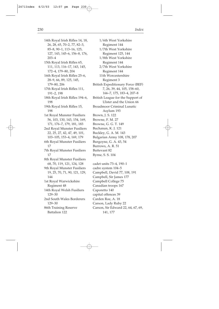- 14th Royal Irish Rifles 14, 18, 26, 28, 65, 70–2, 77, 82–3, 85–8, 90–1, 113–16, 125, 127, 143, 145–6, 156–8, 176, 203–4 15th Royal Irish Rifles 65,
- 111, 113, 116–17, 143, 145, 172–4, 179–80, 204
- 16th Royal Irish Rifles 25–6, 28–9, 66, 89, 125, 145, 179–80, 206
- 17th Royal Irish Rifles 111, 191–2, 198
- 18th Royal Irish Rifles 194–6, 198
- 19th Royal Irish Rifles 15, 198
- 1st Royal Munster Fusiliers 56, 103, 130, 143, 154, 169, 171, 176–7, 179, 181, 183
- 2nd Royal Munster Fusiliers 22, 25, 27, 42, 47, 49, 101, 103–105, 153–4, 169, 179
- 6th Royal Munster Fusiliers 17
- 7th Royal Munster Fusiliers 17
- 8th Royal Munster Fusiliers 68, 70, 119, 121, 124, 128
- 9th Royal Munster Fusiliers 19, 25, 70, 71, 90, 121, 129, 144
- 1st Royal Warwickshire Regiment 48
- 14th Royal Welsh Fusiliers 129–30
- 2nd South Wales Borderers 129–30
- 86th Training Reserve Battalion 122

1/6th West Yorkshire Regiment 144 1/7th West Yorkshire Regiment 125, 144 1/8th West Yorkshire Regiment 144 2/7th West Yorkshire Regiment 144 11th Worcestershire Regiment 3 British Expeditionary Force (BEF) 7, 26, 39, 44, 105, 158–60, 166–7, 175, 183–4, 207–8 British League for the Support of Ulster and the Union 66 Broadmoor Criminal Lunatic Asylum 193 Brown, J. S. 122 Browne, F. M. 27 Browne, G. G. T. 149 Buchanan, K. J. 121 Buckley, G. A. M. 143 Bulgarian Army 108, 178, 207 Burgoyne, G. A. 43, 54 Burrows, A. R. 51 Buttevant 82 Byrne, S. S. 104

cadet units 73–4, 190–1 cadre system 104–5 Campbell, David 77, 108, 191 Campbell, Sir James 177 Campbell College 75 Canadian troops 167 Caporetto 140 capital offences 39 Carden Roe, A. 18 Carson, Lady Ruby 22 Carson, Sir Edward 22, 64, 67, 69, 141, 177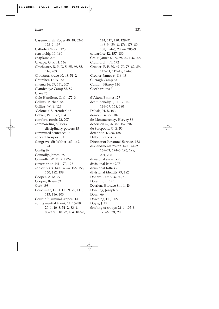Casement, Sir Roger 40, 48, 52–4, 128–9, 197 Catholic Church 178 censorship 10, 160 chaplains 207 Cheape, G. R. H. 146 Chichester, R. P. D. S. 65, 69, 85, 116, 203 Christmas truce 40, 48, 51–2 Churcher, D. W. 22 cinema 26, 27, 131, 207 Clandeboye Camp 83, 89 Clare 76 Cole Hamilton, C. G. 172–3 Collins, Michael 54 Collins, W. E. 126 'Colonels' Surrender' 48 Colyer, W. T. 23, 154 comforts funds 22, 207 commanding officers' disciplinary powers 15 commuted sentences 14 concert troupes 131 Congreve, Sir Walter 167, 169, 174 Conlig 89 Connolly, James 197 Connolly, W. E. G. 122–3 conscription 141, 170, 196 conscripts 3, 140, 143–4, 156, 158, 160, 182, 198 Cooper, A. M. 77 Cooper, Bryan 63 Cork 198 Couchman, G. H. H. 69, 75, 111, 113, 116, 205 Court of Criminal Appeal 14 courts martial 4, 6–7, 11, 15–18, 20–1, 40–8, 51–2, 83–4, 86–9, 91, 101–2, 104, 107–8,

114, 117, 120, 129–31, 146–9, 156–8, 176, 178–80, 182, 194–6, 203–4, 206–9 cowardice 42, 157, 180 Craig, James 64–5, 69, 70, 126, 205 Crawford, J. N. 172 Crozier, F. P. 30, 69–70, 78, 82, 89, 113–14, 117–18, 124–5 Crozier, James 6, 116–18 Curragh Camp 83 Curzon, Fitzroy 124 Czech troops 3 d'Alton, Emmet 127

death penalty 6, 11–12, 14, 116–17, 158, 180 Delisle, H. B. 103 demobilisation 182 de Montmorency, Hervey 86 desertion 42, 47, 87, 157, 207 de Stacpoole, G. E. 50 detention 47, 88, 158 Dillon, Francis 17 Director of Personnel Services 183 disbandments 78–79, 140, 144–9, 169–71, 174–5, 196, 198, 204, 206 divisional awards 28 divisional baths 207 divisional follies 26 divisional identity 79, 182 Donard Camp 76, 80, 82 Doran, John 125 Dorrien, Horrace Smith 43 Dowling, Joseph 53 Down 66 Downing, H. J. 122 Doyle, J. 17 drafting of troops 22–4, 105–8, 175–6, 191, 203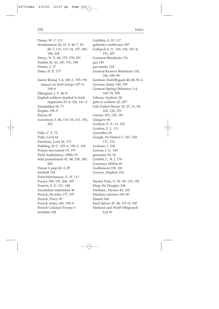Drean, W. C. 111 drunkenness 20, 41–3, 46–7, 83, 86–7, 115, 117–18, 157, 180, 196, 202 Drury, N. E. 68, 175, 178, 181 Dublin 20, 41, 147, 191, 198 Dunne, J. 17 Duke, H. E. 177 Easter Rising 3–4, 100–1, 193–196 impact on Irish troops 127–9, 194–6 Elkington, J. F. 48–9 English soldiers drafted to Irish regiments 23–4, 126, 141–2 Enniskillen 68, 71 Etaples 158–9 Etreux 49 executions 3, 46, 116–18, 131, 156, 203 Falls, C. F. 72 Falls, Cyril 64 Farnham, Lord 26, 173 Feilding, R. C. 125–6, 150–2, 154 Fenian movement 19, 197 Field Ambulance, 109th 15 field punishment 47, 88, 158, 180, 203 Finner Camp 82–3, 89 football 154 Ford-Hutchinson, G. H. 111 France 184, 191, 206, 207 Francis, S. G. 121, 148 fraudulent enlistment 46 French, Sir John 177, 197 French, Percy 90 French Army 140, 158–9 French Colonial Troops 3 frostbite 108

Gaffikin, G. H. 117 gallantry certificates 207 Gallipoli 4, 11, 100, 103, 107–8, 191, 207 Garrison Battalions 176 gas 149 gas masks 124 General Reserve Battalions 126, 166, 189–99 German–Irish Brigade 40, 48, 52–4 German Army 140, 159 German Spring Offensive 3–4, 166–74, 208 Gibson, Andrew 28 gifts to soldiers 22, 207 Gill, Father Henry 25, 27, 31, 49, 102, 128, 153 Ginchy 101, 125, 181 Glasgow 66 Godson, E. A. 13, 152 Gordon, F. L. 111 Gorenflos 29 Gough, Sir Hubert 7, 167, 169, 171, 174 Graham, J. 104 Greene, J. G. 149 grenades 54, 56 Griffith, C. R. J. 174 Guernsey Militia 81 Guillemont 150, 181 Gwynn, Stephen 154 Hacket Pain, G. W. 69, 115, 192 Haig, Sir Douglas 168 Haldane, Alymer 43, 102 Haldane reforms 189–90 Hamel 168 hard labour 47, 88, 157–8, 180 Harland and Wolff (Shipyard) Ltd 76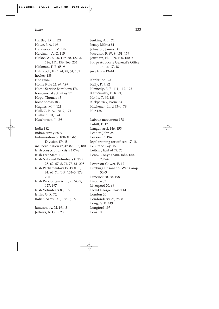Hartley, D. L. 121 Hawe, J. A. 149 Henderson, J. M. 192 Herdman, A. C. 115 Hickie, W. B. 28, 119–20, 122–3, 126, 151, 156, 168, 204 Hickman, T. E. 68–9 Hitchcock, F. C. 24, 42, 54, 182 hockey 183 Hodgson, F. 112 Home Rule 24, 67, 197 Home Service Battalions 176 homosexual activities 12 Hope, Thomas 43 horse shows 183 Hughes, M. J. 121 Hull, C. P. A. 168–9, 171 Hulluch 101, 124 Hutchinson, J. 198 India 182 Indian Army 68–9 Indianisation of 10th (Irish) Division 174–5 insubordination 42, 47, 87, 157, 180 Irish conscription crisis 177–8 Irish Free State 119 Irish National Volunteers (INV) 25, 62, 67–8, 71, 77, 81, 205 Irish Parliamentary Party (IPP) 61, 62, 74, 147, 154–5, 178, 205 Irish Republican Army (IRA) 7, 127, 197 Irish Volunteers 83, 197 Irwin, G. R. 72 Italian Army 140, 158–9, 160 Jameson, A. M. 191–3 Jeffreys, R. G. B. 23

Jenkins, A. P. 72 Jersey Militia 81 Johnston, James 145 Jourdain, F. W. S. 151, 159 Jourdain, H. F. N. 108, 150–2 Judge Advocate General's Office 14, 16–17, 48 jury trials 13–14 Karlsruhe 173 Kelly, P. J. 82 Kennedy, E. R. 111, 112, 192 Kerr-Smiley, P. K. 71, 116 Kettle, T. M. 128 Kirkpatrick, Ivone 63 Kitchener, Lord 63–4, 78 Kut 128 Labour movement 178 Lahiff, F. 17 Langemarck 146, 155 Leader, John 28 Leeson, C. 194 legal training for officers 17–18 Le Grand Fayt 49 Leitrim, Earl of 72, 75 Lenox-Conyngham, John 150, 203–4 Leverson-Gower, P. 121 Limburg Prisoner of War Camp 52–3 Limerick 20, 68, 198 Lisburn 83 Liverpool 20, 66 Lloyd George, David 141 London 20 Londonderry 28, 76, 81 Long, G. B. 149 Longford 197 Loos 103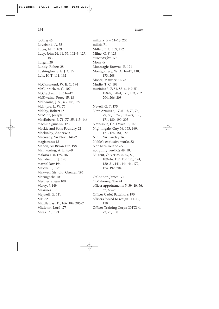looting 46 Loveband, A. 55 Lucas, N. C. 109 Lucy, John 24, 41, 55, 102–3, 127, 153 Lurgan 28 Lundy, Robert 28 Lushington, S. E. J. C. 79 Lyle, H. T. 111, 192 McCammond, W. E. C. 194 McClintock, A. G. 107 McCracken, J. F. 116–17 McElwaine, Percy 15, 18 McIlwaine, J. 50, 63, 146, 197 McIntyre, L. W. 75 McKay, Robert 15 McMinn, Joseph 15 MacRoberts, J. 71, 77, 85, 115, 146 machine guns 54, 173 Mackie and Sons Foundry 22 Mackinlay, Andrew 2 Macready, Sir Nevil 141–2 magistrates 13 Mahon, Sir Bryan 177, 198 Mainwaring, A. E. 48–9 malaria 108, 175, 207 Mansfield, P. J. 196 martial law 194 Maxwell, J. 125 Maxwell, Sir John Grenfell 194 Mazingarbe 103 Mediterranean 100 Merry, J. 149 Messines 155 Meynell, G. 111 MI5 52 Middle East 11, 166, 184, 206–7 Midleton, Lord 177 Miles, P. J. 121

military law 11–18, 203 militia 71 Miller, C. C. 159, 172 Milne, G. F. 123 *minenwerfers* 173 Mons 49 Monteagle-Browne, E. 121 Montgomery, W. A. 16–17, 118, 173, 208 Moore, Maurice 71, 73 Mudie, T. C. 193 mutinies 3, 7, 81, 83–6, 149–50, 158–9, 170–1, 178, 183, 202, 204, 206, 208 Nevell, G. T. 175 New Armies 6, 17, 61–2, 70, 76, 79, 88, 102–3, 109–24, 130, 171, 180, 190, 203 Newcastle, Co. Down 15, 146 Nightingale, Guy 56, 153, 169, 171, 176, 181, 183 Nihill, Sir Barclay 143 Noble's explosive works 82 Northern Ireland 65 not guilty verdicts 48, 180 Nugent, Oliver 25–6, 69, 80, 109–14, 117, 119, 120, 124, 130–31, 141, 144–46, 172, 174, 192, 204 O'Connor, James 177 O'Mahoney, The 24

officer appointments 5, 39–40, 56, 62, 68–75 Officer Cadet Battalions 190 officers forced to resign 111–12, 118 Officer Training Corps (OTC) 4, 73, 75, 190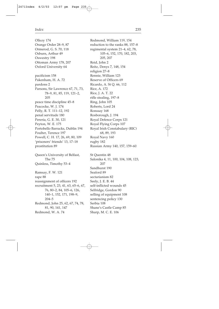Ollezy 174 Orange Order 28–9, 87 Ormerod, G. S. 70, 118 Osburn, Arthur 49 Oswestry 198 Ottoman Army 178, 207 Oxford University 64 pacificism 158 Pakenham, H. A. 72 pardons 2 Parsons, Sir Lawrence 67, 71, 73, 78–9, 81, 85, 119, 121–2, 205 peace time discipline 45–8 Peacocke, W. J. 174 Pelly, R. T. 111–12, 192 penal servitude 180 Pereria, G. E. 30, 121 Peyton, W. E. 175 Portobello Barracks, Dublin 194 Poulter, Terence 197 Powell, C. H. 17, 26, 69, 80, 109 'prisoners' friends' 13, 17–18 prostitution 89 Queen's University of Belfast, The 75 Quinless, Timothy 53–4 Ramsay, F. W. 121 rape 88 reassignment of officers 192 recruitment 5, 23, 41, 63, 65–6, 67, 76, 80–2, 84, 105–6, 126, 140–1, 152, 171, 198–9, 204–5 Redmond, John 25, 62, 67, 74, 78, 81, 90, 141, 147 Redmond, W. A. 74

Redmond, William 119, 154 reduction to the ranks 88, 157–8 regimental system 21–4, 62, 78, 105–6, 152, 170, 182, 203, 205, 207 Reid, John 2 Reitz, Denys 7, 148, 154 religion 27–8 Rennie, William 123 Reserve of Officers 69 Ricardo, A. St Q. 66, 112 Rice, A. 172 Rice, J. A. T. 22 rifle stealing, 197–8 Ring, John 105 Roberts, Lord 24 Ronssay 168 Rosborough, J. 194 Royal Defence Corps 121 Royal Flying Corps 107 Royal Irish Constabulary (RIC) 68, 89, 193 Royal Navy 160 rugby 182 Russian Army 140, 157, 159–60 St Quentin 48 Salonika 4, 11, 100, 104, 108, 123, 207 Sandhurst 190 Seaford 89 sectarianism 82 Seely, J. E. B. 44 self-inflicted wounds 45 Selfridge, Gordon 90 selling of equipment 108 sentencing policy 130 Serbia 108 Shane's Castle Camp 85 Sharp, M. C. E. 106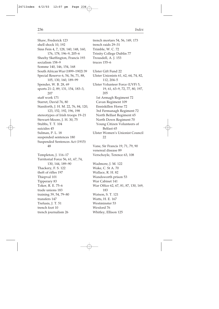Shaw, Frederick 123 shell shock 10, 192 Sinn Fein 4, 7, 128, 140, 148, 160, 176, 178, 196–9, 205–6 Sheehy Skeffington, Francis 193 socialism 158–9 Somme 140, 146, 154, 168 South African War (1899–1902) 39 Special Reserve 6, 54, 56, 71, 88, 105, 130, 160, 189–99 Spender, W. B. 28, 69 sports 21–2, 89, 131, 154, 183–3, 207 staff work 171 Starret, David 76, 80 Staniforth, J. H. M. 22, 76, 84, 120, 123, 152, 192, 196, 198 stereotypes of Irish troops 19–21 Stewart-Moore, J. H. 30, 75 Stubbs, T. T. 104 suicides 45 Sulman, P. L. 18 suspended sentences 180 Suspended Sentences Act (1915) 48

Templeton, J. 116–17 Territorial Force 56, 61, 67, 74, 130, 144, 189–90 Thackery, F. S. 122 theft of rifles 197 Thiepval 101 Tipperary 83 Toker, R. E. 75–6 trade unions 183 training 39, 54, 79–80 transfers 147 Trefusis, J. T. 51 trench foot 10 trench journalism 26

trench mortars 54, 56, 149, 173 trench raids 29–31 Trimble, W. C. 72 Trinity College Dublin 77 Trousdell, A. J. 153 truces 155–6 Ulster Gift Fund 22 Ulster Unionists 61, 62, 64, 74, 82, 112, 204–5 Ulster Volunteer Force (UVF) 5, 19, 61, 63–9, 72, 77, 80, 197, 205 1st Armagh Regiment 72 Cavan Regiment 109 Enniskillen Horse 72 3rd Fermanagh Regiment 72 North Belfast Regiment 65 North Down Regiment 70 Young Citizen Volunteers of Belfast 65 Ulster Women's Unionist Council 22

Vane, Sir Francis 19, 71, 79, 90 venereal disease 89 Verschoyle, Terence 63, 108

Wadmore, J. M. 122 Wake, C. St A. 70 Wallace, R. H. 82 Wandsworth prison 53 War Cabinet 141 War Office 62, 67, 81, 87, 130, 169, 183 Watson, S. T. 121 Watts, H. E. 167 Westminster 53 Wexford 76 Whitley, Ellison 125